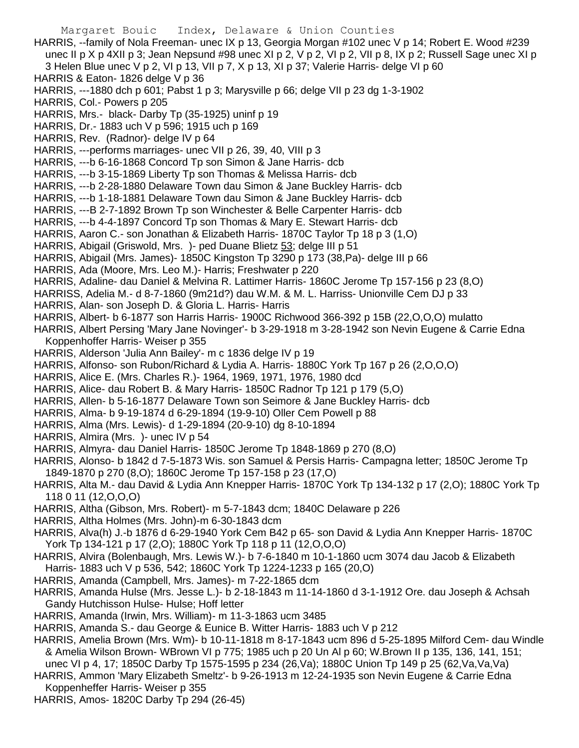Margaret Bouic Index, Delaware & Union Counties HARRIS, --family of Nola Freeman- unec IX p 13, Georgia Morgan #102 unec V p 14; Robert E. Wood #239 unec II p X p 4XII p 3; Jean Nepsund #98 unec XI p 2, V p 2, VI p 2, VII p 8, IX p 2; Russell Sage unec XI p 3 Helen Blue unec V p 2, VI p 13, VII p 7, X p 13, XI p 37; Valerie Harris- delge VI p 60 HARRIS & Eaton- 1826 delge V p 36 HARRIS, ---1880 dch p 601; Pabst 1 p 3; Marysville p 66; delge VII p 23 dg 1-3-1902 HARRIS, Col.- Powers p 205 HARRIS, Mrs.- black- Darby Tp (35-1925) uninf p 19 HARRIS, Dr.- 1883 uch V p 596; 1915 uch p 169 HARRIS, Rev. (Radnor)- delge IV p 64 HARRIS, ---performs marriages- unec VII p 26, 39, 40, VIII p 3 HARRIS, ---b 6-16-1868 Concord Tp son Simon & Jane Harris- dcb HARRIS, ---b 3-15-1869 Liberty Tp son Thomas & Melissa Harris- dcb HARRIS, ---b 2-28-1880 Delaware Town dau Simon & Jane Buckley Harris- dcb HARRIS, ---b 1-18-1881 Delaware Town dau Simon & Jane Buckley Harris- dcb HARRIS, ---B 2-7-1892 Brown Tp son Winchester & Belle Carpenter Harris- dcb HARRIS, ---b 4-4-1897 Concord Tp son Thomas & Mary E. Stewart Harris- dcb HARRIS, Aaron C.- son Jonathan & Elizabeth Harris- 1870C Taylor Tp 18 p 3 (1,O) HARRIS, Abigail (Griswold, Mrs. )- ped Duane Blietz 53; delge III p 51 HARRIS, Abigail (Mrs. James)- 1850C Kingston Tp 3290 p 173 (38,Pa)- delge III p 66 HARRIS, Ada (Moore, Mrs. Leo M.)- Harris; Freshwater p 220 HARRIS, Adaline- dau Daniel & Melvina R. Lattimer Harris- 1860C Jerome Tp 157-156 p 23 (8,O) HARRISS, Adelia M.- d 8-7-1860 (9m21d?) dau W.M. & M. L. Harriss- Unionville Cem DJ p 33 HARRIS, Alan- son Joseph D. & Gloria L. Harris- Harris HARRIS, Albert- b 6-1877 son Harris Harris- 1900C Richwood 366-392 p 15B (22,O,O,O) mulatto HARRIS, Albert Persing 'Mary Jane Novinger'- b 3-29-1918 m 3-28-1942 son Nevin Eugene & Carrie Edna Koppenhoffer Harris- Weiser p 355 HARRIS, Alderson 'Julia Ann Bailey'- m c 1836 delge IV p 19 HARRIS, Alfonso- son Rubon/Richard & Lydia A. Harris- 1880C York Tp 167 p 26 (2,O,O,O) HARRIS, Alice E. (Mrs. Charles R.)- 1964, 1969, 1971, 1976, 1980 dcd HARRIS, Alice- dau Robert B. & Mary Harris- 1850C Radnor Tp 121 p 179 (5,O) HARRIS, Allen- b 5-16-1877 Delaware Town son Seimore & Jane Buckley Harris- dcb HARRIS, Alma- b 9-19-1874 d 6-29-1894 (19-9-10) Oller Cem Powell p 88 HARRIS, Alma (Mrs. Lewis)- d 1-29-1894 (20-9-10) dg 8-10-1894 HARRIS, Almira (Mrs. )- unec IV p 54 HARRIS, Almyra- dau Daniel Harris- 1850C Jerome Tp 1848-1869 p 270 (8,O) HARRIS, Alonso- b 1842 d 7-5-1873 Wis. son Samuel & Persis Harris- Campagna letter; 1850C Jerome Tp 1849-1870 p 270 (8,O); 1860C Jerome Tp 157-158 p 23 (17,O) HARRIS, Alta M.- dau David & Lydia Ann Knepper Harris- 1870C York Tp 134-132 p 17 (2,O); 1880C York Tp 118 0 11 (12,O,O,O) HARRIS, Altha (Gibson, Mrs. Robert)- m 5-7-1843 dcm; 1840C Delaware p 226 HARRIS, Altha Holmes (Mrs. John)-m 6-30-1843 dcm HARRIS, Alva(h) J.-b 1876 d 6-29-1940 York Cem B42 p 65- son David & Lydia Ann Knepper Harris- 1870C York Tp 134-121 p 17 (2,O); 1880C York Tp 118 p 11 (12,O,O,O) HARRIS, Alvira (Bolenbaugh, Mrs. Lewis W.)- b 7-6-1840 m 10-1-1860 ucm 3074 dau Jacob & Elizabeth Harris- 1883 uch V p 536, 542; 1860C York Tp 1224-1233 p 165 (20,O) HARRIS, Amanda (Campbell, Mrs. James)- m 7-22-1865 dcm HARRIS, Amanda Hulse (Mrs. Jesse L.)- b 2-18-1843 m 11-14-1860 d 3-1-1912 Ore. dau Joseph & Achsah Gandy Hutchisson Hulse- Hulse; Hoff letter HARRIS, Amanda (Irwin, Mrs. William)- m 11-3-1863 ucm 3485 HARRIS, Amanda S.- dau George & Eunice B. Witter Harris- 1883 uch V p 212 HARRIS, Amelia Brown (Mrs. Wm)- b 10-11-1818 m 8-17-1843 ucm 896 d 5-25-1895 Milford Cem- dau Windle & Amelia Wilson Brown- WBrown VI p 775; 1985 uch p 20 Un Al p 60; W.Brown II p 135, 136, 141, 151;

unec VI p 4, 17; 1850C Darby Tp 1575-1595 p 234 (26,Va); 1880C Union Tp 149 p 25 (62,Va,Va,Va) HARRIS, Ammon 'Mary Elizabeth Smeltz'- b 9-26-1913 m 12-24-1935 son Nevin Eugene & Carrie Edna Koppenheffer Harris- Weiser p 355

HARRIS, Amos- 1820C Darby Tp 294 (26-45)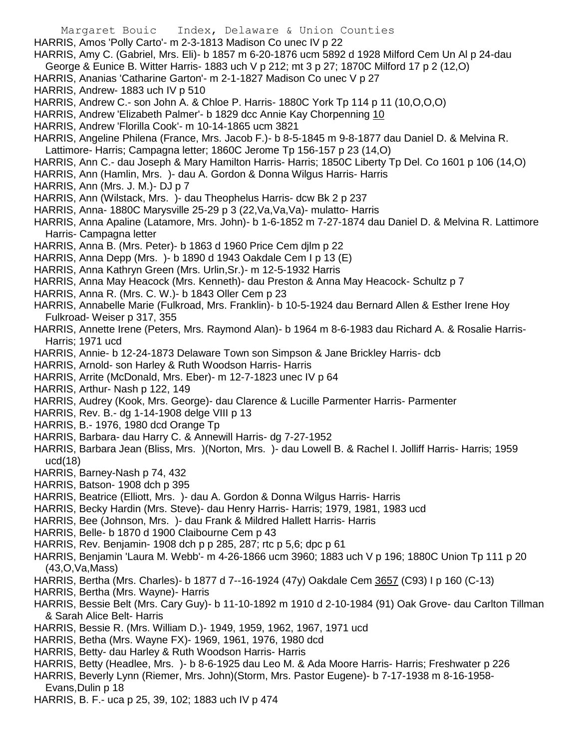- Margaret Bouic Index, Delaware & Union Counties
- HARRIS, Amos 'Polly Carto'- m 2-3-1813 Madison Co unec IV p 22
- HARRIS, Amy C. (Gabriel, Mrs. Eli)- b 1857 m 6-20-1876 ucm 5892 d 1928 Milford Cem Un Al p 24-dau George & Eunice B. Witter Harris- 1883 uch V p 212; mt 3 p 27; 1870C Milford 17 p 2 (12,O)
- HARRIS, Ananias 'Catharine Garton'- m 2-1-1827 Madison Co unec V p 27
- HARRIS, Andrew- 1883 uch IV p 510
- HARRIS, Andrew C.- son John A. & Chloe P. Harris- 1880C York Tp 114 p 11 (10,O,O,O)
- HARRIS, Andrew 'Elizabeth Palmer'- b 1829 dcc Annie Kay Chorpenning 10
- HARRIS, Andrew 'Florilla Cook'- m 10-14-1865 ucm 3821
- HARRIS, Angeline Philena (France, Mrs. Jacob F.)- b 8-5-1845 m 9-8-1877 dau Daniel D. & Melvina R.
- Lattimore- Harris; Campagna letter; 1860C Jerome Tp 156-157 p 23 (14,O)
- HARRIS, Ann C.- dau Joseph & Mary Hamilton Harris- Harris; 1850C Liberty Tp Del. Co 1601 p 106 (14,O)
- HARRIS, Ann (Hamlin, Mrs. )- dau A. Gordon & Donna Wilgus Harris- Harris
- HARRIS, Ann (Mrs. J. M.)- DJ p 7
- HARRIS, Ann (Wilstack, Mrs. )- dau Theophelus Harris- dcw Bk 2 p 237
- HARRIS, Anna- 1880C Marysville 25-29 p 3 (22,Va,Va,Va)- mulatto- Harris
- HARRIS, Anna Apaline (Latamore, Mrs. John)- b 1-6-1852 m 7-27-1874 dau Daniel D. & Melvina R. Lattimore Harris- Campagna letter
- HARRIS, Anna B. (Mrs. Peter)- b 1863 d 1960 Price Cem djlm p 22
- HARRIS, Anna Depp (Mrs. )- b 1890 d 1943 Oakdale Cem I p 13 (E)
- HARRIS, Anna Kathryn Green (Mrs. Urlin,Sr.)- m 12-5-1932 Harris
- HARRIS, Anna May Heacock (Mrs. Kenneth)- dau Preston & Anna May Heacock- Schultz p 7
- HARRIS, Anna R. (Mrs. C. W.)- b 1843 Oller Cem p 23
- HARRIS, Annabelle Marie (Fulkroad, Mrs. Franklin)- b 10-5-1924 dau Bernard Allen & Esther Irene Hoy Fulkroad- Weiser p 317, 355
- HARRIS, Annette Irene (Peters, Mrs. Raymond Alan)- b 1964 m 8-6-1983 dau Richard A. & Rosalie Harris-Harris; 1971 ucd
- HARRIS, Annie- b 12-24-1873 Delaware Town son Simpson & Jane Brickley Harris- dcb
- HARRIS, Arnold- son Harley & Ruth Woodson Harris- Harris
- HARRIS, Arrite (McDonald, Mrs. Eber)- m 12-7-1823 unec IV p 64
- HARRIS, Arthur- Nash p 122, 149
- HARRIS, Audrey (Kook, Mrs. George)- dau Clarence & Lucille Parmenter Harris- Parmenter
- HARRIS, Rev. B.- dg 1-14-1908 delge VIII p 13
- HARRIS, B.- 1976, 1980 dcd Orange Tp
- HARRIS, Barbara- dau Harry C. & Annewill Harris- dg 7-27-1952
- HARRIS, Barbara Jean (Bliss, Mrs. )(Norton, Mrs. )- dau Lowell B. & Rachel I. Jolliff Harris- Harris; 1959  $ucd(18)$
- HARRIS, Barney-Nash p 74, 432
- HARRIS, Batson- 1908 dch p 395
- HARRIS, Beatrice (Elliott, Mrs. )- dau A. Gordon & Donna Wilgus Harris- Harris
- HARRIS, Becky Hardin (Mrs. Steve)- dau Henry Harris- Harris; 1979, 1981, 1983 ucd
- HARRIS, Bee (Johnson, Mrs. )- dau Frank & Mildred Hallett Harris- Harris
- HARRIS, Belle- b 1870 d 1900 Claibourne Cem p 43
- HARRIS, Rev. Benjamin- 1908 dch p p 285, 287; rtc p 5,6; dpc p 61
- HARRIS, Benjamin 'Laura M. Webb'- m 4-26-1866 ucm 3960; 1883 uch V p 196; 1880C Union Tp 111 p 20 (43,O,Va,Mass)
- HARRIS, Bertha (Mrs. Charles)- b 1877 d 7--16-1924 (47y) Oakdale Cem 3657 (C93) I p 160 (C-13)
- HARRIS, Bertha (Mrs. Wayne)- Harris
- HARRIS, Bessie Belt (Mrs. Cary Guy)- b 11-10-1892 m 1910 d 2-10-1984 (91) Oak Grove- dau Carlton Tillman & Sarah Alice Belt- Harris
- HARRIS, Bessie R. (Mrs. William D.)- 1949, 1959, 1962, 1967, 1971 ucd
- HARRIS, Betha (Mrs. Wayne FX)- 1969, 1961, 1976, 1980 dcd
- HARRIS, Betty- dau Harley & Ruth Woodson Harris- Harris
- HARRIS, Betty (Headlee, Mrs. )- b 8-6-1925 dau Leo M. & Ada Moore Harris- Harris; Freshwater p 226
- HARRIS, Beverly Lynn (Riemer, Mrs. John)(Storm, Mrs. Pastor Eugene)- b 7-17-1938 m 8-16-1958-

Evans,Dulin p 18

HARRIS, B. F.- uca p 25, 39, 102; 1883 uch IV p 474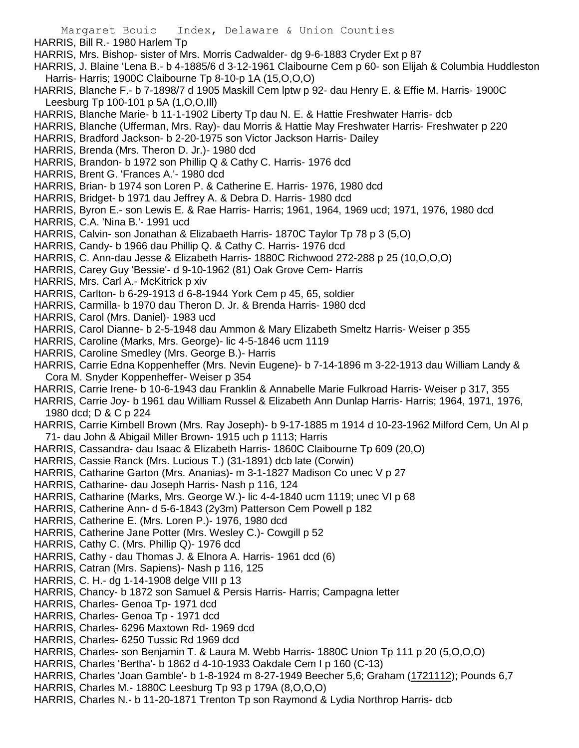- Margaret Bouic Index, Delaware & Union Counties HARRIS, Bill R.- 1980 Harlem Tp HARRIS, Mrs. Bishop- sister of Mrs. Morris Cadwalder- dg 9-6-1883 Cryder Ext p 87 HARRIS, J. Blaine 'Lena B.- b 4-1885/6 d 3-12-1961 Claibourne Cem p 60- son Elijah & Columbia Huddleston Harris- Harris; 1900C Claibourne Tp 8-10-p 1A (15,O,O,O) HARRIS, Blanche F.- b 7-1898/7 d 1905 Maskill Cem lptw p 92- dau Henry E. & Effie M. Harris- 1900C Leesburg Tp 100-101 p 5A (1,O,O,Ill) HARRIS, Blanche Marie- b 11-1-1902 Liberty Tp dau N. E. & Hattie Freshwater Harris- dcb HARRIS, Blanche (Ufferman, Mrs. Ray)- dau Morris & Hattie May Freshwater Harris- Freshwater p 220 HARRIS, Bradford Jackson- b 2-20-1975 son Victor Jackson Harris- Dailey HARRIS, Brenda (Mrs. Theron D. Jr.)- 1980 dcd
- HARRIS, Brandon- b 1972 son Phillip Q & Cathy C. Harris- 1976 dcd
- HARRIS, Brent G. 'Frances A.'- 1980 dcd
- HARRIS, Brian- b 1974 son Loren P. & Catherine E. Harris- 1976, 1980 dcd
- HARRIS, Bridget- b 1971 dau Jeffrey A. & Debra D. Harris- 1980 dcd
- HARRIS, Byron E.- son Lewis E. & Rae Harris- Harris; 1961, 1964, 1969 ucd; 1971, 1976, 1980 dcd
- HARRIS, C.A. 'Nina B.'- 1991 ucd
- HARRIS, Calvin- son Jonathan & Elizabaeth Harris- 1870C Taylor Tp 78 p 3 (5,O)
- HARRIS, Candy- b 1966 dau Phillip Q. & Cathy C. Harris- 1976 dcd
- HARRIS, C. Ann-dau Jesse & Elizabeth Harris- 1880C Richwood 272-288 p 25 (10,O,O,O)
- HARRIS, Carey Guy 'Bessie'- d 9-10-1962 (81) Oak Grove Cem- Harris
- HARRIS, Mrs. Carl A.- McKitrick p xiv
- HARRIS, Carlton- b 6-29-1913 d 6-8-1944 York Cem p 45, 65, soldier
- HARRIS, Carmilla- b 1970 dau Theron D. Jr. & Brenda Harris- 1980 dcd
- HARRIS, Carol (Mrs. Daniel)- 1983 ucd
- HARRIS, Carol Dianne- b 2-5-1948 dau Ammon & Mary Elizabeth Smeltz Harris- Weiser p 355
- HARRIS, Caroline (Marks, Mrs. George)- lic 4-5-1846 ucm 1119
- HARRIS, Caroline Smedley (Mrs. George B.)- Harris
- HARRIS, Carrie Edna Koppenheffer (Mrs. Nevin Eugene)- b 7-14-1896 m 3-22-1913 dau William Landy & Cora M. Snyder Koppenheffer- Weiser p 354
- HARRIS, Carrie Irene- b 10-6-1943 dau Franklin & Annabelle Marie Fulkroad Harris- Weiser p 317, 355
- HARRIS, Carrie Joy- b 1961 dau William Russel & Elizabeth Ann Dunlap Harris- Harris; 1964, 1971, 1976, 1980 dcd; D & C p 224
- HARRIS, Carrie Kimbell Brown (Mrs. Ray Joseph)- b 9-17-1885 m 1914 d 10-23-1962 Milford Cem, Un Al p 71- dau John & Abigail Miller Brown- 1915 uch p 1113; Harris
- HARRIS, Cassandra- dau Isaac & Elizabeth Harris- 1860C Claibourne Tp 609 (20,O)
- HARRIS, Cassie Ranck (Mrs. Lucious T.) (31-1891) dcb late (Corwin)
- HARRIS, Catharine Garton (Mrs. Ananias)- m 3-1-1827 Madison Co unec V p 27
- HARRIS, Catharine- dau Joseph Harris- Nash p 116, 124
- HARRIS, Catharine (Marks, Mrs. George W.)- lic 4-4-1840 ucm 1119; unec VI p 68
- HARRIS, Catherine Ann- d 5-6-1843 (2y3m) Patterson Cem Powell p 182
- HARRIS, Catherine E. (Mrs. Loren P.)- 1976, 1980 dcd
- HARRIS, Catherine Jane Potter (Mrs. Wesley C.)- Cowgill p 52
- HARRIS, Cathy C. (Mrs. Phillip Q)- 1976 dcd
- HARRIS, Cathy dau Thomas J. & Elnora A. Harris- 1961 dcd (6)
- HARRIS, Catran (Mrs. Sapiens)- Nash p 116, 125
- HARRIS, C. H.- dg 1-14-1908 delge VIII p 13
- HARRIS, Chancy- b 1872 son Samuel & Persis Harris- Harris; Campagna letter
- HARRIS, Charles- Genoa Tp- 1971 dcd
- HARRIS, Charles- Genoa Tp 1971 dcd
- HARRIS, Charles- 6296 Maxtown Rd- 1969 dcd
- HARRIS, Charles- 6250 Tussic Rd 1969 dcd
- HARRIS, Charles- son Benjamin T. & Laura M. Webb Harris- 1880C Union Tp 111 p 20 (5,O,O,O)
- HARRIS, Charles 'Bertha'- b 1862 d 4-10-1933 Oakdale Cem I p 160 (C-13)
- HARRIS, Charles 'Joan Gamble'- b 1-8-1924 m 8-27-1949 Beecher 5,6; Graham (1721112); Pounds 6,7
- HARRIS, Charles M.- 1880C Leesburg Tp 93 p 179A (8,O,O,O)
- HARRIS, Charles N.- b 11-20-1871 Trenton Tp son Raymond & Lydia Northrop Harris- dcb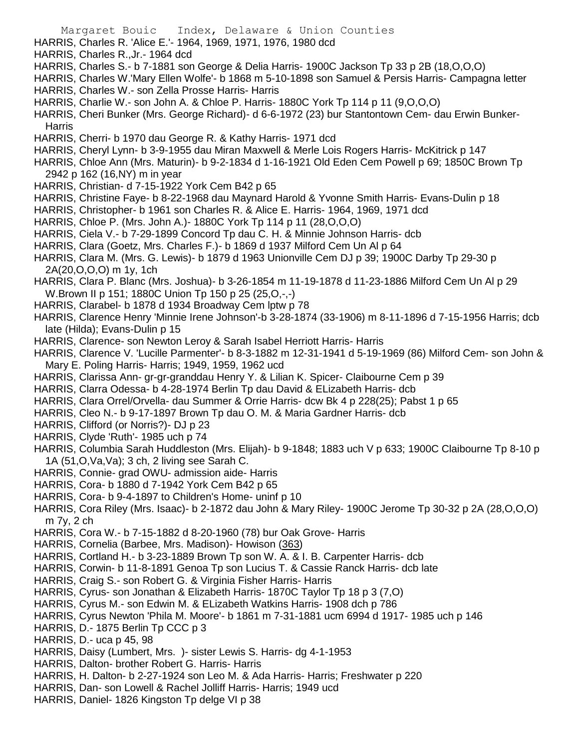- HARRIS, Charles R. 'Alice E.'- 1964, 1969, 1971, 1976, 1980 dcd
- HARRIS, Charles R.,Jr.- 1964 dcd
- HARRIS, Charles S.- b 7-1881 son George & Delia Harris- 1900C Jackson Tp 33 p 2B (18,O,O,O)
- HARRIS, Charles W.'Mary Ellen Wolfe'- b 1868 m 5-10-1898 son Samuel & Persis Harris- Campagna letter HARRIS, Charles W.- son Zella Prosse Harris- Harris
- HARRIS, Charlie W.- son John A. & Chloe P. Harris- 1880C York Tp 114 p 11 (9,O,O,O)
- HARRIS, Cheri Bunker (Mrs. George Richard)- d 6-6-1972 (23) bur Stantontown Cem- dau Erwin Bunker-**Harris**
- HARRIS, Cherri- b 1970 dau George R. & Kathy Harris- 1971 dcd
- HARRIS, Cheryl Lynn- b 3-9-1955 dau Miran Maxwell & Merle Lois Rogers Harris- McKitrick p 147
- HARRIS, Chloe Ann (Mrs. Maturin)- b 9-2-1834 d 1-16-1921 Old Eden Cem Powell p 69; 1850C Brown Tp 2942 p 162 (16,NY) m in year
- HARRIS, Christian- d 7-15-1922 York Cem B42 p 65
- HARRIS, Christine Faye- b 8-22-1968 dau Maynard Harold & Yvonne Smith Harris- Evans-Dulin p 18
- HARRIS, Christopher- b 1961 son Charles R. & Alice E. Harris- 1964, 1969, 1971 dcd
- HARRIS, Chloe P. (Mrs. John A.)- 1880C York Tp 114 p 11 (28,O,O,O)
- HARRIS, Ciela V.- b 7-29-1899 Concord Tp dau C. H. & Minnie Johnson Harris- dcb
- HARRIS, Clara (Goetz, Mrs. Charles F.)- b 1869 d 1937 Milford Cem Un Al p 64
- HARRIS, Clara M. (Mrs. G. Lewis)- b 1879 d 1963 Unionville Cem DJ p 39; 1900C Darby Tp 29-30 p 2A(20,O,O,O) m 1y, 1ch
- HARRIS, Clara P. Blanc (Mrs. Joshua)- b 3-26-1854 m 11-19-1878 d 11-23-1886 Milford Cem Un Al p 29 W.Brown II p 151; 1880C Union Tp 150 p 25 (25,O,-,-)
- HARRIS, Clarabel- b 1878 d 1934 Broadway Cem lptw p 78
- HARRIS, Clarence Henry 'Minnie Irene Johnson'-b 3-28-1874 (33-1906) m 8-11-1896 d 7-15-1956 Harris; dcb late (Hilda); Evans-Dulin p 15
- HARRIS, Clarence- son Newton Leroy & Sarah Isabel Herriott Harris- Harris
- HARRIS, Clarence V. 'Lucille Parmenter'- b 8-3-1882 m 12-31-1941 d 5-19-1969 (86) Milford Cem- son John & Mary E. Poling Harris- Harris; 1949, 1959, 1962 ucd
- HARRIS, Clarissa Ann- gr-gr-granddau Henry Y. & Lilian K. Spicer- Claibourne Cem p 39
- HARRIS, Clarra Odessa- b 4-28-1974 Berlin Tp dau David & ELizabeth Harris- dcb
- HARRIS, Clara Orrel/Orvella- dau Summer & Orrie Harris- dcw Bk 4 p 228(25); Pabst 1 p 65
- HARRIS, Cleo N.- b 9-17-1897 Brown Tp dau O. M. & Maria Gardner Harris- dcb
- HARRIS, Clifford (or Norris?)- DJ p 23
- HARRIS, Clyde 'Ruth'- 1985 uch p 74
- HARRIS, Columbia Sarah Huddleston (Mrs. Elijah)- b 9-1848; 1883 uch V p 633; 1900C Claibourne Tp 8-10 p 1A (51,O,Va,Va); 3 ch, 2 living see Sarah C.
- HARRIS, Connie- grad OWU- admission aide- Harris
- HARRIS, Cora- b 1880 d 7-1942 York Cem B42 p 65
- HARRIS, Cora- b 9-4-1897 to Children's Home- uninf p 10
- HARRIS, Cora Riley (Mrs. Isaac)- b 2-1872 dau John & Mary Riley- 1900C Jerome Tp 30-32 p 2A (28,O,O,O) m 7y, 2 ch
- HARRIS, Cora W.- b 7-15-1882 d 8-20-1960 (78) bur Oak Grove- Harris
- HARRIS, Cornelia (Barbee, Mrs. Madison)- Howison (363)
- HARRIS, Cortland H.- b 3-23-1889 Brown Tp son W. A. & I. B. Carpenter Harris- dcb
- HARRIS, Corwin- b 11-8-1891 Genoa Tp son Lucius T. & Cassie Ranck Harris- dcb late
- HARRIS, Craig S.- son Robert G. & Virginia Fisher Harris- Harris
- HARRIS, Cyrus- son Jonathan & Elizabeth Harris- 1870C Taylor Tp 18 p 3 (7,O)
- HARRIS, Cyrus M.- son Edwin M. & ELizabeth Watkins Harris- 1908 dch p 786
- HARRIS, Cyrus Newton 'Phila M. Moore'- b 1861 m 7-31-1881 ucm 6994 d 1917- 1985 uch p 146
- HARRIS, D.- 1875 Berlin Tp CCC p 3
- HARRIS, D.- uca p 45, 98
- HARRIS, Daisy (Lumbert, Mrs. )- sister Lewis S. Harris- dg 4-1-1953
- HARRIS, Dalton- brother Robert G. Harris- Harris
- HARRIS, H. Dalton- b 2-27-1924 son Leo M. & Ada Harris- Harris; Freshwater p 220
- HARRIS, Dan- son Lowell & Rachel Jolliff Harris- Harris; 1949 ucd
- HARRIS, Daniel- 1826 Kingston Tp delge VI p 38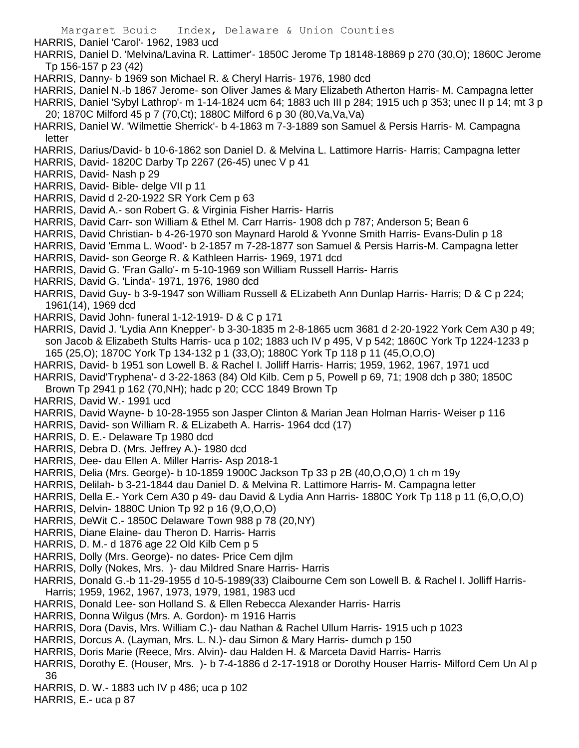HARRIS, Daniel 'Carol'- 1962, 1983 ucd

HARRIS, Daniel D. 'Melvina/Lavina R. Lattimer'- 1850C Jerome Tp 18148-18869 p 270 (30,O); 1860C Jerome Tp 156-157 p 23 (42)

- HARRIS, Danny- b 1969 son Michael R. & Cheryl Harris- 1976, 1980 dcd
- HARRIS, Daniel N.-b 1867 Jerome- son Oliver James & Mary Elizabeth Atherton Harris- M. Campagna letter

HARRIS, Daniel 'Sybyl Lathrop'- m 1-14-1824 ucm 64; 1883 uch III p 284; 1915 uch p 353; unec II p 14; mt 3 p 20; 1870C Milford 45 p 7 (70,Ct); 1880C Milford 6 p 30 (80,Va,Va,Va)

- HARRIS, Daniel W. 'Wilmettie Sherrick'- b 4-1863 m 7-3-1889 son Samuel & Persis Harris- M. Campagna letter
- HARRIS, Darius/David- b 10-6-1862 son Daniel D. & Melvina L. Lattimore Harris- Harris; Campagna letter
- HARRIS, David- 1820C Darby Tp 2267 (26-45) unec V p 41
- HARRIS, David- Nash p 29
- HARRIS, David- Bible- delge VII p 11
- HARRIS, David d 2-20-1922 SR York Cem p 63
- HARRIS, David A.- son Robert G. & Virginia Fisher Harris- Harris
- HARRIS, David Carr- son William & Ethel M. Carr Harris- 1908 dch p 787; Anderson 5; Bean 6
- HARRIS, David Christian- b 4-26-1970 son Maynard Harold & Yvonne Smith Harris- Evans-Dulin p 18
- HARRIS, David 'Emma L. Wood'- b 2-1857 m 7-28-1877 son Samuel & Persis Harris-M. Campagna letter
- HARRIS, David- son George R. & Kathleen Harris- 1969, 1971 dcd
- HARRIS, David G. 'Fran Gallo'- m 5-10-1969 son William Russell Harris- Harris
- HARRIS, David G. 'Linda'- 1971, 1976, 1980 dcd
- HARRIS, David Guy- b 3-9-1947 son William Russell & ELizabeth Ann Dunlap Harris- Harris; D & C p 224; 1961(14), 1969 dcd
- HARRIS, David John- funeral 1-12-1919- D & C p 171
- HARRIS, David J. 'Lydia Ann Knepper'- b 3-30-1835 m 2-8-1865 ucm 3681 d 2-20-1922 York Cem A30 p 49; son Jacob & Elizabeth Stults Harris- uca p 102; 1883 uch IV p 495, V p 542; 1860C York Tp 1224-1233 p 165 (25,O); 1870C York Tp 134-132 p 1 (33,O); 1880C York Tp 118 p 11 (45,O,O,O)
- HARRIS, David- b 1951 son Lowell B. & Rachel I. Jolliff Harris- Harris; 1959, 1962, 1967, 1971 ucd
- HARRIS, David'Tryphena'- d 3-22-1863 (84) Old Kilb. Cem p 5, Powell p 69, 71; 1908 dch p 380; 1850C
- Brown Tp 2941 p 162 (70,NH); hadc p 20; CCC 1849 Brown Tp
- HARRIS, David W.- 1991 ucd
- HARRIS, David Wayne- b 10-28-1955 son Jasper Clinton & Marian Jean Holman Harris- Weiser p 116
- HARRIS, David- son William R. & ELizabeth A. Harris- 1964 dcd (17)
- HARRIS, D. E.- Delaware Tp 1980 dcd
- HARRIS, Debra D. (Mrs. Jeffrey A.)- 1980 dcd
- HARRIS, Dee- dau Ellen A. Miller Harris- Asp 2018-1
- HARRIS, Delia (Mrs. George)- b 10-1859 1900C Jackson Tp 33 p 2B (40,O,O,O) 1 ch m 19y
- HARRIS, Delilah- b 3-21-1844 dau Daniel D. & Melvina R. Lattimore Harris- M. Campagna letter
- HARRIS, Della E.- York Cem A30 p 49- dau David & Lydia Ann Harris- 1880C York Tp 118 p 11 (6,O,O,O)
- HARRIS, Delvin- 1880C Union Tp 92 p 16 (9,O,O,O)
- HARRIS, DeWit C.- 1850C Delaware Town 988 p 78 (20,NY)
- HARRIS, Diane Elaine- dau Theron D. Harris- Harris
- HARRIS, D. M.- d 1876 age 22 Old Kilb Cem p 5
- HARRIS, Dolly (Mrs. George)- no dates- Price Cem djlm
- HARRIS, Dolly (Nokes, Mrs. )- dau Mildred Snare Harris- Harris
- HARRIS, Donald G.-b 11-29-1955 d 10-5-1989(33) Claibourne Cem son Lowell B. & Rachel I. Jolliff Harris-Harris; 1959, 1962, 1967, 1973, 1979, 1981, 1983 ucd
- HARRIS, Donald Lee- son Holland S. & Ellen Rebecca Alexander Harris- Harris
- HARRIS, Donna Wilgus (Mrs. A. Gordon)- m 1916 Harris
- HARRIS, Dora (Davis, Mrs. William C.)- dau Nathan & Rachel Ullum Harris- 1915 uch p 1023
- HARRIS, Dorcus A. (Layman, Mrs. L. N.)- dau Simon & Mary Harris- dumch p 150
- HARRIS, Doris Marie (Reece, Mrs. Alvin)- dau Halden H. & Marceta David Harris- Harris
- HARRIS, Dorothy E. (Houser, Mrs. )- b 7-4-1886 d 2-17-1918 or Dorothy Houser Harris- Milford Cem Un Al p 36
- HARRIS, D. W.- 1883 uch IV p 486; uca p 102
- HARRIS, E.- uca p 87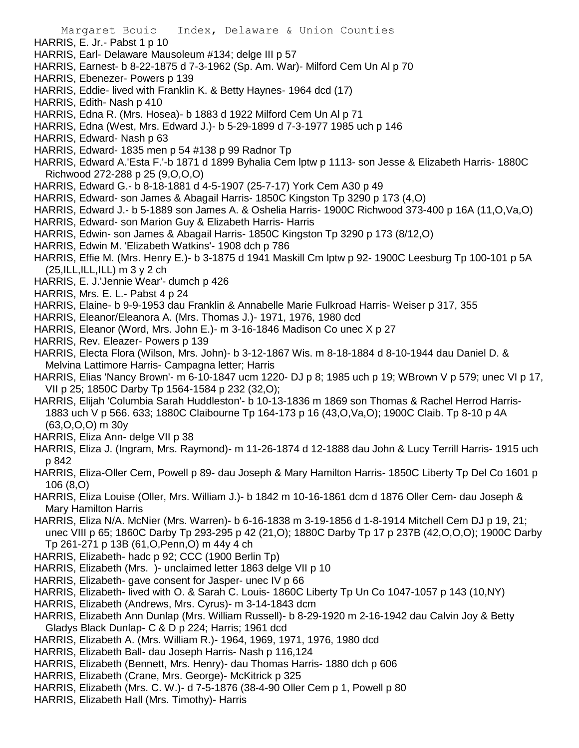- HARRIS, E. Jr.- Pabst 1 p 10
- HARRIS, Earl- Delaware Mausoleum #134; delge III p 57
- HARRIS, Earnest- b 8-22-1875 d 7-3-1962 (Sp. Am. War)- Milford Cem Un Al p 70
- HARRIS, Ebenezer- Powers p 139
- HARRIS, Eddie- lived with Franklin K. & Betty Haynes- 1964 dcd (17)
- HARRIS, Edith- Nash p 410
- HARRIS, Edna R. (Mrs. Hosea)- b 1883 d 1922 Milford Cem Un Al p 71
- HARRIS, Edna (West, Mrs. Edward J.)- b 5-29-1899 d 7-3-1977 1985 uch p 146
- HARRIS, Edward- Nash p 63
- HARRIS, Edward- 1835 men p 54 #138 p 99 Radnor Tp
- HARRIS, Edward A.'Esta F.'-b 1871 d 1899 Byhalia Cem lptw p 1113- son Jesse & Elizabeth Harris- 1880C Richwood 272-288 p 25 (9,O,O,O)
- HARRIS, Edward G.- b 8-18-1881 d 4-5-1907 (25-7-17) York Cem A30 p 49
- HARRIS, Edward- son James & Abagail Harris- 1850C Kingston Tp 3290 p 173 (4,O)
- HARRIS, Edward J.- b 5-1889 son James A. & Oshelia Harris- 1900C Richwood 373-400 p 16A (11,O,Va,O)
- HARRIS, Edward- son Marion Guy & Elizabeth Harris- Harris
- HARRIS, Edwin- son James & Abagail Harris- 1850C Kingston Tp 3290 p 173 (8/12,O)
- HARRIS, Edwin M. 'Elizabeth Watkins'- 1908 dch p 786
- HARRIS, Effie M. (Mrs. Henry E.)- b 3-1875 d 1941 Maskill Cm lptw p 92- 1900C Leesburg Tp 100-101 p 5A  $(25, ILL, ILL, ILL)$  m 3 y 2 ch
- HARRIS, E. J.'Jennie Wear'- dumch p 426
- HARRIS, Mrs. E. L.- Pabst 4 p 24
- HARRIS, Elaine- b 9-9-1953 dau Franklin & Annabelle Marie Fulkroad Harris- Weiser p 317, 355
- HARRIS, Eleanor/Eleanora A. (Mrs. Thomas J.)- 1971, 1976, 1980 dcd
- HARRIS, Eleanor (Word, Mrs. John E.)- m 3-16-1846 Madison Co unec X p 27
- HARRIS, Rev. Eleazer- Powers p 139
- HARRIS, Electa Flora (Wilson, Mrs. John)- b 3-12-1867 Wis. m 8-18-1884 d 8-10-1944 dau Daniel D. & Melvina Lattimore Harris- Campagna letter; Harris
- HARRIS, Elias 'Nancy Brown'- m 6-10-1847 ucm 1220- DJ p 8; 1985 uch p 19; WBrown V p 579; unec VI p 17, VII p 25; 1850C Darby Tp 1564-1584 p 232 (32,O);
- HARRIS, Elijah 'Columbia Sarah Huddleston'- b 10-13-1836 m 1869 son Thomas & Rachel Herrod Harris-1883 uch V p 566. 633; 1880C Claibourne Tp 164-173 p 16 (43,O,Va,O); 1900C Claib. Tp 8-10 p 4A (63,O,O,O) m 30y
- HARRIS, Eliza Ann- delge VII p 38
- HARRIS, Eliza J. (Ingram, Mrs. Raymond)- m 11-26-1874 d 12-1888 dau John & Lucy Terrill Harris- 1915 uch p 842
- HARRIS, Eliza-Oller Cem, Powell p 89- dau Joseph & Mary Hamilton Harris- 1850C Liberty Tp Del Co 1601 p 106 (8,O)
- HARRIS, Eliza Louise (Oller, Mrs. William J.)- b 1842 m 10-16-1861 dcm d 1876 Oller Cem- dau Joseph & Mary Hamilton Harris
- HARRIS, Eliza N/A. McNier (Mrs. Warren)- b 6-16-1838 m 3-19-1856 d 1-8-1914 Mitchell Cem DJ p 19, 21; unec VIII p 65; 1860C Darby Tp 293-295 p 42 (21,O); 1880C Darby Tp 17 p 237B (42,O,O,O); 1900C Darby Tp 261-271 p 13B (61,O,Penn,O) m 44y 4 ch
- HARRIS, Elizabeth- hadc p 92; CCC (1900 Berlin Tp)
- HARRIS, Elizabeth (Mrs. )- unclaimed letter 1863 delge VII p 10
- HARRIS, Elizabeth- gave consent for Jasper- unec IV p 66
- HARRIS, Elizabeth- lived with O. & Sarah C. Louis- 1860C Liberty Tp Un Co 1047-1057 p 143 (10,NY)
- HARRIS, Elizabeth (Andrews, Mrs. Cyrus)- m 3-14-1843 dcm
- HARRIS, Elizabeth Ann Dunlap (Mrs. William Russell)- b 8-29-1920 m 2-16-1942 dau Calvin Joy & Betty Gladys Black Dunlap- C & D p 224; Harris; 1961 dcd
- HARRIS, Elizabeth A. (Mrs. William R.)- 1964, 1969, 1971, 1976, 1980 dcd
- HARRIS, Elizabeth Ball- dau Joseph Harris- Nash p 116,124
- HARRIS, Elizabeth (Bennett, Mrs. Henry)- dau Thomas Harris- 1880 dch p 606
- HARRIS, Elizabeth (Crane, Mrs. George)- McKitrick p 325
- HARRIS, Elizabeth (Mrs. C. W.)- d 7-5-1876 (38-4-90 Oller Cem p 1, Powell p 80
- HARRIS, Elizabeth Hall (Mrs. Timothy)- Harris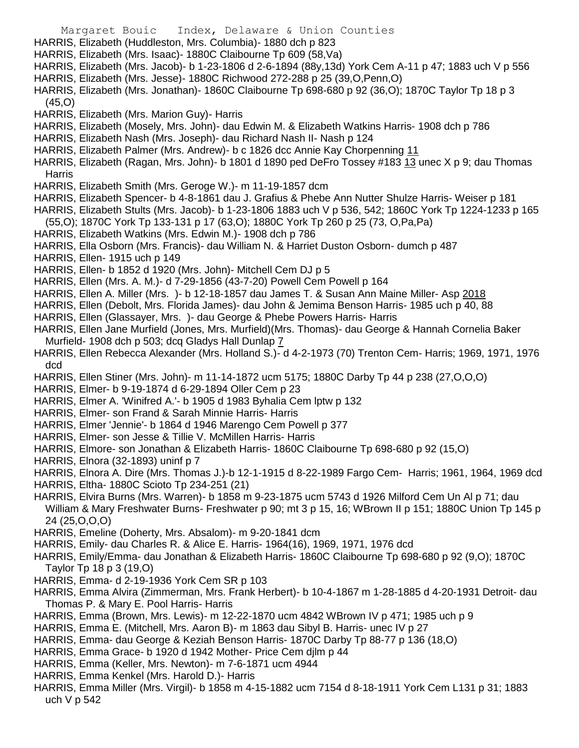- Margaret Bouic Index, Delaware & Union Counties HARRIS, Elizabeth (Huddleston, Mrs. Columbia)- 1880 dch p 823 HARRIS, Elizabeth (Mrs. Isaac)- 1880C Claibourne Tp 609 (58,Va) HARRIS, Elizabeth (Mrs. Jacob)- b 1-23-1806 d 2-6-1894 (88y,13d) York Cem A-11 p 47; 1883 uch V p 556 HARRIS, Elizabeth (Mrs. Jesse)- 1880C Richwood 272-288 p 25 (39,O,Penn,O) HARRIS, Elizabeth (Mrs. Jonathan)- 1860C Claibourne Tp 698-680 p 92 (36,O); 1870C Taylor Tp 18 p 3 (45,O) HARRIS, Elizabeth (Mrs. Marion Guy)- Harris HARRIS, Elizabeth (Mosely, Mrs. John)- dau Edwin M. & Elizabeth Watkins Harris- 1908 dch p 786 HARRIS, Elizabeth Nash (Mrs. Joseph)- dau Richard Nash II- Nash p 124 HARRIS, Elizabeth Palmer (Mrs. Andrew)- b c 1826 dcc Annie Kay Chorpenning 11 HARRIS, Elizabeth (Ragan, Mrs. John)- b 1801 d 1890 ped DeFro Tossey #183 13 unec X p 9; dau Thomas Harris
- HARRIS, Elizabeth Smith (Mrs. Geroge W.)- m 11-19-1857 dcm
- HARRIS, Elizabeth Spencer- b 4-8-1861 dau J. Grafius & Phebe Ann Nutter Shulze Harris- Weiser p 181
- HARRIS, Elizabeth Stults (Mrs. Jacob)- b 1-23-1806 1883 uch V p 536, 542; 1860C York Tp 1224-1233 p 165
- (55,O); 1870C York Tp 133-131 p 17 (63,O); 1880C York Tp 260 p 25 (73, O,Pa,Pa)
- HARRIS, Elizabeth Watkins (Mrs. Edwin M.)- 1908 dch p 786
- HARRIS, Ella Osborn (Mrs. Francis)- dau William N. & Harriet Duston Osborn- dumch p 487
- HARRIS, Ellen- 1915 uch p 149
- HARRIS, Ellen- b 1852 d 1920 (Mrs. John)- Mitchell Cem DJ p 5
- HARRIS, Ellen (Mrs. A. M.)- d 7-29-1856 (43-7-20) Powell Cem Powell p 164
- HARRIS, Ellen A. Miller (Mrs. )- b 12-18-1857 dau James T. & Susan Ann Maine Miller- Asp 2018
- HARRIS, Ellen (Debolt, Mrs. Florida James)- dau John & Jemima Benson Harris- 1985 uch p 40, 88
- HARRIS, Ellen (Glassayer, Mrs. )- dau George & Phebe Powers Harris- Harris
- HARRIS, Ellen Jane Murfield (Jones, Mrs. Murfield)(Mrs. Thomas)- dau George & Hannah Cornelia Baker Murfield- 1908 dch p 503; dcq Gladys Hall Dunlap 7
- HARRIS, Ellen Rebecca Alexander (Mrs. Holland S.)- d 4-2-1973 (70) Trenton Cem- Harris; 1969, 1971, 1976 dcd
- HARRIS, Ellen Stiner (Mrs. John)- m 11-14-1872 ucm 5175; 1880C Darby Tp 44 p 238 (27,O,O,O)
- HARRIS, Elmer- b 9-19-1874 d 6-29-1894 Oller Cem p 23
- HARRIS, Elmer A. 'Winifred A.'- b 1905 d 1983 Byhalia Cem lptw p 132
- HARRIS, Elmer- son Frand & Sarah Minnie Harris- Harris
- HARRIS, Elmer 'Jennie'- b 1864 d 1946 Marengo Cem Powell p 377
- HARRIS, Elmer- son Jesse & Tillie V. McMillen Harris- Harris
- HARRIS, Elmore- son Jonathan & Elizabeth Harris- 1860C Claibourne Tp 698-680 p 92 (15,O)
- HARRIS, Elnora (32-1893) uninf p 7
- HARRIS, Elnora A. Dire (Mrs. Thomas J.)-b 12-1-1915 d 8-22-1989 Fargo Cem- Harris; 1961, 1964, 1969 dcd
- HARRIS, Eltha- 1880C Scioto Tp 234-251 (21)
- HARRIS, Elvira Burns (Mrs. Warren)- b 1858 m 9-23-1875 ucm 5743 d 1926 Milford Cem Un Al p 71; dau William & Mary Freshwater Burns- Freshwater p 90; mt 3 p 15, 16; WBrown II p 151; 1880C Union Tp 145 p 24 (25,O,O,O)
- HARRIS, Emeline (Doherty, Mrs. Absalom)- m 9-20-1841 dcm
- HARRIS, Emily- dau Charles R. & Alice E. Harris- 1964(16), 1969, 1971, 1976 dcd
- HARRIS, Emily/Emma- dau Jonathan & Elizabeth Harris- 1860C Claibourne Tp 698-680 p 92 (9,O); 1870C Taylor Tp 18 p 3 (19,O)
- HARRIS, Emma- d 2-19-1936 York Cem SR p 103
- HARRIS, Emma Alvira (Zimmerman, Mrs. Frank Herbert)- b 10-4-1867 m 1-28-1885 d 4-20-1931 Detroit- dau Thomas P. & Mary E. Pool Harris- Harris
- HARRIS, Emma (Brown, Mrs. Lewis)- m 12-22-1870 ucm 4842 WBrown IV p 471; 1985 uch p 9
- HARRIS, Emma E. (Mitchell, Mrs. Aaron B)- m 1863 dau Sibyl B. Harris- unec IV p 27
- HARRIS, Emma- dau George & Keziah Benson Harris- 1870C Darby Tp 88-77 p 136 (18,O)
- HARRIS, Emma Grace- b 1920 d 1942 Mother- Price Cem djlm p 44
- HARRIS, Emma (Keller, Mrs. Newton)- m 7-6-1871 ucm 4944
- HARRIS, Emma Kenkel (Mrs. Harold D.)- Harris
- HARRIS, Emma Miller (Mrs. Virgil)- b 1858 m 4-15-1882 ucm 7154 d 8-18-1911 York Cem L131 p 31; 1883 uch V p 542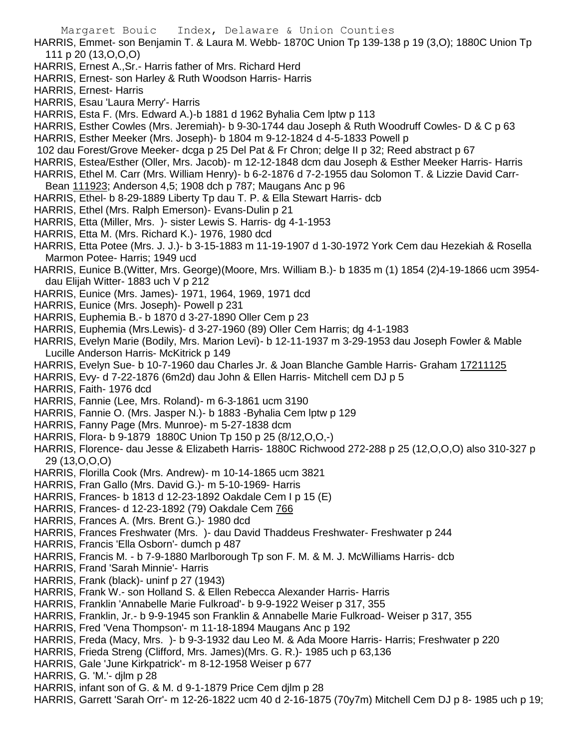Margaret Bouic Index, Delaware & Union Counties HARRIS, Emmet- son Benjamin T. & Laura M. Webb- 1870C Union Tp 139-138 p 19 (3,O); 1880C Union Tp 111 p 20 (13,O,O,O) HARRIS, Ernest A.,Sr.- Harris father of Mrs. Richard Herd HARRIS, Ernest- son Harley & Ruth Woodson Harris- Harris HARRIS, Ernest- Harris HARRIS, Esau 'Laura Merry'- Harris HARRIS, Esta F. (Mrs. Edward A.)-b 1881 d 1962 Byhalia Cem lptw p 113 HARRIS, Esther Cowles (Mrs. Jeremiah)- b 9-30-1744 dau Joseph & Ruth Woodruff Cowles- D & C p 63 HARRIS, Esther Meeker (Mrs. Joseph)- b 1804 m 9-12-1824 d 4-5-1833 Powell p 102 dau Forest/Grove Meeker- dcga p 25 Del Pat & Fr Chron; delge II p 32; Reed abstract p 67 HARRIS, Estea/Esther (Oller, Mrs. Jacob)- m 12-12-1848 dcm dau Joseph & Esther Meeker Harris- Harris HARRIS, Ethel M. Carr (Mrs. William Henry)- b 6-2-1876 d 7-2-1955 dau Solomon T. & Lizzie David Carr-Bean 111923; Anderson 4,5; 1908 dch p 787; Maugans Anc p 96 HARRIS, Ethel- b 8-29-1889 Liberty Tp dau T. P. & Ella Stewart Harris- dcb HARRIS, Ethel (Mrs. Ralph Emerson)- Evans-Dulin p 21 HARRIS, Etta (Miller, Mrs. )- sister Lewis S. Harris- dg 4-1-1953 HARRIS, Etta M. (Mrs. Richard K.)- 1976, 1980 dcd HARRIS, Etta Potee (Mrs. J. J.)- b 3-15-1883 m 11-19-1907 d 1-30-1972 York Cem dau Hezekiah & Rosella Marmon Potee- Harris; 1949 ucd HARRIS, Eunice B.(Witter, Mrs. George)(Moore, Mrs. William B.)- b 1835 m (1) 1854 (2)4-19-1866 ucm 3954 dau Elijah Witter- 1883 uch V p 212 HARRIS, Eunice (Mrs. James)- 1971, 1964, 1969, 1971 dcd HARRIS, Eunice (Mrs. Joseph)- Powell p 231 HARRIS, Euphemia B.- b 1870 d 3-27-1890 Oller Cem p 23 HARRIS, Euphemia (Mrs.Lewis)- d 3-27-1960 (89) Oller Cem Harris; dg 4-1-1983 HARRIS, Evelyn Marie (Bodily, Mrs. Marion Levi)- b 12-11-1937 m 3-29-1953 dau Joseph Fowler & Mable Lucille Anderson Harris- McKitrick p 149 HARRIS, Evelyn Sue- b 10-7-1960 dau Charles Jr. & Joan Blanche Gamble Harris- Graham 17211125 HARRIS, Evy- d 7-22-1876 (6m2d) dau John & Ellen Harris- Mitchell cem DJ p 5 HARRIS, Faith- 1976 dcd HARRIS, Fannie (Lee, Mrs. Roland)- m 6-3-1861 ucm 3190 HARRIS, Fannie O. (Mrs. Jasper N.)- b 1883 -Byhalia Cem lptw p 129 HARRIS, Fanny Page (Mrs. Munroe)- m 5-27-1838 dcm HARRIS, Flora- b 9-1879 1880C Union Tp 150 p 25 (8/12,O,O,-) HARRIS, Florence- dau Jesse & Elizabeth Harris- 1880C Richwood 272-288 p 25 (12,O,O,O) also 310-327 p 29 (13,O,O,O) HARRIS, Florilla Cook (Mrs. Andrew)- m 10-14-1865 ucm 3821 HARRIS, Fran Gallo (Mrs. David G.)- m 5-10-1969- Harris HARRIS, Frances- b 1813 d 12-23-1892 Oakdale Cem I p 15 (E) HARRIS, Frances- d 12-23-1892 (79) Oakdale Cem 766 HARRIS, Frances A. (Mrs. Brent G.)- 1980 dcd HARRIS, Frances Freshwater (Mrs. )- dau David Thaddeus Freshwater- Freshwater p 244 HARRIS, Francis 'Ella Osborn'- dumch p 487 HARRIS, Francis M. - b 7-9-1880 Marlborough Tp son F. M. & M. J. McWilliams Harris- dcb HARRIS, Frand 'Sarah Minnie'- Harris HARRIS, Frank (black)- uninf p 27 (1943) HARRIS, Frank W.- son Holland S. & Ellen Rebecca Alexander Harris- Harris HARRIS, Franklin 'Annabelle Marie Fulkroad'- b 9-9-1922 Weiser p 317, 355 HARRIS, Franklin, Jr.- b 9-9-1945 son Franklin & Annabelle Marie Fulkroad- Weiser p 317, 355 HARRIS, Fred 'Vena Thompson'- m 11-18-1894 Maugans Anc p 192 HARRIS, Freda (Macy, Mrs. )- b 9-3-1932 dau Leo M. & Ada Moore Harris- Harris; Freshwater p 220 HARRIS, Frieda Streng (Clifford, Mrs. James)(Mrs. G. R.)- 1985 uch p 63,136 HARRIS, Gale 'June Kirkpatrick'- m 8-12-1958 Weiser p 677 HARRIS, G. 'M.'- djlm p 28 HARRIS, infant son of G. & M. d 9-1-1879 Price Cem djlm p 28

HARRIS, Garrett 'Sarah Orr'- m 12-26-1822 ucm 40 d 2-16-1875 (70y7m) Mitchell Cem DJ p 8- 1985 uch p 19;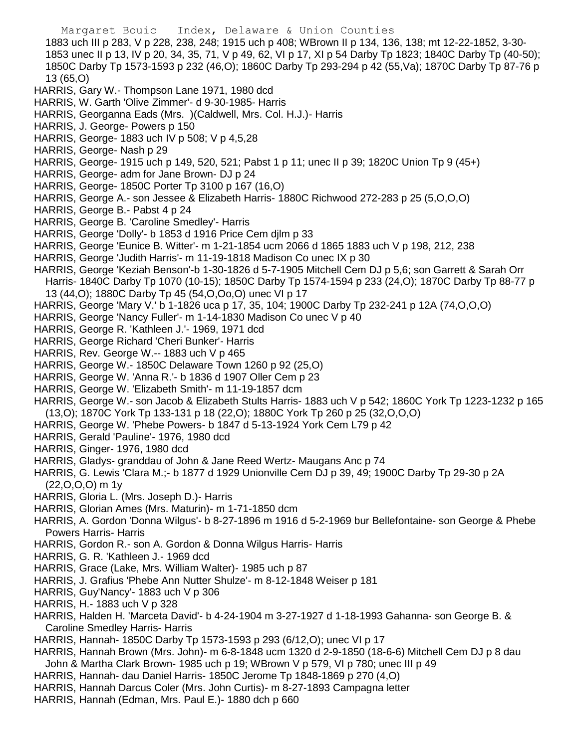Margaret Bouic Index, Delaware & Union Counties 1883 uch III p 283, V p 228, 238, 248; 1915 uch p 408; WBrown II p 134, 136, 138; mt 12-22-1852, 3-30- 1853 unec II p 13, IV p 20, 34, 35, 71, V p 49, 62, VI p 17, XI p 54 Darby Tp 1823; 1840C Darby Tp (40-50); 1850C Darby Tp 1573-1593 p 232 (46,O); 1860C Darby Tp 293-294 p 42 (55,Va); 1870C Darby Tp 87-76 p 13 (65,O) HARRIS, Gary W.- Thompson Lane 1971, 1980 dcd HARRIS, W. Garth 'Olive Zimmer'- d 9-30-1985- Harris HARRIS, Georganna Eads (Mrs. )(Caldwell, Mrs. Col. H.J.)- Harris HARRIS, J. George- Powers p 150 HARRIS, George- 1883 uch IV p 508; V p 4,5,28 HARRIS, George- Nash p 29 HARRIS, George- 1915 uch p 149, 520, 521; Pabst 1 p 11; unec II p 39; 1820C Union Tp 9 (45+) HARRIS, George- adm for Jane Brown- DJ p 24 HARRIS, George- 1850C Porter Tp 3100 p 167 (16,O) HARRIS, George A.- son Jessee & Elizabeth Harris- 1880C Richwood 272-283 p 25 (5,O,O,O) HARRIS, George B.- Pabst 4 p 24 HARRIS, George B. 'Caroline Smedley'- Harris HARRIS, George 'Dolly'- b 1853 d 1916 Price Cem djlm p 33 HARRIS, George 'Eunice B. Witter'- m 1-21-1854 ucm 2066 d 1865 1883 uch V p 198, 212, 238 HARRIS, George 'Judith Harris'- m 11-19-1818 Madison Co unec IX p 30 HARRIS, George 'Keziah Benson'-b 1-30-1826 d 5-7-1905 Mitchell Cem DJ p 5,6; son Garrett & Sarah Orr Harris- 1840C Darby Tp 1070 (10-15); 1850C Darby Tp 1574-1594 p 233 (24,O); 1870C Darby Tp 88-77 p 13 (44,O); 1880C Darby Tp 45 (54,O,Oo,O) unec VI p 17 HARRIS, George 'Mary V.' b 1-1826 uca p 17, 35, 104; 1900C Darby Tp 232-241 p 12A (74,O,O,O) HARRIS, George 'Nancy Fuller'- m 1-14-1830 Madison Co unec V p 40 HARRIS, George R. 'Kathleen J.'- 1969, 1971 dcd HARRIS, George Richard 'Cheri Bunker'- Harris HARRIS, Rev. George W.-- 1883 uch V p 465 HARRIS, George W.- 1850C Delaware Town 1260 p 92 (25,O) HARRIS, George W. 'Anna R.'- b 1836 d 1907 Oller Cem p 23 HARRIS, George W. 'Elizabeth Smith'- m 11-19-1857 dcm HARRIS, George W.- son Jacob & Elizabeth Stults Harris- 1883 uch V p 542; 1860C York Tp 1223-1232 p 165 (13,O); 1870C York Tp 133-131 p 18 (22,O); 1880C York Tp 260 p 25 (32,O,O,O) HARRIS, George W. 'Phebe Powers- b 1847 d 5-13-1924 York Cem L79 p 42 HARRIS, Gerald 'Pauline'- 1976, 1980 dcd HARRIS, Ginger- 1976, 1980 dcd HARRIS, Gladys- granddau of John & Jane Reed Wertz- Maugans Anc p 74 HARRIS, G. Lewis 'Clara M.;- b 1877 d 1929 Unionville Cem DJ p 39, 49; 1900C Darby Tp 29-30 p 2A (22,O,O,O) m 1y HARRIS, Gloria L. (Mrs. Joseph D.)- Harris HARRIS, Glorian Ames (Mrs. Maturin)- m 1-71-1850 dcm HARRIS, A. Gordon 'Donna Wilgus'- b 8-27-1896 m 1916 d 5-2-1969 bur Bellefontaine- son George & Phebe Powers Harris- Harris HARRIS, Gordon R.- son A. Gordon & Donna Wilgus Harris- Harris HARRIS, G. R. 'Kathleen J.- 1969 dcd

- HARRIS, Grace (Lake, Mrs. William Walter)- 1985 uch p 87
- HARRIS, J. Grafius 'Phebe Ann Nutter Shulze'- m 8-12-1848 Weiser p 181
- HARRIS, Guy'Nancy'- 1883 uch V p 306
- HARRIS, H.- 1883 uch V p 328
- HARRIS, Halden H. 'Marceta David'- b 4-24-1904 m 3-27-1927 d 1-18-1993 Gahanna- son George B. & Caroline Smedley Harris- Harris
- HARRIS, Hannah- 1850C Darby Tp 1573-1593 p 293 (6/12,O); unec VI p 17
- HARRIS, Hannah Brown (Mrs. John)- m 6-8-1848 ucm 1320 d 2-9-1850 (18-6-6) Mitchell Cem DJ p 8 dau John & Martha Clark Brown- 1985 uch p 19; WBrown V p 579, VI p 780; unec III p 49
- HARRIS, Hannah- dau Daniel Harris- 1850C Jerome Tp 1848-1869 p 270 (4,O)
- HARRIS, Hannah Darcus Coler (Mrs. John Curtis)- m 8-27-1893 Campagna letter
- HARRIS, Hannah (Edman, Mrs. Paul E.)- 1880 dch p 660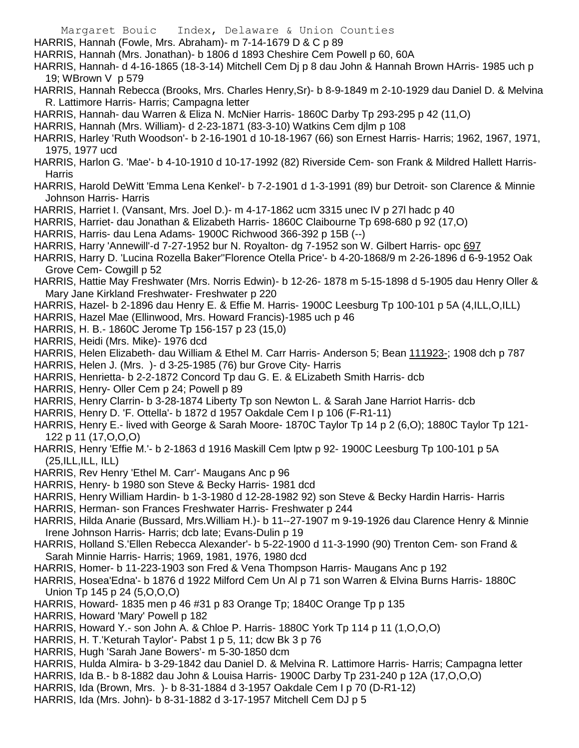Margaret Bouic Index, Delaware & Union Counties HARRIS, Hannah (Fowle, Mrs. Abraham)- m 7-14-1679 D & C p 89 HARRIS, Hannah (Mrs. Jonathan)- b 1806 d 1893 Cheshire Cem Powell p 60, 60A HARRIS, Hannah- d 4-16-1865 (18-3-14) Mitchell Cem Dj p 8 dau John & Hannah Brown HArris- 1985 uch p 19; WBrown V p 579 HARRIS, Hannah Rebecca (Brooks, Mrs. Charles Henry,Sr)- b 8-9-1849 m 2-10-1929 dau Daniel D. & Melvina R. Lattimore Harris- Harris; Campagna letter HARRIS, Hannah- dau Warren & Eliza N. McNier Harris- 1860C Darby Tp 293-295 p 42 (11,O) HARRIS, Hannah (Mrs. William)- d 2-23-1871 (83-3-10) Watkins Cem djlm p 108 HARRIS, Harley 'Ruth Woodson'- b 2-16-1901 d 10-18-1967 (66) son Ernest Harris- Harris; 1962, 1967, 1971, 1975, 1977 ucd HARRIS, Harlon G. 'Mae'- b 4-10-1910 d 10-17-1992 (82) Riverside Cem- son Frank & Mildred Hallett Harris-Harris HARRIS, Harold DeWitt 'Emma Lena Kenkel'- b 7-2-1901 d 1-3-1991 (89) bur Detroit- son Clarence & Minnie Johnson Harris- Harris HARRIS, Harriet I. (Vansant, Mrs. Joel D.)- m 4-17-1862 ucm 3315 unec IV p 27l hadc p 40 HARRIS, Harriet- dau Jonathan & Elizabeth Harris- 1860C Claibourne Tp 698-680 p 92 (17,O) HARRIS, Harris- dau Lena Adams- 1900C Richwood 366-392 p 15B (--) HARRIS, Harry 'Annewill'-d 7-27-1952 bur N. Royalton- dg 7-1952 son W. Gilbert Harris- opc 697 HARRIS, Harry D. 'Lucina Rozella Baker''Florence Otella Price'- b 4-20-1868/9 m 2-26-1896 d 6-9-1952 Oak Grove Cem- Cowgill p 52 HARRIS, Hattie May Freshwater (Mrs. Norris Edwin)- b 12-26- 1878 m 5-15-1898 d 5-1905 dau Henry Oller & Mary Jane Kirkland Freshwater- Freshwater p 220 HARRIS, Hazel- b 2-1896 dau Henry E. & Effie M. Harris- 1900C Leesburg Tp 100-101 p 5A (4,ILL,O,ILL) HARRIS, Hazel Mae (Ellinwood, Mrs. Howard Francis)-1985 uch p 46 HARRIS, H. B.- 1860C Jerome Tp 156-157 p 23 (15,0) HARRIS, Heidi (Mrs. Mike)- 1976 dcd HARRIS, Helen Elizabeth- dau William & Ethel M. Carr Harris- Anderson 5; Bean 111923-; 1908 dch p 787 HARRIS, Helen J. (Mrs. )- d 3-25-1985 (76) bur Grove City- Harris HARRIS, Henrietta- b 2-2-1872 Concord Tp dau G. E. & ELizabeth Smith Harris- dcb HARRIS, Henry- Oller Cem p 24; Powell p 89 HARRIS, Henry Clarrin- b 3-28-1874 Liberty Tp son Newton L. & Sarah Jane Harriot Harris- dcb HARRIS, Henry D. 'F. Ottella'- b 1872 d 1957 Oakdale Cem I p 106 (F-R1-11) HARRIS, Henry E.- lived with George & Sarah Moore- 1870C Taylor Tp 14 p 2 (6,O); 1880C Taylor Tp 121- 122 p 11 (17,O,O,O) HARRIS, Henry 'Effie M.'- b 2-1863 d 1916 Maskill Cem lptw p 92- 1900C Leesburg Tp 100-101 p 5A (25,ILL,ILL, ILL) HARRIS, Rev Henry 'Ethel M. Carr'- Maugans Anc p 96 HARRIS, Henry- b 1980 son Steve & Becky Harris- 1981 dcd HARRIS, Henry William Hardin- b 1-3-1980 d 12-28-1982 92) son Steve & Becky Hardin Harris- Harris HARRIS, Herman- son Frances Freshwater Harris- Freshwater p 244 HARRIS, Hilda Anarie (Bussard, Mrs.William H.)- b 11--27-1907 m 9-19-1926 dau Clarence Henry & Minnie Irene Johnson Harris- Harris; dcb late; Evans-Dulin p 19 HARRIS, Holland S.'Ellen Rebecca Alexander'- b 5-22-1900 d 11-3-1990 (90) Trenton Cem- son Frand & Sarah Minnie Harris- Harris; 1969, 1981, 1976, 1980 dcd HARRIS, Homer- b 11-223-1903 son Fred & Vena Thompson Harris- Maugans Anc p 192 HARRIS, Hosea'Edna'- b 1876 d 1922 Milford Cem Un Al p 71 son Warren & Elvina Burns Harris- 1880C Union Tp 145 p 24 (5,O,O,O) HARRIS, Howard- 1835 men p 46 #31 p 83 Orange Tp; 1840C Orange Tp p 135 HARRIS, Howard 'Mary' Powell p 182 HARRIS, Howard Y.- son John A. & Chloe P. Harris- 1880C York Tp 114 p 11 (1,O,O,O) HARRIS, H. T.'Keturah Taylor'- Pabst 1 p 5, 11; dcw Bk 3 p 76 HARRIS, Hugh 'Sarah Jane Bowers'- m 5-30-1850 dcm HARRIS, Hulda Almira- b 3-29-1842 dau Daniel D. & Melvina R. Lattimore Harris- Harris; Campagna letter

- HARRIS, Ida B.- b 8-1882 dau John & Louisa Harris- 1900C Darby Tp 231-240 p 12A (17,O,O,O)
- HARRIS, Ida (Brown, Mrs. )- b 8-31-1884 d 3-1957 Oakdale Cem I p 70 (D-R1-12)
- HARRIS, Ida (Mrs. John)- b 8-31-1882 d 3-17-1957 Mitchell Cem DJ p 5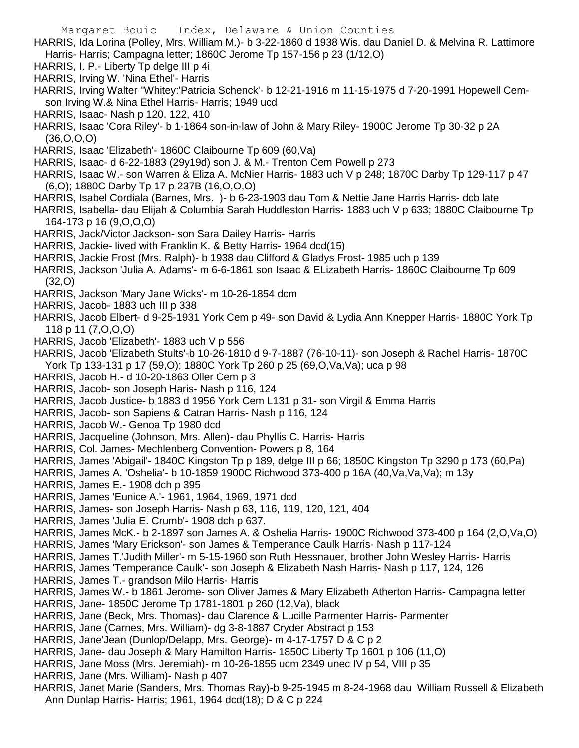- HARRIS, Ida Lorina (Polley, Mrs. William M.)- b 3-22-1860 d 1938 Wis. dau Daniel D. & Melvina R. Lattimore Harris- Harris; Campagna letter; 1860C Jerome Tp 157-156 p 23 (1/12,O)
- HARRIS, I. P.- Liberty Tp delge III p 4i
- HARRIS, Irving W. 'Nina Ethel'- Harris
- HARRIS, Irving Walter "Whitey:'Patricia Schenck'- b 12-21-1916 m 11-15-1975 d 7-20-1991 Hopewell Cemson Irving W.& Nina Ethel Harris- Harris; 1949 ucd
- HARRIS, Isaac- Nash p 120, 122, 410
- HARRIS, Isaac 'Cora Riley'- b 1-1864 son-in-law of John & Mary Riley- 1900C Jerome Tp 30-32 p 2A (36,O,O,O)
- HARRIS, Isaac 'Elizabeth'- 1860C Claibourne Tp 609 (60,Va)
- HARRIS, Isaac- d 6-22-1883 (29y19d) son J. & M.- Trenton Cem Powell p 273
- HARRIS, Isaac W.- son Warren & Eliza A. McNier Harris- 1883 uch V p 248; 1870C Darby Tp 129-117 p 47 (6,O); 1880C Darby Tp 17 p 237B (16,O,O,O)
- HARRIS, Isabel Cordiala (Barnes, Mrs. )- b 6-23-1903 dau Tom & Nettie Jane Harris Harris- dcb late
- HARRIS, Isabella- dau Elijah & Columbia Sarah Huddleston Harris- 1883 uch V p 633; 1880C Claibourne Tp 164-173 p 16 (9,O,O,O)
- HARRIS, Jack/Victor Jackson- son Sara Dailey Harris- Harris
- HARRIS, Jackie- lived with Franklin K. & Betty Harris- 1964 dcd(15)
- HARRIS, Jackie Frost (Mrs. Ralph)- b 1938 dau Clifford & Gladys Frost- 1985 uch p 139
- HARRIS, Jackson 'Julia A. Adams'- m 6-6-1861 son Isaac & ELizabeth Harris- 1860C Claibourne Tp 609 (32,O)
- HARRIS, Jackson 'Mary Jane Wicks'- m 10-26-1854 dcm
- HARRIS, Jacob- 1883 uch III p 338
- HARRIS, Jacob Elbert- d 9-25-1931 York Cem p 49- son David & Lydia Ann Knepper Harris- 1880C York Tp 118 p 11 (7,O,O,O)
- HARRIS, Jacob 'Elizabeth'- 1883 uch V p 556
- HARRIS, Jacob 'Elizabeth Stults'-b 10-26-1810 d 9-7-1887 (76-10-11)- son Joseph & Rachel Harris- 1870C York Tp 133-131 p 17 (59,O); 1880C York Tp 260 p 25 (69,O,Va,Va); uca p 98
- HARRIS, Jacob H.- d 10-20-1863 Oller Cem p 3
- HARRIS, Jacob- son Joseph Haris- Nash p 116, 124
- HARRIS, Jacob Justice- b 1883 d 1956 York Cem L131 p 31- son Virgil & Emma Harris
- HARRIS, Jacob- son Sapiens & Catran Harris- Nash p 116, 124
- HARRIS, Jacob W.- Genoa Tp 1980 dcd
- HARRIS, Jacqueline (Johnson, Mrs. Allen)- dau Phyllis C. Harris- Harris
- HARRIS, Col. James- Mechlenberg Convention- Powers p 8, 164
- HARRIS, James 'Abigail'- 1840C Kingston Tp p 189, delge III p 66; 1850C Kingston Tp 3290 p 173 (60,Pa)
- HARRIS, James A. 'Oshelia'- b 10-1859 1900C Richwood 373-400 p 16A (40,Va,Va,Va); m 13y
- HARRIS, James E.- 1908 dch p 395
- HARRIS, James 'Eunice A.'- 1961, 1964, 1969, 1971 dcd
- HARRIS, James- son Joseph Harris- Nash p 63, 116, 119, 120, 121, 404
- HARRIS, James 'Julia E. Crumb'- 1908 dch p 637.
- HARRIS, James McK.- b 2-1897 son James A. & Oshelia Harris- 1900C Richwood 373-400 p 164 (2,O,Va,O)
- HARRIS, James 'Mary Erickson'- son James & Temperance Caulk Harris- Nash p 117-124
- HARRIS, James T.'Judith Miller'- m 5-15-1960 son Ruth Hessnauer, brother John Wesley Harris- Harris
- HARRIS, James 'Temperance Caulk'- son Joseph & Elizabeth Nash Harris- Nash p 117, 124, 126
- HARRIS, James T.- grandson Milo Harris- Harris
- HARRIS, James W.- b 1861 Jerome- son Oliver James & Mary Elizabeth Atherton Harris- Campagna letter
- HARRIS, Jane- 1850C Jerome Tp 1781-1801 p 260 (12,Va), black
- HARRIS, Jane (Beck, Mrs. Thomas)- dau Clarence & Lucille Parmenter Harris- Parmenter
- HARRIS, Jane (Carnes, Mrs. William)- dg 3-8-1887 Cryder Abstract p 153
- HARRIS, Jane'Jean (Dunlop/Delapp, Mrs. George)- m 4-17-1757 D & C p 2
- HARRIS, Jane- dau Joseph & Mary Hamilton Harris- 1850C Liberty Tp 1601 p 106 (11,O)
- HARRIS, Jane Moss (Mrs. Jeremiah)- m 10-26-1855 ucm 2349 unec IV p 54, VIII p 35
- HARRIS, Jane (Mrs. William)- Nash p 407
- HARRIS, Janet Marie (Sanders, Mrs. Thomas Ray)-b 9-25-1945 m 8-24-1968 dau William Russell & Elizabeth Ann Dunlap Harris- Harris; 1961, 1964 dcd(18); D & C p 224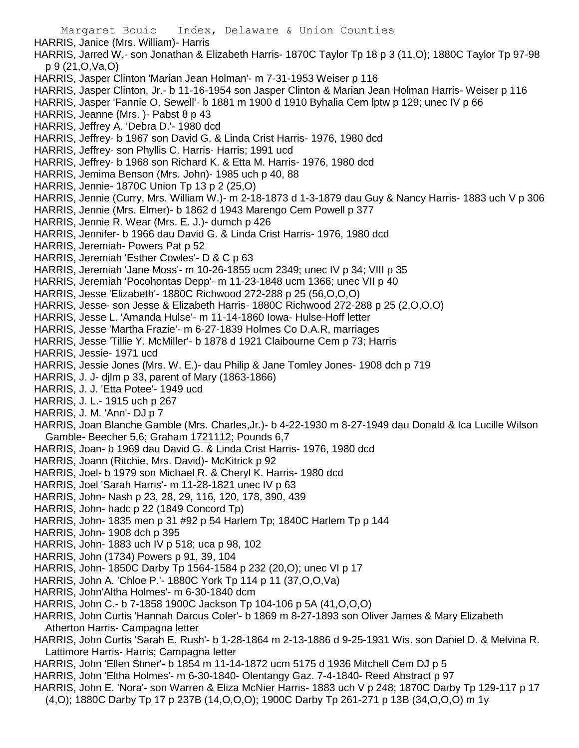Margaret Bouic Index, Delaware & Union Counties HARRIS, Janice (Mrs. William)- Harris HARRIS, Jarred W.- son Jonathan & Elizabeth Harris- 1870C Taylor Tp 18 p 3 (11,O); 1880C Taylor Tp 97-98 p 9 (21,O,Va,O) HARRIS, Jasper Clinton 'Marian Jean Holman'- m 7-31-1953 Weiser p 116 HARRIS, Jasper Clinton, Jr.- b 11-16-1954 son Jasper Clinton & Marian Jean Holman Harris- Weiser p 116 HARRIS, Jasper 'Fannie O. Sewell'- b 1881 m 1900 d 1910 Byhalia Cem lptw p 129; unec IV p 66 HARRIS, Jeanne (Mrs. )- Pabst 8 p 43 HARRIS, Jeffrey A. 'Debra D.'- 1980 dcd HARRIS, Jeffrey- b 1967 son David G. & Linda Crist Harris- 1976, 1980 dcd HARRIS, Jeffrey- son Phyllis C. Harris- Harris; 1991 ucd HARRIS, Jeffrey- b 1968 son Richard K. & Etta M. Harris- 1976, 1980 dcd HARRIS, Jemima Benson (Mrs. John)- 1985 uch p 40, 88 HARRIS, Jennie- 1870C Union Tp 13 p 2 (25,O) HARRIS, Jennie (Curry, Mrs. William W.)- m 2-18-1873 d 1-3-1879 dau Guy & Nancy Harris- 1883 uch V p 306 HARRIS, Jennie (Mrs. Elmer)- b 1862 d 1943 Marengo Cem Powell p 377 HARRIS, Jennie R. Wear (Mrs. E. J.)- dumch p 426 HARRIS, Jennifer- b 1966 dau David G. & Linda Crist Harris- 1976, 1980 dcd HARRIS, Jeremiah- Powers Pat p 52 HARRIS, Jeremiah 'Esther Cowles'- D & C p 63 HARRIS, Jeremiah 'Jane Moss'- m 10-26-1855 ucm 2349; unec IV p 34; VIII p 35 HARRIS, Jeremiah 'Pocohontas Depp'- m 11-23-1848 ucm 1366; unec VII p 40 HARRIS, Jesse 'Elizabeth'- 1880C Richwood 272-288 p 25 (56,O,O,O) HARRIS, Jesse- son Jesse & Elizabeth Harris- 1880C Richwood 272-288 p 25 (2,O,O,O) HARRIS, Jesse L. 'Amanda Hulse'- m 11-14-1860 Iowa- Hulse-Hoff letter HARRIS, Jesse 'Martha Frazie'- m 6-27-1839 Holmes Co D.A.R, marriages HARRIS, Jesse 'Tillie Y. McMiller'- b 1878 d 1921 Claibourne Cem p 73; Harris HARRIS, Jessie- 1971 ucd HARRIS, Jessie Jones (Mrs. W. E.)- dau Philip & Jane Tomley Jones- 1908 dch p 719 HARRIS, J. J- djlm p 33, parent of Mary (1863-1866) HARRIS, J. J. 'Etta Potee'- 1949 ucd HARRIS, J. L.- 1915 uch p 267 HARRIS, J. M. 'Ann'- DJ p 7 HARRIS, Joan Blanche Gamble (Mrs. Charles,Jr.)- b 4-22-1930 m 8-27-1949 dau Donald & Ica Lucille Wilson Gamble- Beecher 5,6; Graham 1721112; Pounds 6,7 HARRIS, Joan- b 1969 dau David G. & Linda Crist Harris- 1976, 1980 dcd HARRIS, Joann (Ritchie, Mrs. David)- McKitrick p 92 HARRIS, Joel- b 1979 son Michael R. & Cheryl K. Harris- 1980 dcd HARRIS, Joel 'Sarah Harris'- m 11-28-1821 unec IV p 63 HARRIS, John- Nash p 23, 28, 29, 116, 120, 178, 390, 439 HARRIS, John- hadc p 22 (1849 Concord Tp) HARRIS, John- 1835 men p 31 #92 p 54 Harlem Tp; 1840C Harlem Tp p 144 HARRIS, John- 1908 dch p 395 HARRIS, John- 1883 uch IV p 518; uca p 98, 102 HARRIS, John (1734) Powers p 91, 39, 104 HARRIS, John- 1850C Darby Tp 1564-1584 p 232 (20,O); unec VI p 17 HARRIS, John A. 'Chloe P.'- 1880C York Tp 114 p 11 (37,O,O,Va) HARRIS, John'Altha Holmes'- m 6-30-1840 dcm HARRIS, John C.- b 7-1858 1900C Jackson Tp 104-106 p 5A (41,O,O,O) HARRIS, John Curtis 'Hannah Darcus Coler'- b 1869 m 8-27-1893 son Oliver James & Mary Elizabeth Atherton Harris- Campagna letter HARRIS, John Curtis 'Sarah E. Rush'- b 1-28-1864 m 2-13-1886 d 9-25-1931 Wis. son Daniel D. & Melvina R. Lattimore Harris- Harris; Campagna letter HARRIS, John 'Ellen Stiner'- b 1854 m 11-14-1872 ucm 5175 d 1936 Mitchell Cem DJ p 5 HARRIS, John 'Eltha Holmes'- m 6-30-1840- Olentangy Gaz. 7-4-1840- Reed Abstract p 97

- HARRIS, John E. 'Nora'- son Warren & Eliza McNier Harris- 1883 uch V p 248; 1870C Darby Tp 129-117 p 17
- (4,O); 1880C Darby Tp 17 p 237B (14,O,O,O); 1900C Darby Tp 261-271 p 13B (34,O,O,O) m 1y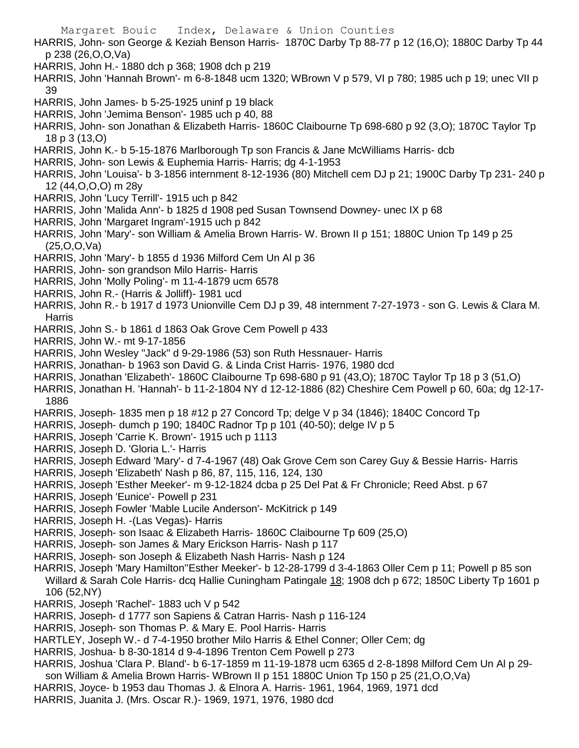Margaret Bouic Index, Delaware & Union Counties HARRIS, John- son George & Keziah Benson Harris- 1870C Darby Tp 88-77 p 12 (16,O); 1880C Darby Tp 44 p 238 (26,O,O,Va) HARRIS, John H.- 1880 dch p 368; 1908 dch p 219 HARRIS, John 'Hannah Brown'- m 6-8-1848 ucm 1320; WBrown V p 579, VI p 780; 1985 uch p 19; unec VII p 39 HARRIS, John James- b 5-25-1925 uninf p 19 black HARRIS, John 'Jemima Benson'- 1985 uch p 40, 88 HARRIS, John- son Jonathan & Elizabeth Harris- 1860C Claibourne Tp 698-680 p 92 (3,O); 1870C Taylor Tp 18 p 3 (13,O) HARRIS, John K.- b 5-15-1876 Marlborough Tp son Francis & Jane McWilliams Harris- dcb HARRIS, John- son Lewis & Euphemia Harris- Harris; dg 4-1-1953 HARRIS, John 'Louisa'- b 3-1856 internment 8-12-1936 (80) Mitchell cem DJ p 21; 1900C Darby Tp 231- 240 p 12 (44,O,O,O) m 28y HARRIS, John 'Lucy Terrill'- 1915 uch p 842 HARRIS, John 'Malida Ann'- b 1825 d 1908 ped Susan Townsend Downey- unec IX p 68 HARRIS, John 'Margaret Ingram'-1915 uch p 842 HARRIS, John 'Mary'- son William & Amelia Brown Harris- W. Brown II p 151; 1880C Union Tp 149 p 25 (25,O,O,Va) HARRIS, John 'Mary'- b 1855 d 1936 Milford Cem Un Al p 36 HARRIS, John- son grandson Milo Harris- Harris HARRIS, John 'Molly Poling'- m 11-4-1879 ucm 6578 HARRIS, John R.- (Harris & Jolliff)- 1981 ucd HARRIS, John R.- b 1917 d 1973 Unionville Cem DJ p 39, 48 internment 7-27-1973 - son G. Lewis & Clara M. **Harris** HARRIS, John S.- b 1861 d 1863 Oak Grove Cem Powell p 433 HARRIS, John W.- mt 9-17-1856 HARRIS, John Wesley "Jack" d 9-29-1986 (53) son Ruth Hessnauer- Harris HARRIS, Jonathan- b 1963 son David G. & Linda Crist Harris- 1976, 1980 dcd HARRIS, Jonathan 'Elizabeth'- 1860C Claibourne Tp 698-680 p 91 (43,O); 1870C Taylor Tp 18 p 3 (51,O) HARRIS, Jonathan H. 'Hannah'- b 11-2-1804 NY d 12-12-1886 (82) Cheshire Cem Powell p 60, 60a; dg 12-17- 1886 HARRIS, Joseph- 1835 men p 18 #12 p 27 Concord Tp; delge V p 34 (1846); 1840C Concord Tp HARRIS, Joseph- dumch p 190; 1840C Radnor Tp p 101 (40-50); delge IV p 5 HARRIS, Joseph 'Carrie K. Brown'- 1915 uch p 1113 HARRIS, Joseph D. 'Gloria L.'- Harris HARRIS, Joseph Edward 'Mary'- d 7-4-1967 (48) Oak Grove Cem son Carey Guy & Bessie Harris- Harris HARRIS, Joseph 'Elizabeth' Nash p 86, 87, 115, 116, 124, 130 HARRIS, Joseph 'Esther Meeker'- m 9-12-1824 dcba p 25 Del Pat & Fr Chronicle; Reed Abst. p 67 HARRIS, Joseph 'Eunice'- Powell p 231 HARRIS, Joseph Fowler 'Mable Lucile Anderson'- McKitrick p 149 HARRIS, Joseph H. -(Las Vegas)- Harris HARRIS, Joseph- son Isaac & Elizabeth Harris- 1860C Claibourne Tp 609 (25,O) HARRIS, Joseph- son James & Mary Erickson Harris- Nash p 117 HARRIS, Joseph- son Joseph & Elizabeth Nash Harris- Nash p 124 HARRIS, Joseph 'Mary Hamilton''Esther Meeker'- b 12-28-1799 d 3-4-1863 Oller Cem p 11; Powell p 85 son Willard & Sarah Cole Harris- dcq Hallie Cuningham Patingale 18; 1908 dch p 672; 1850C Liberty Tp 1601 p 106 (52,NY) HARRIS, Joseph 'Rachel'- 1883 uch V p 542 HARRIS, Joseph- d 1777 son Sapiens & Catran Harris- Nash p 116-124 HARRIS, Joseph- son Thomas P. & Mary E. Pool Harris- Harris

- HARTLEY, Joseph W.- d 7-4-1950 brother Milo Harris & Ethel Conner; Oller Cem; dg
- HARRIS, Joshua- b 8-30-1814 d 9-4-1896 Trenton Cem Powell p 273

HARRIS, Joshua 'Clara P. Bland'- b 6-17-1859 m 11-19-1878 ucm 6365 d 2-8-1898 Milford Cem Un Al p 29 son William & Amelia Brown Harris- WBrown II p 151 1880C Union Tp 150 p 25 (21,O,O,Va)

- HARRIS, Joyce- b 1953 dau Thomas J. & Elnora A. Harris- 1961, 1964, 1969, 1971 dcd
- HARRIS, Juanita J. (Mrs. Oscar R.)- 1969, 1971, 1976, 1980 dcd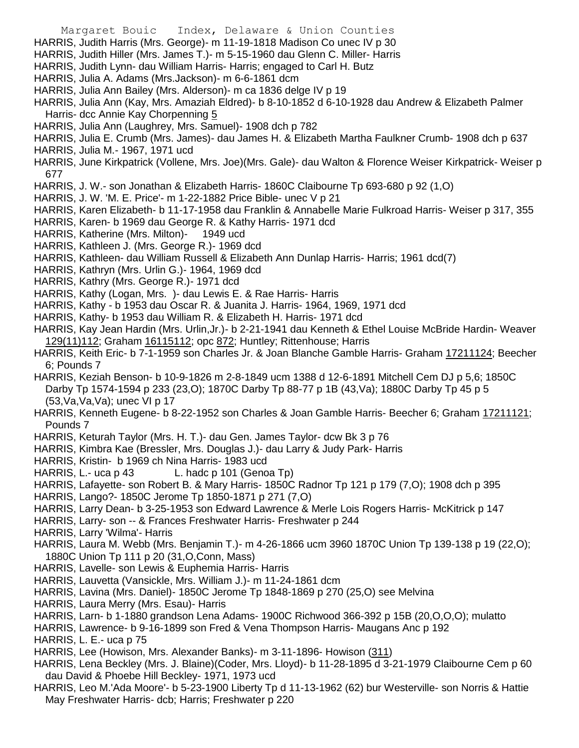- Margaret Bouic Index, Delaware & Union Counties
- HARRIS, Judith Harris (Mrs. George)- m 11-19-1818 Madison Co unec IV p 30
- HARRIS, Judith Hiller (Mrs. James T.)- m 5-15-1960 dau Glenn C. Miller- Harris
- HARRIS, Judith Lynn- dau William Harris- Harris; engaged to Carl H. Butz
- HARRIS, Julia A. Adams (Mrs.Jackson)- m 6-6-1861 dcm
- HARRIS, Julia Ann Bailey (Mrs. Alderson)- m ca 1836 delge IV p 19
- HARRIS, Julia Ann (Kay, Mrs. Amaziah Eldred)- b 8-10-1852 d 6-10-1928 dau Andrew & Elizabeth Palmer Harris- dcc Annie Kay Chorpenning 5
- HARRIS, Julia Ann (Laughrey, Mrs. Samuel)- 1908 dch p 782
- HARRIS, Julia E. Crumb (Mrs. James)- dau James H. & Elizabeth Martha Faulkner Crumb- 1908 dch p 637
- HARRIS, Julia M.- 1967, 1971 ucd
- HARRIS, June Kirkpatrick (Vollene, Mrs. Joe)(Mrs. Gale)- dau Walton & Florence Weiser Kirkpatrick- Weiser p 677
- HARRIS, J. W.- son Jonathan & Elizabeth Harris- 1860C Claibourne Tp 693-680 p 92 (1,O)
- HARRIS, J. W. 'M. E. Price'- m 1-22-1882 Price Bible- unec V p 21
- HARRIS, Karen Elizabeth- b 11-17-1958 dau Franklin & Annabelle Marie Fulkroad Harris- Weiser p 317, 355
- HARRIS, Karen- b 1969 dau George R. & Kathy Harris- 1971 dcd
- HARRIS, Katherine (Mrs. Milton)- 1949 ucd
- HARRIS, Kathleen J. (Mrs. George R.)- 1969 dcd
- HARRIS, Kathleen- dau William Russell & Elizabeth Ann Dunlap Harris- Harris; 1961 dcd(7)
- HARRIS, Kathryn (Mrs. Urlin G.)- 1964, 1969 dcd
- HARRIS, Kathry (Mrs. George R.)- 1971 dcd
- HARRIS, Kathy (Logan, Mrs. )- dau Lewis E. & Rae Harris- Harris
- HARRIS, Kathy b 1953 dau Oscar R. & Juanita J. Harris- 1964, 1969, 1971 dcd
- HARRIS, Kathy- b 1953 dau William R. & Elizabeth H. Harris- 1971 dcd
- HARRIS, Kay Jean Hardin (Mrs. Urlin,Jr.)- b 2-21-1941 dau Kenneth & Ethel Louise McBride Hardin- Weaver 129(11)112; Graham 16115112; opc 872; Huntley; Rittenhouse; Harris
- HARRIS, Keith Eric- b 7-1-1959 son Charles Jr. & Joan Blanche Gamble Harris- Graham 17211124; Beecher 6; Pounds 7
- HARRIS, Keziah Benson- b 10-9-1826 m 2-8-1849 ucm 1388 d 12-6-1891 Mitchell Cem DJ p 5,6; 1850C Darby Tp 1574-1594 p 233 (23,O); 1870C Darby Tp 88-77 p 1B (43,Va); 1880C Darby Tp 45 p 5 (53,Va,Va,Va); unec VI p 17
- HARRIS, Kenneth Eugene- b 8-22-1952 son Charles & Joan Gamble Harris- Beecher 6; Graham 17211121; Pounds 7
- HARRIS, Keturah Taylor (Mrs. H. T.)- dau Gen. James Taylor- dcw Bk 3 p 76
- HARRIS, Kimbra Kae (Bressler, Mrs. Douglas J.)- dau Larry & Judy Park- Harris
- HARRIS, Kristin- b 1969 ch Nina Harris- 1983 ucd
- HARRIS, L.- uca p 43 L. hadc p 101 (Genoa Tp)
- HARRIS, Lafayette- son Robert B. & Mary Harris- 1850C Radnor Tp 121 p 179 (7,O); 1908 dch p 395
- HARRIS, Lango?- 1850C Jerome Tp 1850-1871 p 271 (7,O)
- HARRIS, Larry Dean- b 3-25-1953 son Edward Lawrence & Merle Lois Rogers Harris- McKitrick p 147
- HARRIS, Larry- son -- & Frances Freshwater Harris- Freshwater p 244
- HARRIS, Larry 'Wilma'- Harris
- HARRIS, Laura M. Webb (Mrs. Benjamin T.)- m 4-26-1866 ucm 3960 1870C Union Tp 139-138 p 19 (22,O); 1880C Union Tp 111 p 20 (31,O,Conn, Mass)
- HARRIS, Lavelle- son Lewis & Euphemia Harris- Harris
- HARRIS, Lauvetta (Vansickle, Mrs. William J.)- m 11-24-1861 dcm
- HARRIS, Lavina (Mrs. Daniel)- 1850C Jerome Tp 1848-1869 p 270 (25,O) see Melvina
- HARRIS, Laura Merry (Mrs. Esau)- Harris
- HARRIS, Larn- b 1-1880 grandson Lena Adams- 1900C Richwood 366-392 p 15B (20,O,O,O); mulatto
- HARRIS, Lawrence- b 9-16-1899 son Fred & Vena Thompson Harris- Maugans Anc p 192
- HARRIS, L. E.- uca p 75
- HARRIS, Lee (Howison, Mrs. Alexander Banks)- m 3-11-1896- Howison (311)
- HARRIS, Lena Beckley (Mrs. J. Blaine)(Coder, Mrs. Lloyd)- b 11-28-1895 d 3-21-1979 Claibourne Cem p 60 dau David & Phoebe Hill Beckley- 1971, 1973 ucd
- HARRIS, Leo M.'Ada Moore'- b 5-23-1900 Liberty Tp d 11-13-1962 (62) bur Westerville- son Norris & Hattie May Freshwater Harris- dcb; Harris; Freshwater p 220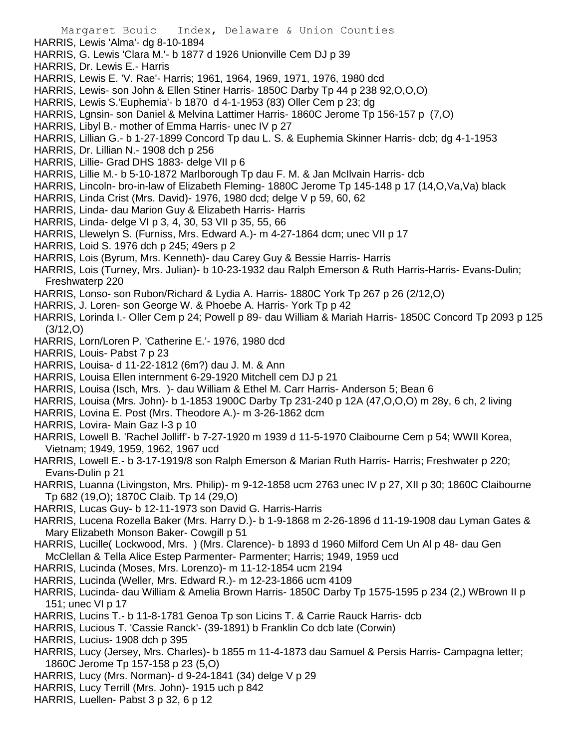- HARRIS, Lewis 'Alma'- dg 8-10-1894
- HARRIS, G. Lewis 'Clara M.'- b 1877 d 1926 Unionville Cem DJ p 39
- HARRIS, Dr. Lewis E.- Harris
- HARRIS, Lewis E. 'V. Rae'- Harris; 1961, 1964, 1969, 1971, 1976, 1980 dcd
- HARRIS, Lewis- son John & Ellen Stiner Harris- 1850C Darby Tp 44 p 238 92,O,O,O)
- HARRIS, Lewis S.'Euphemia'- b 1870 d 4-1-1953 (83) Oller Cem p 23; dg
- HARRIS, Lgnsin- son Daniel & Melvina Lattimer Harris- 1860C Jerome Tp 156-157 p (7,O)
- HARRIS, Libyl B.- mother of Emma Harris- unec IV p 27
- HARRIS, Lillian G.- b 1-27-1899 Concord Tp dau L. S. & Euphemia Skinner Harris- dcb; dg 4-1-1953
- HARRIS, Dr. Lillian N.- 1908 dch p 256
- HARRIS, Lillie- Grad DHS 1883- delge VII p 6
- HARRIS, Lillie M.- b 5-10-1872 Marlborough Tp dau F. M. & Jan McIlvain Harris- dcb
- HARRIS, Lincoln- bro-in-law of Elizabeth Fleming- 1880C Jerome Tp 145-148 p 17 (14,O,Va,Va) black
- HARRIS, Linda Crist (Mrs. David)- 1976, 1980 dcd; delge V p 59, 60, 62
- HARRIS, Linda- dau Marion Guy & Elizabeth Harris- Harris
- HARRIS, Linda- delge VI p 3, 4, 30, 53 VII p 35, 55, 66
- HARRIS, Llewelyn S. (Furniss, Mrs. Edward A.)- m 4-27-1864 dcm; unec VII p 17
- HARRIS, Loid S. 1976 dch p 245; 49ers p 2
- HARRIS, Lois (Byrum, Mrs. Kenneth)- dau Carey Guy & Bessie Harris- Harris
- HARRIS, Lois (Turney, Mrs. Julian)- b 10-23-1932 dau Ralph Emerson & Ruth Harris-Harris- Evans-Dulin; Freshwaterp 220
- HARRIS, Lonso- son Rubon/Richard & Lydia A. Harris- 1880C York Tp 267 p 26 (2/12,O)
- HARRIS, J. Loren- son George W. & Phoebe A. Harris- York Tp p 42
- HARRIS, Lorinda I.- Oller Cem p 24; Powell p 89- dau William & Mariah Harris- 1850C Concord Tp 2093 p 125 (3/12,O)
- HARRIS, Lorn/Loren P. 'Catherine E.'- 1976, 1980 dcd
- HARRIS, Louis- Pabst 7 p 23
- HARRIS, Louisa- d 11-22-1812 (6m?) dau J. M. & Ann
- HARRIS, Louisa Ellen internment 6-29-1920 Mitchell cem DJ p 21
- HARRIS, Louisa (Isch, Mrs. )- dau William & Ethel M. Carr Harris- Anderson 5; Bean 6
- HARRIS, Louisa (Mrs. John)- b 1-1853 1900C Darby Tp 231-240 p 12A (47,O,O,O) m 28y, 6 ch, 2 living
- HARRIS, Lovina E. Post (Mrs. Theodore A.)- m 3-26-1862 dcm
- HARRIS, Lovira- Main Gaz I-3 p 10
- HARRIS, Lowell B. 'Rachel Jolliff'- b 7-27-1920 m 1939 d 11-5-1970 Claibourne Cem p 54; WWII Korea, Vietnam; 1949, 1959, 1962, 1967 ucd
- HARRIS, Lowell E.- b 3-17-1919/8 son Ralph Emerson & Marian Ruth Harris- Harris; Freshwater p 220; Evans-Dulin p 21
- HARRIS, Luanna (Livingston, Mrs. Philip)- m 9-12-1858 ucm 2763 unec IV p 27, XII p 30; 1860C Claibourne Tp 682 (19,O); 1870C Claib. Tp 14 (29,O)
- HARRIS, Lucas Guy- b 12-11-1973 son David G. Harris-Harris
- HARRIS, Lucena Rozella Baker (Mrs. Harry D.)- b 1-9-1868 m 2-26-1896 d 11-19-1908 dau Lyman Gates & Mary Elizabeth Monson Baker- Cowgill p 51
- HARRIS, Lucille( Lockwood, Mrs. ) (Mrs. Clarence)- b 1893 d 1960 Milford Cem Un Al p 48- dau Gen McClellan & Tella Alice Estep Parmenter- Parmenter; Harris; 1949, 1959 ucd
- HARRIS, Lucinda (Moses, Mrs. Lorenzo)- m 11-12-1854 ucm 2194
- HARRIS, Lucinda (Weller, Mrs. Edward R.)- m 12-23-1866 ucm 4109
- HARRIS, Lucinda- dau William & Amelia Brown Harris- 1850C Darby Tp 1575-1595 p 234 (2,) WBrown II p 151; unec VI p 17
- HARRIS, Lucins T.- b 11-8-1781 Genoa Tp son Licins T. & Carrie Rauck Harris- dcb
- HARRIS, Lucious T. 'Cassie Ranck'- (39-1891) b Franklin Co dcb late (Corwin)
- HARRIS, Lucius- 1908 dch p 395
- HARRIS, Lucy (Jersey, Mrs. Charles)- b 1855 m 11-4-1873 dau Samuel & Persis Harris- Campagna letter; 1860C Jerome Tp 157-158 p 23 (5,O)
- HARRIS, Lucy (Mrs. Norman)- d 9-24-1841 (34) delge V p 29
- HARRIS, Lucy Terrill (Mrs. John)- 1915 uch p 842
- HARRIS, Luellen- Pabst 3 p 32, 6 p 12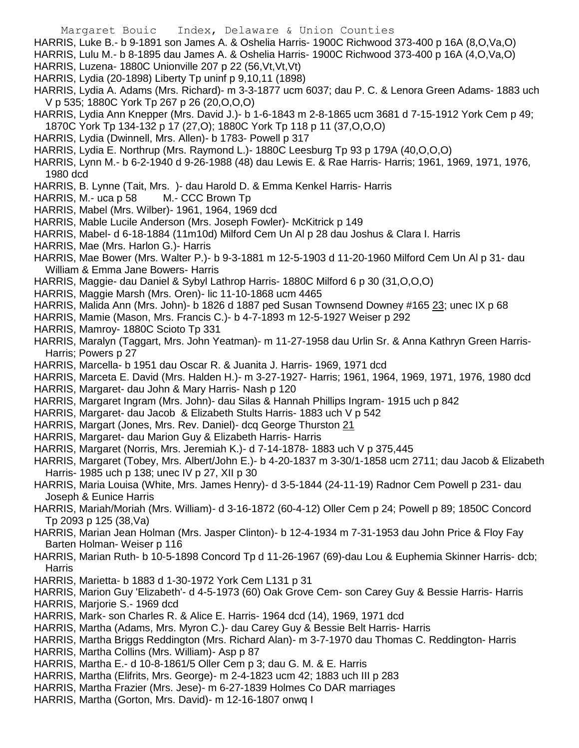- Margaret Bouic Index, Delaware & Union Counties
- HARRIS, Luke B.- b 9-1891 son James A. & Oshelia Harris- 1900C Richwood 373-400 p 16A (8,O,Va,O)
- HARRIS, Lulu M.- b 8-1895 dau James A. & Oshelia Harris- 1900C Richwood 373-400 p 16A (4,O,Va,O)
- HARRIS, Luzena- 1880C Unionville 207 p 22 (56,Vt,Vt,Vt)
- HARRIS, Lydia (20-1898) Liberty Tp uninf p 9,10,11 (1898)
- HARRIS, Lydia A. Adams (Mrs. Richard)- m 3-3-1877 ucm 6037; dau P. C. & Lenora Green Adams- 1883 uch V p 535; 1880C York Tp 267 p 26 (20,O,O,O)
- HARRIS, Lydia Ann Knepper (Mrs. David J.)- b 1-6-1843 m 2-8-1865 ucm 3681 d 7-15-1912 York Cem p 49; 1870C York Tp 134-132 p 17 (27,O); 1880C York Tp 118 p 11 (37,O,O,O)
- HARRIS, Lydia (Dwinnell, Mrs. Allen)- b 1783- Powell p 317
- HARRIS, Lydia E. Northrup (Mrs. Raymond L.)- 1880C Leesburg Tp 93 p 179A (40,O,O,O)
- HARRIS, Lynn M.- b 6-2-1940 d 9-26-1988 (48) dau Lewis E. & Rae Harris- Harris; 1961, 1969, 1971, 1976, 1980 dcd
- HARRIS, B. Lynne (Tait, Mrs. )- dau Harold D. & Emma Kenkel Harris- Harris
- HARRIS, M.- uca p 58 M.- CCC Brown Tp
- HARRIS, Mabel (Mrs. Wilber)- 1961, 1964, 1969 dcd
- HARRIS, Mable Lucile Anderson (Mrs. Joseph Fowler)- McKitrick p 149
- HARRIS, Mabel- d 6-18-1884 (11m10d) Milford Cem Un Al p 28 dau Joshus & Clara I. Harris
- HARRIS, Mae (Mrs. Harlon G.)- Harris
- HARRIS, Mae Bower (Mrs. Walter P.)- b 9-3-1881 m 12-5-1903 d 11-20-1960 Milford Cem Un Al p 31- dau William & Emma Jane Bowers- Harris
- HARRIS, Maggie- dau Daniel & Sybyl Lathrop Harris- 1880C Milford 6 p 30 (31,O,O,O)
- HARRIS, Maggie Marsh (Mrs. Oren)- lic 11-10-1868 ucm 4465
- HARRIS, Malida Ann (Mrs. John)- b 1826 d 1887 ped Susan Townsend Downey #165 23; unec IX p 68
- HARRIS, Mamie (Mason, Mrs. Francis C.)- b 4-7-1893 m 12-5-1927 Weiser p 292
- HARRIS, Mamroy- 1880C Scioto Tp 331
- HARRIS, Maralyn (Taggart, Mrs. John Yeatman)- m 11-27-1958 dau Urlin Sr. & Anna Kathryn Green Harris-Harris; Powers p 27
- HARRIS, Marcella- b 1951 dau Oscar R. & Juanita J. Harris- 1969, 1971 dcd
- HARRIS, Marceta E. David (Mrs. Halden H.)- m 3-27-1927- Harris; 1961, 1964, 1969, 1971, 1976, 1980 dcd
- HARRIS, Margaret- dau John & Mary Harris- Nash p 120
- HARRIS, Margaret Ingram (Mrs. John)- dau Silas & Hannah Phillips Ingram- 1915 uch p 842
- HARRIS, Margaret- dau Jacob & Elizabeth Stults Harris- 1883 uch V p 542
- HARRIS, Margart (Jones, Mrs. Rev. Daniel)- dcq George Thurston 21
- HARRIS, Margaret- dau Marion Guy & Elizabeth Harris- Harris
- HARRIS, Margaret (Norris, Mrs. Jeremiah K.)- d 7-14-1878- 1883 uch V p 375,445
- HARRIS, Margaret (Tobey, Mrs. Albert/John E.)- b 4-20-1837 m 3-30/1-1858 ucm 2711; dau Jacob & Elizabeth Harris- 1985 uch p 138; unec IV p 27, XII p 30
- HARRIS, Maria Louisa (White, Mrs. James Henry)- d 3-5-1844 (24-11-19) Radnor Cem Powell p 231- dau Joseph & Eunice Harris
- HARRIS, Mariah/Moriah (Mrs. William)- d 3-16-1872 (60-4-12) Oller Cem p 24; Powell p 89; 1850C Concord Tp 2093 p 125 (38,Va)
- HARRIS, Marian Jean Holman (Mrs. Jasper Clinton)- b 12-4-1934 m 7-31-1953 dau John Price & Floy Fay Barten Holman- Weiser p 116
- HARRIS, Marian Ruth- b 10-5-1898 Concord Tp d 11-26-1967 (69)-dau Lou & Euphemia Skinner Harris- dcb; **Harris**
- HARRIS, Marietta- b 1883 d 1-30-1972 York Cem L131 p 31
- HARRIS, Marion Guy 'Elizabeth'- d 4-5-1973 (60) Oak Grove Cem- son Carey Guy & Bessie Harris- Harris
- HARRIS, Marjorie S.- 1969 dcd
- HARRIS, Mark- son Charles R. & Alice E. Harris- 1964 dcd (14), 1969, 1971 dcd
- HARRIS, Martha (Adams, Mrs. Myron C.)- dau Carey Guy & Bessie Belt Harris- Harris
- HARRIS, Martha Briggs Reddington (Mrs. Richard Alan)- m 3-7-1970 dau Thomas C. Reddington- Harris
- HARRIS, Martha Collins (Mrs. William)- Asp p 87
- HARRIS, Martha E.- d 10-8-1861/5 Oller Cem p 3; dau G. M. & E. Harris
- HARRIS, Martha (Elifrits, Mrs. George)- m 2-4-1823 ucm 42; 1883 uch III p 283
- HARRIS, Martha Frazier (Mrs. Jese)- m 6-27-1839 Holmes Co DAR marriages
- HARRIS, Martha (Gorton, Mrs. David)- m 12-16-1807 onwq I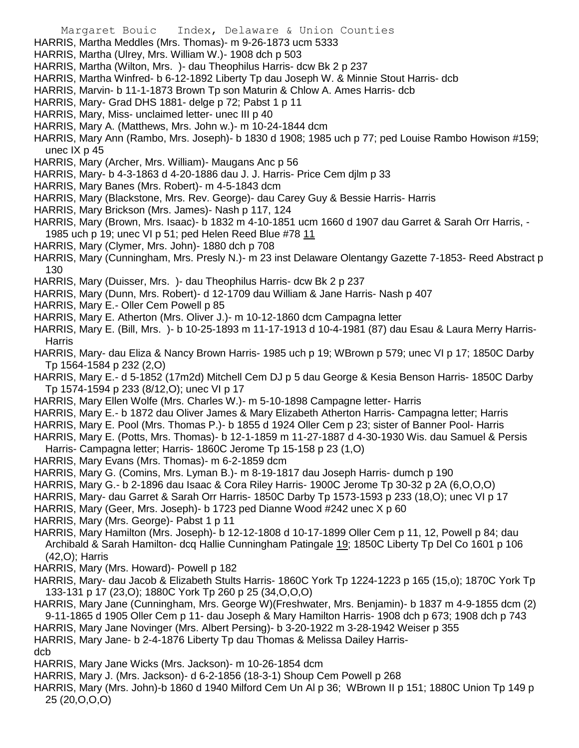- Margaret Bouic Index, Delaware & Union Counties
- HARRIS, Martha Meddles (Mrs. Thomas)- m 9-26-1873 ucm 5333
- HARRIS, Martha (Ulrey, Mrs. William W.)- 1908 dch p 503
- HARRIS, Martha (Wilton, Mrs. )- dau Theophilus Harris- dcw Bk 2 p 237
- HARRIS, Martha Winfred- b 6-12-1892 Liberty Tp dau Joseph W. & Minnie Stout Harris- dcb
- HARRIS, Marvin- b 11-1-1873 Brown Tp son Maturin & Chlow A. Ames Harris- dcb
- HARRIS, Mary- Grad DHS 1881- delge p 72; Pabst 1 p 11
- HARRIS, Mary, Miss- unclaimed letter- unec III p 40
- HARRIS, Mary A. (Matthews, Mrs. John w.)- m 10-24-1844 dcm
- HARRIS, Mary Ann (Rambo, Mrs. Joseph)- b 1830 d 1908; 1985 uch p 77; ped Louise Rambo Howison #159; unec IX p 45
- HARRIS, Mary (Archer, Mrs. William)- Maugans Anc p 56
- HARRIS, Mary- b 4-3-1863 d 4-20-1886 dau J. J. Harris- Price Cem djlm p 33
- HARRIS, Mary Banes (Mrs. Robert)- m 4-5-1843 dcm
- HARRIS, Mary (Blackstone, Mrs. Rev. George)- dau Carey Guy & Bessie Harris- Harris
- HARRIS, Mary Brickson (Mrs. James)- Nash p 117, 124
- HARRIS, Mary (Brown, Mrs. Isaac)- b 1832 m 4-10-1851 ucm 1660 d 1907 dau Garret & Sarah Orr Harris, 1985 uch p 19; unec VI p 51; ped Helen Reed Blue #78 11
- HARRIS, Mary (Clymer, Mrs. John)- 1880 dch p 708
- HARRIS, Mary (Cunningham, Mrs. Presly N.)- m 23 inst Delaware Olentangy Gazette 7-1853- Reed Abstract p 130
- HARRIS, Mary (Duisser, Mrs. )- dau Theophilus Harris- dcw Bk 2 p 237
- HARRIS, Mary (Dunn, Mrs. Robert)- d 12-1709 dau William & Jane Harris- Nash p 407
- HARRIS, Mary E.- Oller Cem Powell p 85
- HARRIS, Mary E. Atherton (Mrs. Oliver J.)- m 10-12-1860 dcm Campagna letter
- HARRIS, Mary E. (Bill, Mrs. )- b 10-25-1893 m 11-17-1913 d 10-4-1981 (87) dau Esau & Laura Merry Harris-**Harris**
- HARRIS, Mary- dau Eliza & Nancy Brown Harris- 1985 uch p 19; WBrown p 579; unec VI p 17; 1850C Darby Tp 1564-1584 p 232 (2,O)
- HARRIS, Mary E.- d 5-1852 (17m2d) Mitchell Cem DJ p 5 dau George & Kesia Benson Harris- 1850C Darby Tp 1574-1594 p 233 (8/12,O); unec VI p 17
- HARRIS, Mary Ellen Wolfe (Mrs. Charles W.)- m 5-10-1898 Campagne letter- Harris
- HARRIS, Mary E.- b 1872 dau Oliver James & Mary Elizabeth Atherton Harris- Campagna letter; Harris
- HARRIS, Mary E. Pool (Mrs. Thomas P.)- b 1855 d 1924 Oller Cem p 23; sister of Banner Pool- Harris
- HARRIS, Mary E. (Potts, Mrs. Thomas)- b 12-1-1859 m 11-27-1887 d 4-30-1930 Wis. dau Samuel & Persis Harris- Campagna letter; Harris- 1860C Jerome Tp 15-158 p 23 (1,O)
- HARRIS, Mary Evans (Mrs. Thomas)- m 6-2-1859 dcm
- HARRIS, Mary G. (Comins, Mrs. Lyman B.)- m 8-19-1817 dau Joseph Harris- dumch p 190
- HARRIS, Mary G.- b 2-1896 dau Isaac & Cora Riley Harris- 1900C Jerome Tp 30-32 p 2A (6,O,O,O)
- HARRIS, Mary- dau Garret & Sarah Orr Harris- 1850C Darby Tp 1573-1593 p 233 (18,O); unec VI p 17
- HARRIS, Mary (Geer, Mrs. Joseph)- b 1723 ped Dianne Wood #242 unec X p 60
- HARRIS, Mary (Mrs. George)- Pabst 1 p 11
- HARRIS, Mary Hamilton (Mrs. Joseph)- b 12-12-1808 d 10-17-1899 Oller Cem p 11, 12, Powell p 84; dau Archibald & Sarah Hamilton- dcq Hallie Cunningham Patingale 19; 1850C Liberty Tp Del Co 1601 p 106 (42,O); Harris
- HARRIS, Mary (Mrs. Howard)- Powell p 182
- HARRIS, Mary- dau Jacob & Elizabeth Stults Harris- 1860C York Tp 1224-1223 p 165 (15,o); 1870C York Tp 133-131 p 17 (23,O); 1880C York Tp 260 p 25 (34,O,O,O)
- HARRIS, Mary Jane (Cunningham, Mrs. George W)(Freshwater, Mrs. Benjamin)- b 1837 m 4-9-1855 dcm (2) 9-11-1865 d 1905 Oller Cem p 11- dau Joseph & Mary Hamilton Harris- 1908 dch p 673; 1908 dch p 743
- HARRIS, Mary Jane Novinger (Mrs. Albert Persing)- b 3-20-1922 m 3-28-1942 Weiser p 355

HARRIS, Mary Jane- b 2-4-1876 Liberty Tp dau Thomas & Melissa Dailey Harrisdcb

- HARRIS, Mary Jane Wicks (Mrs. Jackson)- m 10-26-1854 dcm
- HARRIS, Mary J. (Mrs. Jackson)- d 6-2-1856 (18-3-1) Shoup Cem Powell p 268
- HARRIS, Mary (Mrs. John)-b 1860 d 1940 Milford Cem Un Al p 36; WBrown II p 151; 1880C Union Tp 149 p 25 (20,O,O,O)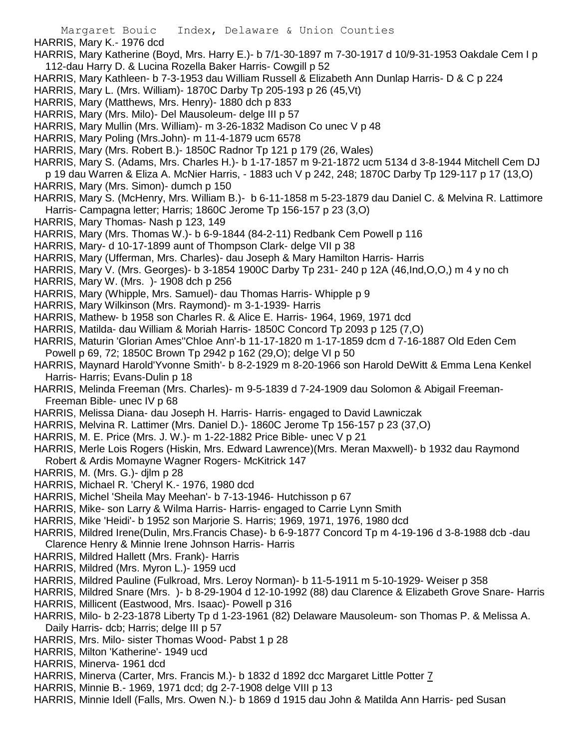HARRIS, Mary K.- 1976 dcd

- HARRIS, Mary Katherine (Boyd, Mrs. Harry E.)- b 7/1-30-1897 m 7-30-1917 d 10/9-31-1953 Oakdale Cem I p 112-dau Harry D. & Lucina Rozella Baker Harris- Cowgill p 52
- HARRIS, Mary Kathleen- b 7-3-1953 dau William Russell & Elizabeth Ann Dunlap Harris- D & C p 224
- HARRIS, Mary L. (Mrs. William)- 1870C Darby Tp 205-193 p 26 (45,Vt)
- HARRIS, Mary (Matthews, Mrs. Henry)- 1880 dch p 833
- HARRIS, Mary (Mrs. Milo)- Del Mausoleum- delge III p 57
- HARRIS, Mary Mullin (Mrs. William)- m 3-26-1832 Madison Co unec V p 48
- HARRIS, Mary Poling (Mrs.John)- m 11-4-1879 ucm 6578
- HARRIS, Mary (Mrs. Robert B.)- 1850C Radnor Tp 121 p 179 (26, Wales)
- HARRIS, Mary S. (Adams, Mrs. Charles H.)- b 1-17-1857 m 9-21-1872 ucm 5134 d 3-8-1944 Mitchell Cem DJ p 19 dau Warren & Eliza A. McNier Harris, - 1883 uch V p 242, 248; 1870C Darby Tp 129-117 p 17 (13,O)
- HARRIS, Mary (Mrs. Simon)- dumch p 150
- HARRIS, Mary S. (McHenry, Mrs. William B.)- b 6-11-1858 m 5-23-1879 dau Daniel C. & Melvina R. Lattimore Harris- Campagna letter; Harris; 1860C Jerome Tp 156-157 p 23 (3,O)
- HARRIS, Mary Thomas- Nash p 123, 149
- HARRIS, Mary (Mrs. Thomas W.)- b 6-9-1844 (84-2-11) Redbank Cem Powell p 116
- HARRIS, Mary- d 10-17-1899 aunt of Thompson Clark- delge VII p 38
- HARRIS, Mary (Ufferman, Mrs. Charles)- dau Joseph & Mary Hamilton Harris- Harris
- HARRIS, Mary V. (Mrs. Georges)- b 3-1854 1900C Darby Tp 231- 240 p 12A (46,Ind,O,O,) m 4 y no ch
- HARRIS, Mary W. (Mrs. )- 1908 dch p 256
- HARRIS, Mary (Whipple, Mrs. Samuel)- dau Thomas Harris- Whipple p 9
- HARRIS, Mary Wilkinson (Mrs. Raymond)- m 3-1-1939- Harris
- HARRIS, Mathew- b 1958 son Charles R. & Alice E. Harris- 1964, 1969, 1971 dcd
- HARRIS, Matilda- dau William & Moriah Harris- 1850C Concord Tp 2093 p 125 (7,O)
- HARRIS, Maturin 'Glorian Ames''Chloe Ann'-b 11-17-1820 m 1-17-1859 dcm d 7-16-1887 Old Eden Cem Powell p 69, 72; 1850C Brown Tp 2942 p 162 (29,O); delge VI p 50
- HARRIS, Maynard Harold'Yvonne Smith'- b 8-2-1929 m 8-20-1966 son Harold DeWitt & Emma Lena Kenkel Harris- Harris; Evans-Dulin p 18
- HARRIS, Melinda Freeman (Mrs. Charles)- m 9-5-1839 d 7-24-1909 dau Solomon & Abigail Freeman-Freeman Bible- unec IV p 68
- HARRIS, Melissa Diana- dau Joseph H. Harris- Harris- engaged to David Lawniczak
- HARRIS, Melvina R. Lattimer (Mrs. Daniel D.)- 1860C Jerome Tp 156-157 p 23 (37,O)
- HARRIS, M. E. Price (Mrs. J. W.)- m 1-22-1882 Price Bible- unec V p 21
- HARRIS, Merle Lois Rogers (Hiskin, Mrs. Edward Lawrence)(Mrs. Meran Maxwell)- b 1932 dau Raymond Robert & Ardis Momayne Wagner Rogers- McKitrick 147
- HARRIS, M. (Mrs. G.)- djlm p 28
- HARRIS, Michael R. 'Cheryl K.- 1976, 1980 dcd
- HARRIS, Michel 'Sheila May Meehan'- b 7-13-1946- Hutchisson p 67
- HARRIS, Mike- son Larry & Wilma Harris- Harris- engaged to Carrie Lynn Smith
- HARRIS, Mike 'Heidi'- b 1952 son Marjorie S. Harris; 1969, 1971, 1976, 1980 dcd
- HARRIS, Mildred Irene(Dulin, Mrs.Francis Chase)- b 6-9-1877 Concord Tp m 4-19-196 d 3-8-1988 dcb -dau Clarence Henry & Minnie Irene Johnson Harris- Harris
- HARRIS, Mildred Hallett (Mrs. Frank)- Harris
- HARRIS, Mildred (Mrs. Myron L.)- 1959 ucd
- HARRIS, Mildred Pauline (Fulkroad, Mrs. Leroy Norman)- b 11-5-1911 m 5-10-1929- Weiser p 358
- HARRIS, Mildred Snare (Mrs. )- b 8-29-1904 d 12-10-1992 (88) dau Clarence & Elizabeth Grove Snare- Harris
- HARRIS, Millicent (Eastwood, Mrs. Isaac)- Powell p 316
- HARRIS, Milo- b 2-23-1878 Liberty Tp d 1-23-1961 (82) Delaware Mausoleum- son Thomas P. & Melissa A. Daily Harris- dcb; Harris; delge III p 57
- HARRIS, Mrs. Milo- sister Thomas Wood- Pabst 1 p 28
- HARRIS, Milton 'Katherine'- 1949 ucd
- HARRIS, Minerva- 1961 dcd
- HARRIS, Minerva (Carter, Mrs. Francis M.)- b 1832 d 1892 dcc Margaret Little Potter 7
- HARRIS, Minnie B.- 1969, 1971 dcd; dg 2-7-1908 delge VIII p 13
- HARRIS, Minnie Idell (Falls, Mrs. Owen N.)- b 1869 d 1915 dau John & Matilda Ann Harris- ped Susan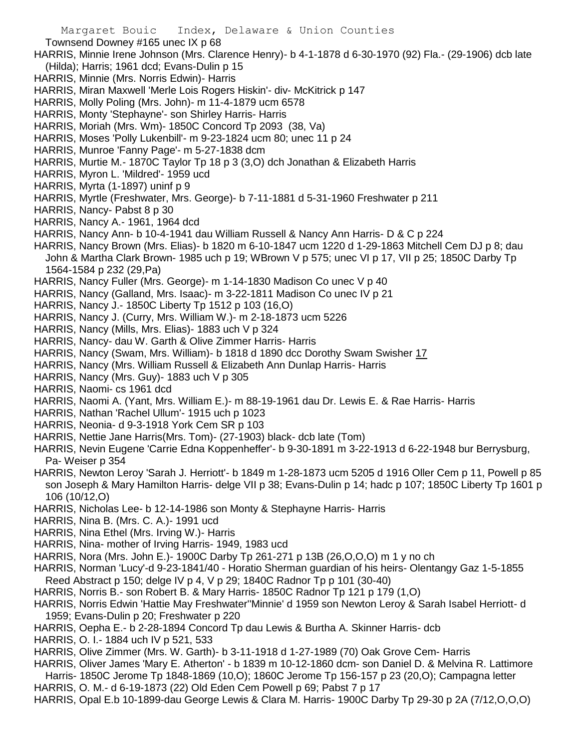- Townsend Downey #165 unec IX p 68
- HARRIS, Minnie Irene Johnson (Mrs. Clarence Henry)- b 4-1-1878 d 6-30-1970 (92) Fla.- (29-1906) dcb late (Hilda); Harris; 1961 dcd; Evans-Dulin p 15
- HARRIS, Minnie (Mrs. Norris Edwin)- Harris
- HARRIS, Miran Maxwell 'Merle Lois Rogers Hiskin'- div- McKitrick p 147
- HARRIS, Molly Poling (Mrs. John)- m 11-4-1879 ucm 6578
- HARRIS, Monty 'Stephayne'- son Shirley Harris- Harris
- HARRIS, Moriah (Mrs. Wm)- 1850C Concord Tp 2093 (38, Va)
- HARRIS, Moses 'Polly Lukenbill'- m 9-23-1824 ucm 80; unec 11 p 24
- HARRIS, Munroe 'Fanny Page'- m 5-27-1838 dcm
- HARRIS, Murtie M.- 1870C Taylor Tp 18 p 3 (3,O) dch Jonathan & Elizabeth Harris
- HARRIS, Myron L. 'Mildred'- 1959 ucd
- HARRIS, Myrta (1-1897) uninf p 9
- HARRIS, Myrtle (Freshwater, Mrs. George)- b 7-11-1881 d 5-31-1960 Freshwater p 211
- HARRIS, Nancy- Pabst 8 p 30
- HARRIS, Nancy A.- 1961, 1964 dcd
- HARRIS, Nancy Ann- b 10-4-1941 dau William Russell & Nancy Ann Harris- D & C p 224
- HARRIS, Nancy Brown (Mrs. Elias)- b 1820 m 6-10-1847 ucm 1220 d 1-29-1863 Mitchell Cem DJ p 8; dau John & Martha Clark Brown- 1985 uch p 19; WBrown V p 575; unec VI p 17, VII p 25; 1850C Darby Tp 1564-1584 p 232 (29,Pa)
- HARRIS, Nancy Fuller (Mrs. George)- m 1-14-1830 Madison Co unec V p 40
- HARRIS, Nancy (Galland, Mrs. Isaac)- m 3-22-1811 Madison Co unec IV p 21
- HARRIS, Nancy J.- 1850C Liberty Tp 1512 p 103 (16,O)
- HARRIS, Nancy J. (Curry, Mrs. William W.)- m 2-18-1873 ucm 5226
- HARRIS, Nancy (Mills, Mrs. Elias)- 1883 uch V p 324
- HARRIS, Nancy- dau W. Garth & Olive Zimmer Harris- Harris
- HARRIS, Nancy (Swam, Mrs. William)- b 1818 d 1890 dcc Dorothy Swam Swisher 17
- HARRIS, Nancy (Mrs. William Russell & Elizabeth Ann Dunlap Harris- Harris
- HARRIS, Nancy (Mrs. Guy)- 1883 uch V p 305
- HARRIS, Naomi- cs 1961 dcd
- HARRIS, Naomi A. (Yant, Mrs. William E.)- m 88-19-1961 dau Dr. Lewis E. & Rae Harris- Harris
- HARRIS, Nathan 'Rachel Ullum'- 1915 uch p 1023
- HARRIS, Neonia- d 9-3-1918 York Cem SR p 103
- HARRIS, Nettie Jane Harris(Mrs. Tom)- (27-1903) black- dcb late (Tom)
- HARRIS, Nevin Eugene 'Carrie Edna Koppenheffer'- b 9-30-1891 m 3-22-1913 d 6-22-1948 bur Berrysburg, Pa- Weiser p 354
- HARRIS, Newton Leroy 'Sarah J. Herriott'- b 1849 m 1-28-1873 ucm 5205 d 1916 Oller Cem p 11, Powell p 85 son Joseph & Mary Hamilton Harris- delge VII p 38; Evans-Dulin p 14; hadc p 107; 1850C Liberty Tp 1601 p 106 (10/12,O)
- HARRIS, Nicholas Lee- b 12-14-1986 son Monty & Stephayne Harris- Harris
- HARRIS, Nina B. (Mrs. C. A.)- 1991 ucd
- HARRIS, Nina Ethel (Mrs. Irving W.)- Harris
- HARRIS, Nina- mother of Irving Harris- 1949, 1983 ucd
- HARRIS, Nora (Mrs. John E.)- 1900C Darby Tp 261-271 p 13B (26,O,O,O) m 1 y no ch
- HARRIS, Norman 'Lucy'-d 9-23-1841/40 Horatio Sherman guardian of his heirs- Olentangy Gaz 1-5-1855 Reed Abstract p 150; delge IV p 4, V p 29; 1840C Radnor Tp p 101 (30-40)
- HARRIS, Norris B.- son Robert B. & Mary Harris- 1850C Radnor Tp 121 p 179 (1,O)
- HARRIS, Norris Edwin 'Hattie May Freshwater''Minnie' d 1959 son Newton Leroy & Sarah Isabel Herriott- d 1959; Evans-Dulin p 20; Freshwater p 220
- HARRIS, Oepha E.- b 2-28-1894 Concord Tp dau Lewis & Burtha A. Skinner Harris- dcb
- HARRIS, O. I.- 1884 uch IV p 521, 533
- HARRIS, Olive Zimmer (Mrs. W. Garth)- b 3-11-1918 d 1-27-1989 (70) Oak Grove Cem- Harris
- HARRIS, Oliver James 'Mary E. Atherton' b 1839 m 10-12-1860 dcm- son Daniel D. & Melvina R. Lattimore Harris- 1850C Jerome Tp 1848-1869 (10,O); 1860C Jerome Tp 156-157 p 23 (20,O); Campagna letter
- HARRIS, O. M.- d 6-19-1873 (22) Old Eden Cem Powell p 69; Pabst 7 p 17
- HARRIS, Opal E.b 10-1899-dau George Lewis & Clara M. Harris- 1900C Darby Tp 29-30 p 2A (7/12,O,O,O)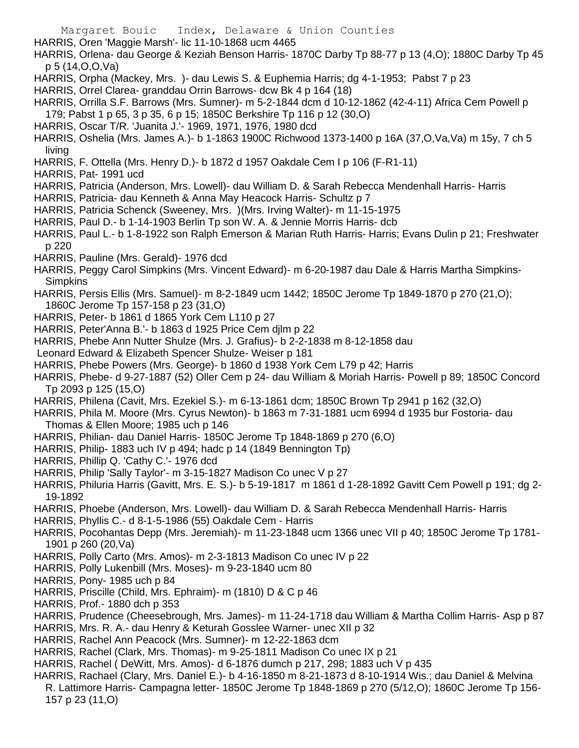HARRIS, Oren 'Maggie Marsh'- lic 11-10-1868 ucm 4465

HARRIS, Orlena- dau George & Keziah Benson Harris- 1870C Darby Tp 88-77 p 13 (4,O); 1880C Darby Tp 45 p 5 (14,O,O,Va)

- HARRIS, Orpha (Mackey, Mrs. )- dau Lewis S. & Euphemia Harris; dg 4-1-1953; Pabst 7 p 23
- HARRIS, Orrel Clarea- granddau Orrin Barrows- dcw Bk 4 p 164 (18)
- HARRIS, Orrilla S.F. Barrows (Mrs. Sumner)- m 5-2-1844 dcm d 10-12-1862 (42-4-11) Africa Cem Powell p 179; Pabst 1 p 65, 3 p 35, 6 p 15; 1850C Berkshire Tp 116 p 12 (30,O)
- HARRIS, Oscar T/R. 'Juanita J.'- 1969, 1971, 1976, 1980 dcd
- HARRIS, Oshelia (Mrs. James A.)- b 1-1863 1900C Richwood 1373-1400 p 16A (37,O,Va,Va) m 15y, 7 ch 5 living
- HARRIS, F. Ottella (Mrs. Henry D.)- b 1872 d 1957 Oakdale Cem I p 106 (F-R1-11)
- HARRIS, Pat- 1991 ucd
- HARRIS, Patricia (Anderson, Mrs. Lowell)- dau William D. & Sarah Rebecca Mendenhall Harris- Harris
- HARRIS, Patricia- dau Kenneth & Anna May Heacock Harris- Schultz p 7
- HARRIS, Patricia Schenck (Sweeney, Mrs. )(Mrs. Irving Walter)- m 11-15-1975
- HARRIS, Paul D.- b 1-14-1903 Berlin Tp son W. A. & Jennie Morris Harris- dcb
- HARRIS, Paul L.- b 1-8-1922 son Ralph Emerson & Marian Ruth Harris- Harris; Evans Dulin p 21; Freshwater p 220
- HARRIS, Pauline (Mrs. Gerald)- 1976 dcd
- HARRIS, Peggy Carol Simpkins (Mrs. Vincent Edward)- m 6-20-1987 dau Dale & Harris Martha Simpkins-**Simpkins**
- HARRIS, Persis Ellis (Mrs. Samuel)- m 8-2-1849 ucm 1442; 1850C Jerome Tp 1849-1870 p 270 (21,O); 1860C Jerome Tp 157-158 p 23 (31,O)
- HARRIS, Peter- b 1861 d 1865 York Cem L110 p 27
- HARRIS, Peter'Anna B.'- b 1863 d 1925 Price Cem djlm p 22
- HARRIS, Phebe Ann Nutter Shulze (Mrs. J. Grafius)- b 2-2-1838 m 8-12-1858 dau
- Leonard Edward & Elizabeth Spencer Shulze- Weiser p 181
- HARRIS, Phebe Powers (Mrs. George)- b 1860 d 1938 York Cem L79 p 42; Harris
- HARRIS, Phebe- d 9-27-1887 (52) Oller Cem p 24- dau William & Moriah Harris- Powell p 89; 1850C Concord Tp 2093 p 125 (15,O)
- HARRIS, Philena (Cavit, Mrs. Ezekiel S.)- m 6-13-1861 dcm; 1850C Brown Tp 2941 p 162 (32,O)
- HARRIS, Phila M. Moore (Mrs. Cyrus Newton)- b 1863 m 7-31-1881 ucm 6994 d 1935 bur Fostoria- dau Thomas & Ellen Moore; 1985 uch p 146
- HARRIS, Philian- dau Daniel Harris- 1850C Jerome Tp 1848-1869 p 270 (6,O)
- HARRIS, Philip- 1883 uch IV p 494; hadc p 14 (1849 Bennington Tp)
- HARRIS, Phillip Q. 'Cathy C.'- 1976 dcd
- HARRIS, Philip 'Sally Taylor'- m 3-15-1827 Madison Co unec V p 27
- HARRIS, Philuria Harris (Gavitt, Mrs. E. S.)- b 5-19-1817 m 1861 d 1-28-1892 Gavitt Cem Powell p 191; dg 2- 19-1892
- HARRIS, Phoebe (Anderson, Mrs. Lowell)- dau William D. & Sarah Rebecca Mendenhall Harris- Harris
- HARRIS, Phyllis C.- d 8-1-5-1986 (55) Oakdale Cem Harris
- HARRIS, Pocohantas Depp (Mrs. Jeremiah)- m 11-23-1848 ucm 1366 unec VII p 40; 1850C Jerome Tp 1781- 1901 p 260 (20,Va)
- HARRIS, Polly Carto (Mrs. Amos)- m 2-3-1813 Madison Co unec IV p 22
- HARRIS, Polly Lukenbill (Mrs. Moses)- m 9-23-1840 ucm 80
- HARRIS, Pony- 1985 uch p 84
- HARRIS, Priscille (Child, Mrs. Ephraim)- m (1810) D & C p 46
- HARRIS, Prof.- 1880 dch p 353
- HARRIS, Prudence (Cheesebrough, Mrs. James)- m 11-24-1718 dau William & Martha Collim Harris- Asp p 87
- HARRIS, Mrs. R. A.- dau Henry & Keturah Gosslee Warner- unec XII p 32
- HARRIS, Rachel Ann Peacock (Mrs. Sumner)- m 12-22-1863 dcm
- HARRIS, Rachel (Clark, Mrs. Thomas)- m 9-25-1811 Madison Co unec IX p 21
- HARRIS, Rachel ( DeWitt, Mrs. Amos)- d 6-1876 dumch p 217, 298; 1883 uch V p 435
- HARRIS, Rachael (Clary, Mrs. Daniel E.)- b 4-16-1850 m 8-21-1873 d 8-10-1914 Wis.; dau Daniel & Melvina R. Lattimore Harris- Campagna letter- 1850C Jerome Tp 1848-1869 p 270 (5/12,O); 1860C Jerome Tp 156- 157 p 23 (11,O)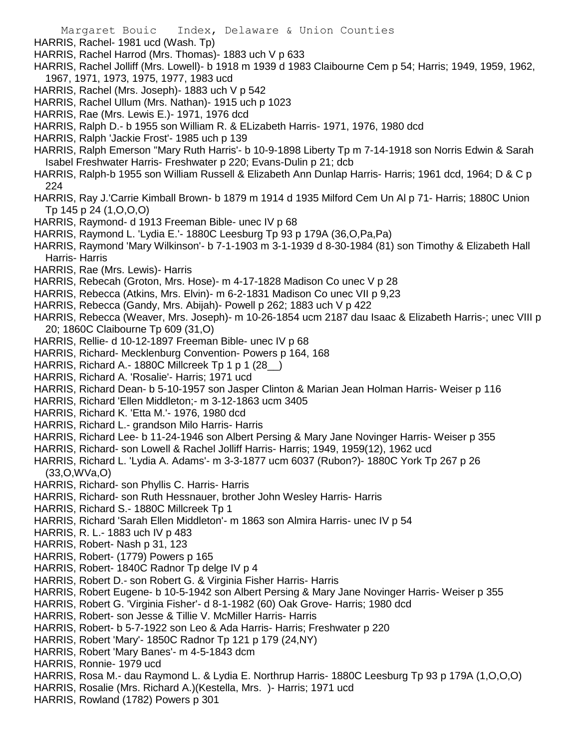- HARRIS, Rachel- 1981 ucd (Wash. Tp)
- HARRIS, Rachel Harrod (Mrs. Thomas)- 1883 uch V p 633
- HARRIS, Rachel Jolliff (Mrs. Lowell)- b 1918 m 1939 d 1983 Claibourne Cem p 54; Harris; 1949, 1959, 1962, 1967, 1971, 1973, 1975, 1977, 1983 ucd
- HARRIS, Rachel (Mrs. Joseph)- 1883 uch V p 542
- HARRIS, Rachel Ullum (Mrs. Nathan)- 1915 uch p 1023
- HARRIS, Rae (Mrs. Lewis E.)- 1971, 1976 dcd
- HARRIS, Ralph D.- b 1955 son William R. & ELizabeth Harris- 1971, 1976, 1980 dcd
- HARRIS, Ralph 'Jackie Frost'- 1985 uch p 139
- HARRIS, Ralph Emerson ''Mary Ruth Harris'- b 10-9-1898 Liberty Tp m 7-14-1918 son Norris Edwin & Sarah Isabel Freshwater Harris- Freshwater p 220; Evans-Dulin p 21; dcb
- HARRIS, Ralph-b 1955 son William Russell & Elizabeth Ann Dunlap Harris- Harris; 1961 dcd, 1964; D & C p 224
- HARRIS, Ray J.'Carrie Kimball Brown- b 1879 m 1914 d 1935 Milford Cem Un Al p 71- Harris; 1880C Union Tp 145 p 24 (1,O,O,O)
- HARRIS, Raymond- d 1913 Freeman Bible- unec IV p 68
- HARRIS, Raymond L. 'Lydia E.'- 1880C Leesburg Tp 93 p 179A (36,O,Pa,Pa)
- HARRIS, Raymond 'Mary Wilkinson'- b 7-1-1903 m 3-1-1939 d 8-30-1984 (81) son Timothy & Elizabeth Hall Harris- Harris
- HARRIS, Rae (Mrs. Lewis)- Harris
- HARRIS, Rebecah (Groton, Mrs. Hose)- m 4-17-1828 Madison Co unec V p 28
- HARRIS, Rebecca (Atkins, Mrs. Elvin)- m 6-2-1831 Madison Co unec VII p 9,23
- HARRIS, Rebecca (Gandy, Mrs. Abijah)- Powell p 262; 1883 uch V p 422
- HARRIS, Rebecca (Weaver, Mrs. Joseph)- m 10-26-1854 ucm 2187 dau Isaac & Elizabeth Harris-; unec VIII p 20; 1860C Claibourne Tp 609 (31,O)
- HARRIS, Rellie- d 10-12-1897 Freeman Bible- unec IV p 68
- HARRIS, Richard- Mecklenburg Convention- Powers p 164, 168
- HARRIS, Richard A.- 1880C Millcreek Tp 1 p 1 (28\_)
- HARRIS, Richard A. 'Rosalie'- Harris; 1971 ucd
- HARRIS, Richard Dean- b 5-10-1957 son Jasper Clinton & Marian Jean Holman Harris- Weiser p 116
- HARRIS, Richard 'Ellen Middleton;- m 3-12-1863 ucm 3405
- HARRIS, Richard K. 'Etta M.'- 1976, 1980 dcd
- HARRIS, Richard L.- grandson Milo Harris- Harris
- HARRIS, Richard Lee- b 11-24-1946 son Albert Persing & Mary Jane Novinger Harris- Weiser p 355
- HARRIS, Richard- son Lowell & Rachel Jolliff Harris- Harris; 1949, 1959(12), 1962 ucd
- HARRIS, Richard L. 'Lydia A. Adams'- m 3-3-1877 ucm 6037 (Rubon?)- 1880C York Tp 267 p 26 (33,O,WVa,O)
- HARRIS, Richard- son Phyllis C. Harris- Harris
- HARRIS, Richard- son Ruth Hessnauer, brother John Wesley Harris- Harris
- HARRIS, Richard S.- 1880C Millcreek Tp 1
- HARRIS, Richard 'Sarah Ellen Middleton'- m 1863 son Almira Harris- unec IV p 54
- HARRIS, R. L.- 1883 uch IV p 483
- HARRIS, Robert- Nash p 31, 123
- HARRIS, Robert- (1779) Powers p 165
- HARRIS, Robert- 1840C Radnor Tp delge IV p 4
- HARRIS, Robert D.- son Robert G. & Virginia Fisher Harris- Harris
- HARRIS, Robert Eugene- b 10-5-1942 son Albert Persing & Mary Jane Novinger Harris- Weiser p 355
- HARRIS, Robert G. 'Virginia Fisher'- d 8-1-1982 (60) Oak Grove- Harris; 1980 dcd
- HARRIS, Robert- son Jesse & Tillie V. McMiller Harris- Harris
- HARRIS, Robert- b 5-7-1922 son Leo & Ada Harris- Harris; Freshwater p 220
- HARRIS, Robert 'Mary'- 1850C Radnor Tp 121 p 179 (24,NY)
- HARRIS, Robert 'Mary Banes'- m 4-5-1843 dcm
- HARRIS, Ronnie- 1979 ucd
- HARRIS, Rosa M.- dau Raymond L. & Lydia E. Northrup Harris- 1880C Leesburg Tp 93 p 179A (1,O,O,O)
- HARRIS, Rosalie (Mrs. Richard A.)(Kestella, Mrs. )- Harris; 1971 ucd
- HARRIS, Rowland (1782) Powers p 301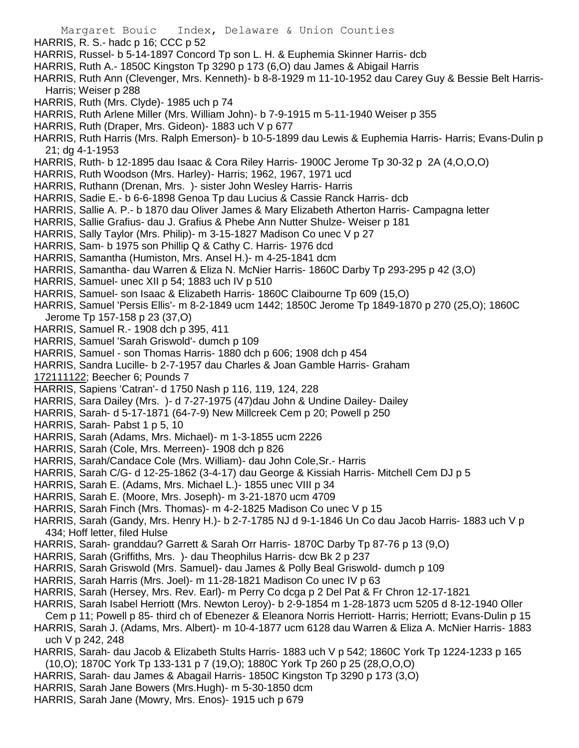- Margaret Bouic Index, Delaware & Union Counties HARRIS, R. S.- hadc p 16; CCC p 52 HARRIS, Russel- b 5-14-1897 Concord Tp son L. H. & Euphemia Skinner Harris- dcb HARRIS, Ruth A.- 1850C Kingston Tp 3290 p 173 (6,O) dau James & Abigail Harris HARRIS, Ruth Ann (Clevenger, Mrs. Kenneth)- b 8-8-1929 m 11-10-1952 dau Carey Guy & Bessie Belt Harris-Harris; Weiser p 288 HARRIS, Ruth (Mrs. Clyde)- 1985 uch p 74 HARRIS, Ruth Arlene Miller (Mrs. William John)- b 7-9-1915 m 5-11-1940 Weiser p 355 HARRIS, Ruth (Draper, Mrs. Gideon)- 1883 uch V p 677 HARRIS, Ruth Harris (Mrs. Ralph Emerson)- b 10-5-1899 dau Lewis & Euphemia Harris- Harris; Evans-Dulin p 21; dg 4-1-1953 HARRIS, Ruth- b 12-1895 dau Isaac & Cora Riley Harris- 1900C Jerome Tp 30-32 p 2A (4,O,O,O) HARRIS, Ruth Woodson (Mrs. Harley)- Harris; 1962, 1967, 1971 ucd HARRIS, Ruthann (Drenan, Mrs. )- sister John Wesley Harris- Harris HARRIS, Sadie E.- b 6-6-1898 Genoa Tp dau Lucius & Cassie Ranck Harris- dcb HARRIS, Sallie A. P.- b 1870 dau Oliver James & Mary Elizabeth Atherton Harris- Campagna letter HARRIS, Sallie Grafius- dau J. Grafius & Phebe Ann Nutter Shulze- Weiser p 181 HARRIS, Sally Taylor (Mrs. Philip)- m 3-15-1827 Madison Co unec V p 27 HARRIS, Sam- b 1975 son Phillip Q & Cathy C. Harris- 1976 dcd HARRIS, Samantha (Humiston, Mrs. Ansel H.)- m 4-25-1841 dcm HARRIS, Samantha- dau Warren & Eliza N. McNier Harris- 1860C Darby Tp 293-295 p 42 (3,O) HARRIS, Samuel- unec XII p 54; 1883 uch IV p 510 HARRIS, Samuel- son Isaac & Elizabeth Harris- 1860C Claibourne Tp 609 (15,O) HARRIS, Samuel 'Persis Ellis'- m 8-2-1849 ucm 1442; 1850C Jerome Tp 1849-1870 p 270 (25,O); 1860C Jerome Tp 157-158 p 23 (37,O) HARRIS, Samuel R.- 1908 dch p 395, 411 HARRIS, Samuel 'Sarah Griswold'- dumch p 109 HARRIS, Samuel - son Thomas Harris- 1880 dch p 606; 1908 dch p 454 HARRIS, Sandra Lucille- b 2-7-1957 dau Charles & Joan Gamble Harris- Graham 172111122; Beecher 6; Pounds 7 HARRIS, Sapiens 'Catran'- d 1750 Nash p 116, 119, 124, 228 HARRIS, Sara Dailey (Mrs. )- d 7-27-1975 (47)dau John & Undine Dailey- Dailey HARRIS, Sarah- d 5-17-1871 (64-7-9) New Millcreek Cem p 20; Powell p 250 HARRIS, Sarah- Pabst 1 p 5, 10 HARRIS, Sarah (Adams, Mrs. Michael)- m 1-3-1855 ucm 2226 HARRIS, Sarah (Cole, Mrs. Merreen)- 1908 dch p 826 HARRIS, Sarah/Candace Cole (Mrs. William)- dau John Cole,Sr.- Harris HARRIS, Sarah C/G- d 12-25-1862 (3-4-17) dau George & Kissiah Harris- Mitchell Cem DJ p 5 HARRIS, Sarah E. (Adams, Mrs. Michael L.)- 1855 unec VIII p 34 HARRIS, Sarah E. (Moore, Mrs. Joseph)- m 3-21-1870 ucm 4709 HARRIS, Sarah Finch (Mrs. Thomas)- m 4-2-1825 Madison Co unec V p 15 HARRIS, Sarah (Gandy, Mrs. Henry H.)- b 2-7-1785 NJ d 9-1-1846 Un Co dau Jacob Harris- 1883 uch V p 434; Hoff letter, filed Hulse
- HARRIS, Sarah- granddau? Garrett & Sarah Orr Harris- 1870C Darby Tp 87-76 p 13 (9,O)
- HARRIS, Sarah (Griffiths, Mrs. )- dau Theophilus Harris- dcw Bk 2 p 237
- HARRIS, Sarah Griswold (Mrs. Samuel)- dau James & Polly Beal Griswold- dumch p 109
- HARRIS, Sarah Harris (Mrs. Joel)- m 11-28-1821 Madison Co unec IV p 63
- HARRIS, Sarah (Hersey, Mrs. Rev. Earl)- m Perry Co dcga p 2 Del Pat & Fr Chron 12-17-1821
- HARRIS, Sarah Isabel Herriott (Mrs. Newton Leroy)- b 2-9-1854 m 1-28-1873 ucm 5205 d 8-12-1940 Oller
- Cem p 11; Powell p 85- third ch of Ebenezer & Eleanora Norris Herriott- Harris; Herriott; Evans-Dulin p 15
- HARRIS, Sarah J. (Adams, Mrs. Albert)- m 10-4-1877 ucm 6128 dau Warren & Eliza A. McNier Harris- 1883 uch V p 242, 248
- HARRIS, Sarah- dau Jacob & Elizabeth Stults Harris- 1883 uch V p 542; 1860C York Tp 1224-1233 p 165 (10,O); 1870C York Tp 133-131 p 7 (19,O); 1880C York Tp 260 p 25 (28,O,O,O)
- HARRIS, Sarah- dau James & Abagail Harris- 1850C Kingston Tp 3290 p 173 (3,O)
- HARRIS, Sarah Jane Bowers (Mrs.Hugh)- m 5-30-1850 dcm
- HARRIS, Sarah Jane (Mowry, Mrs. Enos)- 1915 uch p 679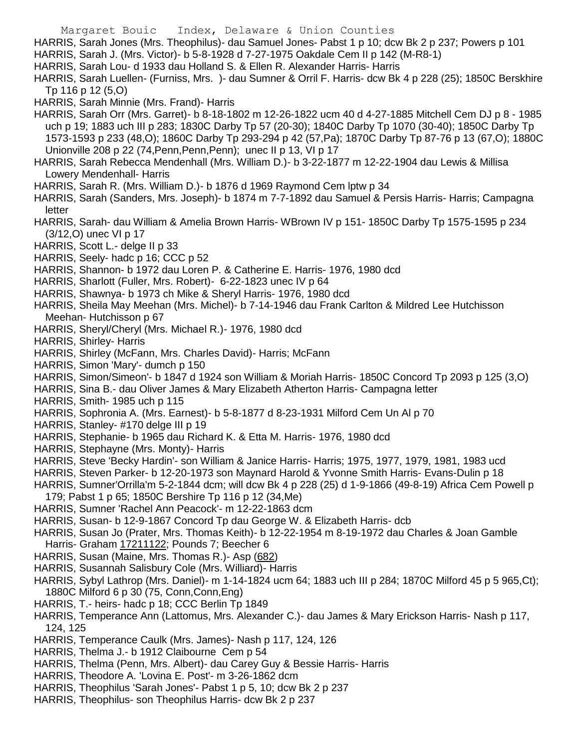- Margaret Bouic Index, Delaware & Union Counties
- HARRIS, Sarah Jones (Mrs. Theophilus)- dau Samuel Jones- Pabst 1 p 10; dcw Bk 2 p 237; Powers p 101
- HARRIS, Sarah J. (Mrs. Victor)- b 5-8-1928 d 7-27-1975 Oakdale Cem II p 142 (M-R8-1)
- HARRIS, Sarah Lou- d 1933 dau Holland S. & Ellen R. Alexander Harris- Harris
- HARRIS, Sarah Luellen- (Furniss, Mrs. )- dau Sumner & Orril F. Harris- dcw Bk 4 p 228 (25); 1850C Berskhire Tp 116 p 12 (5,O)
- HARRIS, Sarah Minnie (Mrs. Frand)- Harris
- HARRIS, Sarah Orr (Mrs. Garret)- b 8-18-1802 m 12-26-1822 ucm 40 d 4-27-1885 Mitchell Cem DJ p 8 1985 uch p 19; 1883 uch III p 283; 1830C Darby Tp 57 (20-30); 1840C Darby Tp 1070 (30-40); 1850C Darby Tp 1573-1593 p 233 (48,O); 1860C Darby Tp 293-294 p 42 (57,Pa); 1870C Darby Tp 87-76 p 13 (67,O); 1880C Unionville 208 p 22 (74,Penn,Penn,Penn); unec II p 13, VI p 17
- HARRIS, Sarah Rebecca Mendenhall (Mrs. William D.)- b 3-22-1877 m 12-22-1904 dau Lewis & Millisa Lowery Mendenhall- Harris
- HARRIS, Sarah R. (Mrs. William D.)- b 1876 d 1969 Raymond Cem lptw p 34
- HARRIS, Sarah (Sanders, Mrs. Joseph)- b 1874 m 7-7-1892 dau Samuel & Persis Harris- Harris; Campagna letter
- HARRIS, Sarah- dau William & Amelia Brown Harris- WBrown IV p 151- 1850C Darby Tp 1575-1595 p 234 (3/12,O) unec VI p 17
- HARRIS, Scott L.- delge II p 33
- HARRIS, Seely- hadc p 16; CCC p 52
- HARRIS, Shannon- b 1972 dau Loren P. & Catherine E. Harris- 1976, 1980 dcd
- HARRIS, Sharlott (Fuller, Mrs. Robert)- 6-22-1823 unec IV p 64
- HARRIS, Shawnya- b 1973 ch Mike & Sheryl Harris- 1976, 1980 dcd
- HARRIS, Sheila May Meehan (Mrs. Michel)- b 7-14-1946 dau Frank Carlton & Mildred Lee Hutchisson Meehan- Hutchisson p 67
- HARRIS, Sheryl/Cheryl (Mrs. Michael R.)- 1976, 1980 dcd
- HARRIS, Shirley- Harris
- HARRIS, Shirley (McFann, Mrs. Charles David)- Harris; McFann
- HARRIS, Simon 'Mary'- dumch p 150
- HARRIS, Simon/Simeon'- b 1847 d 1924 son William & Moriah Harris- 1850C Concord Tp 2093 p 125 (3,O)
- HARRIS, Sina B.- dau Oliver James & Mary Elizabeth Atherton Harris- Campagna letter
- HARRIS, Smith- 1985 uch p 115
- HARRIS, Sophronia A. (Mrs. Earnest)- b 5-8-1877 d 8-23-1931 Milford Cem Un Al p 70
- HARRIS, Stanley- #170 delge III p 19
- HARRIS, Stephanie- b 1965 dau Richard K. & Etta M. Harris- 1976, 1980 dcd
- HARRIS, Stephayne (Mrs. Monty)- Harris
- HARRIS, Steve 'Becky Hardin'- son William & Janice Harris- Harris; 1975, 1977, 1979, 1981, 1983 ucd
- HARRIS, Steven Parker- b 12-20-1973 son Maynard Harold & Yvonne Smith Harris- Evans-Dulin p 18
- HARRIS, Sumner'Orrilla'm 5-2-1844 dcm; will dcw Bk 4 p 228 (25) d 1-9-1866 (49-8-19) Africa Cem Powell p 179; Pabst 1 p 65; 1850C Bershire Tp 116 p 12 (34,Me)
- HARRIS, Sumner 'Rachel Ann Peacock'- m 12-22-1863 dcm
- HARRIS, Susan- b 12-9-1867 Concord Tp dau George W. & Elizabeth Harris- dcb
- HARRIS, Susan Jo (Prater, Mrs. Thomas Keith)- b 12-22-1954 m 8-19-1972 dau Charles & Joan Gamble Harris- Graham 17211122; Pounds 7; Beecher 6
- HARRIS, Susan (Maine, Mrs. Thomas R.)- Asp (682)
- HARRIS, Susannah Salisbury Cole (Mrs. Williard)- Harris
- HARRIS, Sybyl Lathrop (Mrs. Daniel)- m 1-14-1824 ucm 64; 1883 uch III p 284; 1870C Milford 45 p 5 965,Ct); 1880C Milford 6 p 30 (75, Conn,Conn,Eng)
- HARRIS, T.- heirs- hadc p 18; CCC Berlin Tp 1849
- HARRIS, Temperance Ann (Lattomus, Mrs. Alexander C.)- dau James & Mary Erickson Harris- Nash p 117, 124, 125
- HARRIS, Temperance Caulk (Mrs. James)- Nash p 117, 124, 126
- HARRIS, Thelma J.- b 1912 Claibourne Cem p 54
- HARRIS, Thelma (Penn, Mrs. Albert)- dau Carey Guy & Bessie Harris- Harris
- HARRIS, Theodore A. 'Lovina E. Post'- m 3-26-1862 dcm
- HARRIS, Theophilus 'Sarah Jones'- Pabst 1 p 5, 10; dcw Bk 2 p 237
- HARRIS, Theophilus- son Theophilus Harris- dcw Bk 2 p 237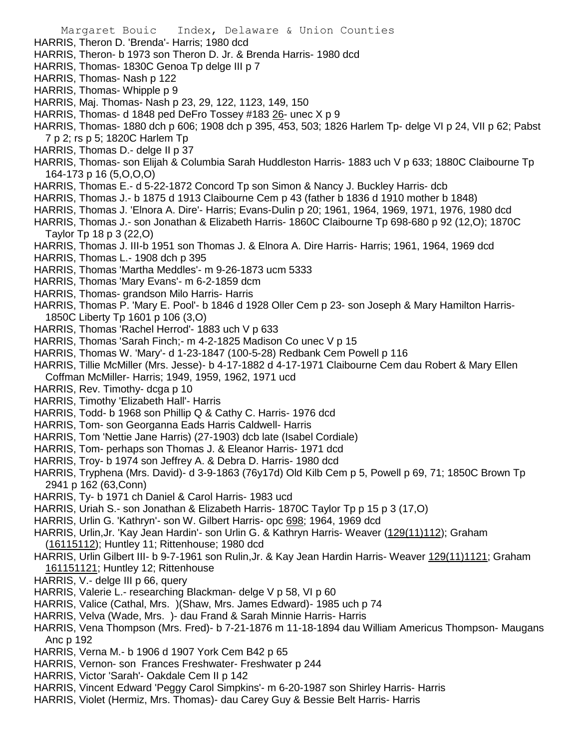- HARRIS, Theron D. 'Brenda'- Harris; 1980 dcd
- HARRIS, Theron- b 1973 son Theron D. Jr. & Brenda Harris- 1980 dcd
- HARRIS, Thomas- 1830C Genoa Tp delge III p 7
- HARRIS, Thomas- Nash p 122
- HARRIS, Thomas- Whipple p 9
- HARRIS, Maj. Thomas- Nash p 23, 29, 122, 1123, 149, 150
- HARRIS, Thomas- d 1848 ped DeFro Tossey #183 26- unec X p 9
- HARRIS, Thomas- 1880 dch p 606; 1908 dch p 395, 453, 503; 1826 Harlem Tp- delge VI p 24, VII p 62; Pabst 7 p 2; rs p 5; 1820C Harlem Tp
- HARRIS, Thomas D.- delge II p 37
- HARRIS, Thomas- son Elijah & Columbia Sarah Huddleston Harris- 1883 uch V p 633; 1880C Claibourne Tp 164-173 p 16 (5,O,O,O)
- HARRIS, Thomas E.- d 5-22-1872 Concord Tp son Simon & Nancy J. Buckley Harris- dcb
- HARRIS, Thomas J.- b 1875 d 1913 Claibourne Cem p 43 (father b 1836 d 1910 mother b 1848)
- HARRIS, Thomas J. 'Elnora A. Dire'- Harris; Evans-Dulin p 20; 1961, 1964, 1969, 1971, 1976, 1980 dcd
- HARRIS, Thomas J.- son Jonathan & Elizabeth Harris- 1860C Claibourne Tp 698-680 p 92 (12,O); 1870C Taylor Tp 18 p 3 (22,O)
- HARRIS, Thomas J. III-b 1951 son Thomas J. & Elnora A. Dire Harris- Harris; 1961, 1964, 1969 dcd
- HARRIS, Thomas L.- 1908 dch p 395
- HARRIS, Thomas 'Martha Meddles'- m 9-26-1873 ucm 5333
- HARRIS, Thomas 'Mary Evans'- m 6-2-1859 dcm
- HARRIS, Thomas- grandson Milo Harris- Harris
- HARRIS, Thomas P. 'Mary E. Pool'- b 1846 d 1928 Oller Cem p 23- son Joseph & Mary Hamilton Harris-1850C Liberty Tp 1601 p 106 (3,O)
- HARRIS, Thomas 'Rachel Herrod'- 1883 uch V p 633
- HARRIS, Thomas 'Sarah Finch;- m 4-2-1825 Madison Co unec V p 15
- HARRIS, Thomas W. 'Mary'- d 1-23-1847 (100-5-28) Redbank Cem Powell p 116
- HARRIS, Tillie McMiller (Mrs. Jesse)- b 4-17-1882 d 4-17-1971 Claibourne Cem dau Robert & Mary Ellen Coffman McMiller- Harris; 1949, 1959, 1962, 1971 ucd
- HARRIS, Rev. Timothy- dcga p 10
- HARRIS, Timothy 'Elizabeth Hall'- Harris
- HARRIS, Todd- b 1968 son Phillip Q & Cathy C. Harris- 1976 dcd
- HARRIS, Tom- son Georganna Eads Harris Caldwell- Harris
- HARRIS, Tom 'Nettie Jane Harris) (27-1903) dcb late (Isabel Cordiale)
- HARRIS, Tom- perhaps son Thomas J. & Eleanor Harris- 1971 dcd
- HARRIS, Troy- b 1974 son Jeffrey A. & Debra D. Harris- 1980 dcd
- HARRIS, Tryphena (Mrs. David)- d 3-9-1863 (76y17d) Old Kilb Cem p 5, Powell p 69, 71; 1850C Brown Tp 2941 p 162 (63,Conn)
- HARRIS, Ty- b 1971 ch Daniel & Carol Harris- 1983 ucd
- HARRIS, Uriah S.- son Jonathan & Elizabeth Harris- 1870C Taylor Tp p 15 p 3 (17,O)
- HARRIS, Urlin G. 'Kathryn'- son W. Gilbert Harris- opc 698; 1964, 1969 dcd
- HARRIS, Urlin,Jr. 'Kay Jean Hardin'- son Urlin G. & Kathryn Harris- Weaver (129(11)112); Graham (16115112); Huntley 11; Rittenhouse; 1980 dcd
- HARRIS, Urlin Gilbert III- b 9-7-1961 son Rulin,Jr. & Kay Jean Hardin Harris- Weaver 129(11)1121; Graham 161151121; Huntley 12; Rittenhouse
- HARRIS, V.- delge III p 66, query
- HARRIS, Valerie L.- researching Blackman- delge V p 58, VI p 60
- HARRIS, Valice (Cathal, Mrs. )(Shaw, Mrs. James Edward)- 1985 uch p 74
- HARRIS, Velva (Wade, Mrs. )- dau Frand & Sarah Minnie Harris- Harris
- HARRIS, Vena Thompson (Mrs. Fred)- b 7-21-1876 m 11-18-1894 dau William Americus Thompson- Maugans Anc p 192
- HARRIS, Verna M.- b 1906 d 1907 York Cem B42 p 65
- HARRIS, Vernon- son Frances Freshwater- Freshwater p 244
- HARRIS, Victor 'Sarah'- Oakdale Cem II p 142
- HARRIS, Vincent Edward 'Peggy Carol Simpkins'- m 6-20-1987 son Shirley Harris- Harris
- HARRIS, Violet (Hermiz, Mrs. Thomas)- dau Carey Guy & Bessie Belt Harris- Harris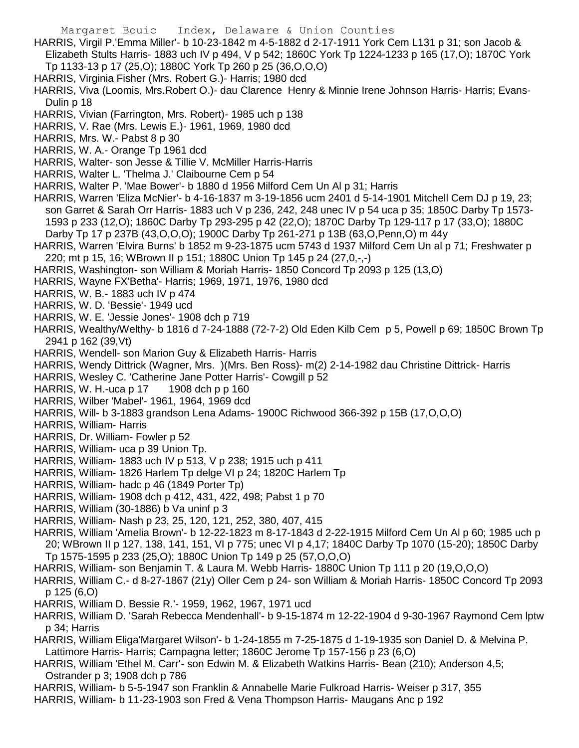HARRIS, Virgil P.'Emma Miller'- b 10-23-1842 m 4-5-1882 d 2-17-1911 York Cem L131 p 31; son Jacob & Elizabeth Stults Harris- 1883 uch IV p 494, V p 542; 1860C York Tp 1224-1233 p 165 (17,O); 1870C York Tp 1133-13 p 17 (25,O); 1880C York Tp 260 p 25 (36,O,O,O)

- HARRIS, Virginia Fisher (Mrs. Robert G.)- Harris; 1980 dcd
- HARRIS, Viva (Loomis, Mrs.Robert O.)- dau Clarence Henry & Minnie Irene Johnson Harris- Harris; Evans-Dulin p 18
- HARRIS, Vivian (Farrington, Mrs. Robert)- 1985 uch p 138
- HARRIS, V. Rae (Mrs. Lewis E.)- 1961, 1969, 1980 dcd
- HARRIS, Mrs. W.- Pabst 8 p 30
- HARRIS, W. A.- Orange Tp 1961 dcd
- HARRIS, Walter- son Jesse & Tillie V. McMiller Harris-Harris
- HARRIS, Walter L. 'Thelma J.' Claibourne Cem p 54
- HARRIS, Walter P. 'Mae Bower'- b 1880 d 1956 Milford Cem Un Al p 31; Harris
- HARRIS, Warren 'Eliza McNier'- b 4-16-1837 m 3-19-1856 ucm 2401 d 5-14-1901 Mitchell Cem DJ p 19, 23; son Garret & Sarah Orr Harris- 1883 uch V p 236, 242, 248 unec IV p 54 uca p 35; 1850C Darby Tp 1573- 1593 p 233 (12,O); 1860C Darby Tp 293-295 p 42 (22,O); 1870C Darby Tp 129-117 p 17 (33,O); 1880C Darby Tp 17 p 237B (43,O,O,O); 1900C Darby Tp 261-271 p 13B (63,O,Penn,O) m 44y
- HARRIS, Warren 'Elvira Burns' b 1852 m 9-23-1875 ucm 5743 d 1937 Milford Cem Un al p 71; Freshwater p 220; mt p 15, 16; WBrown II p 151; 1880C Union Tp 145 p 24 (27,0,-,-)
- HARRIS, Washington- son William & Moriah Harris- 1850 Concord Tp 2093 p 125 (13,O)
- HARRIS, Wayne FX'Betha'- Harris; 1969, 1971, 1976, 1980 dcd
- HARRIS, W. B.- 1883 uch IV p 474
- HARRIS, W. D. 'Bessie'- 1949 ucd
- HARRIS, W. E. 'Jessie Jones'- 1908 dch p 719
- HARRIS, Wealthy/Welthy- b 1816 d 7-24-1888 (72-7-2) Old Eden Kilb Cem p 5, Powell p 69; 1850C Brown Tp 2941 p 162 (39,Vt)
- HARRIS, Wendell- son Marion Guy & Elizabeth Harris- Harris
- HARRIS, Wendy Dittrick (Wagner, Mrs. )(Mrs. Ben Ross)- m(2) 2-14-1982 dau Christine Dittrick- Harris
- HARRIS, Wesley C. 'Catherine Jane Potter Harris'- Cowgill p 52
- HARRIS, W. H.-uca p 17 1908 dch p p 160
- HARRIS, Wilber 'Mabel'- 1961, 1964, 1969 dcd
- HARRIS, Will- b 3-1883 grandson Lena Adams- 1900C Richwood 366-392 p 15B (17,O,O,O)
- HARRIS, William- Harris
- HARRIS, Dr. William- Fowler p 52
- HARRIS, William- uca p 39 Union Tp.
- HARRIS, William- 1883 uch IV p 513, V p 238; 1915 uch p 411
- HARRIS, William- 1826 Harlem Tp delge VI p 24; 1820C Harlem Tp
- HARRIS, William- hadc p 46 (1849 Porter Tp)
- HARRIS, William- 1908 dch p 412, 431, 422, 498; Pabst 1 p 70
- HARRIS, William (30-1886) b Va uninf p 3
- HARRIS, William- Nash p 23, 25, 120, 121, 252, 380, 407, 415
- HARRIS, William 'Amelia Brown'- b 12-22-1823 m 8-17-1843 d 2-22-1915 Milford Cem Un Al p 60; 1985 uch p 20; WBrown II p 127, 138, 141, 151, VI p 775; unec VI p 4,17; 1840C Darby Tp 1070 (15-20); 1850C Darby Tp 1575-1595 p 233 (25,O); 1880C Union Tp 149 p 25 (57,O,O,O)
- HARRIS, William- son Benjamin T. & Laura M. Webb Harris- 1880C Union Tp 111 p 20 (19,O,O,O)
- HARRIS, William C.- d 8-27-1867 (21y) Oller Cem p 24- son William & Moriah Harris- 1850C Concord Tp 2093 p 125 (6,O)
- HARRIS, William D. Bessie R.'- 1959, 1962, 1967, 1971 ucd
- HARRIS, William D. 'Sarah Rebecca Mendenhall'- b 9-15-1874 m 12-22-1904 d 9-30-1967 Raymond Cem lptw p 34; Harris
- HARRIS, William Eliga'Margaret Wilson'- b 1-24-1855 m 7-25-1875 d 1-19-1935 son Daniel D. & Melvina P. Lattimore Harris- Harris; Campagna letter; 1860C Jerome Tp 157-156 p 23 (6,O)
- HARRIS, William 'Ethel M. Carr'- son Edwin M. & Elizabeth Watkins Harris- Bean (210); Anderson 4,5; Ostrander p 3; 1908 dch p 786
- HARRIS, William- b 5-5-1947 son Franklin & Annabelle Marie Fulkroad Harris- Weiser p 317, 355
- HARRIS, William- b 11-23-1903 son Fred & Vena Thompson Harris- Maugans Anc p 192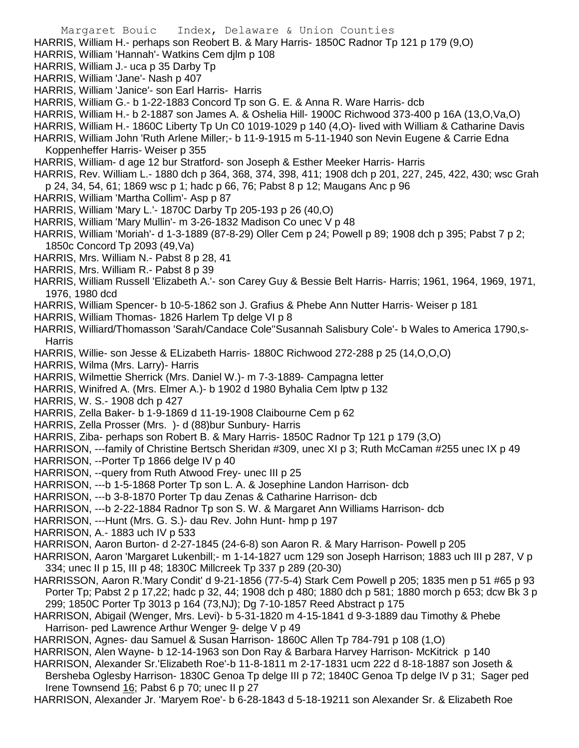HARRIS, William H.- perhaps son Reobert B. & Mary Harris- 1850C Radnor Tp 121 p 179 (9,O)

HARRIS, William 'Hannah'- Watkins Cem djlm p 108

HARRIS, William J.- uca p 35 Darby Tp

- HARRIS, William 'Jane'- Nash p 407
- HARRIS, William 'Janice'- son Earl Harris- Harris
- HARRIS, William G.- b 1-22-1883 Concord Tp son G. E. & Anna R. Ware Harris- dcb

HARRIS, William H.- b 2-1887 son James A. & Oshelia Hill- 1900C Richwood 373-400 p 16A (13,O,Va,O)

- HARRIS, William H.- 1860C Liberty Tp Un C0 1019-1029 p 140 (4,O)- lived with William & Catharine Davis
- HARRIS, William John 'Ruth Arlene Miller;- b 11-9-1915 m 5-11-1940 son Nevin Eugene & Carrie Edna Koppenheffer Harris- Weiser p 355
- HARRIS, William- d age 12 bur Stratford- son Joseph & Esther Meeker Harris- Harris
- HARRIS, Rev. William L.- 1880 dch p 364, 368, 374, 398, 411; 1908 dch p 201, 227, 245, 422, 430; wsc Grah p 24, 34, 54, 61; 1869 wsc p 1; hadc p 66, 76; Pabst 8 p 12; Maugans Anc p 96
- HARRIS, William 'Martha Collim'- Asp p 87
- HARRIS, William 'Mary L.'- 1870C Darby Tp 205-193 p 26 (40,O)
- HARRIS, William 'Mary Mullin'- m 3-26-1832 Madison Co unec V p 48
- HARRIS, William 'Moriah'- d 1-3-1889 (87-8-29) Oller Cem p 24; Powell p 89; 1908 dch p 395; Pabst 7 p 2; 1850c Concord Tp 2093 (49,Va)
- HARRIS, Mrs. William N.- Pabst 8 p 28, 41
- HARRIS, Mrs. William R.- Pabst 8 p 39
- HARRIS, William Russell 'Elizabeth A.'- son Carey Guy & Bessie Belt Harris- Harris; 1961, 1964, 1969, 1971, 1976, 1980 dcd
- HARRIS, William Spencer- b 10-5-1862 son J. Grafius & Phebe Ann Nutter Harris- Weiser p 181
- HARRIS, William Thomas- 1826 Harlem Tp delge VI p 8
- HARRIS, Williard/Thomasson 'Sarah/Candace Cole''Susannah Salisbury Cole'- b Wales to America 1790,s-**Harris**
- HARRIS, Willie- son Jesse & ELizabeth Harris- 1880C Richwood 272-288 p 25 (14,O,O,O)
- HARRIS, Wilma (Mrs. Larry)- Harris
- HARRIS, Wilmettie Sherrick (Mrs. Daniel W.)- m 7-3-1889- Campagna letter
- HARRIS, Winifred A. (Mrs. Elmer A.)- b 1902 d 1980 Byhalia Cem lptw p 132
- HARRIS, W. S.- 1908 dch p 427
- HARRIS, Zella Baker- b 1-9-1869 d 11-19-1908 Claibourne Cem p 62
- HARRIS, Zella Prosser (Mrs. )- d (88)bur Sunbury- Harris
- HARRIS, Ziba- perhaps son Robert B. & Mary Harris- 1850C Radnor Tp 121 p 179 (3,O)
- HARRISON, ---family of Christine Bertsch Sheridan #309, unec XI p 3; Ruth McCaman #255 unec IX p 49
- HARRISON, --Porter Tp 1866 delge IV p 40
- HARRISON, --query from Ruth Atwood Frey- unec III p 25
- HARRISON, ---b 1-5-1868 Porter Tp son L. A. & Josephine Landon Harrison- dcb
- HARRISON, ---b 3-8-1870 Porter Tp dau Zenas & Catharine Harrison- dcb
- HARRISON, ---b 2-22-1884 Radnor Tp son S. W. & Margaret Ann Williams Harrison- dcb
- HARRISON, ---Hunt (Mrs. G. S.)- dau Rev. John Hunt- hmp p 197
- HARRISON, A.- 1883 uch IV p 533
- HARRISON, Aaron Burton- d 2-27-1845 (24-6-8) son Aaron R. & Mary Harrison- Powell p 205
- HARRISON, Aaron 'Margaret Lukenbill;- m 1-14-1827 ucm 129 son Joseph Harrison; 1883 uch III p 287, V p 334; unec II p 15, III p 48; 1830C Millcreek Tp 337 p 289 (20-30)
- HARRISSON, Aaron R.'Mary Condit' d 9-21-1856 (77-5-4) Stark Cem Powell p 205; 1835 men p 51 #65 p 93 Porter Tp; Pabst 2 p 17,22; hadc p 32, 44; 1908 dch p 480; 1880 dch p 581; 1880 morch p 653; dcw Bk 3 p 299; 1850C Porter Tp 3013 p 164 (73,NJ); Dg 7-10-1857 Reed Abstract p 175
- HARRISON, Abigail (Wenger, Mrs. Levi)- b 5-31-1820 m 4-15-1841 d 9-3-1889 dau Timothy & Phebe Harrison- ped Lawrence Arthur Wenger 9- delge V p 49
- HARRISON, Agnes- dau Samuel & Susan Harrison- 1860C Allen Tp 784-791 p 108 (1,O)
- HARRISON, Alen Wayne- b 12-14-1963 son Don Ray & Barbara Harvey Harrison- McKitrick p 140
- HARRISON, Alexander Sr.'Elizabeth Roe'-b 11-8-1811 m 2-17-1831 ucm 222 d 8-18-1887 son Joseth & Bersheba Oglesby Harrison- 1830C Genoa Tp delge III p 72; 1840C Genoa Tp delge IV p 31; Sager ped
- Irene Townsend 16; Pabst 6 p 70; unec II p 27
- HARRISON, Alexander Jr. 'Maryem Roe'- b 6-28-1843 d 5-18-19211 son Alexander Sr. & Elizabeth Roe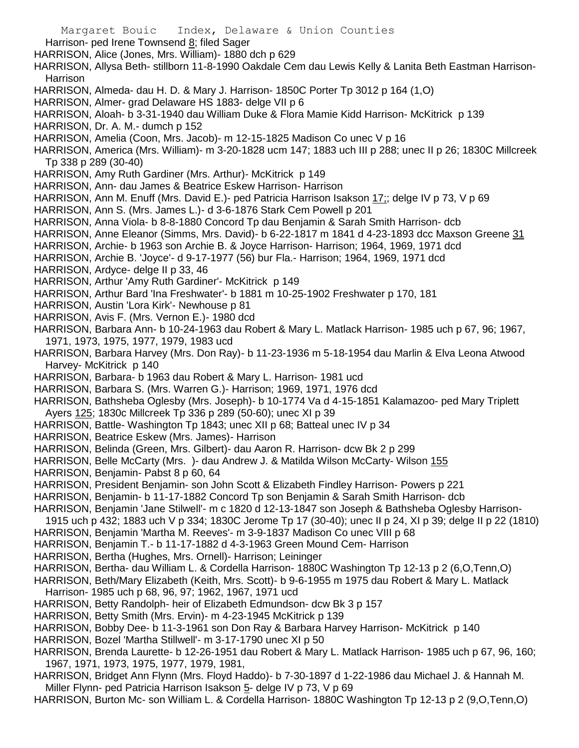Margaret Bouic Index, Delaware & Union Counties Harrison- ped Irene Townsend 8; filed Sager HARRISON, Alice (Jones, Mrs. William)- 1880 dch p 629 HARRISON, Allysa Beth- stillborn 11-8-1990 Oakdale Cem dau Lewis Kelly & Lanita Beth Eastman Harrison-Harrison HARRISON, Almeda- dau H. D. & Mary J. Harrison- 1850C Porter Tp 3012 p 164 (1,O) HARRISON, Almer- grad Delaware HS 1883- delge VII p 6 HARRISON, Aloah- b 3-31-1940 dau William Duke & Flora Mamie Kidd Harrison- McKitrick p 139 HARRISON, Dr. A. M.- dumch p 152 HARRISON, Amelia (Coon, Mrs. Jacob)- m 12-15-1825 Madison Co unec V p 16 HARRISON, America (Mrs. William)- m 3-20-1828 ucm 147; 1883 uch III p 288; unec II p 26; 1830C Millcreek Tp 338 p 289 (30-40) HARRISON, Amy Ruth Gardiner (Mrs. Arthur)- McKitrick p 149 HARRISON, Ann- dau James & Beatrice Eskew Harrison- Harrison HARRISON, Ann M. Enuff (Mrs. David E.)- ped Patricia Harrison Isakson 17;; delge IV p 73, V p 69 HARRISON, Ann S. (Mrs. James L.)- d 3-6-1876 Stark Cem Powell p 201 HARRISON, Anna Viola- b 8-8-1880 Concord Tp dau Benjamin & Sarah Smith Harrison- dcb HARRISON, Anne Eleanor (Simms, Mrs. David)- b 6-22-1817 m 1841 d 4-23-1893 dcc Maxson Greene 31 HARRISON, Archie- b 1963 son Archie B. & Joyce Harrison- Harrison; 1964, 1969, 1971 dcd HARRISON, Archie B. 'Joyce'- d 9-17-1977 (56) bur Fla.- Harrison; 1964, 1969, 1971 dcd HARRISON, Ardyce- delge II p 33, 46 HARRISON, Arthur 'Amy Ruth Gardiner'- McKitrick p 149 HARRISON, Arthur Bard 'Ina Freshwater'- b 1881 m 10-25-1902 Freshwater p 170, 181 HARRISON, Austin 'Lora Kirk'- Newhouse p 81 HARRISON, Avis F. (Mrs. Vernon E.)- 1980 dcd HARRISON, Barbara Ann- b 10-24-1963 dau Robert & Mary L. Matlack Harrison- 1985 uch p 67, 96; 1967, 1971, 1973, 1975, 1977, 1979, 1983 ucd HARRISON, Barbara Harvey (Mrs. Don Ray)- b 11-23-1936 m 5-18-1954 dau Marlin & Elva Leona Atwood Harvey- McKitrick p 140 HARRISON, Barbara- b 1963 dau Robert & Mary L. Harrison- 1981 ucd HARRISON, Barbara S. (Mrs. Warren G.)- Harrison; 1969, 1971, 1976 dcd HARRISON, Bathsheba Oglesby (Mrs. Joseph)- b 10-1774 Va d 4-15-1851 Kalamazoo- ped Mary Triplett Ayers 125; 1830c Millcreek Tp 336 p 289 (50-60); unec XI p 39 HARRISON, Battle- Washington Tp 1843; unec XII p 68; Batteal unec IV p 34 HARRISON, Beatrice Eskew (Mrs. James)- Harrison HARRISON, Belinda (Green, Mrs. Gilbert)- dau Aaron R. Harrison- dcw Bk 2 p 299 HARRISON, Belle McCarty (Mrs. )- dau Andrew J. & Matilda Wilson McCarty- Wilson 155 HARRISON, Benjamin- Pabst 8 p 60, 64 HARRISON, President Benjamin- son John Scott & Elizabeth Findley Harrison- Powers p 221 HARRISON, Benjamin- b 11-17-1882 Concord Tp son Benjamin & Sarah Smith Harrison- dcb HARRISON, Benjamin 'Jane Stilwell'- m c 1820 d 12-13-1847 son Joseph & Bathsheba Oglesby Harrison-1915 uch p 432; 1883 uch V p 334; 1830C Jerome Tp 17 (30-40); unec II p 24, XI p 39; delge II p 22 (1810) HARRISON, Benjamin 'Martha M. Reeves'- m 3-9-1837 Madison Co unec VIII p 68 HARRISON, Benjamin T.- b 11-17-1882 d 4-3-1963 Green Mound Cem- Harrison HARRISON, Bertha (Hughes, Mrs. Ornell)- Harrison; Leininger HARRISON, Bertha- dau William L. & Cordella Harrison- 1880C Washington Tp 12-13 p 2 (6,O,Tenn,O) HARRISON, Beth/Mary Elizabeth (Keith, Mrs. Scott)- b 9-6-1955 m 1975 dau Robert & Mary L. Matlack Harrison- 1985 uch p 68, 96, 97; 1962, 1967, 1971 ucd HARRISON, Betty Randolph- heir of Elizabeth Edmundson- dcw Bk 3 p 157 HARRISON, Betty Smith (Mrs. Ervin)- m 4-23-1945 McKitrick p 139 HARRISON, Bobby Dee- b 11-3-1961 son Don Ray & Barbara Harvey Harrison- McKitrick p 140 HARRISON, Bozel 'Martha Stillwell'- m 3-17-1790 unec XI p 50 HARRISON, Brenda Laurette- b 12-26-1951 dau Robert & Mary L. Matlack Harrison- 1985 uch p 67, 96, 160; 1967, 1971, 1973, 1975, 1977, 1979, 1981, HARRISON, Bridget Ann Flynn (Mrs. Floyd Haddo)- b 7-30-1897 d 1-22-1986 dau Michael J. & Hannah M. Miller Flynn- ped Patricia Harrison Isakson 5- delge IV p 73, V p 69 HARRISON, Burton Mc- son William L. & Cordella Harrison- 1880C Washington Tp 12-13 p 2 (9,O,Tenn,O)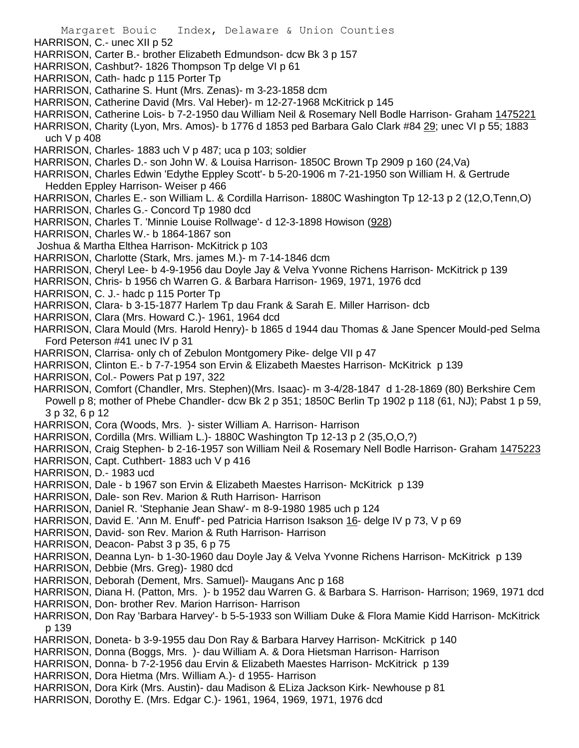- Margaret Bouic Index, Delaware & Union Counties HARRISON, C.- unec XII p 52 HARRISON, Carter B.- brother Elizabeth Edmundson- dcw Bk 3 p 157 HARRISON, Cashbut?- 1826 Thompson Tp delge VI p 61 HARRISON, Cath- hadc p 115 Porter Tp HARRISON, Catharine S. Hunt (Mrs. Zenas)- m 3-23-1858 dcm HARRISON, Catherine David (Mrs. Val Heber)- m 12-27-1968 McKitrick p 145 HARRISON, Catherine Lois- b 7-2-1950 dau William Neil & Rosemary Nell Bodle Harrison- Graham 1475221 HARRISON, Charity (Lyon, Mrs. Amos)- b 1776 d 1853 ped Barbara Galo Clark #84 29; unec VI p 55; 1883 uch V p 408 HARRISON, Charles- 1883 uch V p 487; uca p 103; soldier HARRISON, Charles D.- son John W. & Louisa Harrison- 1850C Brown Tp 2909 p 160 (24,Va) HARRISON, Charles Edwin 'Edythe Eppley Scott'- b 5-20-1906 m 7-21-1950 son William H. & Gertrude Hedden Eppley Harrison- Weiser p 466 HARRISON, Charles E.- son William L. & Cordilla Harrison- 1880C Washington Tp 12-13 p 2 (12,O,Tenn,O) HARRISON, Charles G.- Concord Tp 1980 dcd HARRISON, Charles T. 'Minnie Louise Rollwage'- d 12-3-1898 Howison (928) HARRISON, Charles W.- b 1864-1867 son Joshua & Martha Elthea Harrison- McKitrick p 103 HARRISON, Charlotte (Stark, Mrs. james M.)- m 7-14-1846 dcm HARRISON, Cheryl Lee- b 4-9-1956 dau Doyle Jay & Velva Yvonne Richens Harrison- McKitrick p 139 HARRISON, Chris- b 1956 ch Warren G. & Barbara Harrison- 1969, 1971, 1976 dcd HARRISON, C. J.- hadc p 115 Porter Tp HARRISON, Clara- b 3-15-1877 Harlem Tp dau Frank & Sarah E. Miller Harrison- dcb HARRISON, Clara (Mrs. Howard C.)- 1961, 1964 dcd HARRISON, Clara Mould (Mrs. Harold Henry)- b 1865 d 1944 dau Thomas & Jane Spencer Mould-ped Selma Ford Peterson #41 unec IV p 31 HARRISON, Clarrisa- only ch of Zebulon Montgomery Pike- delge VII p 47 HARRISON, Clinton E.- b 7-7-1954 son Ervin & Elizabeth Maestes Harrison- McKitrick p 139 HARRISON, Col.- Powers Pat p 197, 322 HARRISON, Comfort (Chandler, Mrs. Stephen)(Mrs. Isaac)- m 3-4/28-1847 d 1-28-1869 (80) Berkshire Cem Powell p 8; mother of Phebe Chandler- dcw Bk 2 p 351; 1850C Berlin Tp 1902 p 118 (61, NJ); Pabst 1 p 59, 3 p 32, 6 p 12 HARRISON, Cora (Woods, Mrs. )- sister William A. Harrison- Harrison HARRISON, Cordilla (Mrs. William L.)- 1880C Washington Tp 12-13 p 2 (35,O,O,?) HARRISON, Craig Stephen- b 2-16-1957 son William Neil & Rosemary Nell Bodle Harrison- Graham 1475223 HARRISON, Capt. Cuthbert- 1883 uch V p 416 HARRISON, D.- 1983 ucd HARRISON, Dale - b 1967 son Ervin & Elizabeth Maestes Harrison- McKitrick p 139 HARRISON, Dale- son Rev. Marion & Ruth Harrison- Harrison HARRISON, Daniel R. 'Stephanie Jean Shaw'- m 8-9-1980 1985 uch p 124 HARRISON, David E. 'Ann M. Enuff'- ped Patricia Harrison Isakson 16- delge IV p 73, V p 69 HARRISON, David- son Rev. Marion & Ruth Harrison- Harrison HARRISON, Deacon- Pabst 3 p 35, 6 p 75 HARRISON, Deanna Lyn- b 1-30-1960 dau Doyle Jay & Velva Yvonne Richens Harrison- McKitrick p 139 HARRISON, Debbie (Mrs. Greg)- 1980 dcd HARRISON, Deborah (Dement, Mrs. Samuel)- Maugans Anc p 168 HARRISON, Diana H. (Patton, Mrs. )- b 1952 dau Warren G. & Barbara S. Harrison- Harrison; 1969, 1971 dcd HARRISON, Don- brother Rev. Marion Harrison- Harrison HARRISON, Don Ray 'Barbara Harvey'- b 5-5-1933 son William Duke & Flora Mamie Kidd Harrison- McKitrick p 139 HARRISON, Doneta- b 3-9-1955 dau Don Ray & Barbara Harvey Harrison- McKitrick p 140 HARRISON, Donna (Boggs, Mrs. )- dau William A. & Dora Hietsman Harrison- Harrison HARRISON, Donna- b 7-2-1956 dau Ervin & Elizabeth Maestes Harrison- McKitrick p 139
- HARRISON, Dora Hietma (Mrs. William A.)- d 1955- Harrison
- HARRISON, Dora Kirk (Mrs. Austin)- dau Madison & ELiza Jackson Kirk- Newhouse p 81
- HARRISON, Dorothy E. (Mrs. Edgar C.)- 1961, 1964, 1969, 1971, 1976 dcd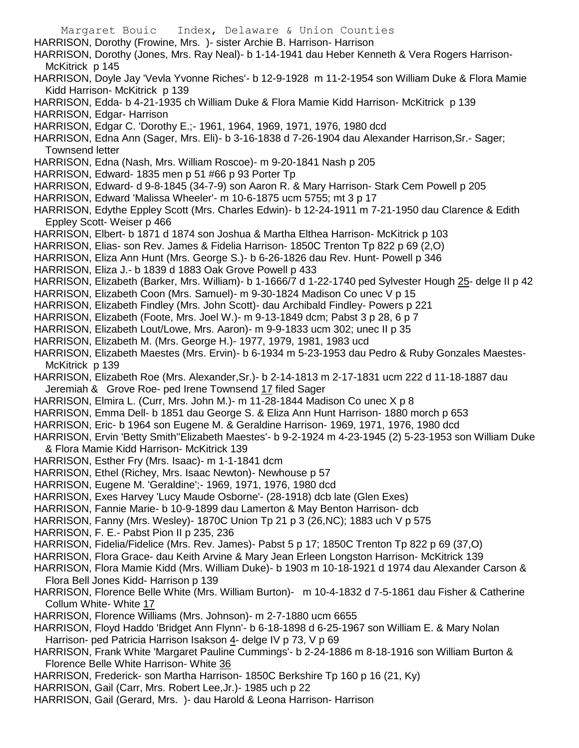- Margaret Bouic Index, Delaware & Union Counties HARRISON, Dorothy (Frowine, Mrs. )- sister Archie B. Harrison- Harrison HARRISON, Dorothy (Jones, Mrs. Ray Neal)- b 1-14-1941 dau Heber Kenneth & Vera Rogers Harrison-McKitrick p 145 HARRISON, Doyle Jay 'Vevla Yvonne Riches'- b 12-9-1928 m 11-2-1954 son William Duke & Flora Mamie Kidd Harrison- McKitrick p 139 HARRISON, Edda- b 4-21-1935 ch William Duke & Flora Mamie Kidd Harrison- McKitrick p 139 HARRISON, Edgar- Harrison HARRISON, Edgar C. 'Dorothy E.;- 1961, 1964, 1969, 1971, 1976, 1980 dcd HARRISON, Edna Ann (Sager, Mrs. Eli)- b 3-16-1838 d 7-26-1904 dau Alexander Harrison,Sr.- Sager; Townsend letter HARRISON, Edna (Nash, Mrs. William Roscoe)- m 9-20-1841 Nash p 205 HARRISON, Edward- 1835 men p 51 #66 p 93 Porter Tp HARRISON, Edward- d 9-8-1845 (34-7-9) son Aaron R. & Mary Harrison- Stark Cem Powell p 205 HARRISON, Edward 'Malissa Wheeler'- m 10-6-1875 ucm 5755; mt 3 p 17 HARRISON, Edythe Eppley Scott (Mrs. Charles Edwin)- b 12-24-1911 m 7-21-1950 dau Clarence & Edith Eppley Scott- Weiser p 466 HARRISON, Elbert- b 1871 d 1874 son Joshua & Martha Elthea Harrison- McKitrick p 103 HARRISON, Elias- son Rev. James & Fidelia Harrison- 1850C Trenton Tp 822 p 69 (2,O) HARRISON, Eliza Ann Hunt (Mrs. George S.)- b 6-26-1826 dau Rev. Hunt- Powell p 346 HARRISON, Eliza J.- b 1839 d 1883 Oak Grove Powell p 433 HARRISON, Elizabeth (Barker, Mrs. William)- b 1-1666/7 d 1-22-1740 ped Sylvester Hough 25- delge II p 42 HARRISON, Elizabeth Coon (Mrs. Samuel)- m 9-30-1824 Madison Co unec V p 15 HARRISON, Elizabeth Findley (Mrs. John Scott)- dau Archibald Findley- Powers p 221 HARRISON, Elizabeth (Foote, Mrs. Joel W.)- m 9-13-1849 dcm; Pabst 3 p 28, 6 p 7 HARRISON, Elizabeth Lout/Lowe, Mrs. Aaron)- m 9-9-1833 ucm 302; unec II p 35 HARRISON, Elizabeth M. (Mrs. George H.)- 1977, 1979, 1981, 1983 ucd HARRISON, Elizabeth Maestes (Mrs. Ervin)- b 6-1934 m 5-23-1953 dau Pedro & Ruby Gonzales Maestes-McKitrick p 139 HARRISON, Elizabeth Roe (Mrs. Alexander,Sr.)- b 2-14-1813 m 2-17-1831 ucm 222 d 11-18-1887 dau Jeremiah & Grove Roe- ped Irene Townsend 17 filed Sager HARRISON, Elmira L. (Curr, Mrs. John M.)- m 11-28-1844 Madison Co unec X p 8 HARRISON, Emma Dell- b 1851 dau George S. & Eliza Ann Hunt Harrison- 1880 morch p 653 HARRISON, Eric- b 1964 son Eugene M. & Geraldine Harrison- 1969, 1971, 1976, 1980 dcd HARRISON, Ervin 'Betty Smith''Elizabeth Maestes'- b 9-2-1924 m 4-23-1945 (2) 5-23-1953 son William Duke & Flora Mamie Kidd Harrison- McKitrick 139 HARRISON, Esther Fry (Mrs. Isaac)- m 1-1-1841 dcm HARRISON, Ethel (Richey, Mrs. Isaac Newton)- Newhouse p 57 HARRISON, Eugene M. 'Geraldine';- 1969, 1971, 1976, 1980 dcd HARRISON, Exes Harvey 'Lucy Maude Osborne'- (28-1918) dcb late (Glen Exes) HARRISON, Fannie Marie- b 10-9-1899 dau Lamerton & May Benton Harrison- dcb HARRISON, Fanny (Mrs. Wesley)- 1870C Union Tp 21 p 3 (26,NC); 1883 uch V p 575 HARRISON, F. E.- Pabst Pion II p 235, 236 HARRISON, Fidelia/Fidelice (Mrs. Rev. James)- Pabst 5 p 17; 1850C Trenton Tp 822 p 69 (37,O) HARRISON, Flora Grace- dau Keith Arvine & Mary Jean Erleen Longston Harrison- McKitrick 139 HARRISON, Flora Mamie Kidd (Mrs. William Duke)- b 1903 m 10-18-1921 d 1974 dau Alexander Carson & Flora Bell Jones Kidd- Harrison p 139 HARRISON, Florence Belle White (Mrs. William Burton)- m 10-4-1832 d 7-5-1861 dau Fisher & Catherine Collum White- White 17 HARRISON, Florence Williams (Mrs. Johnson)- m 2-7-1880 ucm 6655 HARRISON, Floyd Haddo 'Bridget Ann Flynn'- b 6-18-1898 d 6-25-1967 son William E. & Mary Nolan Harrison- ped Patricia Harrison Isakson 4- delge IV p 73, V p 69
- HARRISON, Frank White 'Margaret Pauline Cummings'- b 2-24-1886 m 8-18-1916 son William Burton & Florence Belle White Harrison- White 36
- HARRISON, Frederick- son Martha Harrison- 1850C Berkshire Tp 160 p 16 (21, Ky)
- HARRISON, Gail (Carr, Mrs. Robert Lee,Jr.)- 1985 uch p 22
- HARRISON, Gail (Gerard, Mrs. )- dau Harold & Leona Harrison- Harrison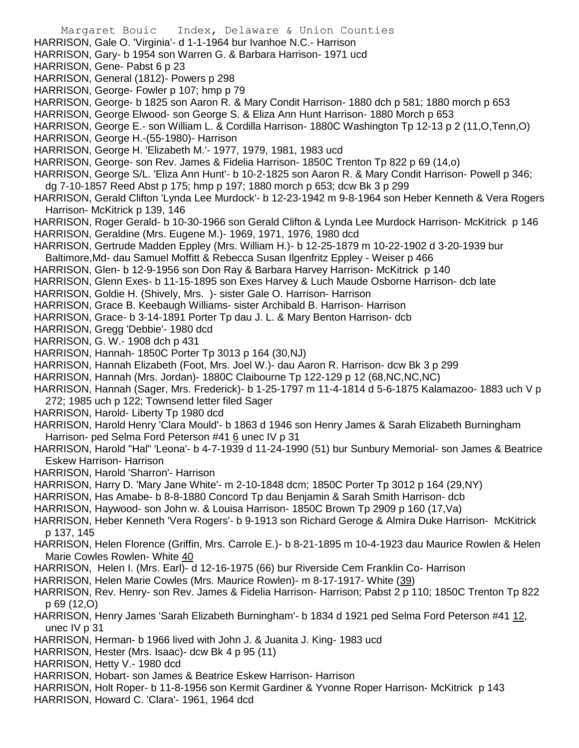Margaret Bouic Index, Delaware & Union Counties HARRISON, Gale O. 'Virginia'- d 1-1-1964 bur Ivanhoe N.C.- Harrison HARRISON, Gary- b 1954 son Warren G. & Barbara Harrison- 1971 ucd HARRISON, Gene- Pabst 6 p 23 HARRISON, General (1812)- Powers p 298 HARRISON, George- Fowler p 107; hmp p 79 HARRISON, George- b 1825 son Aaron R. & Mary Condit Harrison- 1880 dch p 581; 1880 morch p 653 HARRISON, George Elwood- son George S. & Eliza Ann Hunt Harrison- 1880 Morch p 653 HARRISON, George E.- son William L. & Cordilla Harrison- 1880C Washington Tp 12-13 p 2 (11,O,Tenn,O) HARRISON, George H.-(55-1980)- Harrison HARRISON, George H. 'Elizabeth M.'- 1977, 1979, 1981, 1983 ucd HARRISON, George- son Rev. James & Fidelia Harrison- 1850C Trenton Tp 822 p 69 (14,o) HARRISON, George S/L. 'Eliza Ann Hunt'- b 10-2-1825 son Aaron R. & Mary Condit Harrison- Powell p 346; dg 7-10-1857 Reed Abst p 175; hmp p 197; 1880 morch p 653; dcw Bk 3 p 299 HARRISON, Gerald Clifton 'Lynda Lee Murdock'- b 12-23-1942 m 9-8-1964 son Heber Kenneth & Vera Rogers Harrison- McKitrick p 139, 146 HARRISON, Roger Gerald- b 10-30-1966 son Gerald Clifton & Lynda Lee Murdock Harrison- McKitrick p 146 HARRISON, Geraldine (Mrs. Eugene M.)- 1969, 1971, 1976, 1980 dcd HARRISON, Gertrude Madden Eppley (Mrs. William H.)- b 12-25-1879 m 10-22-1902 d 3-20-1939 bur Baltimore,Md- dau Samuel Moffitt & Rebecca Susan Ilgenfritz Eppley - Weiser p 466 HARRISON, Glen- b 12-9-1956 son Don Ray & Barbara Harvey Harrison- McKitrick p 140 HARRISON, Glenn Exes- b 11-15-1895 son Exes Harvey & Luch Maude Osborne Harrison- dcb late HARRISON, Goldie H. (Shively, Mrs. )- sister Gale O. Harrison- Harrison HARRISON, Grace B. Keebaugh Williams- sister Archibald B. Harrison- Harrison HARRISON, Grace- b 3-14-1891 Porter Tp dau J. L. & Mary Benton Harrison- dcb HARRISON, Gregg 'Debbie'- 1980 dcd HARRISON, G. W.- 1908 dch p 431 HARRISON, Hannah- 1850C Porter Tp 3013 p 164 (30,NJ) HARRISON, Hannah Elizabeth (Foot, Mrs. Joel W.)- dau Aaron R. Harrison- dcw Bk 3 p 299 HARRISON, Hannah (Mrs. Jordan)- 1880C Claibourne Tp 122-129 p 12 (68,NC,NC,NC) HARRISON, Hannah (Sager, Mrs. Frederick)- b 1-25-1797 m 11-4-1814 d 5-6-1875 Kalamazoo- 1883 uch V p 272; 1985 uch p 122; Townsend letter filed Sager HARRISON, Harold- Liberty Tp 1980 dcd HARRISON, Harold Henry 'Clara Mould'- b 1863 d 1946 son Henry James & Sarah Elizabeth Burningham Harrison- ped Selma Ford Peterson #41 6 unec IV p 31 HARRISON, Harold "Hal" 'Leona'- b 4-7-1939 d 11-24-1990 (51) bur Sunbury Memorial- son James & Beatrice Eskew Harrison- Harrison HARRISON, Harold 'Sharron'- Harrison HARRISON, Harry D. 'Mary Jane White'- m 2-10-1848 dcm; 1850C Porter Tp 3012 p 164 (29,NY) HARRISON, Has Amabe- b 8-8-1880 Concord Tp dau Benjamin & Sarah Smith Harrison- dcb HARRISON, Haywood- son John w. & Louisa Harrison- 1850C Brown Tp 2909 p 160 (17,Va) HARRISON, Heber Kenneth 'Vera Rogers'- b 9-1913 son Richard Geroge & Almira Duke Harrison- McKitrick p 137, 145 HARRISON, Helen Florence (Griffin, Mrs. Carrole E.)- b 8-21-1895 m 10-4-1923 dau Maurice Rowlen & Helen Marie Cowles Rowlen- White 40 HARRISON, Helen I. (Mrs. Earl)- d 12-16-1975 (66) bur Riverside Cem Franklin Co- Harrison HARRISON, Helen Marie Cowles (Mrs. Maurice Rowlen)- m 8-17-1917- White (39) HARRISON, Rev. Henry- son Rev. James & Fidelia Harrison- Harrison; Pabst 2 p 110; 1850C Trenton Tp 822 p 69 (12,O) HARRISON, Henry James 'Sarah Elizabeth Burningham'- b 1834 d 1921 ped Selma Ford Peterson #41 12, unec IV p 31 HARRISON, Herman- b 1966 lived with John J. & Juanita J. King- 1983 ucd HARRISON, Hester (Mrs. Isaac)- dcw Bk 4 p 95 (11)

HARRISON, Hetty V.- 1980 dcd

HARRISON, Hobart- son James & Beatrice Eskew Harrison- Harrison

HARRISON, Holt Roper- b 11-8-1956 son Kermit Gardiner & Yvonne Roper Harrison- McKitrick p 143

HARRISON, Howard C. 'Clara'- 1961, 1964 dcd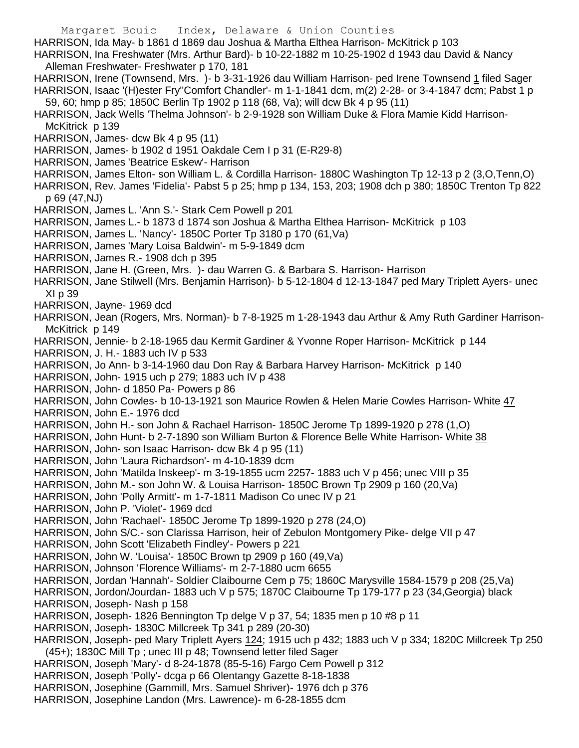Margaret Bouic Index, Delaware & Union Counties HARRISON, Ida May- b 1861 d 1869 dau Joshua & Martha Elthea Harrison- McKitrick p 103 HARRISON, Ina Freshwater (Mrs. Arthur Bard)- b 10-22-1882 m 10-25-1902 d 1943 dau David & Nancy Alleman Freshwater- Freshwater p 170, 181 HARRISON, Irene (Townsend, Mrs. )- b 3-31-1926 dau William Harrison- ped Irene Townsend 1 filed Sager HARRISON, Isaac '(H)ester Fry "Comfort Chandler'- m 1-1-1841 dcm, m(2) 2-28- or 3-4-1847 dcm; Pabst 1 p 59, 60; hmp p 85; 1850C Berlin Tp 1902 p 118 (68, Va); will dcw Bk 4 p 95 (11) HARRISON, Jack Wells 'Thelma Johnson'- b 2-9-1928 son William Duke & Flora Mamie Kidd Harrison-McKitrick p 139 HARRISON, James- dcw Bk 4 p 95 (11) HARRISON, James- b 1902 d 1951 Oakdale Cem I p 31 (E-R29-8) HARRISON, James 'Beatrice Eskew'- Harrison HARRISON, James Elton- son William L. & Cordilla Harrison- 1880C Washington Tp 12-13 p 2 (3,O,Tenn,O) HARRISON, Rev. James 'Fidelia'- Pabst 5 p 25; hmp p 134, 153, 203; 1908 dch p 380; 1850C Trenton Tp 822 p 69 (47,NJ) HARRISON, James L. 'Ann S.'- Stark Cem Powell p 201 HARRISON, James L.- b 1873 d 1874 son Joshua & Martha Elthea Harrison- McKitrick p 103 HARRISON, James L. 'Nancy'- 1850C Porter Tp 3180 p 170 (61,Va) HARRISON, James 'Mary Loisa Baldwin'- m 5-9-1849 dcm HARRISON, James R.- 1908 dch p 395 HARRISON, Jane H. (Green, Mrs. )- dau Warren G. & Barbara S. Harrison- Harrison HARRISON, Jane Stilwell (Mrs. Benjamin Harrison)- b 5-12-1804 d 12-13-1847 ped Mary Triplett Ayers- unec XI p 39 HARRISON, Jayne- 1969 dcd HARRISON, Jean (Rogers, Mrs. Norman)- b 7-8-1925 m 1-28-1943 dau Arthur & Amy Ruth Gardiner Harrison-McKitrick p 149 HARRISON, Jennie- b 2-18-1965 dau Kermit Gardiner & Yvonne Roper Harrison- McKitrick p 144 HARRISON, J. H.- 1883 uch IV p 533 HARRISON, Jo Ann- b 3-14-1960 dau Don Ray & Barbara Harvey Harrison- McKitrick p 140 HARRISON, John- 1915 uch p 279; 1883 uch IV p 438 HARRISON, John- d 1850 Pa- Powers p 86 HARRISON, John Cowles- b 10-13-1921 son Maurice Rowlen & Helen Marie Cowles Harrison- White 47 HARRISON, John E.- 1976 dcd HARRISON, John H.- son John & Rachael Harrison- 1850C Jerome Tp 1899-1920 p 278 (1,O) HARRISON, John Hunt- b 2-7-1890 son William Burton & Florence Belle White Harrison- White 38 HARRISON, John- son Isaac Harrison- dcw Bk 4 p 95 (11) HARRISON, John 'Laura Richardson'- m 4-10-1839 dcm HARRISON, John 'Matilda Inskeep'- m 3-19-1855 ucm 2257- 1883 uch V p 456; unec VIII p 35 HARRISON, John M.- son John W. & Louisa Harrison- 1850C Brown Tp 2909 p 160 (20,Va) HARRISON, John 'Polly Armitt'- m 1-7-1811 Madison Co unec IV p 21 HARRISON, John P. 'Violet'- 1969 dcd HARRISON, John 'Rachael'- 1850C Jerome Tp 1899-1920 p 278 (24,O) HARRISON, John S/C.- son Clarissa Harrison, heir of Zebulon Montgomery Pike- delge VII p 47 HARRISON, John Scott 'Elizabeth Findley'- Powers p 221 HARRISON, John W. 'Louisa'- 1850C Brown tp 2909 p 160 (49,Va) HARRISON, Johnson 'Florence Williams'- m 2-7-1880 ucm 6655 HARRISON, Jordan 'Hannah'- Soldier Claibourne Cem p 75; 1860C Marysville 1584-1579 p 208 (25,Va) HARRISON, Jordon/Jourdan- 1883 uch V p 575; 1870C Claibourne Tp 179-177 p 23 (34,Georgia) black HARRISON, Joseph- Nash p 158 HARRISON, Joseph- 1826 Bennington Tp delge V p 37, 54; 1835 men p 10 #8 p 11 HARRISON, Joseph- 1830C Millcreek Tp 341 p 289 (20-30) HARRISON, Joseph- ped Mary Triplett Ayers 124; 1915 uch p 432; 1883 uch V p 334; 1820C Millcreek Tp 250 (45+); 1830C Mill Tp ; unec III p 48; Townsend letter filed Sager HARRISON, Joseph 'Mary'- d 8-24-1878 (85-5-16) Fargo Cem Powell p 312 HARRISON, Joseph 'Polly'- dcga p 66 Olentangy Gazette 8-18-1838 HARRISON, Josephine (Gammill, Mrs. Samuel Shriver)- 1976 dch p 376 HARRISON, Josephine Landon (Mrs. Lawrence)- m 6-28-1855 dcm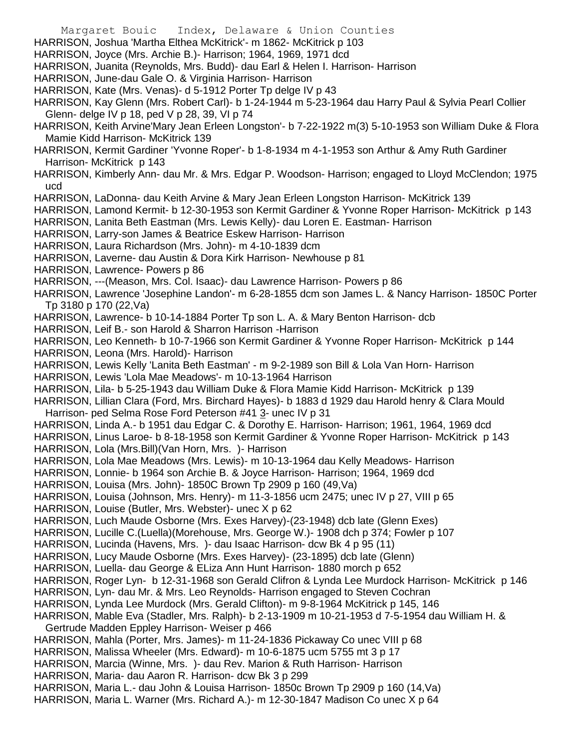Margaret Bouic Index, Delaware & Union Counties HARRISON, Joshua 'Martha Elthea McKitrick'- m 1862- McKitrick p 103 HARRISON, Joyce (Mrs. Archie B.)- Harrison; 1964, 1969, 1971 dcd HARRISON, Juanita (Reynolds, Mrs. Budd)- dau Earl & Helen I. Harrison- Harrison HARRISON, June-dau Gale O. & Virginia Harrison- Harrison HARRISON, Kate (Mrs. Venas)- d 5-1912 Porter Tp delge IV p 43 HARRISON, Kay Glenn (Mrs. Robert Carl)- b 1-24-1944 m 5-23-1964 dau Harry Paul & Sylvia Pearl Collier Glenn- delge IV p 18, ped V p 28, 39, VI p 74 HARRISON, Keith Arvine'Mary Jean Erleen Longston'- b 7-22-1922 m(3) 5-10-1953 son William Duke & Flora Mamie Kidd Harrison- McKitrick 139 HARRISON, Kermit Gardiner 'Yvonne Roper'- b 1-8-1934 m 4-1-1953 son Arthur & Amy Ruth Gardiner Harrison- McKitrick p 143 HARRISON, Kimberly Ann- dau Mr. & Mrs. Edgar P. Woodson- Harrison; engaged to Lloyd McClendon; 1975 ucd HARRISON, LaDonna- dau Keith Arvine & Mary Jean Erleen Longston Harrison- McKitrick 139 HARRISON, Lamond Kermit- b 12-30-1953 son Kermit Gardiner & Yvonne Roper Harrison- McKitrick p 143 HARRISON, Lanita Beth Eastman (Mrs. Lewis Kelly)- dau Loren E. Eastman- Harrison HARRISON, Larry-son James & Beatrice Eskew Harrison- Harrison HARRISON, Laura Richardson (Mrs. John)- m 4-10-1839 dcm HARRISON, Laverne- dau Austin & Dora Kirk Harrison- Newhouse p 81 HARRISON, Lawrence- Powers p 86 HARRISON, ---(Meason, Mrs. Col. Isaac)- dau Lawrence Harrison- Powers p 86 HARRISON, Lawrence 'Josephine Landon'- m 6-28-1855 dcm son James L. & Nancy Harrison- 1850C Porter Tp 3180 p 170 (22,Va) HARRISON, Lawrence- b 10-14-1884 Porter Tp son L. A. & Mary Benton Harrison- dcb HARRISON, Leif B.- son Harold & Sharron Harrison -Harrison HARRISON, Leo Kenneth- b 10-7-1966 son Kermit Gardiner & Yvonne Roper Harrison- McKitrick p 144 HARRISON, Leona (Mrs. Harold)- Harrison HARRISON, Lewis Kelly 'Lanita Beth Eastman' - m 9-2-1989 son Bill & Lola Van Horn- Harrison HARRISON, Lewis 'Lola Mae Meadows'- m 10-13-1964 Harrison HARRISON, Lila- b 5-25-1943 dau William Duke & Flora Mamie Kidd Harrison- McKitrick p 139 HARRISON, Lillian Clara (Ford, Mrs. Birchard Hayes)- b 1883 d 1929 dau Harold henry & Clara Mould Harrison- ped Selma Rose Ford Peterson #41 3- unec IV p 31 HARRISON, Linda A.- b 1951 dau Edgar C. & Dorothy E. Harrison- Harrison; 1961, 1964, 1969 dcd HARRISON, Linus Laroe- b 8-18-1958 son Kermit Gardiner & Yvonne Roper Harrison- McKitrick p 143 HARRISON, Lola (Mrs.Bill)(Van Horn, Mrs. )- Harrison HARRISON, Lola Mae Meadows (Mrs. Lewis)- m 10-13-1964 dau Kelly Meadows- Harrison HARRISON, Lonnie- b 1964 son Archie B. & Joyce Harrison- Harrison; 1964, 1969 dcd HARRISON, Louisa (Mrs. John)- 1850C Brown Tp 2909 p 160 (49,Va) HARRISON, Louisa (Johnson, Mrs. Henry)- m 11-3-1856 ucm 2475; unec IV p 27, VIII p 65 HARRISON, Louise (Butler, Mrs. Webster)- unec X p 62 HARRISON, Luch Maude Osborne (Mrs. Exes Harvey)-(23-1948) dcb late (Glenn Exes) HARRISON, Lucille C.(Luella)(Morehouse, Mrs. George W.)- 1908 dch p 374; Fowler p 107 HARRISON, Lucinda (Havens, Mrs. )- dau Isaac Harrison- dcw Bk 4 p 95 (11) HARRISON, Lucy Maude Osborne (Mrs. Exes Harvey)- (23-1895) dcb late (Glenn) HARRISON, Luella- dau George & ELiza Ann Hunt Harrison- 1880 morch p 652 HARRISON, Roger Lyn- b 12-31-1968 son Gerald Clifron & Lynda Lee Murdock Harrison- McKitrick p 146 HARRISON, Lyn- dau Mr. & Mrs. Leo Reynolds- Harrison engaged to Steven Cochran HARRISON, Lynda Lee Murdock (Mrs. Gerald Clifton)- m 9-8-1964 McKitrick p 145, 146 HARRISON, Mable Eva (Stadler, Mrs. Ralph)- b 2-13-1909 m 10-21-1953 d 7-5-1954 dau William H. & Gertrude Madden Eppley Harrison- Weiser p 466 HARRISON, Mahla (Porter, Mrs. James)- m 11-24-1836 Pickaway Co unec VIII p 68 HARRISON, Malissa Wheeler (Mrs. Edward)- m 10-6-1875 ucm 5755 mt 3 p 17 HARRISON, Marcia (Winne, Mrs. )- dau Rev. Marion & Ruth Harrison- Harrison HARRISON, Maria- dau Aaron R. Harrison- dcw Bk 3 p 299 HARRISON, Maria L.- dau John & Louisa Harrison- 1850c Brown Tp 2909 p 160 (14,Va) HARRISON, Maria L. Warner (Mrs. Richard A.)- m 12-30-1847 Madison Co unec X p 64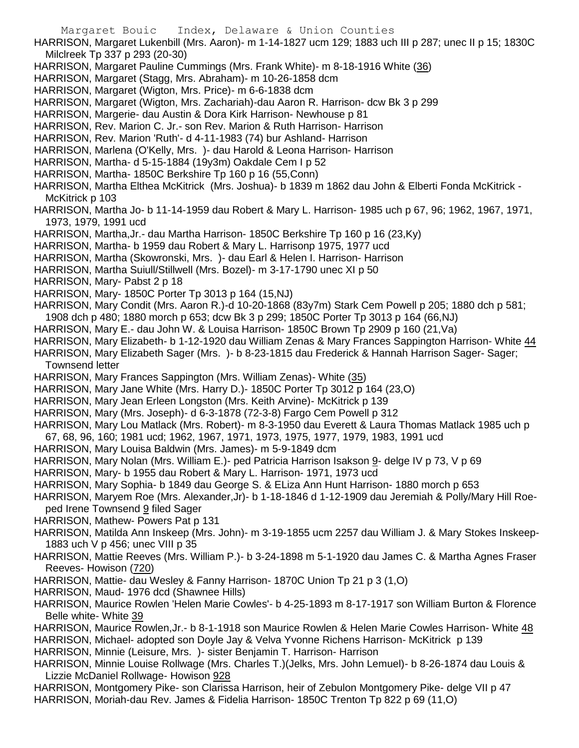Margaret Bouic Index, Delaware & Union Counties HARRISON, Margaret Lukenbill (Mrs. Aaron)- m 1-14-1827 ucm 129; 1883 uch III p 287; unec II p 15; 1830C Milclreek Tp 337 p 293 (20-30) HARRISON, Margaret Pauline Cummings (Mrs. Frank White)- m 8-18-1916 White (36) HARRISON, Margaret (Stagg, Mrs. Abraham)- m 10-26-1858 dcm HARRISON, Margaret (Wigton, Mrs. Price)- m 6-6-1838 dcm HARRISON, Margaret (Wigton, Mrs. Zachariah)-dau Aaron R. Harrison- dcw Bk 3 p 299 HARRISON, Margerie- dau Austin & Dora Kirk Harrison- Newhouse p 81 HARRISON, Rev. Marion C. Jr.- son Rev. Marion & Ruth Harrison- Harrison HARRISON, Rev. Marion 'Ruth'- d 4-11-1983 (74) bur Ashland- Harrison HARRISON, Marlena (O'Kelly, Mrs. )- dau Harold & Leona Harrison- Harrison HARRISON, Martha- d 5-15-1884 (19y3m) Oakdale Cem I p 52 HARRISON, Martha- 1850C Berkshire Tp 160 p 16 (55,Conn) HARRISON, Martha Elthea McKitrick (Mrs. Joshua)- b 1839 m 1862 dau John & Elberti Fonda McKitrick - McKitrick p 103 HARRISON, Martha Jo- b 11-14-1959 dau Robert & Mary L. Harrison- 1985 uch p 67, 96; 1962, 1967, 1971, 1973, 1979, 1991 ucd HARRISON, Martha,Jr.- dau Martha Harrison- 1850C Berkshire Tp 160 p 16 (23,Ky) HARRISON, Martha- b 1959 dau Robert & Mary L. Harrisonp 1975, 1977 ucd HARRISON, Martha (Skowronski, Mrs. )- dau Earl & Helen I. Harrison- Harrison HARRISON, Martha Suiull/Stillwell (Mrs. Bozel)- m 3-17-1790 unec XI p 50 HARRISON, Mary- Pabst 2 p 18 HARRISON, Mary- 1850C Porter Tp 3013 p 164 (15,NJ) HARRISON, Mary Condit (Mrs. Aaron R.)-d 10-20-1868 (83y7m) Stark Cem Powell p 205; 1880 dch p 581; 1908 dch p 480; 1880 morch p 653; dcw Bk 3 p 299; 1850C Porter Tp 3013 p 164 (66,NJ) HARRISON, Mary E.- dau John W. & Louisa Harrison- 1850C Brown Tp 2909 p 160 (21,Va) HARRISON, Mary Elizabeth- b 1-12-1920 dau William Zenas & Mary Frances Sappington Harrison- White 44 HARRISON, Mary Elizabeth Sager (Mrs. )- b 8-23-1815 dau Frederick & Hannah Harrison Sager- Sager; Townsend letter HARRISON, Mary Frances Sappington (Mrs. William Zenas)- White (35) HARRISON, Mary Jane White (Mrs. Harry D.)- 1850C Porter Tp 3012 p 164 (23,O) HARRISON, Mary Jean Erleen Longston (Mrs. Keith Arvine)- McKitrick p 139 HARRISON, Mary (Mrs. Joseph)- d 6-3-1878 (72-3-8) Fargo Cem Powell p 312 HARRISON, Mary Lou Matlack (Mrs. Robert)- m 8-3-1950 dau Everett & Laura Thomas Matlack 1985 uch p 67, 68, 96, 160; 1981 ucd; 1962, 1967, 1971, 1973, 1975, 1977, 1979, 1983, 1991 ucd HARRISON, Mary Louisa Baldwin (Mrs. James)- m 5-9-1849 dcm HARRISON, Mary Nolan (Mrs. William E.)- ped Patricia Harrison Isakson 9- delge IV p 73, V p 69 HARRISON, Mary- b 1955 dau Robert & Mary L. Harrison- 1971, 1973 ucd HARRISON, Mary Sophia- b 1849 dau George S. & ELiza Ann Hunt Harrison- 1880 morch p 653 HARRISON, Maryem Roe (Mrs. Alexander,Jr)- b 1-18-1846 d 1-12-1909 dau Jeremiah & Polly/Mary Hill Roeped Irene Townsend 9 filed Sager HARRISON, Mathew- Powers Pat p 131 HARRISON, Matilda Ann Inskeep (Mrs. John)- m 3-19-1855 ucm 2257 dau William J. & Mary Stokes Inskeep-1883 uch V p 456; unec VIII p 35 HARRISON, Mattie Reeves (Mrs. William P.)- b 3-24-1898 m 5-1-1920 dau James C. & Martha Agnes Fraser Reeves- Howison (720) HARRISON, Mattie- dau Wesley & Fanny Harrison- 1870C Union Tp 21 p 3 (1,O) HARRISON, Maud- 1976 dcd (Shawnee Hills) HARRISON, Maurice Rowlen 'Helen Marie Cowles'- b 4-25-1893 m 8-17-1917 son William Burton & Florence Belle white- White 39 HARRISON, Maurice Rowlen,Jr.- b 8-1-1918 son Maurice Rowlen & Helen Marie Cowles Harrison- White 48 HARRISON, Michael- adopted son Doyle Jay & Velva Yvonne Richens Harrison- McKitrick p 139 HARRISON, Minnie (Leisure, Mrs. )- sister Benjamin T. Harrison- Harrison HARRISON, Minnie Louise Rollwage (Mrs. Charles T.)(Jelks, Mrs. John Lemuel)- b 8-26-1874 dau Louis & Lizzie McDaniel Rollwage- Howison 928 HARRISON, Montgomery Pike- son Clarissa Harrison, heir of Zebulon Montgomery Pike- delge VII p 47 HARRISON, Moriah-dau Rev. James & Fidelia Harrison- 1850C Trenton Tp 822 p 69 (11,O)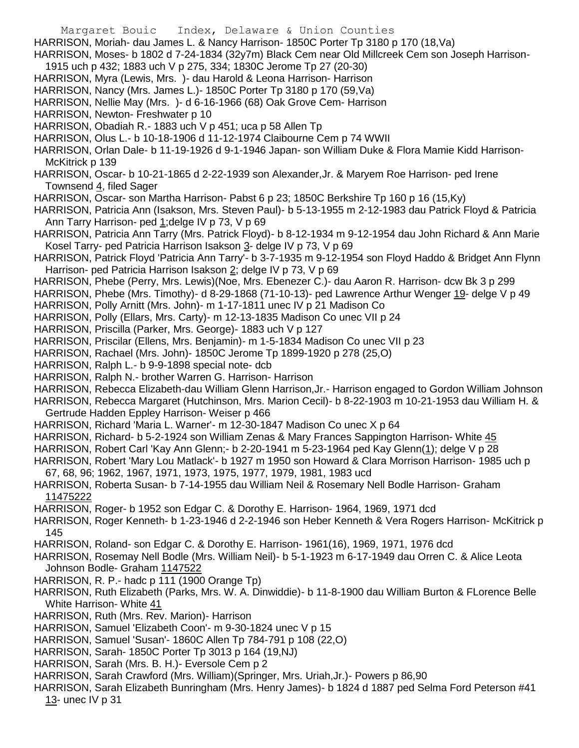- Margaret Bouic Index, Delaware & Union Counties HARRISON, Moriah- dau James L. & Nancy Harrison- 1850C Porter Tp 3180 p 170 (18,Va) HARRISON, Moses- b 1802 d 7-24-1834 (32y7m) Black Cem near Old Millcreek Cem son Joseph Harrison-1915 uch p 432; 1883 uch V p 275, 334; 1830C Jerome Tp 27 (20-30) HARRISON, Myra (Lewis, Mrs. )- dau Harold & Leona Harrison- Harrison HARRISON, Nancy (Mrs. James L.)- 1850C Porter Tp 3180 p 170 (59,Va) HARRISON, Nellie May (Mrs. )- d 6-16-1966 (68) Oak Grove Cem- Harrison HARRISON, Newton- Freshwater p 10 HARRISON, Obadiah R.- 1883 uch V p 451; uca p 58 Allen Tp HARRISON, Olus L.- b 10-18-1906 d 11-12-1974 Claibourne Cem p 74 WWII HARRISON, Orlan Dale- b 11-19-1926 d 9-1-1946 Japan- son William Duke & Flora Mamie Kidd Harrison-McKitrick p 139 HARRISON, Oscar- b 10-21-1865 d 2-22-1939 son Alexander,Jr. & Maryem Roe Harrison- ped Irene Townsend 4, filed Sager HARRISON, Oscar- son Martha Harrison- Pabst 6 p 23; 1850C Berkshire Tp 160 p 16 (15,Ky) HARRISON, Patricia Ann (Isakson, Mrs. Steven Paul)- b 5-13-1955 m 2-12-1983 dau Patrick Floyd & Patricia Ann Tarry Harrison- ped 1;delge IV p 73, V p 69 HARRISON, Patricia Ann Tarry (Mrs. Patrick Floyd)- b 8-12-1934 m 9-12-1954 dau John Richard & Ann Marie Kosel Tarry- ped Patricia Harrison Isakson 3- delge IV p 73, V p 69 HARRISON, Patrick Floyd 'Patricia Ann Tarry'- b 3-7-1935 m 9-12-1954 son Floyd Haddo & Bridget Ann Flynn Harrison- ped Patricia Harrison Isakson 2; delge IV p 73, V p 69 HARRISON, Phebe (Perry, Mrs. Lewis)(Noe, Mrs. Ebenezer C.)- dau Aaron R. Harrison- dcw Bk 3 p 299 HARRISON, Phebe (Mrs. Timothy)- d 8-29-1868 (71-10-13)- ped Lawrence Arthur Wenger 19- delge V p 49 HARRISON, Polly Arnitt (Mrs. John)- m 1-17-1811 unec IV p 21 Madison Co HARRISON, Polly (Ellars, Mrs. Carty)- m 12-13-1835 Madison Co unec VII p 24 HARRISON, Priscilla (Parker, Mrs. George)- 1883 uch V p 127 HARRISON, Priscilar (Ellens, Mrs. Benjamin)- m 1-5-1834 Madison Co unec VII p 23 HARRISON, Rachael (Mrs. John)- 1850C Jerome Tp 1899-1920 p 278 (25,O) HARRISON, Ralph L.- b 9-9-1898 special note- dcb HARRISON, Ralph N.- brother Warren G. Harrison- Harrison HARRISON, Rebecca Elizabeth-dau William Glenn Harrison,Jr.- Harrison engaged to Gordon William Johnson HARRISON, Rebecca Margaret (Hutchinson, Mrs. Marion Cecil)- b 8-22-1903 m 10-21-1953 dau William H. & Gertrude Hadden Eppley Harrison- Weiser p 466 HARRISON, Richard 'Maria L. Warner'- m 12-30-1847 Madison Co unec X p 64 HARRISON, Richard- b 5-2-1924 son William Zenas & Mary Frances Sappington Harrison- White 45 HARRISON, Robert Carl 'Kay Ann Glenn;- b 2-20-1941 m 5-23-1964 ped Kay Glenn(1); delge V p 28 HARRISON, Robert 'Mary Lou Matlack'- b 1927 m 1950 son Howard & Clara Morrison Harrison- 1985 uch p 67, 68, 96; 1962, 1967, 1971, 1973, 1975, 1977, 1979, 1981, 1983 ucd HARRISON, Roberta Susan- b 7-14-1955 dau William Neil & Rosemary Nell Bodle Harrison- Graham 11475222 HARRISON, Roger- b 1952 son Edgar C. & Dorothy E. Harrison- 1964, 1969, 1971 dcd HARRISON, Roger Kenneth- b 1-23-1946 d 2-2-1946 son Heber Kenneth & Vera Rogers Harrison- McKitrick p 145 HARRISON, Roland- son Edgar C. & Dorothy E. Harrison- 1961(16), 1969, 1971, 1976 dcd HARRISON, Rosemay Nell Bodle (Mrs. William Neil)- b 5-1-1923 m 6-17-1949 dau Orren C. & Alice Leota Johnson Bodle- Graham 1147522 HARRISON, R. P.- hadc p 111 (1900 Orange Tp) HARRISON, Ruth Elizabeth (Parks, Mrs. W. A. Dinwiddie)- b 11-8-1900 dau William Burton & FLorence Belle White Harrison- White 41 HARRISON, Ruth (Mrs. Rev. Marion)- Harrison HARRISON, Samuel 'Elizabeth Coon'- m 9-30-1824 unec V p 15 HARRISON, Samuel 'Susan'- 1860C Allen Tp 784-791 p 108 (22,O) HARRISON, Sarah- 1850C Porter Tp 3013 p 164 (19,NJ) HARRISON, Sarah (Mrs. B. H.)- Eversole Cem p 2
	- HARRISON, Sarah Crawford (Mrs. William)(Springer, Mrs. Uriah,Jr.)- Powers p 86,90
	- HARRISON, Sarah Elizabeth Bunringham (Mrs. Henry James)- b 1824 d 1887 ped Selma Ford Peterson #41 13- unec IV p 31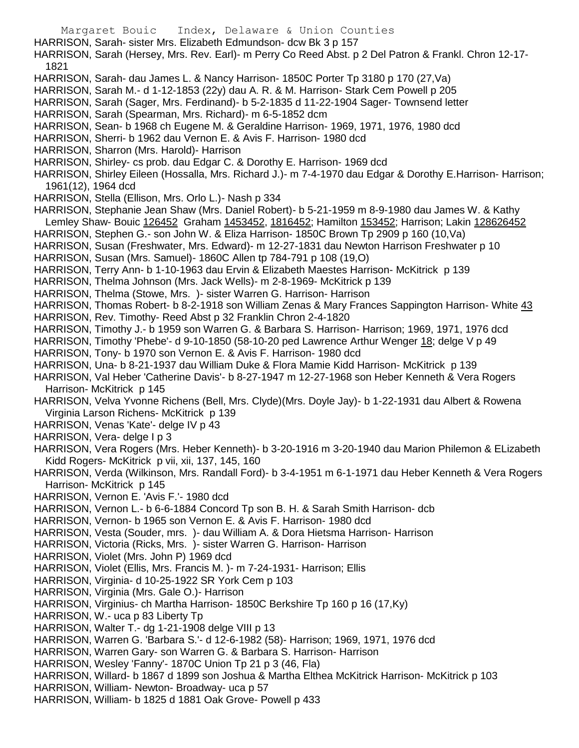Margaret Bouic Index, Delaware & Union Counties HARRISON, Sarah- sister Mrs. Elizabeth Edmundson- dcw Bk 3 p 157 HARRISON, Sarah (Hersey, Mrs. Rev. Earl)- m Perry Co Reed Abst. p 2 Del Patron & Frankl. Chron 12-17- 1821 HARRISON, Sarah- dau James L. & Nancy Harrison- 1850C Porter Tp 3180 p 170 (27,Va) HARRISON, Sarah M.- d 1-12-1853 (22y) dau A. R. & M. Harrison- Stark Cem Powell p 205 HARRISON, Sarah (Sager, Mrs. Ferdinand)- b 5-2-1835 d 11-22-1904 Sager- Townsend letter HARRISON, Sarah (Spearman, Mrs. Richard)- m 6-5-1852 dcm HARRISON, Sean- b 1968 ch Eugene M. & Geraldine Harrison- 1969, 1971, 1976, 1980 dcd HARRISON, Sherri- b 1962 dau Vernon E. & Avis F. Harrison- 1980 dcd HARRISON, Sharron (Mrs. Harold)- Harrison HARRISON, Shirley- cs prob. dau Edgar C. & Dorothy E. Harrison- 1969 dcd HARRISON, Shirley Eileen (Hossalla, Mrs. Richard J.)- m 7-4-1970 dau Edgar & Dorothy E.Harrison- Harrison; 1961(12), 1964 dcd HARRISON, Stella (Ellison, Mrs. Orlo L.)- Nash p 334 HARRISON, Stephanie Jean Shaw (Mrs. Daniel Robert)- b 5-21-1959 m 8-9-1980 dau James W. & Kathy Lemley Shaw- Bouic 126452 Graham 1453452, 1816452; Hamilton 153452; Harrison; Lakin 128626452 HARRISON, Stephen G.- son John W. & Eliza Harrison- 1850C Brown Tp 2909 p 160 (10,Va) HARRISON, Susan (Freshwater, Mrs. Edward)- m 12-27-1831 dau Newton Harrison Freshwater p 10 HARRISON, Susan (Mrs. Samuel)- 1860C Allen tp 784-791 p 108 (19,O) HARRISON, Terry Ann- b 1-10-1963 dau Ervin & Elizabeth Maestes Harrison- McKitrick p 139 HARRISON, Thelma Johnson (Mrs. Jack Wells)- m 2-8-1969- McKitrick p 139 HARRISON, Thelma (Stowe, Mrs. )- sister Warren G. Harrison- Harrison HARRISON, Thomas Robert- b 8-2-1918 son William Zenas & Mary Frances Sappington Harrison- White 43 HARRISON, Rev. Timothy- Reed Abst p 32 Franklin Chron 2-4-1820 HARRISON, Timothy J.- b 1959 son Warren G. & Barbara S. Harrison- Harrison; 1969, 1971, 1976 dcd HARRISON, Timothy 'Phebe'- d 9-10-1850 (58-10-20 ped Lawrence Arthur Wenger 18; delge V p 49 HARRISON, Tony- b 1970 son Vernon E. & Avis F. Harrison- 1980 dcd HARRISON, Una- b 8-21-1937 dau William Duke & Flora Mamie Kidd Harrison- McKitrick p 139 HARRISON, Val Heber 'Catherine Davis'- b 8-27-1947 m 12-27-1968 son Heber Kenneth & Vera Rogers Harrison- McKitrick p 145 HARRISON, Velva Yvonne Richens (Bell, Mrs. Clyde)(Mrs. Doyle Jay)- b 1-22-1931 dau Albert & Rowena Virginia Larson Richens- McKitrick p 139 HARRISON, Venas 'Kate'- delge IV p 43 HARRISON, Vera- delge I p 3 HARRISON, Vera Rogers (Mrs. Heber Kenneth)- b 3-20-1916 m 3-20-1940 dau Marion Philemon & ELizabeth Kidd Rogers- McKitrick p vii, xii, 137, 145, 160 HARRISON, Verda (Wilkinson, Mrs. Randall Ford)- b 3-4-1951 m 6-1-1971 dau Heber Kenneth & Vera Rogers Harrison- McKitrick p 145 HARRISON, Vernon E. 'Avis F.'- 1980 dcd HARRISON, Vernon L.- b 6-6-1884 Concord Tp son B. H. & Sarah Smith Harrison- dcb HARRISON, Vernon- b 1965 son Vernon E. & Avis F. Harrison- 1980 dcd HARRISON, Vesta (Souder, mrs. )- dau William A. & Dora Hietsma Harrison- Harrison HARRISON, Victoria (Ricks, Mrs. )- sister Warren G. Harrison- Harrison HARRISON, Violet (Mrs. John P) 1969 dcd HARRISON, Violet (Ellis, Mrs. Francis M. )- m 7-24-1931- Harrison; Ellis HARRISON, Virginia- d 10-25-1922 SR York Cem p 103 HARRISON, Virginia (Mrs. Gale O.)- Harrison HARRISON, Virginius- ch Martha Harrison- 1850C Berkshire Tp 160 p 16 (17,Ky) HARRISON, W.- uca p 83 Liberty Tp HARRISON, Walter T.- dg 1-21-1908 delge VIII p 13 HARRISON, Warren G. 'Barbara S.'- d 12-6-1982 (58)- Harrison; 1969, 1971, 1976 dcd HARRISON, Warren Gary- son Warren G. & Barbara S. Harrison- Harrison HARRISON, Wesley 'Fanny'- 1870C Union Tp 21 p 3 (46, Fla) HARRISON, Willard- b 1867 d 1899 son Joshua & Martha Elthea McKitrick Harrison- McKitrick p 103 HARRISON, William- Newton- Broadway- uca p 57 HARRISON, William- b 1825 d 1881 Oak Grove- Powell p 433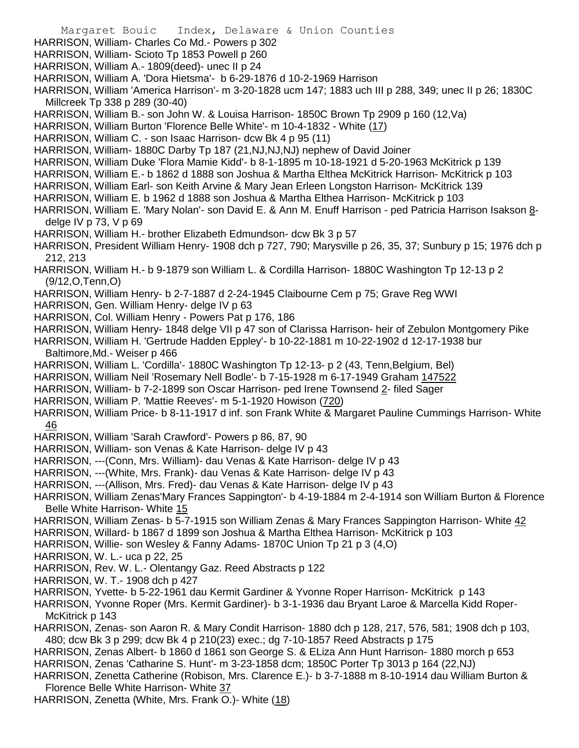Margaret Bouic Index, Delaware & Union Counties HARRISON, William- Charles Co Md.- Powers p 302 HARRISON, William- Scioto Tp 1853 Powell p 260 HARRISON, William A.- 1809(deed)- unec II p 24 HARRISON, William A. 'Dora Hietsma'- b 6-29-1876 d 10-2-1969 Harrison HARRISON, William 'America Harrison'- m 3-20-1828 ucm 147; 1883 uch III p 288, 349; unec II p 26; 1830C Millcreek Tp 338 p 289 (30-40) HARRISON, William B.- son John W. & Louisa Harrison- 1850C Brown Tp 2909 p 160 (12,Va) HARRISON, William Burton 'Florence Belle White'- m 10-4-1832 - White (17) HARRISON, William C. - son Isaac Harrison- dcw Bk 4 p 95 (11) HARRISON, William- 1880C Darby Tp 187 (21,NJ,NJ,NJ) nephew of David Joiner HARRISON, William Duke 'Flora Mamie Kidd'- b 8-1-1895 m 10-18-1921 d 5-20-1963 McKitrick p 139 HARRISON, William E.- b 1862 d 1888 son Joshua & Martha Elthea McKitrick Harrison- McKitrick p 103 HARRISON, William Earl- son Keith Arvine & Mary Jean Erleen Longston Harrison- McKitrick 139 HARRISON, William E. b 1962 d 1888 son Joshua & Martha Elthea Harrison- McKitrick p 103 HARRISON, William E. 'Mary Nolan'- son David E. & Ann M. Enuff Harrison - ped Patricia Harrison Isakson 8 delge IV p 73, V p 69 HARRISON, William H.- brother Elizabeth Edmundson- dcw Bk 3 p 57 HARRISON, President William Henry- 1908 dch p 727, 790; Marysville p 26, 35, 37; Sunbury p 15; 1976 dch p 212, 213 HARRISON, William H.- b 9-1879 son William L. & Cordilla Harrison- 1880C Washington Tp 12-13 p 2 (9/12,O,Tenn,O) HARRISON, William Henry- b 2-7-1887 d 2-24-1945 Claibourne Cem p 75; Grave Reg WWI HARRISON, Gen. William Henry- delge IV p 63 HARRISON, Col. William Henry - Powers Pat p 176, 186 HARRISON, William Henry- 1848 delge VII p 47 son of Clarissa Harrison- heir of Zebulon Montgomery Pike HARRISON, William H. 'Gertrude Hadden Eppley'- b 10-22-1881 m 10-22-1902 d 12-17-1938 bur Baltimore,Md.- Weiser p 466 HARRISON, William L. 'Cordilla'- 1880C Washington Tp 12-13- p 2 (43, Tenn,Belgium, Bel) HARRISON, William Neil 'Rosemary Nell Bodle'- b 7-15-1928 m 6-17-1949 Graham 147522 HARRISON, William- b 7-2-1899 son Oscar Harrison- ped Irene Townsend 2- filed Sager HARRISON, William P. 'Mattie Reeves'- m 5-1-1920 Howison (720) HARRISON, William Price- b 8-11-1917 d inf. son Frank White & Margaret Pauline Cummings Harrison- White 46 HARRISON, William 'Sarah Crawford'- Powers p 86, 87, 90 HARRISON, William- son Venas & Kate Harrison- delge IV p 43 HARRISON, ---(Conn, Mrs. William)- dau Venas & Kate Harrison- delge IV p 43 HARRISON, ---(White, Mrs. Frank)- dau Venas & Kate Harrison- delge IV p 43 HARRISON, ---(Allison, Mrs. Fred)- dau Venas & Kate Harrison- delge IV p 43 HARRISON, William Zenas'Mary Frances Sappington'- b 4-19-1884 m 2-4-1914 son William Burton & Florence Belle White Harrison- White 15 HARRISON, William Zenas- b 5-7-1915 son William Zenas & Mary Frances Sappington Harrison- White 42 HARRISON, Willard- b 1867 d 1899 son Joshua & Martha Elthea Harrison- McKitrick p 103 HARRISON, Willie- son Wesley & Fanny Adams- 1870C Union Tp 21 p 3 (4,O) HARRISON, W. L.- uca p 22, 25 HARRISON, Rev. W. L.- Olentangy Gaz. Reed Abstracts p 122 HARRISON, W. T.- 1908 dch p 427 HARRISON, Yvette- b 5-22-1961 dau Kermit Gardiner & Yvonne Roper Harrison- McKitrick p 143 HARRISON, Yvonne Roper (Mrs. Kermit Gardiner)- b 3-1-1936 dau Bryant Laroe & Marcella Kidd Roper-McKitrick p 143 HARRISON, Zenas- son Aaron R. & Mary Condit Harrison- 1880 dch p 128, 217, 576, 581; 1908 dch p 103, 480; dcw Bk 3 p 299; dcw Bk 4 p 210(23) exec.; dg 7-10-1857 Reed Abstracts p 175 HARRISON, Zenas Albert- b 1860 d 1861 son George S. & ELiza Ann Hunt Harrison- 1880 morch p 653 HARRISON, Zenas 'Catharine S. Hunt'- m 3-23-1858 dcm; 1850C Porter Tp 3013 p 164 (22,NJ) HARRISON, Zenetta Catherine (Robison, Mrs. Clarence E.)- b 3-7-1888 m 8-10-1914 dau William Burton & Florence Belle White Harrison- White 37 HARRISON, Zenetta (White, Mrs. Frank O.)- White (18)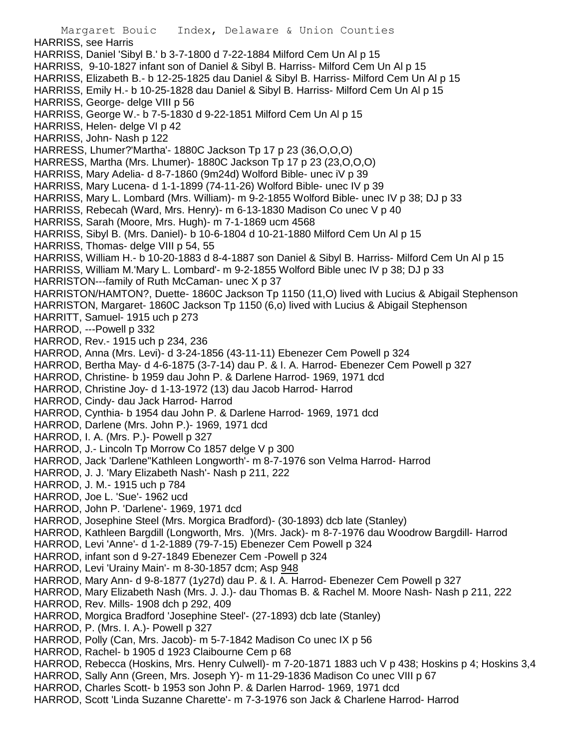Margaret Bouic Index, Delaware & Union Counties HARRISS, see Harris HARRISS, Daniel 'Sibyl B.' b 3-7-1800 d 7-22-1884 Milford Cem Un Al p 15 HARRISS, 9-10-1827 infant son of Daniel & Sibyl B. Harriss- Milford Cem Un Al p 15 HARRISS, Elizabeth B.- b 12-25-1825 dau Daniel & Sibyl B. Harriss- Milford Cem Un Al p 15 HARRISS, Emily H.- b 10-25-1828 dau Daniel & Sibyl B. Harriss- Milford Cem Un Al p 15 HARRISS, George- delge VIII p 56 HARRISS, George W.- b 7-5-1830 d 9-22-1851 Milford Cem Un Al p 15 HARRISS, Helen- delge VI p 42 HARRISS, John- Nash p 122 HARRESS, Lhumer?'Martha'- 1880C Jackson Tp 17 p 23 (36,O,O,O) HARRESS, Martha (Mrs. Lhumer)- 1880C Jackson Tp 17 p 23 (23,O,O,O) HARRISS, Mary Adelia- d 8-7-1860 (9m24d) Wolford Bible- unec iV p 39 HARRISS, Mary Lucena- d 1-1-1899 (74-11-26) Wolford Bible- unec IV p 39 HARRISS, Mary L. Lombard (Mrs. William)- m 9-2-1855 Wolford Bible- unec IV p 38; DJ p 33 HARRISS, Rebecah (Ward, Mrs. Henry)- m 6-13-1830 Madison Co unec V p 40 HARRISS, Sarah (Moore, Mrs. Hugh)- m 7-1-1869 ucm 4568 HARRISS, Sibyl B. (Mrs. Daniel)- b 10-6-1804 d 10-21-1880 Milford Cem Un Al p 15 HARRISS, Thomas- delge VIII p 54, 55 HARRISS, William H.- b 10-20-1883 d 8-4-1887 son Daniel & Sibyl B. Harriss- Milford Cem Un Al p 15 HARRISS, William M.'Mary L. Lombard'- m 9-2-1855 Wolford Bible unec IV p 38; DJ p 33 HARRISTON---family of Ruth McCaman- unec X p 37 HARRISTON/HAMTON?, Duette- 1860C Jackson Tp 1150 (11,O) lived with Lucius & Abigail Stephenson HARRISTON, Margaret- 1860C Jackson Tp 1150 (6,o) lived with Lucius & Abigail Stephenson HARRITT, Samuel- 1915 uch p 273 HARROD, ---Powell p 332 HARROD, Rev.- 1915 uch p 234, 236 HARROD, Anna (Mrs. Levi)- d 3-24-1856 (43-11-11) Ebenezer Cem Powell p 324 HARROD, Bertha May- d 4-6-1875 (3-7-14) dau P. & I. A. Harrod- Ebenezer Cem Powell p 327 HARROD, Christine- b 1959 dau John P. & Darlene Harrod- 1969, 1971 dcd HARROD, Christine Joy- d 1-13-1972 (13) dau Jacob Harrod- Harrod HARROD, Cindy- dau Jack Harrod- Harrod HARROD, Cynthia- b 1954 dau John P. & Darlene Harrod- 1969, 1971 dcd HARROD, Darlene (Mrs. John P.)- 1969, 1971 dcd HARROD, I. A. (Mrs. P.)- Powell p 327 HARROD, J.- Lincoln Tp Morrow Co 1857 delge V p 300 HARROD, Jack 'Darlene''Kathleen Longworth'- m 8-7-1976 son Velma Harrod- Harrod HARROD, J. J. 'Mary Elizabeth Nash'- Nash p 211, 222 HARROD, J. M.- 1915 uch p 784 HARROD, Joe L. 'Sue'- 1962 ucd HARROD, John P. 'Darlene'- 1969, 1971 dcd HARROD, Josephine Steel (Mrs. Morgica Bradford)- (30-1893) dcb late (Stanley) HARROD, Kathleen Bargdill (Longworth, Mrs. )(Mrs. Jack)- m 8-7-1976 dau Woodrow Bargdill- Harrod HARROD, Levi 'Anne'- d 1-2-1889 (79-7-15) Ebenezer Cem Powell p 324 HARROD, infant son d 9-27-1849 Ebenezer Cem -Powell p 324 HARROD, Levi 'Urainy Main'- m 8-30-1857 dcm; Asp 948 HARROD, Mary Ann- d 9-8-1877 (1y27d) dau P. & I. A. Harrod- Ebenezer Cem Powell p 327 HARROD, Mary Elizabeth Nash (Mrs. J. J.)- dau Thomas B. & Rachel M. Moore Nash- Nash p 211, 222 HARROD, Rev. Mills- 1908 dch p 292, 409 HARROD, Morgica Bradford 'Josephine Steel'- (27-1893) dcb late (Stanley) HARROD, P. (Mrs. I. A.)- Powell p 327 HARROD, Polly (Can, Mrs. Jacob)- m 5-7-1842 Madison Co unec IX p 56 HARROD, Rachel- b 1905 d 1923 Claibourne Cem p 68 HARROD, Rebecca (Hoskins, Mrs. Henry Culwell)- m 7-20-1871 1883 uch V p 438; Hoskins p 4; Hoskins 3,4 HARROD, Sally Ann (Green, Mrs. Joseph Y)- m 11-29-1836 Madison Co unec VIII p 67 HARROD, Charles Scott- b 1953 son John P. & Darlen Harrod- 1969, 1971 dcd HARROD, Scott 'Linda Suzanne Charette'- m 7-3-1976 son Jack & Charlene Harrod- Harrod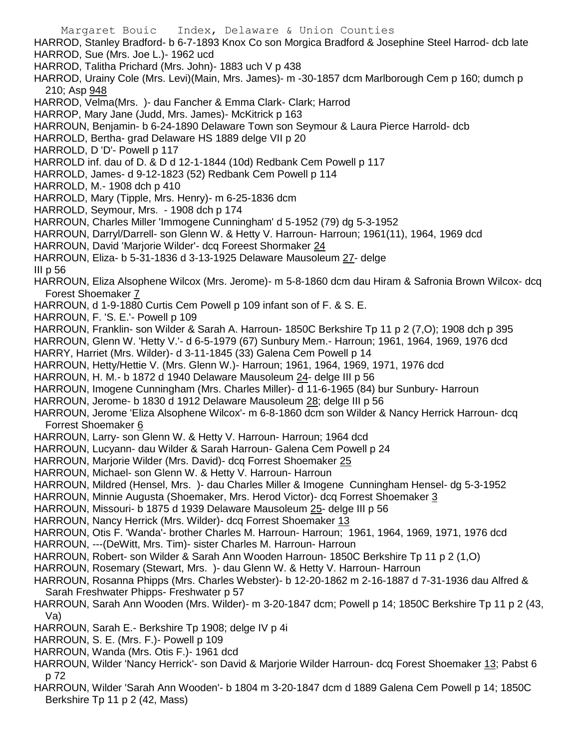- Margaret Bouic Index, Delaware & Union Counties HARROD, Stanley Bradford- b 6-7-1893 Knox Co son Morgica Bradford & Josephine Steel Harrod- dcb late HARROD, Sue (Mrs. Joe L.)- 1962 ucd HARROD, Talitha Prichard (Mrs. John)- 1883 uch V p 438 HARROD, Urainy Cole (Mrs. Levi)(Main, Mrs. James)- m -30-1857 dcm Marlborough Cem p 160; dumch p 210; Asp 948 HARROD, Velma(Mrs. )- dau Fancher & Emma Clark- Clark; Harrod HARROP, Mary Jane (Judd, Mrs. James)- McKitrick p 163 HARROUN, Benjamin- b 6-24-1890 Delaware Town son Seymour & Laura Pierce Harrold- dcb HARROLD, Bertha- grad Delaware HS 1889 delge VII p 20 HARROLD, D 'D'- Powell p 117 HARROLD inf. dau of D. & D d 12-1-1844 (10d) Redbank Cem Powell p 117 HARROLD, James- d 9-12-1823 (52) Redbank Cem Powell p 114 HARROLD, M.- 1908 dch p 410 HARROLD, Mary (Tipple, Mrs. Henry)- m 6-25-1836 dcm HARROLD, Seymour, Mrs. - 1908 dch p 174 HARROUN, Charles Miller 'Immogene Cunningham' d 5-1952 (79) dg 5-3-1952 HARROUN, Darryl/Darrell- son Glenn W. & Hetty V. Harroun- Harroun; 1961(11), 1964, 1969 dcd HARROUN, David 'Marjorie Wilder'- dcq Foreest Shormaker 24 HARROUN, Eliza- b 5-31-1836 d 3-13-1925 Delaware Mausoleum 27- delge III p 56 HARROUN, Eliza Alsophene Wilcox (Mrs. Jerome)- m 5-8-1860 dcm dau Hiram & Safronia Brown Wilcox- dcq Forest Shoemaker 7 HARROUN, d 1-9-1880 Curtis Cem Powell p 109 infant son of F. & S. E. HARROUN, F. 'S. E.'- Powell p 109 HARROUN, Franklin- son Wilder & Sarah A. Harroun- 1850C Berkshire Tp 11 p 2 (7,O); 1908 dch p 395 HARROUN, Glenn W. 'Hetty V.'- d 6-5-1979 (67) Sunbury Mem.- Harroun; 1961, 1964, 1969, 1976 dcd HARRY, Harriet (Mrs. Wilder)- d 3-11-1845 (33) Galena Cem Powell p 14 HARROUN, Hetty/Hettie V. (Mrs. Glenn W.)- Harroun; 1961, 1964, 1969, 1971, 1976 dcd HARROUN, H. M.- b 1872 d 1940 Delaware Mausoleum 24- delge III p 56 HARROUN, Imogene Cunningham (Mrs. Charles Miller)- d 11-6-1965 (84) bur Sunbury- Harroun HARROUN, Jerome- b 1830 d 1912 Delaware Mausoleum 28; delge III p 56 HARROUN, Jerome 'Eliza Alsophene Wilcox'- m 6-8-1860 dcm son Wilder & Nancy Herrick Harroun- dcq Forrest Shoemaker 6 HARROUN, Larry- son Glenn W. & Hetty V. Harroun- Harroun; 1964 dcd HARROUN, Lucyann- dau Wilder & Sarah Harroun- Galena Cem Powell p 24 HARROUN, Marjorie Wilder (Mrs. David)- dcq Forrest Shoemaker 25 HARROUN, Michael- son Glenn W. & Hetty V. Harroun- Harroun HARROUN, Mildred (Hensel, Mrs. )- dau Charles Miller & Imogene Cunningham Hensel- dg 5-3-1952 HARROUN, Minnie Augusta (Shoemaker, Mrs. Herod Victor)- dcq Forrest Shoemaker 3 HARROUN, Missouri- b 1875 d 1939 Delaware Mausoleum 25- delge III p 56 HARROUN, Nancy Herrick (Mrs. Wilder)- dcq Forrest Shoemaker 13 HARROUN, Otis F. 'Wanda'- brother Charles M. Harroun- Harroun; 1961, 1964, 1969, 1971, 1976 dcd HARROUN, ---(DeWitt, Mrs. Tim)- sister Charles M. Harroun- Harroun HARROUN, Robert- son Wilder & Sarah Ann Wooden Harroun- 1850C Berkshire Tp 11 p 2 (1,O) HARROUN, Rosemary (Stewart, Mrs. )- dau Glenn W. & Hetty V. Harroun- Harroun HARROUN, Rosanna Phipps (Mrs. Charles Webster)- b 12-20-1862 m 2-16-1887 d 7-31-1936 dau Alfred & Sarah Freshwater Phipps- Freshwater p 57 HARROUN, Sarah Ann Wooden (Mrs. Wilder)- m 3-20-1847 dcm; Powell p 14; 1850C Berkshire Tp 11 p 2 (43, Va) HARROUN, Sarah E.- Berkshire Tp 1908; delge IV p 4i HARROUN, S. E. (Mrs. F.)- Powell p 109 HARROUN, Wanda (Mrs. Otis F.)- 1961 dcd HARROUN, Wilder 'Nancy Herrick'- son David & Marjorie Wilder Harroun- dcq Forest Shoemaker 13; Pabst 6 p 72
- HARROUN, Wilder 'Sarah Ann Wooden'- b 1804 m 3-20-1847 dcm d 1889 Galena Cem Powell p 14; 1850C Berkshire Tp 11 p 2 (42, Mass)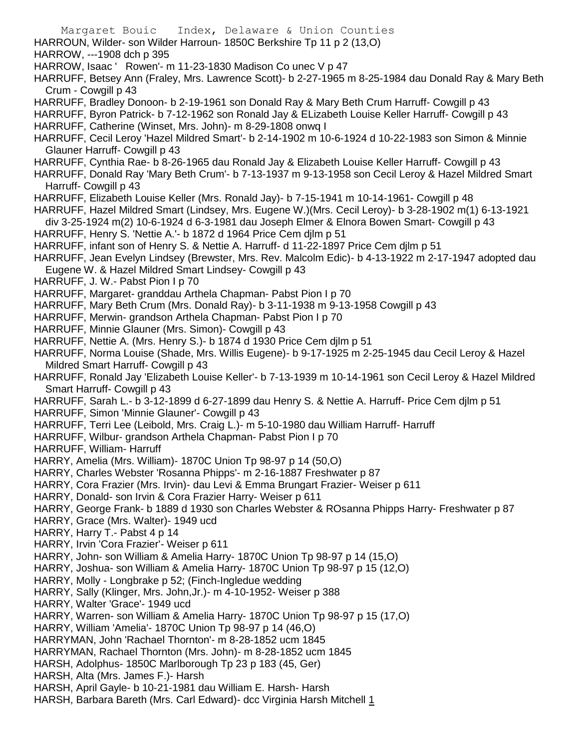Margaret Bouic Index, Delaware & Union Counties HARROUN, Wilder- son Wilder Harroun- 1850C Berkshire Tp 11 p 2 (13,O) HARROW, ---1908 dch p 395 HARROW, Isaac ' Rowen'- m 11-23-1830 Madison Co unec V p 47 HARRUFF, Betsey Ann (Fraley, Mrs. Lawrence Scott)- b 2-27-1965 m 8-25-1984 dau Donald Ray & Mary Beth Crum - Cowgill p 43 HARRUFF, Bradley Donoon- b 2-19-1961 son Donald Ray & Mary Beth Crum Harruff- Cowgill p 43 HARRUFF, Byron Patrick- b 7-12-1962 son Ronald Jay & ELizabeth Louise Keller Harruff- Cowgill p 43 HARRUFF, Catherine (Winset, Mrs. John)- m 8-29-1808 onwq I HARRUFF, Cecil Leroy 'Hazel Mildred Smart'- b 2-14-1902 m 10-6-1924 d 10-22-1983 son Simon & Minnie Glauner Harruff- Cowgill p 43 HARRUFF, Cynthia Rae- b 8-26-1965 dau Ronald Jay & Elizabeth Louise Keller Harruff- Cowgill p 43 HARRUFF, Donald Ray 'Mary Beth Crum'- b 7-13-1937 m 9-13-1958 son Cecil Leroy & Hazel Mildred Smart Harruff- Cowgill p 43 HARRUFF, Elizabeth Louise Keller (Mrs. Ronald Jay)- b 7-15-1941 m 10-14-1961- Cowgill p 48 HARRUFF, Hazel Mildred Smart (Lindsey, Mrs. Eugene W.)(Mrs. Cecil Leroy)- b 3-28-1902 m(1) 6-13-1921 div 3-25-1924 m(2) 10-6-1924 d 6-3-1981 dau Joseph Elmer & Elnora Bowen Smart- Cowgill p 43 HARRUFF, Henry S. 'Nettie A.'- b 1872 d 1964 Price Cem djlm p 51 HARRUFF, infant son of Henry S. & Nettie A. Harruff- d 11-22-1897 Price Cem djlm p 51 HARRUFF, Jean Evelyn Lindsey (Brewster, Mrs. Rev. Malcolm Edic)- b 4-13-1922 m 2-17-1947 adopted dau Eugene W. & Hazel Mildred Smart Lindsey- Cowgill p 43 HARRUFF, J. W.- Pabst Pion I p 70 HARRUFF, Margaret- granddau Arthela Chapman- Pabst Pion I p 70 HARRUFF, Mary Beth Crum (Mrs. Donald Ray)- b 3-11-1938 m 9-13-1958 Cowgill p 43 HARRUFF, Merwin- grandson Arthela Chapman- Pabst Pion I p 70 HARRUFF, Minnie Glauner (Mrs. Simon)- Cowgill p 43 HARRUFF, Nettie A. (Mrs. Henry S.)- b 1874 d 1930 Price Cem djlm p 51 HARRUFF, Norma Louise (Shade, Mrs. Willis Eugene)- b 9-17-1925 m 2-25-1945 dau Cecil Leroy & Hazel Mildred Smart Harruff- Cowgill p 43 HARRUFF, Ronald Jay 'Elizabeth Louise Keller'- b 7-13-1939 m 10-14-1961 son Cecil Leroy & Hazel Mildred Smart Harruff- Cowgill p 43 HARRUFF, Sarah L.- b 3-12-1899 d 6-27-1899 dau Henry S. & Nettie A. Harruff- Price Cem djlm p 51 HARRUFF, Simon 'Minnie Glauner'- Cowgill p 43 HARRUFF, Terri Lee (Leibold, Mrs. Craig L.)- m 5-10-1980 dau William Harruff- Harruff HARRUFF, Wilbur- grandson Arthela Chapman- Pabst Pion I p 70 HARRUFF, William- Harruff HARRY, Amelia (Mrs. William)- 1870C Union Tp 98-97 p 14 (50,O) HARRY, Charles Webster 'Rosanna Phipps'- m 2-16-1887 Freshwater p 87 HARRY, Cora Frazier (Mrs. Irvin)- dau Levi & Emma Brungart Frazier- Weiser p 611 HARRY, Donald- son Irvin & Cora Frazier Harry- Weiser p 611 HARRY, George Frank- b 1889 d 1930 son Charles Webster & ROsanna Phipps Harry- Freshwater p 87 HARRY, Grace (Mrs. Walter)- 1949 ucd HARRY, Harry T.- Pabst 4 p 14 HARRY, Irvin 'Cora Frazier'- Weiser p 611 HARRY, John- son William & Amelia Harry- 1870C Union Tp 98-97 p 14 (15,O) HARRY, Joshua- son William & Amelia Harry- 1870C Union Tp 98-97 p 15 (12,O) HARRY, Molly - Longbrake p 52; (Finch-Ingledue wedding HARRY, Sally (Klinger, Mrs. John,Jr.)- m 4-10-1952- Weiser p 388 HARRY, Walter 'Grace'- 1949 ucd HARRY, Warren- son William & Amelia Harry- 1870C Union Tp 98-97 p 15 (17,O) HARRY, William 'Amelia'- 1870C Union Tp 98-97 p 14 (46,O) HARRYMAN, John 'Rachael Thornton'- m 8-28-1852 ucm 1845 HARRYMAN, Rachael Thornton (Mrs. John)- m 8-28-1852 ucm 1845 HARSH, Adolphus- 1850C Marlborough Tp 23 p 183 (45, Ger) HARSH, Alta (Mrs. James F.)- Harsh HARSH, April Gayle- b 10-21-1981 dau William E. Harsh- Harsh

HARSH, Barbara Bareth (Mrs. Carl Edward)- dcc Virginia Harsh Mitchell 1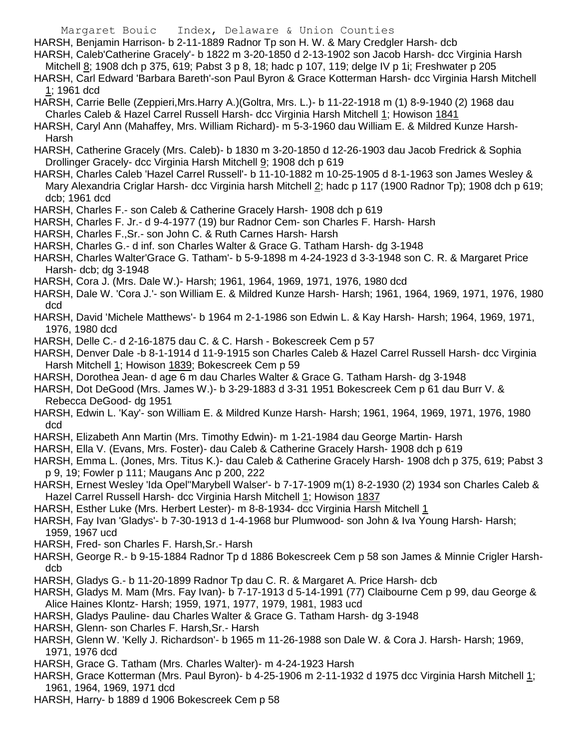HARSH, Benjamin Harrison- b 2-11-1889 Radnor Tp son H. W. & Mary Credgler Harsh- dcb

HARSH, Caleb'Catherine Gracely'- b 1822 m 3-20-1850 d 2-13-1902 son Jacob Harsh- dcc Virginia Harsh

Mitchell 8; 1908 dch p 375, 619; Pabst 3 p 8, 18; hadc p 107, 119; delge IV p 1i; Freshwater p 205

- HARSH, Carl Edward 'Barbara Bareth'-son Paul Byron & Grace Kotterman Harsh- dcc Virginia Harsh Mitchell 1; 1961 dcd
- HARSH, Carrie Belle (Zeppieri,Mrs.Harry A.)(Goltra, Mrs. L.)- b 11-22-1918 m (1) 8-9-1940 (2) 1968 dau Charles Caleb & Hazel Carrel Russell Harsh- dcc Virginia Harsh Mitchell 1; Howison 1841
- HARSH, Caryl Ann (Mahaffey, Mrs. William Richard)- m 5-3-1960 dau William E. & Mildred Kunze Harsh-Harsh
- HARSH, Catherine Gracely (Mrs. Caleb)- b 1830 m 3-20-1850 d 12-26-1903 dau Jacob Fredrick & Sophia Drollinger Gracely- dcc Virginia Harsh Mitchell 9; 1908 dch p 619
- HARSH, Charles Caleb 'Hazel Carrel Russell'- b 11-10-1882 m 10-25-1905 d 8-1-1963 son James Wesley & Mary Alexandria Criglar Harsh- dcc Virginia harsh Mitchell 2; hadc p 117 (1900 Radnor Tp); 1908 dch p 619; dcb; 1961 dcd
- HARSH, Charles F.- son Caleb & Catherine Gracely Harsh- 1908 dch p 619
- HARSH, Charles F. Jr.- d 9-4-1977 (19) bur Radnor Cem- son Charles F. Harsh- Harsh
- HARSH, Charles F.,Sr.- son John C. & Ruth Carnes Harsh- Harsh
- HARSH, Charles G.- d inf. son Charles Walter & Grace G. Tatham Harsh- dg 3-1948
- HARSH, Charles Walter'Grace G. Tatham'- b 5-9-1898 m 4-24-1923 d 3-3-1948 son C. R. & Margaret Price Harsh- dcb; dg 3-1948
- HARSH, Cora J. (Mrs. Dale W.)- Harsh; 1961, 1964, 1969, 1971, 1976, 1980 dcd
- HARSH, Dale W. 'Cora J.'- son William E. & Mildred Kunze Harsh- Harsh; 1961, 1964, 1969, 1971, 1976, 1980 dcd
- HARSH, David 'Michele Matthews'- b 1964 m 2-1-1986 son Edwin L. & Kay Harsh- Harsh; 1964, 1969, 1971, 1976, 1980 dcd
- HARSH, Delle C.- d 2-16-1875 dau C. & C. Harsh Bokescreek Cem p 57
- HARSH, Denver Dale -b 8-1-1914 d 11-9-1915 son Charles Caleb & Hazel Carrel Russell Harsh- dcc Virginia Harsh Mitchell 1; Howison 1839; Bokescreek Cem p 59
- HARSH, Dorothea Jean- d age 6 m dau Charles Walter & Grace G. Tatham Harsh- dg 3-1948
- HARSH, Dot DeGood (Mrs. James W.)- b 3-29-1883 d 3-31 1951 Bokescreek Cem p 61 dau Burr V. & Rebecca DeGood- dg 1951
- HARSH, Edwin L. 'Kay'- son William E. & Mildred Kunze Harsh- Harsh; 1961, 1964, 1969, 1971, 1976, 1980 dcd
- HARSH, Elizabeth Ann Martin (Mrs. Timothy Edwin)- m 1-21-1984 dau George Martin- Harsh
- HARSH, Ella V. (Evans, Mrs. Foster)- dau Caleb & Catherine Gracely Harsh- 1908 dch p 619
- HARSH, Emma L. (Jones, Mrs. Titus K.)- dau Caleb & Catherine Gracely Harsh- 1908 dch p 375, 619; Pabst 3 p 9, 19; Fowler p 111; Maugans Anc p 200, 222
- HARSH, Ernest Wesley 'Ida Opel''Marybell Walser'- b 7-17-1909 m(1) 8-2-1930 (2) 1934 son Charles Caleb & Hazel Carrel Russell Harsh- dcc Virginia Harsh Mitchell 1; Howison 1837
- HARSH, Esther Luke (Mrs. Herbert Lester)- m 8-8-1934- dcc Virginia Harsh Mitchell 1
- HARSH, Fay Ivan 'Gladys'- b 7-30-1913 d 1-4-1968 bur Plumwood- son John & Iva Young Harsh- Harsh; 1959, 1967 ucd
- HARSH, Fred- son Charles F. Harsh,Sr.- Harsh
- HARSH, George R.- b 9-15-1884 Radnor Tp d 1886 Bokescreek Cem p 58 son James & Minnie Crigler Harshdcb
- HARSH, Gladys G.- b 11-20-1899 Radnor Tp dau C. R. & Margaret A. Price Harsh- dcb
- HARSH, Gladys M. Mam (Mrs. Fay Ivan)- b 7-17-1913 d 5-14-1991 (77) Claibourne Cem p 99, dau George & Alice Haines Klontz- Harsh; 1959, 1971, 1977, 1979, 1981, 1983 ucd
- HARSH, Gladys Pauline- dau Charles Walter & Grace G. Tatham Harsh- dg 3-1948
- HARSH, Glenn- son Charles F. Harsh,Sr.- Harsh
- HARSH, Glenn W. 'Kelly J. Richardson'- b 1965 m 11-26-1988 son Dale W. & Cora J. Harsh- Harsh; 1969, 1971, 1976 dcd
- HARSH, Grace G. Tatham (Mrs. Charles Walter)- m 4-24-1923 Harsh
- HARSH, Grace Kotterman (Mrs. Paul Byron)- b 4-25-1906 m 2-11-1932 d 1975 dcc Virginia Harsh Mitchell 1; 1961, 1964, 1969, 1971 dcd
- HARSH, Harry- b 1889 d 1906 Bokescreek Cem p 58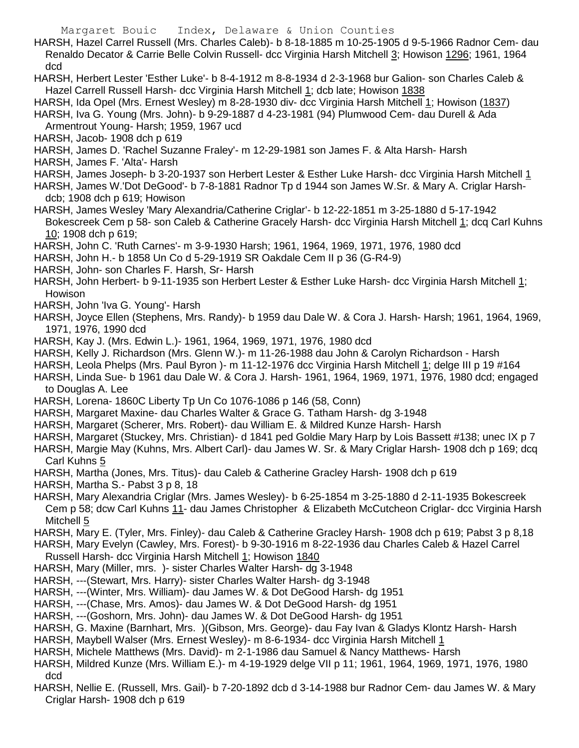HARSH, Hazel Carrel Russell (Mrs. Charles Caleb)- b 8-18-1885 m 10-25-1905 d 9-5-1966 Radnor Cem- dau Renaldo Decator & Carrie Belle Colvin Russell- dcc Virginia Harsh Mitchell 3; Howison 1296; 1961, 1964 dcd

HARSH, Herbert Lester 'Esther Luke'- b 8-4-1912 m 8-8-1934 d 2-3-1968 bur Galion- son Charles Caleb & Hazel Carrell Russell Harsh- dcc Virginia Harsh Mitchell 1; dcb late; Howison 1838

HARSH, Ida Opel (Mrs. Ernest Wesley) m 8-28-1930 div- dcc Virginia Harsh Mitchell 1; Howison (1837)

HARSH, Iva G. Young (Mrs. John)- b 9-29-1887 d 4-23-1981 (94) Plumwood Cem- dau Durell & Ada Armentrout Young- Harsh; 1959, 1967 ucd

HARSH, Jacob- 1908 dch p 619

HARSH, James D. 'Rachel Suzanne Fraley'- m 12-29-1981 son James F. & Alta Harsh- Harsh

HARSH, James F. 'Alta'- Harsh

HARSH, James Joseph- b 3-20-1937 son Herbert Lester & Esther Luke Harsh- dcc Virginia Harsh Mitchell 1

HARSH, James W.'Dot DeGood'- b 7-8-1881 Radnor Tp d 1944 son James W.Sr. & Mary A. Criglar Harshdcb; 1908 dch p 619; Howison

HARSH, James Wesley 'Mary Alexandria/Catherine Criglar'- b 12-22-1851 m 3-25-1880 d 5-17-1942 Bokescreek Cem p 58- son Caleb & Catherine Gracely Harsh- dcc Virginia Harsh Mitchell 1; dcq Carl Kuhns 10; 1908 dch p 619;

HARSH, John C. 'Ruth Carnes'- m 3-9-1930 Harsh; 1961, 1964, 1969, 1971, 1976, 1980 dcd

HARSH, John H.- b 1858 Un Co d 5-29-1919 SR Oakdale Cem II p 36 (G-R4-9)

HARSH, John- son Charles F. Harsh, Sr- Harsh

HARSH, John Herbert- b 9-11-1935 son Herbert Lester & Esther Luke Harsh- dcc Virginia Harsh Mitchell 1; Howison

- HARSH, John 'Iva G. Young'- Harsh
- HARSH, Joyce Ellen (Stephens, Mrs. Randy)- b 1959 dau Dale W. & Cora J. Harsh- Harsh; 1961, 1964, 1969, 1971, 1976, 1990 dcd
- HARSH, Kay J. (Mrs. Edwin L.)- 1961, 1964, 1969, 1971, 1976, 1980 dcd
- HARSH, Kelly J. Richardson (Mrs. Glenn W.)- m 11-26-1988 dau John & Carolyn Richardson Harsh

HARSH, Leola Phelps (Mrs. Paul Byron )- m 11-12-1976 dcc Virginia Harsh Mitchell 1; delge III p 19 #164

- HARSH, Linda Sue- b 1961 dau Dale W. & Cora J. Harsh- 1961, 1964, 1969, 1971, 1976, 1980 dcd; engaged to Douglas A. Lee
- HARSH, Lorena- 1860C Liberty Tp Un Co 1076-1086 p 146 (58, Conn)
- HARSH, Margaret Maxine- dau Charles Walter & Grace G. Tatham Harsh- dg 3-1948
- HARSH, Margaret (Scherer, Mrs. Robert)- dau William E. & Mildred Kunze Harsh- Harsh
- HARSH, Margaret (Stuckey, Mrs. Christian)- d 1841 ped Goldie Mary Harp by Lois Bassett #138; unec IX p 7
- HARSH, Margie May (Kuhns, Mrs. Albert Carl)- dau James W. Sr. & Mary Criglar Harsh- 1908 dch p 169; dcq Carl Kuhns 5
- HARSH, Martha (Jones, Mrs. Titus)- dau Caleb & Catherine Gracley Harsh- 1908 dch p 619
- HARSH, Martha S.- Pabst 3 p 8, 18
- HARSH, Mary Alexandria Criglar (Mrs. James Wesley)- b 6-25-1854 m 3-25-1880 d 2-11-1935 Bokescreek Cem p 58; dcw Carl Kuhns 11- dau James Christopher & Elizabeth McCutcheon Criglar- dcc Virginia Harsh Mitchell 5
- HARSH, Mary E. (Tyler, Mrs. Finley)- dau Caleb & Catherine Gracley Harsh- 1908 dch p 619; Pabst 3 p 8,18

HARSH, Mary Evelyn (Cawley, Mrs. Forest)- b 9-30-1916 m 8-22-1936 dau Charles Caleb & Hazel Carrel Russell Harsh- dcc Virginia Harsh Mitchell 1; Howison 1840

- HARSH, Mary (Miller, mrs. )- sister Charles Walter Harsh- dg 3-1948
- HARSH, ---(Stewart, Mrs. Harry)- sister Charles Walter Harsh- dg 3-1948
- HARSH, ---(Winter, Mrs. William)- dau James W. & Dot DeGood Harsh- dg 1951
- HARSH, ---(Chase, Mrs. Amos)- dau James W. & Dot DeGood Harsh- dg 1951
- HARSH, ---(Goshorn, Mrs. John)- dau James W. & Dot DeGood Harsh- dg 1951
- HARSH, G. Maxine (Barnhart, Mrs. )(Gibson, Mrs. George)- dau Fay Ivan & Gladys Klontz Harsh- Harsh
- HARSH, Maybell Walser (Mrs. Ernest Wesley)- m 8-6-1934- dcc Virginia Harsh Mitchell 1
- HARSH, Michele Matthews (Mrs. David)- m 2-1-1986 dau Samuel & Nancy Matthews- Harsh
- HARSH, Mildred Kunze (Mrs. William E.)- m 4-19-1929 delge VII p 11; 1961, 1964, 1969, 1971, 1976, 1980 dcd
- HARSH, Nellie E. (Russell, Mrs. Gail)- b 7-20-1892 dcb d 3-14-1988 bur Radnor Cem- dau James W. & Mary Criglar Harsh- 1908 dch p 619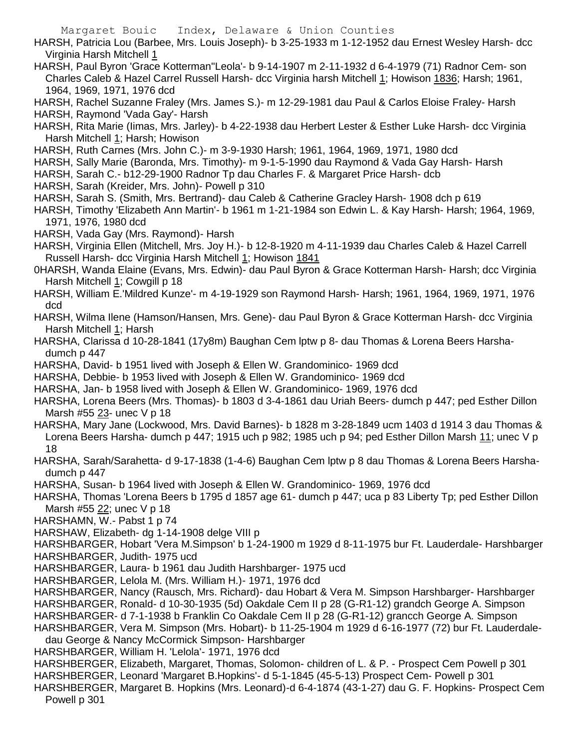HARSH, Patricia Lou (Barbee, Mrs. Louis Joseph)- b 3-25-1933 m 1-12-1952 dau Ernest Wesley Harsh- dcc Virginia Harsh Mitchell 1

HARSH, Paul Byron 'Grace Kotterman''Leola'- b 9-14-1907 m 2-11-1932 d 6-4-1979 (71) Radnor Cem- son Charles Caleb & Hazel Carrel Russell Harsh- dcc Virginia harsh Mitchell 1; Howison 1836; Harsh; 1961, 1964, 1969, 1971, 1976 dcd

HARSH, Rachel Suzanne Fraley (Mrs. James S.)- m 12-29-1981 dau Paul & Carlos Eloise Fraley- Harsh HARSH, Raymond 'Vada Gay'- Harsh

- HARSH, Rita Marie (Iimas, Mrs. Jarley)- b 4-22-1938 dau Herbert Lester & Esther Luke Harsh- dcc Virginia Harsh Mitchell 1; Harsh; Howison
- HARSH, Ruth Carnes (Mrs. John C.)- m 3-9-1930 Harsh; 1961, 1964, 1969, 1971, 1980 dcd
- HARSH, Sally Marie (Baronda, Mrs. Timothy)- m 9-1-5-1990 dau Raymond & Vada Gay Harsh- Harsh
- HARSH, Sarah C.- b12-29-1900 Radnor Tp dau Charles F. & Margaret Price Harsh- dcb
- HARSH, Sarah (Kreider, Mrs. John)- Powell p 310
- HARSH, Sarah S. (Smith, Mrs. Bertrand)- dau Caleb & Catherine Gracley Harsh- 1908 dch p 619
- HARSH, Timothy 'Elizabeth Ann Martin'- b 1961 m 1-21-1984 son Edwin L. & Kay Harsh- Harsh; 1964, 1969, 1971, 1976, 1980 dcd
- HARSH, Vada Gay (Mrs. Raymond)- Harsh
- HARSH, Virginia Ellen (Mitchell, Mrs. Joy H.)- b 12-8-1920 m 4-11-1939 dau Charles Caleb & Hazel Carrell Russell Harsh- dcc Virginia Harsh Mitchell 1; Howison 1841
- 0HARSH, Wanda Elaine (Evans, Mrs. Edwin)- dau Paul Byron & Grace Kotterman Harsh- Harsh; dcc Virginia Harsh Mitchell 1; Cowgill p 18
- HARSH, William E.'Mildred Kunze'- m 4-19-1929 son Raymond Harsh- Harsh; 1961, 1964, 1969, 1971, 1976 dcd
- HARSH, Wilma Ilene (Hamson/Hansen, Mrs. Gene)- dau Paul Byron & Grace Kotterman Harsh- dcc Virginia Harsh Mitchell 1; Harsh
- HARSHA, Clarissa d 10-28-1841 (17y8m) Baughan Cem lptw p 8- dau Thomas & Lorena Beers Harshadumch p 447
- HARSHA, David- b 1951 lived with Joseph & Ellen W. Grandominico- 1969 dcd
- HARSHA, Debbie- b 1953 lived with Joseph & Ellen W. Grandominico- 1969 dcd
- HARSHA, Jan- b 1958 lived with Joseph & Ellen W. Grandominico- 1969, 1976 dcd

HARSHA, Lorena Beers (Mrs. Thomas)- b 1803 d 3-4-1861 dau Uriah Beers- dumch p 447; ped Esther Dillon Marsh #55 23- unec V p 18

- HARSHA, Mary Jane (Lockwood, Mrs. David Barnes)- b 1828 m 3-28-1849 ucm 1403 d 1914 3 dau Thomas & Lorena Beers Harsha- dumch p 447; 1915 uch p 982; 1985 uch p 94; ped Esther Dillon Marsh 11; unec V p 18
- HARSHA, Sarah/Sarahetta- d 9-17-1838 (1-4-6) Baughan Cem lptw p 8 dau Thomas & Lorena Beers Harshadumch p 447
- HARSHA, Susan- b 1964 lived with Joseph & Ellen W. Grandominico- 1969, 1976 dcd

HARSHA, Thomas 'Lorena Beers b 1795 d 1857 age 61- dumch p 447; uca p 83 Liberty Tp; ped Esther Dillon Marsh #55 22; unec V p 18

- HARSHAMN, W.- Pabst 1 p 74
- HARSHAW, Elizabeth- dg 1-14-1908 delge VIII p

HARSHBARGER, Hobart 'Vera M.Simpson' b 1-24-1900 m 1929 d 8-11-1975 bur Ft. Lauderdale- Harshbarger HARSHBARGER, Judith- 1975 ucd

- HARSHBARGER, Laura- b 1961 dau Judith Harshbarger- 1975 ucd
- HARSHBARGER, Lelola M. (Mrs. William H.)- 1971, 1976 dcd
- HARSHBARGER, Nancy (Rausch, Mrs. Richard)- dau Hobart & Vera M. Simpson Harshbarger- Harshbarger

HARSHBARGER, Ronald- d 10-30-1935 (5d) Oakdale Cem II p 28 (G-R1-12) grandch George A. Simpson

HARSHBARGER- d 7-1-1938 b Franklin Co Oakdale Cem II p 28 (G-R1-12) grancch George A. Simpson

HARSHBARGER, Vera M. Simpson (Mrs. Hobart)- b 11-25-1904 m 1929 d 6-16-1977 (72) bur Ft. Lauderdale-

- dau George & Nancy McCormick Simpson- Harshbarger
- HARSHBARGER, William H. 'Lelola'- 1971, 1976 dcd
- HARSHBERGER, Elizabeth, Margaret, Thomas, Solomon- children of L. & P. Prospect Cem Powell p 301 HARSHBERGER, Leonard 'Margaret B.Hopkins'- d 5-1-1845 (45-5-13) Prospect Cem- Powell p 301
- HARSHBERGER, Margaret B. Hopkins (Mrs. Leonard)-d 6-4-1874 (43-1-27) dau G. F. Hopkins- Prospect Cem Powell p 301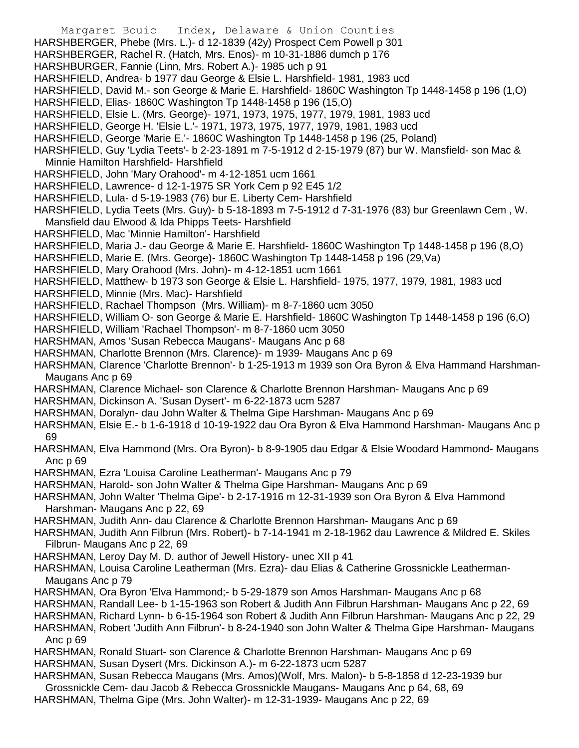Margaret Bouic Index, Delaware & Union Counties HARSHBERGER, Phebe (Mrs. L.)- d 12-1839 (42y) Prospect Cem Powell p 301 HARSHBERGER, Rachel R. (Hatch, Mrs. Enos)- m 10-31-1886 dumch p 176 HARSHBURGER, Fannie (Linn, Mrs. Robert A.)- 1985 uch p 91 HARSHFIELD, Andrea- b 1977 dau George & Elsie L. Harshfield- 1981, 1983 ucd HARSHFIELD, David M.- son George & Marie E. Harshfield- 1860C Washington Tp 1448-1458 p 196 (1,O) HARSHFIELD, Elias- 1860C Washington Tp 1448-1458 p 196 (15,O) HARSHFIELD, Elsie L. (Mrs. George)- 1971, 1973, 1975, 1977, 1979, 1981, 1983 ucd HARSHFIELD, George H. 'Elsie L.'- 1971, 1973, 1975, 1977, 1979, 1981, 1983 ucd HARSHFIELD, George 'Marie E.'- 1860C Washington Tp 1448-1458 p 196 (25, Poland) HARSHFIELD, Guy 'Lydia Teets'- b 2-23-1891 m 7-5-1912 d 2-15-1979 (87) bur W. Mansfield- son Mac & Minnie Hamilton Harshfield- Harshfield HARSHFIELD, John 'Mary Orahood'- m 4-12-1851 ucm 1661 HARSHFIELD, Lawrence- d 12-1-1975 SR York Cem p 92 E45 1/2 HARSHFIELD, Lula- d 5-19-1983 (76) bur E. Liberty Cem- Harshfield HARSHFIELD, Lydia Teets (Mrs. Guy)- b 5-18-1893 m 7-5-1912 d 7-31-1976 (83) bur Greenlawn Cem , W. Mansfield dau Elwood & Ida Phipps Teets- Harshfield HARSHFIELD, Mac 'Minnie Hamilton'- Harshfield HARSHFIELD, Maria J.- dau George & Marie E. Harshfield- 1860C Washington Tp 1448-1458 p 196 (8,O) HARSHFIELD, Marie E. (Mrs. George)- 1860C Washington Tp 1448-1458 p 196 (29,Va) HARSHFIELD, Mary Orahood (Mrs. John)- m 4-12-1851 ucm 1661 HARSHFIELD, Matthew- b 1973 son George & Elsie L. Harshfield- 1975, 1977, 1979, 1981, 1983 ucd HARSHFIELD, Minnie (Mrs. Mac)- Harshfield HARSHFIELD, Rachael Thompson (Mrs. William)- m 8-7-1860 ucm 3050 HARSHFIELD, William O- son George & Marie E. Harshfield- 1860C Washington Tp 1448-1458 p 196 (6,O) HARSHFIELD, William 'Rachael Thompson'- m 8-7-1860 ucm 3050 HARSHMAN, Amos 'Susan Rebecca Maugans'- Maugans Anc p 68 HARSHMAN, Charlotte Brennon (Mrs. Clarence)- m 1939- Maugans Anc p 69 HARSHMAN, Clarence 'Charlotte Brennon'- b 1-25-1913 m 1939 son Ora Byron & Elva Hammand Harshman-Maugans Anc p 69 HARSHMAN, Clarence Michael- son Clarence & Charlotte Brennon Harshman- Maugans Anc p 69 HARSHMAN, Dickinson A. 'Susan Dysert'- m 6-22-1873 ucm 5287 HARSHMAN, Doralyn- dau John Walter & Thelma Gipe Harshman- Maugans Anc p 69 HARSHMAN, Elsie E.- b 1-6-1918 d 10-19-1922 dau Ora Byron & Elva Hammond Harshman- Maugans Anc p 69 HARSHMAN, Elva Hammond (Mrs. Ora Byron)- b 8-9-1905 dau Edgar & Elsie Woodard Hammond- Maugans Anc p 69 HARSHMAN, Ezra 'Louisa Caroline Leatherman'- Maugans Anc p 79 HARSHMAN, Harold- son John Walter & Thelma Gipe Harshman- Maugans Anc p 69 HARSHMAN, John Walter 'Thelma Gipe'- b 2-17-1916 m 12-31-1939 son Ora Byron & Elva Hammond Harshman- Maugans Anc p 22, 69 HARSHMAN, Judith Ann- dau Clarence & Charlotte Brennon Harshman- Maugans Anc p 69 HARSHMAN, Judith Ann Filbrun (Mrs. Robert)- b 7-14-1941 m 2-18-1962 dau Lawrence & Mildred E. Skiles Filbrun- Maugans Anc p 22, 69 HARSHMAN, Leroy Day M. D. author of Jewell History- unec XII p 41 HARSHMAN, Louisa Caroline Leatherman (Mrs. Ezra)- dau Elias & Catherine Grossnickle Leatherman-Maugans Anc p 79 HARSHMAN, Ora Byron 'Elva Hammond;- b 5-29-1879 son Amos Harshman- Maugans Anc p 68 HARSHMAN, Randall Lee- b 1-15-1963 son Robert & Judith Ann Filbrun Harshman- Maugans Anc p 22, 69 HARSHMAN, Richard Lynn- b 6-15-1964 son Robert & Judith Ann Filbrun Harshman- Maugans Anc p 22, 29 HARSHMAN, Robert 'Judith Ann Filbrun'- b 8-24-1940 son John Walter & Thelma Gipe Harshman- Maugans Anc p 69 HARSHMAN, Ronald Stuart- son Clarence & Charlotte Brennon Harshman- Maugans Anc p 69 HARSHMAN, Susan Dysert (Mrs. Dickinson A.)- m 6-22-1873 ucm 5287 HARSHMAN, Susan Rebecca Maugans (Mrs. Amos)(Wolf, Mrs. Malon)- b 5-8-1858 d 12-23-1939 bur Grossnickle Cem- dau Jacob & Rebecca Grossnickle Maugans- Maugans Anc p 64, 68, 69 HARSHMAN, Thelma Gipe (Mrs. John Walter)- m 12-31-1939- Maugans Anc p 22, 69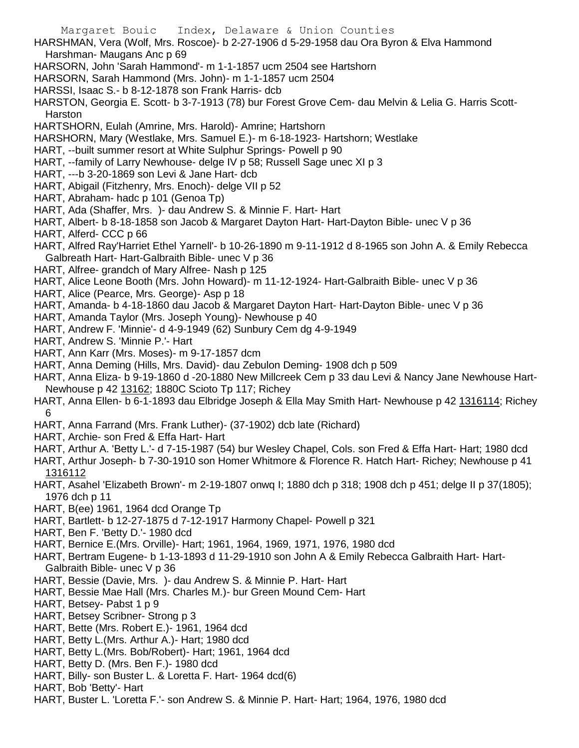- Margaret Bouic Index, Delaware & Union Counties HARSHMAN, Vera (Wolf, Mrs. Roscoe)- b 2-27-1906 d 5-29-1958 dau Ora Byron & Elva Hammond Harshman- Maugans Anc p 69 HARSORN, John 'Sarah Hammond'- m 1-1-1857 ucm 2504 see Hartshorn HARSORN, Sarah Hammond (Mrs. John)- m 1-1-1857 ucm 2504 HARSSI, Isaac S.- b 8-12-1878 son Frank Harris- dcb HARSTON, Georgia E. Scott- b 3-7-1913 (78) bur Forest Grove Cem- dau Melvin & Lelia G. Harris Scott-Harston HARTSHORN, Eulah (Amrine, Mrs. Harold)- Amrine; Hartshorn HARSHORN, Mary (Westlake, Mrs. Samuel E.)- m 6-18-1923- Hartshorn; Westlake HART, --built summer resort at White Sulphur Springs- Powell p 90 HART, --family of Larry Newhouse- delge IV p 58; Russell Sage unec XI p 3 HART, ---b 3-20-1869 son Levi & Jane Hart- dcb HART, Abigail (Fitzhenry, Mrs. Enoch)- delge VII p 52 HART, Abraham- hadc p 101 (Genoa Tp) HART, Ada (Shaffer, Mrs. )- dau Andrew S. & Minnie F. Hart- Hart HART, Albert- b 8-18-1858 son Jacob & Margaret Dayton Hart- Hart-Dayton Bible- unec V p 36 HART, Alferd- CCC p 66 HART, Alfred Ray'Harriet Ethel Yarnell'- b 10-26-1890 m 9-11-1912 d 8-1965 son John A. & Emily Rebecca Galbreath Hart- Hart-Galbraith Bible- unec V p 36 HART, Alfree- grandch of Mary Alfree- Nash p 125 HART, Alice Leone Booth (Mrs. John Howard)- m 11-12-1924- Hart-Galbraith Bible- unec V p 36 HART, Alice (Pearce, Mrs. George)- Asp p 18 HART, Amanda- b 4-18-1860 dau Jacob & Margaret Dayton Hart- Hart-Dayton Bible- unec V p 36 HART, Amanda Taylor (Mrs. Joseph Young)- Newhouse p 40 HART, Andrew F. 'Minnie'- d 4-9-1949 (62) Sunbury Cem dg 4-9-1949 HART, Andrew S. 'Minnie P.'- Hart HART, Ann Karr (Mrs. Moses)- m 9-17-1857 dcm HART, Anna Deming (Hills, Mrs. David)- dau Zebulon Deming- 1908 dch p 509 HART, Anna Eliza- b 9-19-1860 d -20-1880 New Millcreek Cem p 33 dau Levi & Nancy Jane Newhouse Hart-Newhouse p 42 13162; 1880C Scioto Tp 117; Richey HART, Anna Ellen- b 6-1-1893 dau Elbridge Joseph & Ella May Smith Hart- Newhouse p 42 1316114; Richey 6 HART, Anna Farrand (Mrs. Frank Luther)- (37-1902) dcb late (Richard) HART, Archie- son Fred & Effa Hart- Hart HART, Arthur A. 'Betty L.'- d 7-15-1987 (54) bur Wesley Chapel, Cols. son Fred & Effa Hart- Hart; 1980 dcd HART, Arthur Joseph- b 7-30-1910 son Homer Whitmore & Florence R. Hatch Hart- Richey; Newhouse p 41 1316112 HART, Asahel 'Elizabeth Brown'- m 2-19-1807 onwq I; 1880 dch p 318; 1908 dch p 451; delge II p 37(1805); 1976 dch p 11 HART, B(ee) 1961, 1964 dcd Orange Tp HART, Bartlett- b 12-27-1875 d 7-12-1917 Harmony Chapel- Powell p 321 HART, Ben F. 'Betty D.'- 1980 dcd HART, Bernice E.(Mrs. Orville)- Hart; 1961, 1964, 1969, 1971, 1976, 1980 dcd HART, Bertram Eugene- b 1-13-1893 d 11-29-1910 son John A & Emily Rebecca Galbraith Hart- Hart-Galbraith Bible- unec V p 36 HART, Bessie (Davie, Mrs. )- dau Andrew S. & Minnie P. Hart- Hart HART, Bessie Mae Hall (Mrs. Charles M.)- bur Green Mound Cem- Hart HART, Betsey- Pabst 1 p 9 HART, Betsey Scribner- Strong p 3 HART, Bette (Mrs. Robert E.)- 1961, 1964 dcd HART, Betty L.(Mrs. Arthur A.)- Hart; 1980 dcd HART, Betty L.(Mrs. Bob/Robert)- Hart; 1961, 1964 dcd HART, Betty D. (Mrs. Ben F.)- 1980 dcd HART, Billy- son Buster L. & Loretta F. Hart- 1964 dcd(6)
- HART, Bob 'Betty'- Hart
- HART, Buster L. 'Loretta F.'- son Andrew S. & Minnie P. Hart- Hart; 1964, 1976, 1980 dcd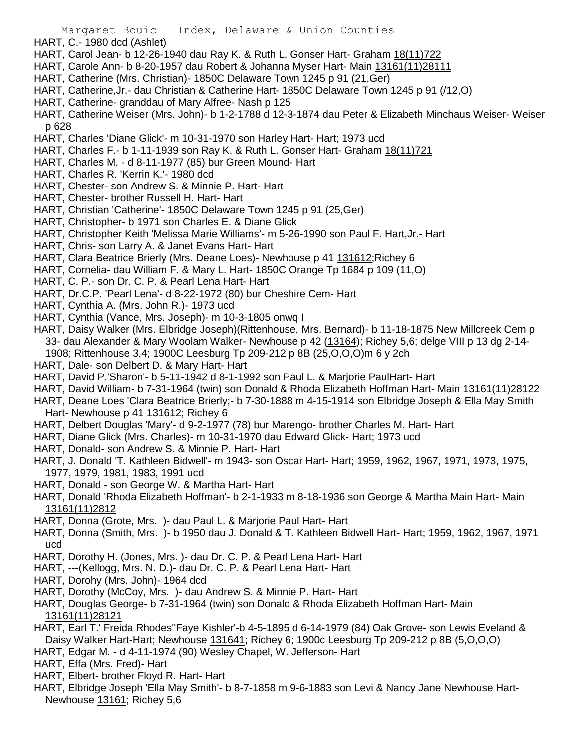- HART, C.- 1980 dcd (Ashlet)
- HART, Carol Jean- b 12-26-1940 dau Ray K. & Ruth L. Gonser Hart- Graham 18(11)722
- HART, Carole Ann- b 8-20-1957 dau Robert & Johanna Myser Hart- Main 13161(11)28111
- HART, Catherine (Mrs. Christian)- 1850C Delaware Town 1245 p 91 (21,Ger)
- HART, Catherine,Jr.- dau Christian & Catherine Hart- 1850C Delaware Town 1245 p 91 (/12,O)
- HART, Catherine- granddau of Mary Alfree- Nash p 125
- HART, Catherine Weiser (Mrs. John)- b 1-2-1788 d 12-3-1874 dau Peter & Elizabeth Minchaus Weiser- Weiser p 628
- HART, Charles 'Diane Glick'- m 10-31-1970 son Harley Hart- Hart; 1973 ucd
- HART, Charles F.- b 1-11-1939 son Ray K. & Ruth L. Gonser Hart- Graham 18(11)721
- HART, Charles M. d 8-11-1977 (85) bur Green Mound- Hart
- HART, Charles R. 'Kerrin K.'- 1980 dcd
- HART, Chester- son Andrew S. & Minnie P. Hart- Hart
- HART, Chester- brother Russell H. Hart- Hart
- HART, Christian 'Catherine'- 1850C Delaware Town 1245 p 91 (25,Ger)
- HART, Christopher- b 1971 son Charles E. & Diane Glick
- HART, Christopher Keith 'Melissa Marie Williams'- m 5-26-1990 son Paul F. Hart,Jr.- Hart
- HART, Chris- son Larry A. & Janet Evans Hart- Hart
- HART, Clara Beatrice Brierly (Mrs. Deane Loes)- Newhouse p 41 131612;Richey 6
- HART, Cornelia- dau William F. & Mary L. Hart- 1850C Orange Tp 1684 p 109 (11,O)
- HART, C. P.- son Dr. C. P. & Pearl Lena Hart- Hart
- HART, Dr.C.P. 'Pearl Lena'- d 8-22-1972 (80) bur Cheshire Cem- Hart
- HART, Cynthia A. (Mrs. John R.)- 1973 ucd
- HART, Cynthia (Vance, Mrs. Joseph)- m 10-3-1805 onwq I
- HART, Daisy Walker (Mrs. Elbridge Joseph)(Rittenhouse, Mrs. Bernard)- b 11-18-1875 New Millcreek Cem p 33- dau Alexander & Mary Woolam Walker- Newhouse p 42 (13164); Richey 5,6; delge VIII p 13 dg 2-14- 1908; Rittenhouse 3,4; 1900C Leesburg Tp 209-212 p 8B (25,O,O,O)m 6 y 2ch
- HART, Dale- son Delbert D. & Mary Hart- Hart
- HART, David P.'Sharon'- b 5-11-1942 d 8-1-1992 son Paul L. & Marjorie PaulHart- Hart
- HART, David William- b 7-31-1964 (twin) son Donald & Rhoda Elizabeth Hoffman Hart- Main 13161(11)28122
- HART, Deane Loes 'Clara Beatrice Brierly;- b 7-30-1888 m 4-15-1914 son Elbridge Joseph & Ella May Smith Hart- Newhouse p 41 131612; Richey 6
- HART, Delbert Douglas 'Mary'- d 9-2-1977 (78) bur Marengo- brother Charles M. Hart- Hart
- HART, Diane Glick (Mrs. Charles)- m 10-31-1970 dau Edward Glick- Hart; 1973 ucd
- HART, Donald- son Andrew S. & Minnie P. Hart- Hart
- HART, J. Donald 'T. Kathleen Bidwell'- m 1943- son Oscar Hart- Hart; 1959, 1962, 1967, 1971, 1973, 1975, 1977, 1979, 1981, 1983, 1991 ucd
- HART, Donald son George W. & Martha Hart- Hart
- HART, Donald 'Rhoda Elizabeth Hoffman'- b 2-1-1933 m 8-18-1936 son George & Martha Main Hart- Main 13161(11)2812
- HART, Donna (Grote, Mrs. )- dau Paul L. & Marjorie Paul Hart- Hart
- HART, Donna (Smith, Mrs. )- b 1950 dau J. Donald & T. Kathleen Bidwell Hart- Hart; 1959, 1962, 1967, 1971 ucd
- HART, Dorothy H. (Jones, Mrs. )- dau Dr. C. P. & Pearl Lena Hart- Hart
- HART, ---(Kellogg, Mrs. N. D.)- dau Dr. C. P. & Pearl Lena Hart- Hart
- HART, Dorohy (Mrs. John)- 1964 dcd
- HART, Dorothy (McCoy, Mrs. )- dau Andrew S. & Minnie P. Hart- Hart
- HART, Douglas George- b 7-31-1964 (twin) son Donald & Rhoda Elizabeth Hoffman Hart- Main 13161(11)28121
- HART, Earl T.' Freida Rhodes''Faye Kishler'-b 4-5-1895 d 6-14-1979 (84) Oak Grove- son Lewis Eveland & Daisy Walker Hart-Hart; Newhouse 131641; Richey 6; 1900c Leesburg Tp 209-212 p 8B (5,O,O,O)
- HART, Edgar M. d 4-11-1974 (90) Wesley Chapel, W. Jefferson- Hart
- HART, Effa (Mrs. Fred)- Hart
- HART, Elbert- brother Floyd R. Hart- Hart
- HART, Elbridge Joseph 'Ella May Smith'- b 8-7-1858 m 9-6-1883 son Levi & Nancy Jane Newhouse Hart-Newhouse 13161; Richey 5,6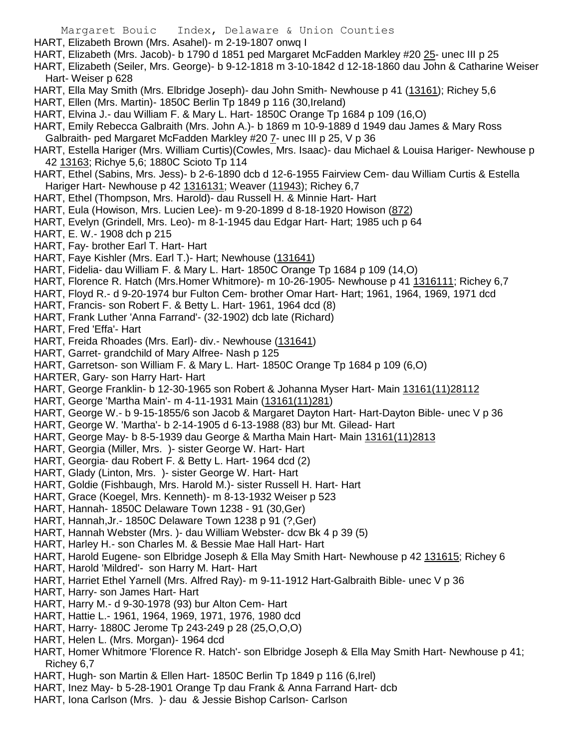Margaret Bouic Index, Delaware & Union Counties HART, Elizabeth Brown (Mrs. Asahel)- m 2-19-1807 onwq I HART, Elizabeth (Mrs. Jacob)- b 1790 d 1851 ped Margaret McFadden Markley #20 25- unec III p 25 HART, Elizabeth (Seiler, Mrs. George)- b 9-12-1818 m 3-10-1842 d 12-18-1860 dau John & Catharine Weiser Hart- Weiser p 628 HART, Ella May Smith (Mrs. Elbridge Joseph)- dau John Smith- Newhouse p 41 (13161); Richey 5,6 HART, Ellen (Mrs. Martin)- 1850C Berlin Tp 1849 p 116 (30,Ireland) HART, Elvina J.- dau William F. & Mary L. Hart- 1850C Orange Tp 1684 p 109 (16,O) HART, Emily Rebecca Galbraith (Mrs. John A.)- b 1869 m 10-9-1889 d 1949 dau James & Mary Ross Galbraith- ped Margaret McFadden Markley #20 7- unec III p 25, V p 36 HART, Estella Hariger (Mrs. William Curtis)(Cowles, Mrs. Isaac)- dau Michael & Louisa Hariger- Newhouse p 42 13163; Richye 5,6; 1880C Scioto Tp 114 HART, Ethel (Sabins, Mrs. Jess)- b 2-6-1890 dcb d 12-6-1955 Fairview Cem- dau William Curtis & Estella Hariger Hart- Newhouse p 42 1316131; Weaver (11943); Richey 6,7 HART, Ethel (Thompson, Mrs. Harold)- dau Russell H. & Minnie Hart- Hart HART, Eula (Howison, Mrs. Lucien Lee)- m 9-20-1899 d 8-18-1920 Howison (872) HART, Evelyn (Grindell, Mrs. Leo)- m 8-1-1945 dau Edgar Hart- Hart; 1985 uch p 64 HART, E. W.- 1908 dch p 215 HART, Fay- brother Earl T. Hart- Hart HART, Faye Kishler (Mrs. Earl T.)- Hart; Newhouse (131641) HART, Fidelia- dau William F. & Mary L. Hart- 1850C Orange Tp 1684 p 109 (14,O) HART, Florence R. Hatch (Mrs.Homer Whitmore)- m 10-26-1905- Newhouse p 41 1316111; Richey 6,7 HART, Floyd R.- d 9-20-1974 bur Fulton Cem- brother Omar Hart- Hart; 1961, 1964, 1969, 1971 dcd HART, Francis- son Robert F. & Betty L. Hart- 1961, 1964 dcd (8) HART, Frank Luther 'Anna Farrand'- (32-1902) dcb late (Richard) HART, Fred 'Effa'- Hart HART, Freida Rhoades (Mrs. Earl)- div.- Newhouse (131641) HART, Garret- grandchild of Mary Alfree- Nash p 125 HART, Garretson- son William F. & Mary L. Hart- 1850C Orange Tp 1684 p 109 (6,O) HARTER, Gary- son Harry Hart- Hart HART, George Franklin- b 12-30-1965 son Robert & Johanna Myser Hart- Main 13161(11)28112 HART, George 'Martha Main'- m 4-11-1931 Main (13161(11)281) HART, George W.- b 9-15-1855/6 son Jacob & Margaret Dayton Hart- Hart-Dayton Bible- unec V p 36 HART, George W. 'Martha'- b 2-14-1905 d 6-13-1988 (83) bur Mt. Gilead- Hart HART, George May- b 8-5-1939 dau George & Martha Main Hart- Main 13161(11)2813 HART, Georgia (Miller, Mrs. )- sister George W. Hart- Hart HART, Georgia- dau Robert F. & Betty L. Hart- 1964 dcd (2) HART, Glady (Linton, Mrs. )- sister George W. Hart- Hart HART, Goldie (Fishbaugh, Mrs. Harold M.)- sister Russell H. Hart- Hart HART, Grace (Koegel, Mrs. Kenneth)- m 8-13-1932 Weiser p 523 HART, Hannah- 1850C Delaware Town 1238 - 91 (30,Ger) HART, Hannah,Jr.- 1850C Delaware Town 1238 p 91 (?,Ger) HART, Hannah Webster (Mrs. )- dau William Webster- dcw Bk 4 p 39 (5) HART, Harley H.- son Charles M. & Bessie Mae Hall Hart- Hart HART, Harold Eugene- son Elbridge Joseph & Ella May Smith Hart- Newhouse p 42 131615; Richey 6 HART, Harold 'Mildred'- son Harry M. Hart- Hart HART, Harriet Ethel Yarnell (Mrs. Alfred Ray)- m 9-11-1912 Hart-Galbraith Bible- unec V p 36 HART, Harry- son James Hart- Hart HART, Harry M.- d 9-30-1978 (93) bur Alton Cem- Hart HART, Hattie L.- 1961, 1964, 1969, 1971, 1976, 1980 dcd HART, Harry- 1880C Jerome Tp 243-249 p 28 (25,O,O,O) HART, Helen L. (Mrs. Morgan)- 1964 dcd HART, Homer Whitmore 'Florence R. Hatch'- son Elbridge Joseph & Ella May Smith Hart- Newhouse p 41; Richey 6,7 HART, Hugh- son Martin & Ellen Hart- 1850C Berlin Tp 1849 p 116 (6, Irel) HART, Inez May- b 5-28-1901 Orange Tp dau Frank & Anna Farrand Hart- dcb

HART, Iona Carlson (Mrs. )- dau & Jessie Bishop Carlson- Carlson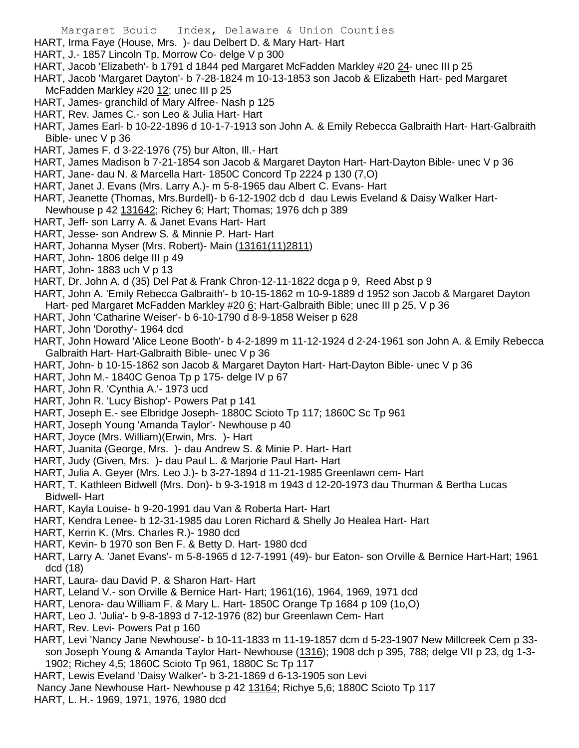- HART, Irma Faye (House, Mrs. )- dau Delbert D. & Mary Hart- Hart
- HART, J.- 1857 Lincoln Tp, Morrow Co- delge V p 300
- HART, Jacob 'Elizabeth'- b 1791 d 1844 ped Margaret McFadden Markley #20 24- unec III p 25
- HART, Jacob 'Margaret Dayton'- b 7-28-1824 m 10-13-1853 son Jacob & Elizabeth Hart- ped Margaret McFadden Markley #20 12; unec III p 25
- HART, James- granchild of Mary Alfree- Nash p 125
- HART, Rev. James C.- son Leo & Julia Hart- Hart
- HART, James Earl- b 10-22-1896 d 10-1-7-1913 son John A. & Emily Rebecca Galbraith Hart- Hart-Galbraith Bible- unec V p 36
- HART, James F. d 3-22-1976 (75) bur Alton, Ill.- Hart
- HART, James Madison b 7-21-1854 son Jacob & Margaret Dayton Hart- Hart-Dayton Bible- unec V p 36
- HART, Jane- dau N. & Marcella Hart- 1850C Concord Tp 2224 p 130 (7,O)
- HART, Janet J. Evans (Mrs. Larry A.)- m 5-8-1965 dau Albert C. Evans- Hart
- HART, Jeanette (Thomas, Mrs.Burdell)- b 6-12-1902 dcb d dau Lewis Eveland & Daisy Walker Hart-Newhouse p 42 131642; Richey 6; Hart; Thomas; 1976 dch p 389
- HART, Jeff- son Larry A. & Janet Evans Hart- Hart
- HART, Jesse- son Andrew S. & Minnie P. Hart- Hart
- HART, Johanna Myser (Mrs. Robert)- Main (13161(11)2811)
- HART, John- 1806 delge III p 49
- HART, John- 1883 uch V p 13
- HART, Dr. John A. d (35) Del Pat & Frank Chron-12-11-1822 dcga p 9, Reed Abst p 9
- HART, John A. 'Emily Rebecca Galbraith'- b 10-15-1862 m 10-9-1889 d 1952 son Jacob & Margaret Dayton Hart- ped Margaret McFadden Markley #20 6; Hart-Galbraith Bible; unec III p 25, V p 36
- HART, John 'Catharine Weiser'- b 6-10-1790 d 8-9-1858 Weiser p 628
- HART, John 'Dorothy'- 1964 dcd
- HART, John Howard 'Alice Leone Booth'- b 4-2-1899 m 11-12-1924 d 2-24-1961 son John A. & Emily Rebecca Galbraith Hart- Hart-Galbraith Bible- unec V p 36
- HART, John- b 10-15-1862 son Jacob & Margaret Dayton Hart- Hart-Dayton Bible- unec V p 36
- HART, John M.- 1840C Genoa Tp p 175- delge IV p 67
- HART, John R. 'Cynthia A.'- 1973 ucd
- HART, John R. 'Lucy Bishop'- Powers Pat p 141
- HART, Joseph E.- see Elbridge Joseph- 1880C Scioto Tp 117; 1860C Sc Tp 961
- HART, Joseph Young 'Amanda Taylor'- Newhouse p 40
- HART, Joyce (Mrs. William)(Erwin, Mrs. )- Hart
- HART, Juanita (George, Mrs. )- dau Andrew S. & Minie P. Hart- Hart
- HART, Judy (Given, Mrs. )- dau Paul L. & Marjorie Paul Hart- Hart
- HART, Julia A. Geyer (Mrs. Leo J.)- b 3-27-1894 d 11-21-1985 Greenlawn cem- Hart
- HART, T. Kathleen Bidwell (Mrs. Don)- b 9-3-1918 m 1943 d 12-20-1973 dau Thurman & Bertha Lucas Bidwell- Hart
- HART, Kayla Louise- b 9-20-1991 dau Van & Roberta Hart- Hart
- HART, Kendra Lenee- b 12-31-1985 dau Loren Richard & Shelly Jo Healea Hart- Hart
- HART, Kerrin K. (Mrs. Charles R.)- 1980 dcd
- HART, Kevin- b 1970 son Ben F. & Betty D. Hart- 1980 dcd
- HART, Larry A. 'Janet Evans'- m 5-8-1965 d 12-7-1991 (49)- bur Eaton- son Orville & Bernice Hart-Hart; 1961 dcd (18)
- HART, Laura- dau David P. & Sharon Hart- Hart
- HART, Leland V.- son Orville & Bernice Hart- Hart; 1961(16), 1964, 1969, 1971 dcd
- HART, Lenora- dau William F. & Mary L. Hart- 1850C Orange Tp 1684 p 109 (1o,O)
- HART, Leo J. 'Julia'- b 9-8-1893 d 7-12-1976 (82) bur Greenlawn Cem- Hart
- HART, Rev. Levi- Powers Pat p 160
- HART, Levi 'Nancy Jane Newhouse'- b 10-11-1833 m 11-19-1857 dcm d 5-23-1907 New Millcreek Cem p 33 son Joseph Young & Amanda Taylor Hart- Newhouse (1316); 1908 dch p 395, 788; delge VII p 23, dg 1-3- 1902; Richey 4,5; 1860C Scioto Tp 961, 1880C Sc Tp 117
- HART, Lewis Eveland 'Daisy Walker'- b 3-21-1869 d 6-13-1905 son Levi
- Nancy Jane Newhouse Hart- Newhouse p 42 13164; Richye 5,6; 1880C Scioto Tp 117
- HART, L. H.- 1969, 1971, 1976, 1980 dcd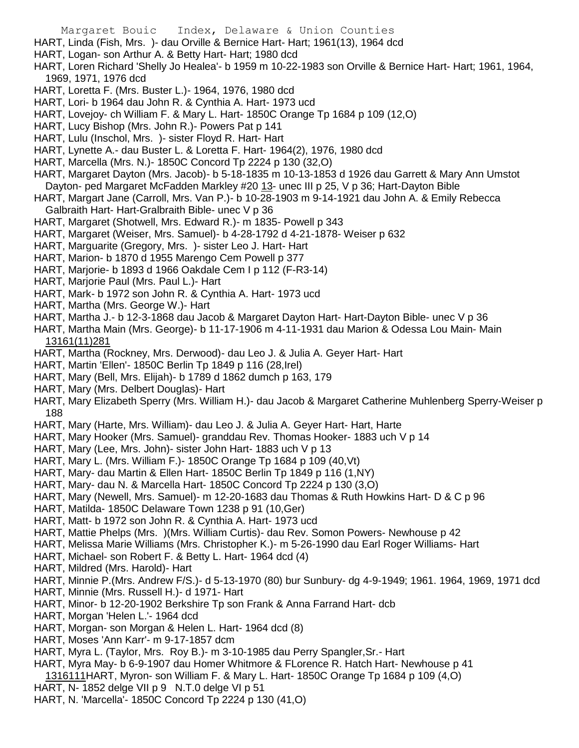HART, Linda (Fish, Mrs. )- dau Orville & Bernice Hart- Hart; 1961(13), 1964 dcd

- HART, Logan- son Arthur A. & Betty Hart- Hart; 1980 dcd
- HART, Loren Richard 'Shelly Jo Healea'- b 1959 m 10-22-1983 son Orville & Bernice Hart- Hart; 1961, 1964, 1969, 1971, 1976 dcd
- HART, Loretta F. (Mrs. Buster L.)- 1964, 1976, 1980 dcd
- HART, Lori- b 1964 dau John R. & Cynthia A. Hart- 1973 ucd
- HART, Lovejoy- ch William F. & Mary L. Hart- 1850C Orange Tp 1684 p 109 (12,O)
- HART, Lucy Bishop (Mrs. John R.)- Powers Pat p 141
- HART, Lulu (Inschol, Mrs. )- sister Floyd R. Hart- Hart
- HART, Lynette A.- dau Buster L. & Loretta F. Hart- 1964(2), 1976, 1980 dcd
- HART, Marcella (Mrs. N.)- 1850C Concord Tp 2224 p 130 (32,O)
- HART, Margaret Dayton (Mrs. Jacob)- b 5-18-1835 m 10-13-1853 d 1926 dau Garrett & Mary Ann Umstot Dayton- ped Margaret McFadden Markley #20 13- unec III p 25, V p 36; Hart-Dayton Bible
- HART, Margart Jane (Carroll, Mrs. Van P.)- b 10-28-1903 m 9-14-1921 dau John A. & Emily Rebecca
- Galbraith Hart- Hart-Gralbraith Bible- unec V p 36
- HART, Margaret (Shotwell, Mrs. Edward R.)- m 1835- Powell p 343
- HART, Margaret (Weiser, Mrs. Samuel)- b 4-28-1792 d 4-21-1878- Weiser p 632
- HART, Marguarite (Gregory, Mrs. )- sister Leo J. Hart- Hart
- HART, Marion- b 1870 d 1955 Marengo Cem Powell p 377
- HART, Marjorie- b 1893 d 1966 Oakdale Cem I p 112 (F-R3-14)
- HART, Marjorie Paul (Mrs. Paul L.)- Hart
- HART, Mark- b 1972 son John R. & Cynthia A. Hart- 1973 ucd
- HART, Martha (Mrs. George W.)- Hart
- HART, Martha J.- b 12-3-1868 dau Jacob & Margaret Dayton Hart- Hart-Dayton Bible- unec V p 36
- HART, Martha Main (Mrs. George)- b 11-17-1906 m 4-11-1931 dau Marion & Odessa Lou Main- Main 13161(11)281
- HART, Martha (Rockney, Mrs. Derwood)- dau Leo J. & Julia A. Geyer Hart- Hart
- HART, Martin 'Ellen'- 1850C Berlin Tp 1849 p 116 (28,Irel)
- HART, Mary (Bell, Mrs. Elijah)- b 1789 d 1862 dumch p 163, 179
- HART, Mary (Mrs. Delbert Douglas)- Hart
- HART, Mary Elizabeth Sperry (Mrs. William H.)- dau Jacob & Margaret Catherine Muhlenberg Sperry-Weiser p 188
- HART, Mary (Harte, Mrs. William)- dau Leo J. & Julia A. Geyer Hart- Hart, Harte
- HART, Mary Hooker (Mrs. Samuel)- granddau Rev. Thomas Hooker- 1883 uch V p 14
- HART, Mary (Lee, Mrs. John)- sister John Hart- 1883 uch V p 13
- HART, Mary L. (Mrs. William F.)- 1850C Orange Tp 1684 p 109 (40,Vt)
- HART, Mary- dau Martin & Ellen Hart- 1850C Berlin Tp 1849 p 116 (1,NY)
- HART, Mary- dau N. & Marcella Hart- 1850C Concord Tp 2224 p 130 (3,O)
- HART, Mary (Newell, Mrs. Samuel)- m 12-20-1683 dau Thomas & Ruth Howkins Hart- D & C p 96
- HART, Matilda- 1850C Delaware Town 1238 p 91 (10,Ger)
- HART, Matt- b 1972 son John R. & Cynthia A. Hart- 1973 ucd
- HART, Mattie Phelps (Mrs. )(Mrs. William Curtis)- dau Rev. Somon Powers- Newhouse p 42
- HART, Melissa Marie Williams (Mrs. Christopher K.)- m 5-26-1990 dau Earl Roger Williams- Hart
- HART, Michael- son Robert F. & Betty L. Hart- 1964 dcd (4)
- HART, Mildred (Mrs. Harold)- Hart
- HART, Minnie P.(Mrs. Andrew F/S.)- d 5-13-1970 (80) bur Sunbury- dg 4-9-1949; 1961. 1964, 1969, 1971 dcd
- HART, Minnie (Mrs. Russell H.)- d 1971- Hart
- HART, Minor- b 12-20-1902 Berkshire Tp son Frank & Anna Farrand Hart- dcb
- HART, Morgan 'Helen L.'- 1964 dcd
- HART, Morgan- son Morgan & Helen L. Hart- 1964 dcd (8)
- HART, Moses 'Ann Karr'- m 9-17-1857 dcm
- HART, Myra L. (Taylor, Mrs. Roy B.)- m 3-10-1985 dau Perry Spangler,Sr.- Hart
- HART, Myra May- b 6-9-1907 dau Homer Whitmore & FLorence R. Hatch Hart- Newhouse p 41
- 1316111HART, Myron- son William F. & Mary L. Hart- 1850C Orange Tp 1684 p 109 (4,O)
- HART, N- 1852 delge VII p 9 N.T.0 delge VI p 51
- HART, N. 'Marcella'- 1850C Concord Tp 2224 p 130 (41,O)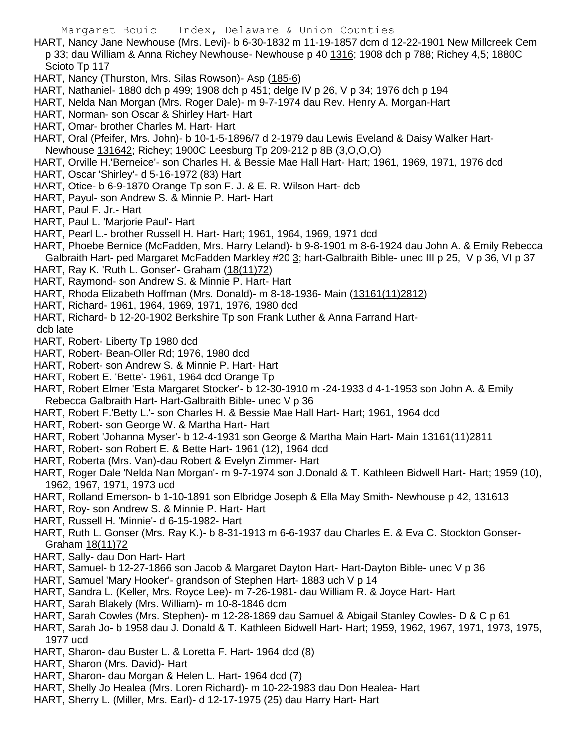- HART, Nancy Jane Newhouse (Mrs. Levi)- b 6-30-1832 m 11-19-1857 dcm d 12-22-1901 New Millcreek Cem p 33; dau William & Anna Richey Newhouse- Newhouse p 40 1316; 1908 dch p 788; Richey 4,5; 1880C Scioto Tp 117
- HART, Nancy (Thurston, Mrs. Silas Rowson)- Asp (185-6)
- HART, Nathaniel- 1880 dch p 499; 1908 dch p 451; delge IV p 26, V p 34; 1976 dch p 194
- HART, Nelda Nan Morgan (Mrs. Roger Dale)- m 9-7-1974 dau Rev. Henry A. Morgan-Hart
- HART, Norman- son Oscar & Shirley Hart- Hart
- HART, Omar- brother Charles M. Hart- Hart
- HART, Oral (Pfeifer, Mrs. John)- b 10-1-5-1896/7 d 2-1979 dau Lewis Eveland & Daisy Walker Hart-
- Newhouse 131642; Richey; 1900C Leesburg Tp 209-212 p 8B (3,O,O,O)
- HART, Orville H.'Berneice'- son Charles H. & Bessie Mae Hall Hart- Hart; 1961, 1969, 1971, 1976 dcd
- HART, Oscar 'Shirley'- d 5-16-1972 (83) Hart
- HART, Otice- b 6-9-1870 Orange Tp son F. J. & E. R. Wilson Hart- dcb
- HART, Payul- son Andrew S. & Minnie P. Hart- Hart
- HART, Paul F. Jr.- Hart
- HART, Paul L. 'Marjorie Paul'- Hart
- HART, Pearl L.- brother Russell H. Hart- Hart; 1961, 1964, 1969, 1971 dcd
- HART, Phoebe Bernice (McFadden, Mrs. Harry Leland)- b 9-8-1901 m 8-6-1924 dau John A. & Emily Rebecca Galbraith Hart- ped Margaret McFadden Markley #20 3; hart-Galbraith Bible- unec III p 25, V p 36, VI p 37
- HART, Ray K. 'Ruth L. Gonser'- Graham (18(11)72)
- HART, Raymond- son Andrew S. & Minnie P. Hart- Hart
- HART, Rhoda Elizabeth Hoffman (Mrs. Donald)- m 8-18-1936- Main (13161(11)2812)
- HART, Richard- 1961, 1964, 1969, 1971, 1976, 1980 dcd
- HART, Richard- b 12-20-1902 Berkshire Tp son Frank Luther & Anna Farrand Hart-
- dcb late
- HART, Robert- Liberty Tp 1980 dcd
- HART, Robert- Bean-Oller Rd; 1976, 1980 dcd
- HART, Robert- son Andrew S. & Minnie P. Hart- Hart
- HART, Robert E. 'Bette'- 1961, 1964 dcd Orange Tp
- HART, Robert Elmer 'Esta Margaret Stocker'- b 12-30-1910 m -24-1933 d 4-1-1953 son John A. & Emily Rebecca Galbraith Hart- Hart-Galbraith Bible- unec V p 36
- HART, Robert F.'Betty L.'- son Charles H. & Bessie Mae Hall Hart- Hart; 1961, 1964 dcd
- HART, Robert- son George W. & Martha Hart- Hart
- HART, Robert 'Johanna Myser'- b 12-4-1931 son George & Martha Main Hart- Main 13161(11)2811
- HART, Robert- son Robert E. & Bette Hart- 1961 (12), 1964 dcd
- HART, Roberta (Mrs. Van)-dau Robert & Evelyn Zimmer- Hart
- HART, Roger Dale 'Nelda Nan Morgan'- m 9-7-1974 son J.Donald & T. Kathleen Bidwell Hart- Hart; 1959 (10), 1962, 1967, 1971, 1973 ucd
- HART, Rolland Emerson- b 1-10-1891 son Elbridge Joseph & Ella May Smith- Newhouse p 42, 131613
- HART, Roy- son Andrew S. & Minnie P. Hart- Hart
- HART, Russell H. 'Minnie'- d 6-15-1982- Hart
- HART, Ruth L. Gonser (Mrs. Ray K.)- b 8-31-1913 m 6-6-1937 dau Charles E. & Eva C. Stockton Gonser-Graham 18(11)72
- HART, Sally- dau Don Hart- Hart
- HART, Samuel- b 12-27-1866 son Jacob & Margaret Dayton Hart- Hart-Dayton Bible- unec V p 36
- HART, Samuel 'Mary Hooker'- grandson of Stephen Hart- 1883 uch V p 14
- HART, Sandra L. (Keller, Mrs. Royce Lee)- m 7-26-1981- dau William R. & Joyce Hart- Hart
- HART, Sarah Blakely (Mrs. William)- m 10-8-1846 dcm
- HART, Sarah Cowles (Mrs. Stephen)- m 12-28-1869 dau Samuel & Abigail Stanley Cowles- D & C p 61
- HART, Sarah Jo- b 1958 dau J. Donald & T. Kathleen Bidwell Hart- Hart; 1959, 1962, 1967, 1971, 1973, 1975, 1977 ucd
- HART, Sharon- dau Buster L. & Loretta F. Hart- 1964 dcd (8)
- HART, Sharon (Mrs. David)- Hart
- HART, Sharon- dau Morgan & Helen L. Hart- 1964 dcd (7)
- HART, Shelly Jo Healea (Mrs. Loren Richard)- m 10-22-1983 dau Don Healea- Hart
- HART, Sherry L. (Miller, Mrs. Earl)- d 12-17-1975 (25) dau Harry Hart- Hart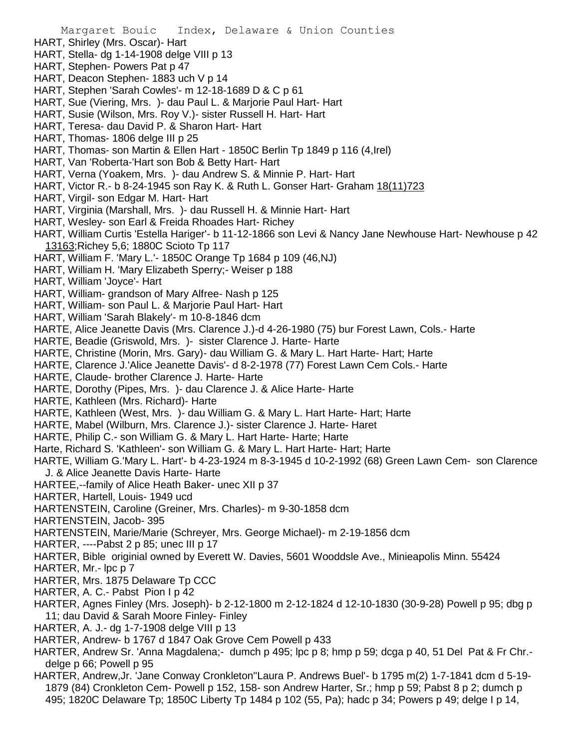- HART, Shirley (Mrs. Oscar)- Hart
- HART, Stella- dg 1-14-1908 delge VIII p 13
- HART, Stephen- Powers Pat p 47
- HART, Deacon Stephen- 1883 uch V p 14
- HART, Stephen 'Sarah Cowles'- m 12-18-1689 D & C p 61
- HART, Sue (Viering, Mrs. )- dau Paul L. & Marjorie Paul Hart- Hart
- HART, Susie (Wilson, Mrs. Roy V.)- sister Russell H. Hart- Hart
- HART, Teresa- dau David P. & Sharon Hart- Hart
- HART, Thomas- 1806 delge III p 25
- HART, Thomas- son Martin & Ellen Hart 1850C Berlin Tp 1849 p 116 (4,Irel)
- HART, Van 'Roberta-'Hart son Bob & Betty Hart- Hart
- HART, Verna (Yoakem, Mrs. )- dau Andrew S. & Minnie P. Hart- Hart
- HART, Victor R.- b 8-24-1945 son Ray K. & Ruth L. Gonser Hart- Graham 18(11)723
- HART, Virgil- son Edgar M. Hart- Hart
- HART, Virginia (Marshall, Mrs. )- dau Russell H. & Minnie Hart- Hart
- HART, Wesley- son Earl & Freida Rhoades Hart- Richey
- HART, William Curtis 'Estella Hariger'- b 11-12-1866 son Levi & Nancy Jane Newhouse Hart- Newhouse p 42 13163;Richey 5,6; 1880C Scioto Tp 117
- HART, William F. 'Mary L.'- 1850C Orange Tp 1684 p 109 (46,NJ)
- HART, William H. 'Mary Elizabeth Sperry;- Weiser p 188
- HART, William 'Joyce'- Hart
- HART, William- grandson of Mary Alfree- Nash p 125
- HART, William- son Paul L. & Marjorie Paul Hart- Hart
- HART, William 'Sarah Blakely'- m 10-8-1846 dcm
- HARTE, Alice Jeanette Davis (Mrs. Clarence J.)-d 4-26-1980 (75) bur Forest Lawn, Cols.- Harte
- HARTE, Beadie (Griswold, Mrs. )- sister Clarence J. Harte- Harte
- HARTE, Christine (Morin, Mrs. Gary)- dau William G. & Mary L. Hart Harte- Hart; Harte
- HARTE, Clarence J.'Alice Jeanette Davis'- d 8-2-1978 (77) Forest Lawn Cem Cols.- Harte
- HARTE, Claude- brother Clarence J. Harte- Harte
- HARTE, Dorothy (Pipes, Mrs. )- dau Clarence J. & Alice Harte- Harte
- HARTE, Kathleen (Mrs. Richard)- Harte
- HARTE, Kathleen (West, Mrs. )- dau William G. & Mary L. Hart Harte- Hart; Harte
- HARTE, Mabel (Wilburn, Mrs. Clarence J.)- sister Clarence J. Harte- Haret
- HARTE, Philip C.- son William G. & Mary L. Hart Harte- Harte; Harte
- Harte, Richard S. 'Kathleen'- son William G. & Mary L. Hart Harte- Hart; Harte
- HARTE, William G.'Mary L. Hart'- b 4-23-1924 m 8-3-1945 d 10-2-1992 (68) Green Lawn Cem- son Clarence J. & Alice Jeanette Davis Harte- Harte
- HARTEE,--family of Alice Heath Baker- unec XII p 37
- HARTER, Hartell, Louis- 1949 ucd
- HARTENSTEIN, Caroline (Greiner, Mrs. Charles)- m 9-30-1858 dcm
- HARTENSTEIN, Jacob- 395
- HARTENSTEIN, Marie/Marie (Schreyer, Mrs. George Michael)- m 2-19-1856 dcm
- HARTER, ----Pabst 2 p 85; unec III p 17
- HARTER, Bible originial owned by Everett W. Davies, 5601 Wooddsle Ave., Minieapolis Minn. 55424

HARTER, Mr.- lpc p 7

- HARTER, Mrs. 1875 Delaware Tp CCC
- HARTER, A. C.- Pabst Pion I p 42
- HARTER, Agnes Finley (Mrs. Joseph)- b 2-12-1800 m 2-12-1824 d 12-10-1830 (30-9-28) Powell p 95; dbg p 11; dau David & Sarah Moore Finley- Finley
- HARTER, A. J.- dg 1-7-1908 delge VIII p 13
- HARTER, Andrew- b 1767 d 1847 Oak Grove Cem Powell p 433
- HARTER, Andrew Sr. 'Anna Magdalena;- dumch p 495; lpc p 8; hmp p 59; dcga p 40, 51 Del Pat & Fr Chr. delge p 66; Powell p 95
- HARTER, Andrew,Jr. 'Jane Conway Cronkleton''Laura P. Andrews Buel'- b 1795 m(2) 1-7-1841 dcm d 5-19- 1879 (84) Cronkleton Cem- Powell p 152, 158- son Andrew Harter, Sr.; hmp p 59; Pabst 8 p 2; dumch p 495; 1820C Delaware Tp; 1850C Liberty Tp 1484 p 102 (55, Pa); hadc p 34; Powers p 49; delge I p 14,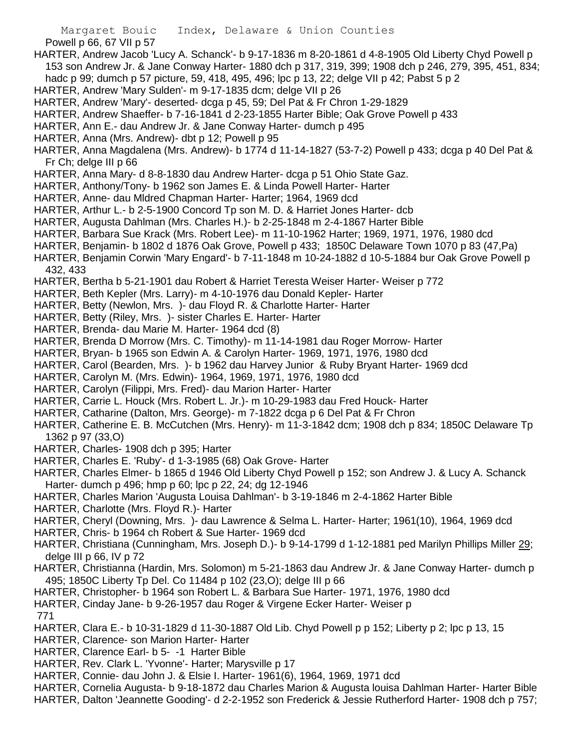Powell p 66, 67 VII p 57

- HARTER, Andrew Jacob 'Lucy A. Schanck'- b 9-17-1836 m 8-20-1861 d 4-8-1905 Old Liberty Chyd Powell p 153 son Andrew Jr. & Jane Conway Harter- 1880 dch p 317, 319, 399; 1908 dch p 246, 279, 395, 451, 834; hadc p 99; dumch p 57 picture, 59, 418, 495, 496; lpc p 13, 22; delge VII p 42; Pabst 5 p 2
- HARTER, Andrew 'Mary Sulden'- m 9-17-1835 dcm; delge VII p 26
- HARTER, Andrew 'Mary'- deserted- dcga p 45, 59; Del Pat & Fr Chron 1-29-1829
- HARTER, Andrew Shaeffer- b 7-16-1841 d 2-23-1855 Harter Bible; Oak Grove Powell p 433
- HARTER, Ann E.- dau Andrew Jr. & Jane Conway Harter- dumch p 495
- HARTER, Anna (Mrs. Andrew)- dbt p 12; Powell p 95

HARTER, Anna Magdalena (Mrs. Andrew)- b 1774 d 11-14-1827 (53-7-2) Powell p 433; dcga p 40 Del Pat & Fr Ch; delge III p 66

- HARTER, Anna Mary- d 8-8-1830 dau Andrew Harter- dcga p 51 Ohio State Gaz.
- HARTER, Anthony/Tony- b 1962 son James E. & Linda Powell Harter- Harter
- HARTER, Anne- dau Mldred Chapman Harter- Harter; 1964, 1969 dcd
- HARTER, Arthur L.- b 2-5-1900 Concord Tp son M. D. & Harriet Jones Harter- dcb
- HARTER, Augusta Dahlman (Mrs. Charles H.)- b 2-25-1848 m 2-4-1867 Harter Bible
- HARTER, Barbara Sue Krack (Mrs. Robert Lee)- m 11-10-1962 Harter; 1969, 1971, 1976, 1980 dcd
- HARTER, Benjamin- b 1802 d 1876 Oak Grove, Powell p 433; 1850C Delaware Town 1070 p 83 (47,Pa)
- HARTER, Benjamin Corwin 'Mary Engard'- b 7-11-1848 m 10-24-1882 d 10-5-1884 bur Oak Grove Powell p 432, 433
- HARTER, Bertha b 5-21-1901 dau Robert & Harriet Teresta Weiser Harter- Weiser p 772
- HARTER, Beth Kepler (Mrs. Larry)- m 4-10-1976 dau Donald Kepler- Harter
- HARTER, Betty (Newlon, Mrs. )- dau Floyd R. & Charlotte Harter- Harter
- HARTER, Betty (Riley, Mrs. )- sister Charles E. Harter- Harter
- HARTER, Brenda- dau Marie M. Harter- 1964 dcd (8)
- HARTER, Brenda D Morrow (Mrs. C. Timothy)- m 11-14-1981 dau Roger Morrow- Harter
- HARTER, Bryan- b 1965 son Edwin A. & Carolyn Harter- 1969, 1971, 1976, 1980 dcd
- HARTER, Carol (Bearden, Mrs. )- b 1962 dau Harvey Junior & Ruby Bryant Harter- 1969 dcd
- HARTER, Carolyn M. (Mrs. Edwin)- 1964, 1969, 1971, 1976, 1980 dcd
- HARTER, Carolyn (Filippi, Mrs. Fred)- dau Marion Harter- Harter
- HARTER, Carrie L. Houck (Mrs. Robert L. Jr.)- m 10-29-1983 dau Fred Houck- Harter
- HARTER, Catharine (Dalton, Mrs. George)- m 7-1822 dcga p 6 Del Pat & Fr Chron
- HARTER, Catherine E. B. McCutchen (Mrs. Henry)- m 11-3-1842 dcm; 1908 dch p 834; 1850C Delaware Tp 1362 p 97 (33,O)
- HARTER, Charles- 1908 dch p 395; Harter
- HARTER, Charles E. 'Ruby'- d 1-3-1985 (68) Oak Grove- Harter
- HARTER, Charles Elmer- b 1865 d 1946 Old Liberty Chyd Powell p 152; son Andrew J. & Lucy A. Schanck Harter- dumch p 496; hmp p 60; lpc p 22, 24; dg 12-1946
- HARTER, Charles Marion 'Augusta Louisa Dahlman'- b 3-19-1846 m 2-4-1862 Harter Bible
- HARTER, Charlotte (Mrs. Floyd R.)- Harter
- HARTER, Cheryl (Downing, Mrs. )- dau Lawrence & Selma L. Harter- Harter; 1961(10), 1964, 1969 dcd
- HARTER, Chris- b 1964 ch Robert & Sue Harter- 1969 dcd
- HARTER, Christiana (Cunningham, Mrs. Joseph D.)- b 9-14-1799 d 1-12-1881 ped Marilyn Phillips Miller 29; delge III p 66, IV p 72
- HARTER, Christianna (Hardin, Mrs. Solomon) m 5-21-1863 dau Andrew Jr. & Jane Conway Harter- dumch p 495; 1850C Liberty Tp Del. Co 11484 p 102 (23,O); delge III p 66
- HARTER, Christopher- b 1964 son Robert L. & Barbara Sue Harter- 1971, 1976, 1980 dcd
- HARTER, Cinday Jane- b 9-26-1957 dau Roger & Virgene Ecker Harter- Weiser p
- 771
- HARTER, Clara E.- b 10-31-1829 d 11-30-1887 Old Lib. Chyd Powell p p 152; Liberty p 2; lpc p 13, 15
- HARTER, Clarence- son Marion Harter- Harter
- HARTER, Clarence Earl- b 5- -1 Harter Bible
- HARTER, Rev. Clark L. 'Yvonne'- Harter; Marysville p 17
- HARTER, Connie- dau John J. & Elsie I. Harter- 1961(6), 1964, 1969, 1971 dcd
- HARTER, Cornelia Augusta- b 9-18-1872 dau Charles Marion & Augusta louisa Dahlman Harter- Harter Bible
- HARTER, Dalton 'Jeannette Gooding'- d 2-2-1952 son Frederick & Jessie Rutherford Harter- 1908 dch p 757;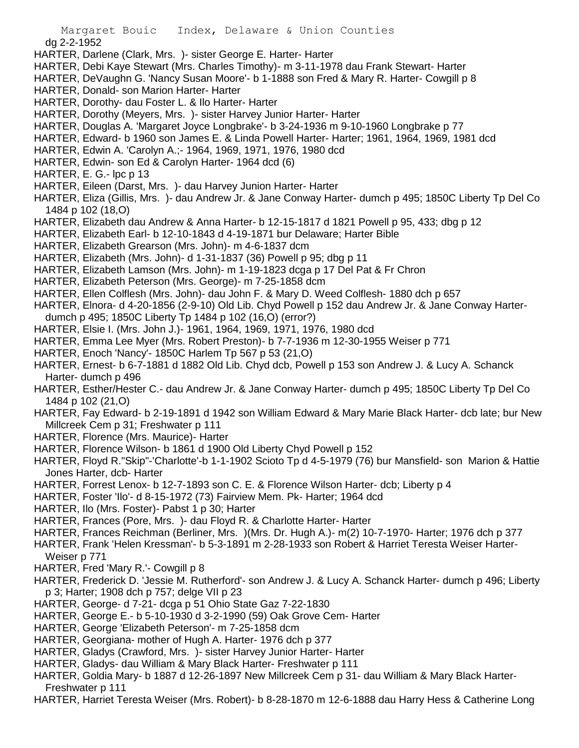dg 2-2-1952

HARTER, Darlene (Clark, Mrs. )- sister George E. Harter- Harter

- HARTER, Debi Kaye Stewart (Mrs. Charles Timothy)- m 3-11-1978 dau Frank Stewart- Harter
- HARTER, DeVaughn G. 'Nancy Susan Moore'- b 1-1888 son Fred & Mary R. Harter- Cowgill p 8
- HARTER, Donald- son Marion Harter- Harter
- HARTER, Dorothy- dau Foster L. & Ilo Harter- Harter
- HARTER, Dorothy (Meyers, Mrs. )- sister Harvey Junior Harter- Harter
- HARTER, Douglas A. 'Margaret Joyce Longbrake'- b 3-24-1936 m 9-10-1960 Longbrake p 77
- HARTER, Edward- b 1960 son James E. & Linda Powell Harter- Harter; 1961, 1964, 1969, 1981 dcd
- HARTER, Edwin A. 'Carolyn A.;- 1964, 1969, 1971, 1976, 1980 dcd
- HARTER, Edwin- son Ed & Carolyn Harter- 1964 dcd (6)
- HARTER, E. G.- lpc p 13
- HARTER, Eileen (Darst, Mrs. )- dau Harvey Junion Harter- Harter
- HARTER, Eliza (Gillis, Mrs. )- dau Andrew Jr. & Jane Conway Harter- dumch p 495; 1850C Liberty Tp Del Co 1484 p 102 (18,O)
- HARTER, Elizabeth dau Andrew & Anna Harter- b 12-15-1817 d 1821 Powell p 95, 433; dbg p 12
- HARTER, Elizabeth Earl- b 12-10-1843 d 4-19-1871 bur Delaware; Harter Bible
- HARTER, Elizabeth Grearson (Mrs. John)- m 4-6-1837 dcm
- HARTER, Elizabeth (Mrs. John)- d 1-31-1837 (36) Powell p 95; dbg p 11
- HARTER, Elizabeth Lamson (Mrs. John)- m 1-19-1823 dcga p 17 Del Pat & Fr Chron
- HARTER, Elizabeth Peterson (Mrs. George)- m 7-25-1858 dcm
- HARTER, Ellen Colflesh (Mrs. John)- dau John F. & Mary D. Weed Colflesh- 1880 dch p 657
- HARTER, Elnora- d 4-20-1856 (2-9-10) Old Lib. Chyd Powell p 152 dau Andrew Jr. & Jane Conway Harterdumch p 495; 1850C Liberty Tp 1484 p 102 (16,O) (error?)
- HARTER, Elsie I. (Mrs. John J.)- 1961, 1964, 1969, 1971, 1976, 1980 dcd
- HARTER, Emma Lee Myer (Mrs. Robert Preston)- b 7-7-1936 m 12-30-1955 Weiser p 771
- HARTER, Enoch 'Nancy'- 1850C Harlem Tp 567 p 53 (21,O)
- HARTER, Ernest- b 6-7-1881 d 1882 Old Lib. Chyd dcb, Powell p 153 son Andrew J. & Lucy A. Schanck Harter- dumch p 496
- HARTER, Esther/Hester C.- dau Andrew Jr. & Jane Conway Harter- dumch p 495; 1850C Liberty Tp Del Co 1484 p 102 (21,O)
- HARTER, Fay Edward- b 2-19-1891 d 1942 son William Edward & Mary Marie Black Harter- dcb late; bur New Millcreek Cem p 31; Freshwater p 111
- HARTER, Florence (Mrs. Maurice)- Harter
- HARTER, Florence Wilson- b 1861 d 1900 Old Liberty Chyd Powell p 152
- HARTER, Floyd R."Skip"-'Charlotte'-b 1-1-1902 Scioto Tp d 4-5-1979 (76) bur Mansfield- son Marion & Hattie Jones Harter, dcb- Harter
- HARTER, Forrest Lenox- b 12-7-1893 son C. E. & Florence Wilson Harter- dcb; Liberty p 4
- HARTER, Foster 'Ilo'- d 8-15-1972 (73) Fairview Mem. Pk- Harter; 1964 dcd
- HARTER, Ilo (Mrs. Foster)- Pabst 1 p 30; Harter
- HARTER, Frances (Pore, Mrs. )- dau Floyd R. & Charlotte Harter- Harter
- HARTER, Frances Reichman (Berliner, Mrs. )(Mrs. Dr. Hugh A.)- m(2) 10-7-1970- Harter; 1976 dch p 377
- HARTER, Frank 'Helen Kressman'- b 5-3-1891 m 2-28-1933 son Robert & Harriet Teresta Weiser Harter-
- Weiser p 771
- HARTER, Fred 'Mary R.'- Cowgill p 8
- HARTER, Frederick D. 'Jessie M. Rutherford'- son Andrew J. & Lucy A. Schanck Harter- dumch p 496; Liberty p 3; Harter; 1908 dch p 757; delge VII p 23
- HARTER, George- d 7-21- dcga p 51 Ohio State Gaz 7-22-1830
- HARTER, George E.- b 5-10-1930 d 3-2-1990 (59) Oak Grove Cem- Harter
- HARTER, George 'Elizabeth Peterson'- m 7-25-1858 dcm
- HARTER, Georgiana- mother of Hugh A. Harter- 1976 dch p 377
- HARTER, Gladys (Crawford, Mrs. )- sister Harvey Junior Harter- Harter
- HARTER, Gladys- dau William & Mary Black Harter- Freshwater p 111
- HARTER, Goldia Mary- b 1887 d 12-26-1897 New Millcreek Cem p 31- dau William & Mary Black Harter-Freshwater p 111
- HARTER, Harriet Teresta Weiser (Mrs. Robert)- b 8-28-1870 m 12-6-1888 dau Harry Hess & Catherine Long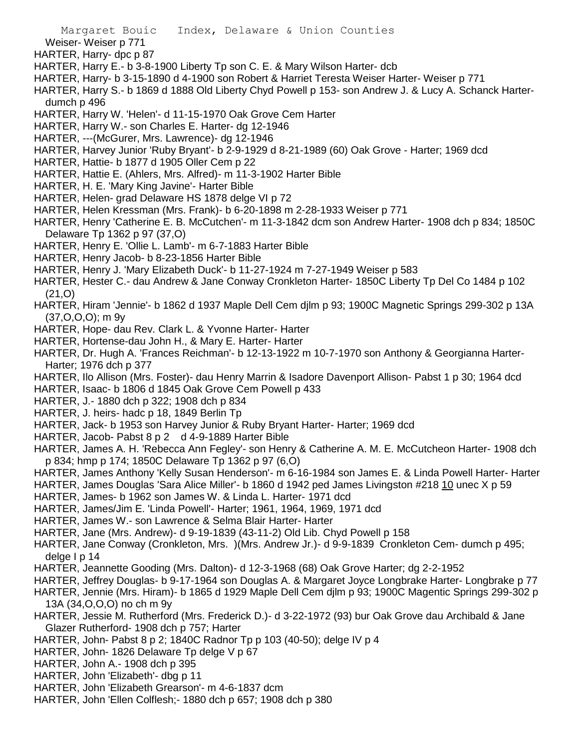Weiser- Weiser p 771

HARTER, Harry- dpc p 87

- HARTER, Harry E.- b 3-8-1900 Liberty Tp son C. E. & Mary Wilson Harter- dcb
- HARTER, Harry- b 3-15-1890 d 4-1900 son Robert & Harriet Teresta Weiser Harter- Weiser p 771
- HARTER, Harry S.- b 1869 d 1888 Old Liberty Chyd Powell p 153- son Andrew J. & Lucy A. Schanck Harterdumch p 496
- HARTER, Harry W. 'Helen'- d 11-15-1970 Oak Grove Cem Harter
- HARTER, Harry W.- son Charles E. Harter- dg 12-1946
- HARTER, ---(McGurer, Mrs. Lawrence)- dg 12-1946
- HARTER, Harvey Junior 'Ruby Bryant'- b 2-9-1929 d 8-21-1989 (60) Oak Grove Harter; 1969 dcd
- HARTER, Hattie- b 1877 d 1905 Oller Cem p 22
- HARTER, Hattie E. (Ahlers, Mrs. Alfred)- m 11-3-1902 Harter Bible
- HARTER, H. E. 'Mary King Javine'- Harter Bible
- HARTER, Helen- grad Delaware HS 1878 delge VI p 72
- HARTER, Helen Kressman (Mrs. Frank)- b 6-20-1898 m 2-28-1933 Weiser p 771
- HARTER, Henry 'Catherine E. B. McCutchen'- m 11-3-1842 dcm son Andrew Harter- 1908 dch p 834; 1850C Delaware Tp 1362 p 97 (37,O)
- HARTER, Henry E. 'Ollie L. Lamb'- m 6-7-1883 Harter Bible
- HARTER, Henry Jacob- b 8-23-1856 Harter Bible
- HARTER, Henry J. 'Mary Elizabeth Duck'- b 11-27-1924 m 7-27-1949 Weiser p 583
- HARTER, Hester C.- dau Andrew & Jane Conway Cronkleton Harter- 1850C Liberty Tp Del Co 1484 p 102 (21,O)
- HARTER, Hiram 'Jennie'- b 1862 d 1937 Maple Dell Cem djlm p 93; 1900C Magnetic Springs 299-302 p 13A (37,O,O,O); m 9y
- HARTER, Hope- dau Rev. Clark L. & Yvonne Harter- Harter
- HARTER, Hortense-dau John H., & Mary E. Harter- Harter
- HARTER, Dr. Hugh A. 'Frances Reichman'- b 12-13-1922 m 10-7-1970 son Anthony & Georgianna Harter-Harter; 1976 dch p 377
- HARTER, Ilo Allison (Mrs. Foster)- dau Henry Marrin & Isadore Davenport Allison- Pabst 1 p 30; 1964 dcd
- HARTER, Isaac- b 1806 d 1845 Oak Grove Cem Powell p 433
- HARTER, J.- 1880 dch p 322; 1908 dch p 834
- HARTER, J. heirs- hadc p 18, 1849 Berlin Tp
- HARTER, Jack- b 1953 son Harvey Junior & Ruby Bryant Harter- Harter; 1969 dcd
- HARTER, Jacob- Pabst 8 p 2 d 4-9-1889 Harter Bible
- HARTER, James A. H. 'Rebecca Ann Fegley'- son Henry & Catherine A. M. E. McCutcheon Harter- 1908 dch p 834; hmp p 174; 1850C Delaware Tp 1362 p 97 (6,O)
- HARTER, James Anthony 'Kelly Susan Henderson'- m 6-16-1984 son James E. & Linda Powell Harter- Harter
- HARTER, James Douglas 'Sara Alice Miller'- b 1860 d 1942 ped James Livingston #218 10 unec X p 59
- HARTER, James- b 1962 son James W. & Linda L. Harter- 1971 dcd
- HARTER, James/Jim E. 'Linda Powell'- Harter; 1961, 1964, 1969, 1971 dcd
- HARTER, James W.- son Lawrence & Selma Blair Harter- Harter
- HARTER, Jane (Mrs. Andrew)- d 9-19-1839 (43-11-2) Old Lib. Chyd Powell p 158
- HARTER, Jane Conway (Cronkleton, Mrs. )(Mrs. Andrew Jr.)- d 9-9-1839 Cronkleton Cem- dumch p 495; delge I p 14
- HARTER, Jeannette Gooding (Mrs. Dalton)- d 12-3-1968 (68) Oak Grove Harter; dg 2-2-1952
- HARTER, Jeffrey Douglas- b 9-17-1964 son Douglas A. & Margaret Joyce Longbrake Harter- Longbrake p 77
- HARTER, Jennie (Mrs. Hiram)- b 1865 d 1929 Maple Dell Cem djlm p 93; 1900C Magentic Springs 299-302 p 13A (34,O,O,O) no ch m 9y
- HARTER, Jessie M. Rutherford (Mrs. Frederick D.)- d 3-22-1972 (93) bur Oak Grove dau Archibald & Jane Glazer Rutherford- 1908 dch p 757; Harter
- HARTER, John- Pabst 8 p 2; 1840C Radnor Tp p 103 (40-50); delge IV p 4
- HARTER, John- 1826 Delaware Tp delge V p 67
- HARTER, John A.- 1908 dch p 395
- HARTER, John 'Elizabeth'- dbg p 11
- HARTER, John 'Elizabeth Grearson'- m 4-6-1837 dcm
- HARTER, John 'Ellen Colflesh;- 1880 dch p 657; 1908 dch p 380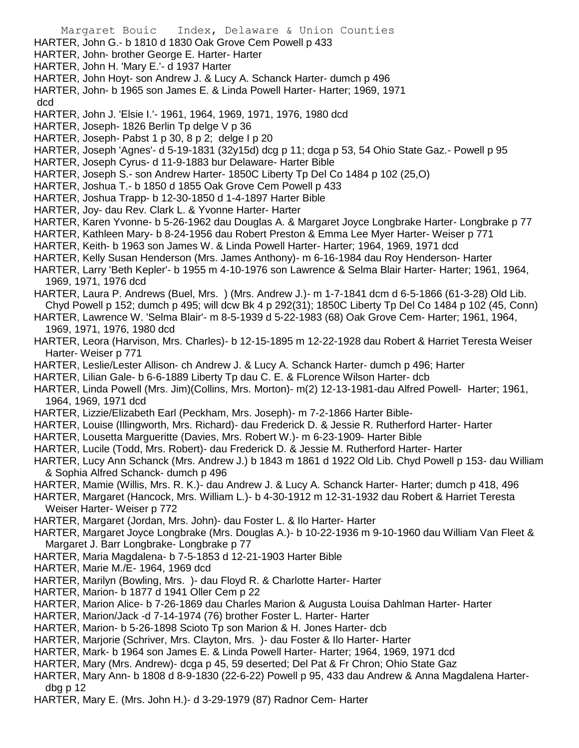HARTER, John G.- b 1810 d 1830 Oak Grove Cem Powell p 433 HARTER, John- brother George E. Harter- Harter HARTER, John H. 'Mary E.'- d 1937 Harter HARTER, John Hoyt- son Andrew J. & Lucy A. Schanck Harter- dumch p 496 HARTER, John- b 1965 son James E. & Linda Powell Harter- Harter; 1969, 1971 dcd HARTER, John J. 'Elsie I.'- 1961, 1964, 1969, 1971, 1976, 1980 dcd HARTER, Joseph- 1826 Berlin Tp delge V p 36 HARTER, Joseph- Pabst 1 p 30, 8 p 2; delge I p 20 HARTER, Joseph 'Agnes'- d 5-19-1831 (32y15d) dcg p 11; dcga p 53, 54 Ohio State Gaz.- Powell p 95 HARTER, Joseph Cyrus- d 11-9-1883 bur Delaware- Harter Bible HARTER, Joseph S.- son Andrew Harter- 1850C Liberty Tp Del Co 1484 p 102 (25,O) HARTER, Joshua T.- b 1850 d 1855 Oak Grove Cem Powell p 433 HARTER, Joshua Trapp- b 12-30-1850 d 1-4-1897 Harter Bible HARTER, Joy- dau Rev. Clark L. & Yvonne Harter- Harter HARTER, Karen Yvonne- b 5-26-1962 dau Douglas A. & Margaret Joyce Longbrake Harter- Longbrake p 77 HARTER, Kathleen Mary- b 8-24-1956 dau Robert Preston & Emma Lee Myer Harter- Weiser p 771 HARTER, Keith- b 1963 son James W. & Linda Powell Harter- Harter; 1964, 1969, 1971 dcd HARTER, Kelly Susan Henderson (Mrs. James Anthony)- m 6-16-1984 dau Roy Henderson- Harter HARTER, Larry 'Beth Kepler'- b 1955 m 4-10-1976 son Lawrence & Selma Blair Harter- Harter; 1961, 1964, 1969, 1971, 1976 dcd HARTER, Laura P. Andrews (Buel, Mrs. ) (Mrs. Andrew J.)- m 1-7-1841 dcm d 6-5-1866 (61-3-28) Old Lib. Chyd Powell p 152; dumch p 495; will dcw Bk 4 p 292(31); 1850C Liberty Tp Del Co 1484 p 102 (45, Conn) HARTER, Lawrence W. 'Selma Blair'- m 8-5-1939 d 5-22-1983 (68) Oak Grove Cem- Harter; 1961, 1964, 1969, 1971, 1976, 1980 dcd HARTER, Leora (Harvison, Mrs. Charles)- b 12-15-1895 m 12-22-1928 dau Robert & Harriet Teresta Weiser Harter- Weiser p 771 HARTER, Leslie/Lester Allison- ch Andrew J. & Lucy A. Schanck Harter- dumch p 496; Harter HARTER, Lilian Gale- b 6-6-1889 Liberty Tp dau C. E. & FLorence Wilson Harter- dcb HARTER, Linda Powell (Mrs. Jim)(Collins, Mrs. Morton)- m(2) 12-13-1981-dau Alfred Powell- Harter; 1961, 1964, 1969, 1971 dcd HARTER, Lizzie/Elizabeth Earl (Peckham, Mrs. Joseph)- m 7-2-1866 Harter Bible-HARTER, Louise (Illingworth, Mrs. Richard)- dau Frederick D. & Jessie R. Rutherford Harter- Harter HARTER, Lousetta Margueritte (Davies, Mrs. Robert W.)- m 6-23-1909- Harter Bible HARTER, Lucile (Todd, Mrs. Robert)- dau Frederick D. & Jessie M. Rutherford Harter- Harter HARTER, Lucy Ann Schanck (Mrs. Andrew J.) b 1843 m 1861 d 1922 Old Lib. Chyd Powell p 153- dau William & Sophia Alfred Schanck- dumch p 496 HARTER, Mamie (Willis, Mrs. R. K.)- dau Andrew J. & Lucy A. Schanck Harter- Harter; dumch p 418, 496 HARTER, Margaret (Hancock, Mrs. William L.)- b 4-30-1912 m 12-31-1932 dau Robert & Harriet Teresta Weiser Harter- Weiser p 772 HARTER, Margaret (Jordan, Mrs. John)- dau Foster L. & Ilo Harter- Harter HARTER, Margaret Joyce Longbrake (Mrs. Douglas A.)- b 10-22-1936 m 9-10-1960 dau William Van Fleet & Margaret J. Barr Longbrake- Longbrake p 77 HARTER, Maria Magdalena- b 7-5-1853 d 12-21-1903 Harter Bible HARTER, Marie M./E- 1964, 1969 dcd HARTER, Marilyn (Bowling, Mrs. )- dau Floyd R. & Charlotte Harter- Harter HARTER, Marion- b 1877 d 1941 Oller Cem p 22 HARTER, Marion Alice- b 7-26-1869 dau Charles Marion & Augusta Louisa Dahlman Harter- Harter HARTER, Marion/Jack -d 7-14-1974 (76) brother Foster L. Harter- Harter HARTER, Marion- b 5-26-1898 Scioto Tp son Marion & H. Jones Harter- dcb HARTER, Marjorie (Schriver, Mrs. Clayton, Mrs. )- dau Foster & Ilo Harter- Harter HARTER, Mark- b 1964 son James E. & Linda Powell Harter- Harter; 1964, 1969, 1971 dcd HARTER, Mary (Mrs. Andrew)- dcga p 45, 59 deserted; Del Pat & Fr Chron; Ohio State Gaz HARTER, Mary Ann- b 1808 d 8-9-1830 (22-6-22) Powell p 95, 433 dau Andrew & Anna Magdalena Harterdbg p 12

Margaret Bouic Index, Delaware & Union Counties

HARTER, Mary E. (Mrs. John H.)- d 3-29-1979 (87) Radnor Cem- Harter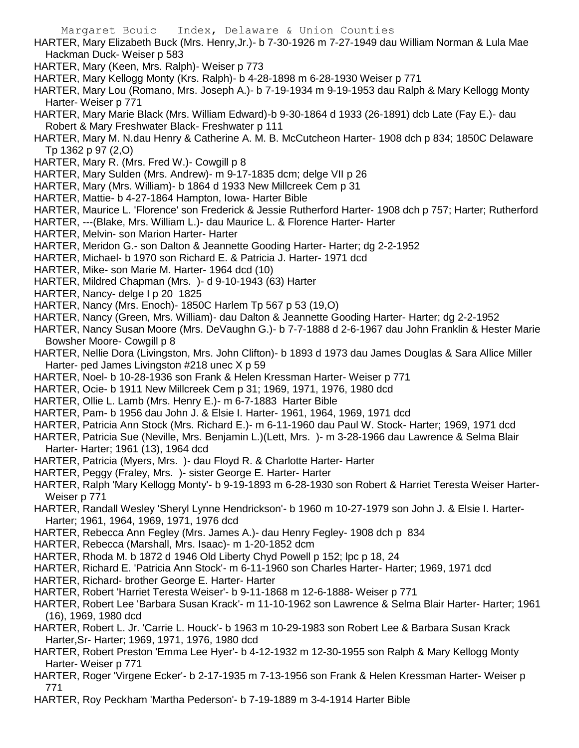- HARTER, Mary Elizabeth Buck (Mrs. Henry,Jr.)- b 7-30-1926 m 7-27-1949 dau William Norman & Lula Mae Hackman Duck- Weiser p 583
- HARTER, Mary (Keen, Mrs. Ralph)- Weiser p 773
- HARTER, Mary Kellogg Monty (Krs. Ralph)- b 4-28-1898 m 6-28-1930 Weiser p 771
- HARTER, Mary Lou (Romano, Mrs. Joseph A.)- b 7-19-1934 m 9-19-1953 dau Ralph & Mary Kellogg Monty Harter- Weiser p 771
- HARTER, Mary Marie Black (Mrs. William Edward)-b 9-30-1864 d 1933 (26-1891) dcb Late (Fay E.)- dau Robert & Mary Freshwater Black- Freshwater p 111
- HARTER, Mary M. N.dau Henry & Catherine A. M. B. McCutcheon Harter- 1908 dch p 834; 1850C Delaware Tp 1362 p 97 (2,O)
- HARTER, Mary R. (Mrs. Fred W.)- Cowgill p 8
- HARTER, Mary Sulden (Mrs. Andrew)- m 9-17-1835 dcm; delge VII p 26
- HARTER, Mary (Mrs. William)- b 1864 d 1933 New Millcreek Cem p 31
- HARTER, Mattie- b 4-27-1864 Hampton, Iowa- Harter Bible
- HARTER, Maurice L. 'Florence' son Frederick & Jessie Rutherford Harter- 1908 dch p 757; Harter; Rutherford
- HARTER, ---(Blake, Mrs. William L.)- dau Maurice L. & Florence Harter- Harter
- HARTER, Melvin- son Marion Harter- Harter
- HARTER, Meridon G.- son Dalton & Jeannette Gooding Harter- Harter; dg 2-2-1952
- HARTER, Michael- b 1970 son Richard E. & Patricia J. Harter- 1971 dcd
- HARTER, Mike- son Marie M. Harter- 1964 dcd (10)
- HARTER, Mildred Chapman (Mrs. )- d 9-10-1943 (63) Harter
- HARTER, Nancy- delge I p 20 1825
- HARTER, Nancy (Mrs. Enoch)- 1850C Harlem Tp 567 p 53 (19,O)
- HARTER, Nancy (Green, Mrs. William)- dau Dalton & Jeannette Gooding Harter- Harter; dg 2-2-1952
- HARTER, Nancy Susan Moore (Mrs. DeVaughn G.)- b 7-7-1888 d 2-6-1967 dau John Franklin & Hester Marie Bowsher Moore- Cowgill p 8
- HARTER, Nellie Dora (Livingston, Mrs. John Clifton)- b 1893 d 1973 dau James Douglas & Sara Allice Miller Harter- ped James Livingston #218 unec X p 59
- HARTER, Noel- b 10-28-1936 son Frank & Helen Kressman Harter- Weiser p 771
- HARTER, Ocie- b 1911 New Millcreek Cem p 31; 1969, 1971, 1976, 1980 dcd
- HARTER, Ollie L. Lamb (Mrs. Henry E.)- m 6-7-1883 Harter Bible
- HARTER, Pam- b 1956 dau John J. & Elsie I. Harter- 1961, 1964, 1969, 1971 dcd
- HARTER, Patricia Ann Stock (Mrs. Richard E.)- m 6-11-1960 dau Paul W. Stock- Harter; 1969, 1971 dcd
- HARTER, Patricia Sue (Neville, Mrs. Benjamin L.)(Lett, Mrs. )- m 3-28-1966 dau Lawrence & Selma Blair Harter- Harter; 1961 (13), 1964 dcd
- HARTER, Patricia (Myers, Mrs. )- dau Floyd R. & Charlotte Harter- Harter
- HARTER, Peggy (Fraley, Mrs. )- sister George E. Harter- Harter
- HARTER, Ralph 'Mary Kellogg Monty'- b 9-19-1893 m 6-28-1930 son Robert & Harriet Teresta Weiser Harter-Weiser p 771
- HARTER, Randall Wesley 'Sheryl Lynne Hendrickson'- b 1960 m 10-27-1979 son John J. & Elsie I. Harter-Harter; 1961, 1964, 1969, 1971, 1976 dcd
- HARTER, Rebecca Ann Fegley (Mrs. James A.)- dau Henry Fegley- 1908 dch p 834
- HARTER, Rebecca (Marshall, Mrs. Isaac)- m 1-20-1852 dcm
- HARTER, Rhoda M. b 1872 d 1946 Old Liberty Chyd Powell p 152; lpc p 18, 24
- HARTER, Richard E. 'Patricia Ann Stock'- m 6-11-1960 son Charles Harter- Harter; 1969, 1971 dcd
- HARTER, Richard- brother George E. Harter- Harter
- HARTER, Robert 'Harriet Teresta Weiser'- b 9-11-1868 m 12-6-1888- Weiser p 771
- HARTER, Robert Lee 'Barbara Susan Krack'- m 11-10-1962 son Lawrence & Selma Blair Harter- Harter; 1961 (16), 1969, 1980 dcd
- HARTER, Robert L. Jr. 'Carrie L. Houck'- b 1963 m 10-29-1983 son Robert Lee & Barbara Susan Krack Harter,Sr- Harter; 1969, 1971, 1976, 1980 dcd
- HARTER, Robert Preston 'Emma Lee Hyer'- b 4-12-1932 m 12-30-1955 son Ralph & Mary Kellogg Monty Harter- Weiser p 771
- HARTER, Roger 'Virgene Ecker'- b 2-17-1935 m 7-13-1956 son Frank & Helen Kressman Harter- Weiser p 771
- HARTER, Roy Peckham 'Martha Pederson'- b 7-19-1889 m 3-4-1914 Harter Bible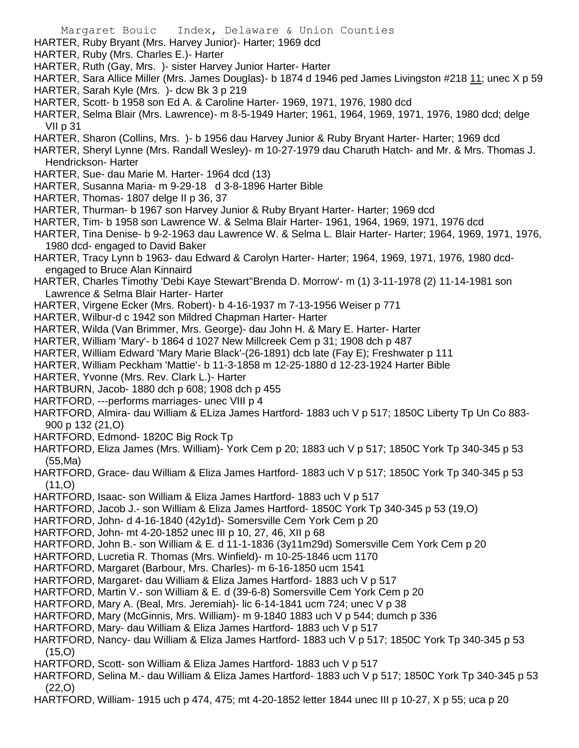- Margaret Bouic Index, Delaware & Union Counties HARTER, Ruby Bryant (Mrs. Harvey Junior)- Harter; 1969 dcd HARTER, Ruby (Mrs. Charles E.)- Harter
- HARTER, Ruth (Gay, Mrs. )- sister Harvey Junior Harter- Harter
- HARTER, Sara Allice Miller (Mrs. James Douglas)- b 1874 d 1946 ped James Livingston #218 11; unec X p 59
- HARTER, Sarah Kyle (Mrs. )- dcw Bk 3 p 219
- HARTER, Scott- b 1958 son Ed A. & Caroline Harter- 1969, 1971, 1976, 1980 dcd
- HARTER, Selma Blair (Mrs. Lawrence)- m 8-5-1949 Harter; 1961, 1964, 1969, 1971, 1976, 1980 dcd; delge VII p 31
- HARTER, Sharon (Collins, Mrs. )- b 1956 dau Harvey Junior & Ruby Bryant Harter- Harter; 1969 dcd
- HARTER, Sheryl Lynne (Mrs. Randall Wesley)- m 10-27-1979 dau Charuth Hatch- and Mr. & Mrs. Thomas J. Hendrickson- Harter
- HARTER, Sue- dau Marie M. Harter- 1964 dcd (13)
- HARTER, Susanna Maria- m 9-29-18 d 3-8-1896 Harter Bible
- HARTER, Thomas- 1807 delge II p 36, 37
- HARTER, Thurman- b 1967 son Harvey Junior & Ruby Bryant Harter- Harter; 1969 dcd
- HARTER, Tim- b 1958 son Lawrence W. & Selma Blair Harter- 1961, 1964, 1969, 1971, 1976 dcd
- HARTER, Tina Denise- b 9-2-1963 dau Lawrence W. & Selma L. Blair Harter- Harter; 1964, 1969, 1971, 1976, 1980 dcd- engaged to David Baker
- HARTER, Tracy Lynn b 1963- dau Edward & Carolyn Harter- Harter; 1964, 1969, 1971, 1976, 1980 dcdengaged to Bruce Alan Kinnaird
- HARTER, Charles Timothy 'Debi Kaye Stewart''Brenda D. Morrow'- m (1) 3-11-1978 (2) 11-14-1981 son Lawrence & Selma Blair Harter- Harter
- HARTER, Virgene Ecker (Mrs. Robert)- b 4-16-1937 m 7-13-1956 Weiser p 771
- HARTER, Wilbur-d c 1942 son Mildred Chapman Harter- Harter
- HARTER, Wilda (Van Brimmer, Mrs. George)- dau John H. & Mary E. Harter- Harter
- HARTER, William 'Mary'- b 1864 d 1027 New Millcreek Cem p 31; 1908 dch p 487
- HARTER, William Edward 'Mary Marie Black'-(26-1891) dcb late (Fay E); Freshwater p 111
- HARTER, William Peckham 'Mattie'- b 11-3-1858 m 12-25-1880 d 12-23-1924 Harter Bible
- HARTER, Yvonne (Mrs. Rev. Clark L.)- Harter
- HARTBURN, Jacob- 1880 dch p 608; 1908 dch p 455
- HARTFORD, ---performs marriages- unec VIII p 4
- HARTFORD, Almira- dau William & ELiza James Hartford- 1883 uch V p 517; 1850C Liberty Tp Un Co 883- 900 p 132 (21,O)
- HARTFORD, Edmond- 1820C Big Rock Tp
- HARTFORD, Eliza James (Mrs. William)- York Cem p 20; 1883 uch V p 517; 1850C York Tp 340-345 p 53 (55,Ma)
- HARTFORD, Grace- dau William & Eliza James Hartford- 1883 uch V p 517; 1850C York Tp 340-345 p 53 (11,O)
- HARTFORD, Isaac- son William & Eliza James Hartford- 1883 uch V p 517
- HARTFORD, Jacob J.- son William & Eliza James Hartford- 1850C York Tp 340-345 p 53 (19,O)
- HARTFORD, John- d 4-16-1840 (42y1d)- Somersville Cem York Cem p 20
- HARTFORD, John- mt 4-20-1852 unec III p 10, 27, 46, XII p 68
- HARTFORD, John B.- son William & E. d 11-1-1836 (3y11m29d) Somersville Cem York Cem p 20
- HARTFORD, Lucretia R. Thomas (Mrs. Winfield)- m 10-25-1846 ucm 1170
- HARTFORD, Margaret (Barbour, Mrs. Charles)- m 6-16-1850 ucm 1541
- HARTFORD, Margaret- dau William & Eliza James Hartford- 1883 uch V p 517
- HARTFORD, Martin V.- son William & E. d (39-6-8) Somersville Cem York Cem p 20
- HARTFORD, Mary A. (Beal, Mrs. Jeremiah)- lic 6-14-1841 ucm 724; unec V p 38
- HARTFORD, Mary (McGinnis, Mrs. William)- m 9-1840 1883 uch V p 544; dumch p 336
- HARTFORD, Mary- dau William & Eliza James Hartford- 1883 uch V p 517
- HARTFORD, Nancy- dau William & Eliza James Hartford- 1883 uch V p 517; 1850C York Tp 340-345 p 53 (15,O)
- HARTFORD, Scott- son William & Eliza James Hartford- 1883 uch V p 517
- HARTFORD, Selina M.- dau William & Eliza James Hartford- 1883 uch V p 517; 1850C York Tp 340-345 p 53 (22,O)
- HARTFORD, William- 1915 uch p 474, 475; mt 4-20-1852 letter 1844 unec III p 10-27, X p 55; uca p 20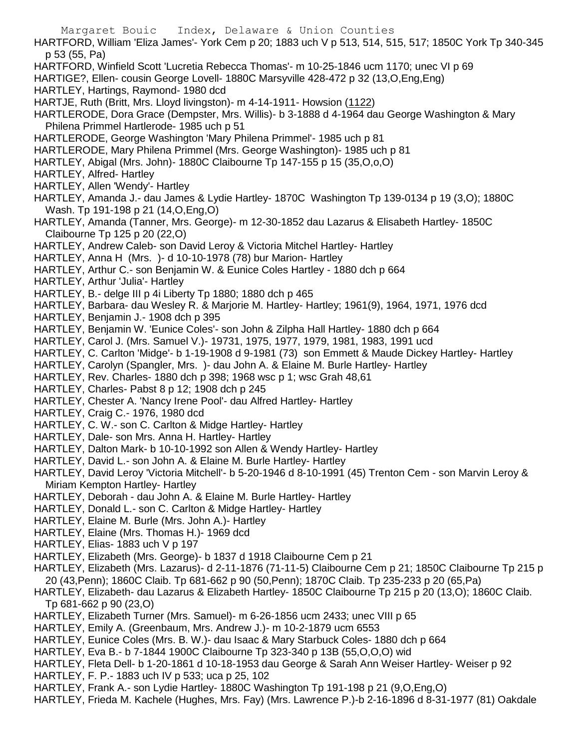Margaret Bouic Index, Delaware & Union Counties HARTFORD, William 'Eliza James'- York Cem p 20; 1883 uch V p 513, 514, 515, 517; 1850C York Tp 340-345 p 53 (55, Pa) HARTFORD, Winfield Scott 'Lucretia Rebecca Thomas'- m 10-25-1846 ucm 1170; unec VI p 69 HARTIGE?, Ellen- cousin George Lovell- 1880C Marsyville 428-472 p 32 (13,O,Eng,Eng) HARTLEY, Hartings, Raymond- 1980 dcd HARTJE, Ruth (Britt, Mrs. Lloyd livingston)- m 4-14-1911- Howsion (1122) HARTLERODE, Dora Grace (Dempster, Mrs. Willis)- b 3-1888 d 4-1964 dau George Washington & Mary Philena Primmel Hartlerode- 1985 uch p 51 HARTLERODE, George Washington 'Mary Philena Primmel'- 1985 uch p 81 HARTLERODE, Mary Philena Primmel (Mrs. George Washington)- 1985 uch p 81 HARTLEY, Abigal (Mrs. John)- 1880C Claibourne Tp 147-155 p 15 (35,O,o,O) HARTLEY, Alfred- Hartley HARTLEY, Allen 'Wendy'- Hartley HARTLEY, Amanda J.- dau James & Lydie Hartley- 1870C Washington Tp 139-0134 p 19 (3,O); 1880C Wash. Tp 191-198 p 21 (14,O,Eng,O) HARTLEY, Amanda (Tanner, Mrs. George)- m 12-30-1852 dau Lazarus & Elisabeth Hartley- 1850C Claibourne Tp 125 p 20 (22,O) HARTLEY, Andrew Caleb- son David Leroy & Victoria Mitchel Hartley- Hartley HARTLEY, Anna H (Mrs. )- d 10-10-1978 (78) bur Marion- Hartley HARTLEY, Arthur C.- son Benjamin W. & Eunice Coles Hartley - 1880 dch p 664 HARTLEY, Arthur 'Julia'- Hartley HARTLEY, B.- delge III p 4i Liberty Tp 1880; 1880 dch p 465 HARTLEY, Barbara- dau Wesley R. & Marjorie M. Hartley- Hartley; 1961(9), 1964, 1971, 1976 dcd HARTLEY, Benjamin J.- 1908 dch p 395 HARTLEY, Benjamin W. 'Eunice Coles'- son John & Zilpha Hall Hartley- 1880 dch p 664 HARTLEY, Carol J. (Mrs. Samuel V.)- 19731, 1975, 1977, 1979, 1981, 1983, 1991 ucd HARTLEY, C. Carlton 'Midge'- b 1-19-1908 d 9-1981 (73) son Emmett & Maude Dickey Hartley- Hartley HARTLEY, Carolyn (Spangler, Mrs. )- dau John A. & Elaine M. Burle Hartley- Hartley HARTLEY, Rev. Charles- 1880 dch p 398; 1968 wsc p 1; wsc Grah 48,61 HARTLEY, Charles- Pabst 8 p 12; 1908 dch p 245 HARTLEY, Chester A. 'Nancy Irene Pool'- dau Alfred Hartley- Hartley HARTLEY, Craig C.- 1976, 1980 dcd HARTLEY, C. W.- son C. Carlton & Midge Hartley- Hartley HARTLEY, Dale- son Mrs. Anna H. Hartley- Hartley HARTLEY, Dalton Mark- b 10-10-1992 son Allen & Wendy Hartley- Hartley HARTLEY, David L.- son John A. & Elaine M. Burle Hartley- Hartley HARTLEY, David Leroy 'Victoria Mitchell'- b 5-20-1946 d 8-10-1991 (45) Trenton Cem - son Marvin Leroy & Miriam Kempton Hartley- Hartley HARTLEY, Deborah - dau John A. & Elaine M. Burle Hartley- Hartley HARTLEY, Donald L.- son C. Carlton & Midge Hartley- Hartley HARTLEY, Elaine M. Burle (Mrs. John A.)- Hartley HARTLEY, Elaine (Mrs. Thomas H.)- 1969 dcd HARTLEY, Elias- 1883 uch V p 197 HARTLEY, Elizabeth (Mrs. George)- b 1837 d 1918 Claibourne Cem p 21 HARTLEY, Elizabeth (Mrs. Lazarus)- d 2-11-1876 (71-11-5) Claibourne Cem p 21; 1850C Claibourne Tp 215 p 20 (43,Penn); 1860C Claib. Tp 681-662 p 90 (50,Penn); 1870C Claib. Tp 235-233 p 20 (65,Pa) HARTLEY, Elizabeth- dau Lazarus & Elizabeth Hartley- 1850C Claibourne Tp 215 p 20 (13,O); 1860C Claib. Tp 681-662 p 90 (23,O) HARTLEY, Elizabeth Turner (Mrs. Samuel)- m 6-26-1856 ucm 2433; unec VIII p 65 HARTLEY, Emily A. (Greenbaum, Mrs. Andrew J.)- m 10-2-1879 ucm 6553 HARTLEY, Eunice Coles (Mrs. B. W.)- dau Isaac & Mary Starbuck Coles- 1880 dch p 664 HARTLEY, Eva B.- b 7-1844 1900C Claibourne Tp 323-340 p 13B (55,O,O,O) wid HARTLEY, Fleta Dell- b 1-20-1861 d 10-18-1953 dau George & Sarah Ann Weiser Hartley- Weiser p 92

- HARTLEY, F. P.- 1883 uch IV p 533; uca p 25, 102
- HARTLEY, Frank A.- son Lydie Hartley- 1880C Washington Tp 191-198 p 21 (9,O,Eng,O)
- HARTLEY, Frieda M. Kachele (Hughes, Mrs. Fay) (Mrs. Lawrence P.)-b 2-16-1896 d 8-31-1977 (81) Oakdale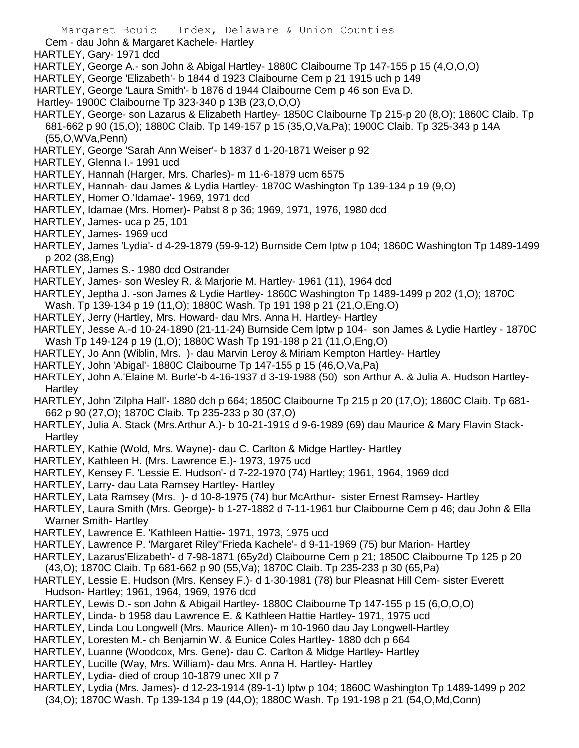Margaret Bouic Index, Delaware & Union Counties Cem - dau John & Margaret Kachele- Hartley HARTLEY, Gary- 1971 dcd HARTLEY, George A.- son John & Abigal Hartley- 1880C Claibourne Tp 147-155 p 15 (4,O,O,O) HARTLEY, George 'Elizabeth'- b 1844 d 1923 Claibourne Cem p 21 1915 uch p 149 HARTLEY, George 'Laura Smith'- b 1876 d 1944 Claibourne Cem p 46 son Eva D. Hartley- 1900C Claibourne Tp 323-340 p 13B (23,O,O,O) HARTLEY, George- son Lazarus & Elizabeth Hartley- 1850C Claibourne Tp 215-p 20 (8,O); 1860C Claib. Tp 681-662 p 90 (15,O); 1880C Claib. Tp 149-157 p 15 (35,O,Va,Pa); 1900C Claib. Tp 325-343 p 14A (55,O,WVa,Penn) HARTLEY, George 'Sarah Ann Weiser'- b 1837 d 1-20-1871 Weiser p 92 HARTLEY, Glenna I.- 1991 ucd HARTLEY, Hannah (Harger, Mrs. Charles)- m 11-6-1879 ucm 6575 HARTLEY, Hannah- dau James & Lydia Hartley- 1870C Washington Tp 139-134 p 19 (9,O) HARTLEY, Homer O.'Idamae'- 1969, 1971 dcd HARTLEY, Idamae (Mrs. Homer)- Pabst 8 p 36; 1969, 1971, 1976, 1980 dcd HARTLEY, James- uca p 25, 101 HARTLEY, James- 1969 ucd HARTLEY, James 'Lydia'- d 4-29-1879 (59-9-12) Burnside Cem lptw p 104; 1860C Washington Tp 1489-1499 p 202 (38,Eng) HARTLEY, James S.- 1980 dcd Ostrander HARTLEY, James- son Wesley R. & Marjorie M. Hartley- 1961 (11), 1964 dcd HARTLEY, Jeptha J. -son James & Lydie Hartley- 1860C Washington Tp 1489-1499 p 202 (1,O); 1870C Wash. Tp 139-134 p 19 (11,O); 1880C Wash. Tp 191 198 p 21 (21,O,Eng.O) HARTLEY, Jerry (Hartley, Mrs. Howard- dau Mrs. Anna H. Hartley- Hartley HARTLEY, Jesse A.-d 10-24-1890 (21-11-24) Burnside Cem lptw p 104- son James & Lydie Hartley - 1870C Wash Tp 149-124 p 19 (1,O); 1880C Wash Tp 191-198 p 21 (11,O,Eng,O) HARTLEY, Jo Ann (Wiblin, Mrs. )- dau Marvin Leroy & Miriam Kempton Hartley- Hartley HARTLEY, John 'Abigal'- 1880C Claibourne Tp 147-155 p 15 (46,O,Va,Pa) HARTLEY, John A.'Elaine M. Burle'-b 4-16-1937 d 3-19-1988 (50) son Arthur A. & Julia A. Hudson Hartley-**Hartley** HARTLEY, John 'Zilpha Hall'- 1880 dch p 664; 1850C Claibourne Tp 215 p 20 (17,O); 1860C Claib. Tp 681- 662 p 90 (27,O); 1870C Claib. Tp 235-233 p 30 (37,O) HARTLEY, Julia A. Stack (Mrs.Arthur A.)- b 10-21-1919 d 9-6-1989 (69) dau Maurice & Mary Flavin Stack-**Hartley** HARTLEY, Kathie (Wold, Mrs. Wayne)- dau C. Carlton & Midge Hartley- Hartley HARTLEY, Kathleen H. (Mrs. Lawrence E.)- 1973, 1975 ucd HARTLEY, Kensey F. 'Lessie E. Hudson'- d 7-22-1970 (74) Hartley; 1961, 1964, 1969 dcd HARTLEY, Larry- dau Lata Ramsey Hartley- Hartley

HARTLEY, Lata Ramsey (Mrs. )- d 10-8-1975 (74) bur McArthur- sister Ernest Ramsey- Hartley

HARTLEY, Laura Smith (Mrs. George)- b 1-27-1882 d 7-11-1961 bur Claibourne Cem p 46; dau John & Ella Warner Smith- Hartley

- HARTLEY, Lawrence E. 'Kathleen Hattie- 1971, 1973, 1975 ucd
- HARTLEY, Lawrence P. 'Margaret Riley''Frieda Kachele'- d 9-11-1969 (75) bur Marion- Hartley
- HARTLEY, Lazarus'Elizabeth'- d 7-98-1871 (65y2d) Claibourne Cem p 21; 1850C Claibourne Tp 125 p 20 (43,O); 1870C Claib. Tp 681-662 p 90 (55,Va); 1870C Claib. Tp 235-233 p 30 (65,Pa)
- HARTLEY, Lessie E. Hudson (Mrs. Kensey F.)- d 1-30-1981 (78) bur Pleasnat Hill Cem- sister Everett Hudson- Hartley; 1961, 1964, 1969, 1976 dcd
- HARTLEY, Lewis D.- son John & Abigail Hartley- 1880C Claibourne Tp 147-155 p 15 (6,O,O,O)
- HARTLEY, Linda- b 1958 dau Lawrence E. & Kathleen Hattie Hartley- 1971, 1975 ucd
- HARTLEY, Linda Lou Longwell (Mrs. Maurice Allen)- m 10-1960 dau Jay Longwell-Hartley
- HARTLEY, Loresten M.- ch Benjamin W. & Eunice Coles Hartley- 1880 dch p 664
- HARTLEY, Luanne (Woodcox, Mrs. Gene)- dau C. Carlton & Midge Hartley- Hartley
- HARTLEY, Lucille (Way, Mrs. William)- dau Mrs. Anna H. Hartley- Hartley
- HARTLEY, Lydia- died of croup 10-1879 unec XII p 7
- HARTLEY, Lydia (Mrs. James)- d 12-23-1914 (89-1-1) lptw p 104; 1860C Washington Tp 1489-1499 p 202 (34,O); 1870C Wash. Tp 139-134 p 19 (44,O); 1880C Wash. Tp 191-198 p 21 (54,O,Md,Conn)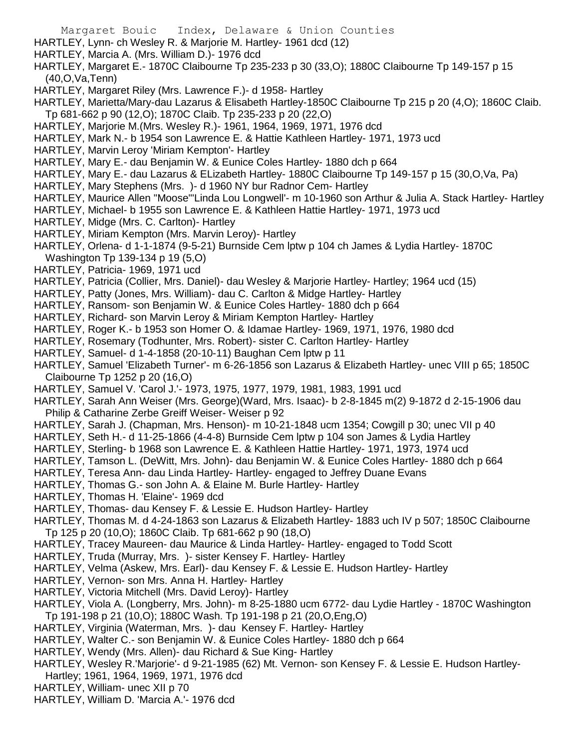- Margaret Bouic Index, Delaware & Union Counties HARTLEY, Lynn- ch Wesley R. & Marjorie M. Hartley- 1961 dcd (12) HARTLEY, Marcia A. (Mrs. William D.)- 1976 dcd HARTLEY, Margaret E.- 1870C Claibourne Tp 235-233 p 30 (33,O); 1880C Claibourne Tp 149-157 p 15 (40,O,Va,Tenn) HARTLEY, Margaret Riley (Mrs. Lawrence F.)- d 1958- Hartley HARTLEY, Marietta/Mary-dau Lazarus & Elisabeth Hartley-1850C Claibourne Tp 215 p 20 (4,O); 1860C Claib. Tp 681-662 p 90 (12,O); 1870C Claib. Tp 235-233 p 20 (22,O) HARTLEY, Marjorie M.(Mrs. Wesley R.)- 1961, 1964, 1969, 1971, 1976 dcd HARTLEY, Mark N.- b 1954 son Lawrence E. & Hattie Kathleen Hartley- 1971, 1973 ucd HARTLEY, Marvin Leroy 'Miriam Kempton'- Hartley HARTLEY, Mary E.- dau Benjamin W. & Eunice Coles Hartley- 1880 dch p 664 HARTLEY, Mary E.- dau Lazarus & ELizabeth Hartley- 1880C Claibourne Tp 149-157 p 15 (30,O,Va, Pa) HARTLEY, Mary Stephens (Mrs. )- d 1960 NY bur Radnor Cem- Hartley HARTLEY, Maurice Allen "Moose"'Linda Lou Longwell'- m 10-1960 son Arthur & Julia A. Stack Hartley- Hartley HARTLEY, Michael- b 1955 son Lawrence E. & Kathleen Hattie Hartley- 1971, 1973 ucd HARTLEY, Midge (Mrs. C. Carlton)- Hartley HARTLEY, Miriam Kempton (Mrs. Marvin Leroy)- Hartley HARTLEY, Orlena- d 1-1-1874 (9-5-21) Burnside Cem lptw p 104 ch James & Lydia Hartley- 1870C Washington Tp 139-134 p 19 (5,O) HARTLEY, Patricia- 1969, 1971 ucd HARTLEY, Patricia (Collier, Mrs. Daniel)- dau Wesley & Marjorie Hartley- Hartley; 1964 ucd (15) HARTLEY, Patty (Jones, Mrs. William)- dau C. Carlton & Midge Hartley- Hartley HARTLEY, Ransom- son Benjamin W. & Eunice Coles Hartley- 1880 dch p 664 HARTLEY, Richard- son Marvin Leroy & Miriam Kempton Hartley- Hartley HARTLEY, Roger K.- b 1953 son Homer O. & Idamae Hartley- 1969, 1971, 1976, 1980 dcd
	- HARTLEY, Rosemary (Todhunter, Mrs. Robert)- sister C. Carlton Hartley- Hartley
	- HARTLEY, Samuel- d 1-4-1858 (20-10-11) Baughan Cem lptw p 11
	- HARTLEY, Samuel 'Elizabeth Turner'- m 6-26-1856 son Lazarus & Elizabeth Hartley- unec VIII p 65; 1850C Claibourne Tp 1252 p 20 (16,O)
	- HARTLEY, Samuel V. 'Carol J.'- 1973, 1975, 1977, 1979, 1981, 1983, 1991 ucd
	- HARTLEY, Sarah Ann Weiser (Mrs. George)(Ward, Mrs. Isaac)- b 2-8-1845 m(2) 9-1872 d 2-15-1906 dau Philip & Catharine Zerbe Greiff Weiser- Weiser p 92
	- HARTLEY, Sarah J. (Chapman, Mrs. Henson)- m 10-21-1848 ucm 1354; Cowgill p 30; unec VII p 40
	- HARTLEY, Seth H.- d 11-25-1866 (4-4-8) Burnside Cem lptw p 104 son James & Lydia Hartley
	- HARTLEY, Sterling- b 1968 son Lawrence E. & Kathleen Hattie Hartley- 1971, 1973, 1974 ucd
	- HARTLEY, Tamson L. (DeWitt, Mrs. John)- dau Benjamin W. & Eunice Coles Hartley- 1880 dch p 664
	- HARTLEY, Teresa Ann- dau Linda Hartley- Hartley- engaged to Jeffrey Duane Evans
	- HARTLEY, Thomas G.- son John A. & Elaine M. Burle Hartley- Hartley
	- HARTLEY, Thomas H. 'Elaine'- 1969 dcd
	- HARTLEY, Thomas- dau Kensey F. & Lessie E. Hudson Hartley- Hartley
	- HARTLEY, Thomas M. d 4-24-1863 son Lazarus & Elizabeth Hartley- 1883 uch IV p 507; 1850C Claibourne Tp 125 p 20 (10,O); 1860C Claib. Tp 681-662 p 90 (18,O)
	- HARTLEY, Tracey Maureen- dau Maurice & Linda Hartley- Hartley- engaged to Todd Scott
	- HARTLEY, Truda (Murray, Mrs. )- sister Kensey F. Hartley- Hartley
	- HARTLEY, Velma (Askew, Mrs. Earl)- dau Kensey F. & Lessie E. Hudson Hartley- Hartley
	- HARTLEY, Vernon- son Mrs. Anna H. Hartley- Hartley
	- HARTLEY, Victoria Mitchell (Mrs. David Leroy)- Hartley
	- HARTLEY, Viola A. (Longberry, Mrs. John)- m 8-25-1880 ucm 6772- dau Lydie Hartley 1870C Washington Tp 191-198 p 21 (10,O); 1880C Wash. Tp 191-198 p 21 (20,O,Eng,O)
	- HARTLEY, Virginia (Waterman, Mrs. )- dau Kensey F. Hartley- Hartley
	- HARTLEY, Walter C.- son Benjamin W. & Eunice Coles Hartley- 1880 dch p 664
	- HARTLEY, Wendy (Mrs. Allen)- dau Richard & Sue King- Hartley
	- HARTLEY, Wesley R.'Marjorie'- d 9-21-1985 (62) Mt. Vernon- son Kensey F. & Lessie E. Hudson Hartley-Hartley; 1961, 1964, 1969, 1971, 1976 dcd
	- HARTLEY, William- unec XII p 70
	- HARTLEY, William D. 'Marcia A.'- 1976 dcd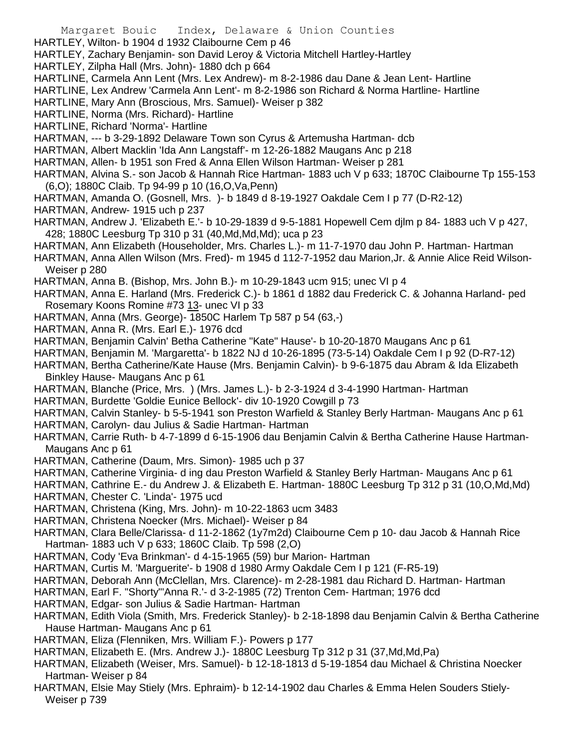HARTLEY, Wilton- b 1904 d 1932 Claibourne Cem p 46

HARTLEY, Zachary Benjamin- son David Leroy & Victoria Mitchell Hartley-Hartley

- HARTLEY, Zilpha Hall (Mrs. John)- 1880 dch p 664
- HARTLINE, Carmela Ann Lent (Mrs. Lex Andrew)- m 8-2-1986 dau Dane & Jean Lent- Hartline
- HARTLINE, Lex Andrew 'Carmela Ann Lent'- m 8-2-1986 son Richard & Norma Hartline- Hartline
- HARTLINE, Mary Ann (Broscious, Mrs. Samuel)- Weiser p 382
- HARTLINE, Norma (Mrs. Richard)- Hartline
- HARTLINE, Richard 'Norma'- Hartline
- HARTMAN, --- b 3-29-1892 Delaware Town son Cyrus & Artemusha Hartman- dcb
- HARTMAN, Albert Macklin 'Ida Ann Langstaff'- m 12-26-1882 Maugans Anc p 218
- HARTMAN, Allen- b 1951 son Fred & Anna Ellen Wilson Hartman- Weiser p 281
- HARTMAN, Alvina S.- son Jacob & Hannah Rice Hartman- 1883 uch V p 633; 1870C Claibourne Tp 155-153 (6,O); 1880C Claib. Tp 94-99 p 10 (16,O,Va,Penn)
- HARTMAN, Amanda O. (Gosnell, Mrs. )- b 1849 d 8-19-1927 Oakdale Cem I p 77 (D-R2-12)
- HARTMAN, Andrew- 1915 uch p 237
- HARTMAN, Andrew J. 'Elizabeth E.'- b 10-29-1839 d 9-5-1881 Hopewell Cem djlm p 84- 1883 uch V p 427, 428; 1880C Leesburg Tp 310 p 31 (40,Md,Md,Md); uca p 23
- HARTMAN, Ann Elizabeth (Householder, Mrs. Charles L.)- m 11-7-1970 dau John P. Hartman- Hartman
- HARTMAN, Anna Allen Wilson (Mrs. Fred)- m 1945 d 112-7-1952 dau Marion,Jr. & Annie Alice Reid Wilson-Weiser p 280
- HARTMAN, Anna B. (Bishop, Mrs. John B.)- m 10-29-1843 ucm 915; unec VI p 4
- HARTMAN, Anna E. Harland (Mrs. Frederick C.)- b 1861 d 1882 dau Frederick C. & Johanna Harland- ped Rosemary Koons Romine #73 13- unec VI p 33
- HARTMAN, Anna (Mrs. George)- 1850C Harlem Tp 587 p 54 (63,-)
- HARTMAN, Anna R. (Mrs. Earl E.)- 1976 dcd
- HARTMAN, Benjamin Calvin' Betha Catherine "Kate" Hause'- b 10-20-1870 Maugans Anc p 61
- HARTMAN, Benjamin M. 'Margaretta'- b 1822 NJ d 10-26-1895 (73-5-14) Oakdale Cem I p 92 (D-R7-12)
- HARTMAN, Bertha Catherine/Kate Hause (Mrs. Benjamin Calvin)- b 9-6-1875 dau Abram & Ida Elizabeth Binkley Hause- Maugans Anc p 61
- HARTMAN, Blanche (Price, Mrs. ) (Mrs. James L.)- b 2-3-1924 d 3-4-1990 Hartman- Hartman
- HARTMAN, Burdette 'Goldie Eunice Bellock'- div 10-1920 Cowgill p 73
- HARTMAN, Calvin Stanley- b 5-5-1941 son Preston Warfield & Stanley Berly Hartman- Maugans Anc p 61
- HARTMAN, Carolyn- dau Julius & Sadie Hartman- Hartman
- HARTMAN, Carrie Ruth- b 4-7-1899 d 6-15-1906 dau Benjamin Calvin & Bertha Catherine Hause Hartman-Maugans Anc p 61
- HARTMAN, Catherine (Daum, Mrs. Simon)- 1985 uch p 37
- HARTMAN, Catherine Virginia- d ing dau Preston Warfield & Stanley Berly Hartman- Maugans Anc p 61
- HARTMAN, Cathrine E.- du Andrew J. & Elizabeth E. Hartman- 1880C Leesburg Tp 312 p 31 (10,O,Md,Md)
- HARTMAN, Chester C. 'Linda'- 1975 ucd
- HARTMAN, Christena (King, Mrs. John)- m 10-22-1863 ucm 3483
- HARTMAN, Christena Noecker (Mrs. Michael)- Weiser p 84
- HARTMAN, Clara Belle/Clarissa- d 11-2-1862 (1y7m2d) Claibourne Cem p 10- dau Jacob & Hannah Rice Hartman- 1883 uch V p 633; 1860C Claib. Tp 598 (2,O)
- HARTMAN, Cody 'Eva Brinkman'- d 4-15-1965 (59) bur Marion- Hartman
- HARTMAN, Curtis M. 'Marguerite'- b 1908 d 1980 Army Oakdale Cem I p 121 (F-R5-19)
- HARTMAN, Deborah Ann (McClellan, Mrs. Clarence)- m 2-28-1981 dau Richard D. Hartman- Hartman
- HARTMAN, Earl F. "Shorty"'Anna R.'- d 3-2-1985 (72) Trenton Cem- Hartman; 1976 dcd
- HARTMAN, Edgar- son Julius & Sadie Hartman- Hartman
- HARTMAN, Edith Viola (Smith, Mrs. Frederick Stanley)- b 2-18-1898 dau Benjamin Calvin & Bertha Catherine Hause Hartman- Maugans Anc p 61
- HARTMAN, Eliza (Flenniken, Mrs. William F.)- Powers p 177
- HARTMAN, Elizabeth E. (Mrs. Andrew J.)- 1880C Leesburg Tp 312 p 31 (37,Md,Md,Pa)
- HARTMAN, Elizabeth (Weiser, Mrs. Samuel)- b 12-18-1813 d 5-19-1854 dau Michael & Christina Noecker Hartman- Weiser p 84
- HARTMAN, Elsie May Stiely (Mrs. Ephraim)- b 12-14-1902 dau Charles & Emma Helen Souders Stiely-Weiser p 739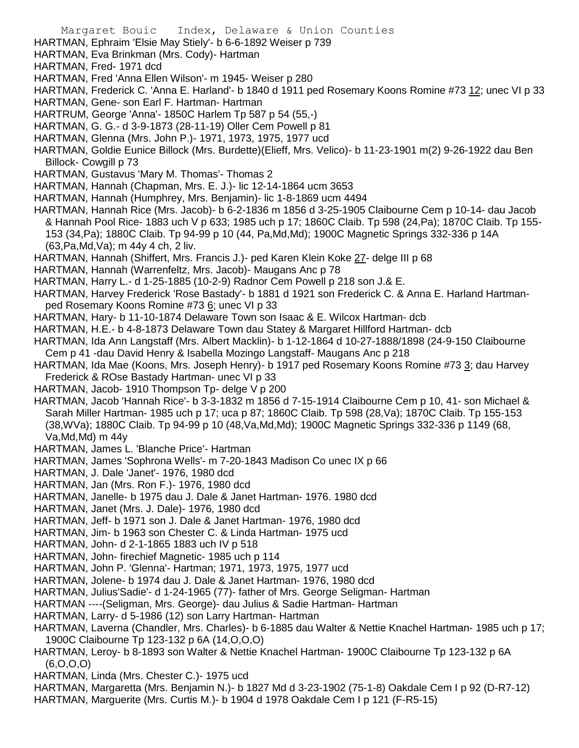Margaret Bouic Index, Delaware & Union Counties HARTMAN, Ephraim 'Elsie May Stiely'- b 6-6-1892 Weiser p 739 HARTMAN, Eva Brinkman (Mrs. Cody)- Hartman HARTMAN, Fred- 1971 dcd HARTMAN, Fred 'Anna Ellen Wilson'- m 1945- Weiser p 280 HARTMAN, Frederick C. 'Anna E. Harland'- b 1840 d 1911 ped Rosemary Koons Romine #73 12; unec VI p 33 HARTMAN, Gene- son Earl F. Hartman- Hartman HARTRUM, George 'Anna'- 1850C Harlem Tp 587 p 54 (55,-) HARTMAN, G. G.- d 3-9-1873 (28-11-19) Oller Cem Powell p 81 HARTMAN, Glenna (Mrs. John P.)- 1971, 1973, 1975, 1977 ucd HARTMAN, Goldie Eunice Billock (Mrs. Burdette)(Elieff, Mrs. Velico)- b 11-23-1901 m(2) 9-26-1922 dau Ben Billock- Cowgill p 73 HARTMAN, Gustavus 'Mary M. Thomas'- Thomas 2 HARTMAN, Hannah (Chapman, Mrs. E. J.)- lic 12-14-1864 ucm 3653 HARTMAN, Hannah (Humphrey, Mrs. Benjamin)- lic 1-8-1869 ucm 4494 HARTMAN, Hannah Rice (Mrs. Jacob)- b 6-2-1836 m 1856 d 3-25-1905 Claibourne Cem p 10-14- dau Jacob & Hannah Pool Rice- 1883 uch V p 633; 1985 uch p 17; 1860C Claib. Tp 598 (24,Pa); 1870C Claib. Tp 155- 153 (34,Pa); 1880C Claib. Tp 94-99 p 10 (44, Pa,Md,Md); 1900C Magnetic Springs 332-336 p 14A (63,Pa,Md,Va); m 44y 4 ch, 2 liv. HARTMAN, Hannah (Shiffert, Mrs. Francis J.)- ped Karen Klein Koke 27- delge III p 68 HARTMAN, Hannah (Warrenfeltz, Mrs. Jacob)- Maugans Anc p 78 HARTMAN, Harry L.- d 1-25-1885 (10-2-9) Radnor Cem Powell p 218 son J.& E. HARTMAN, Harvey Frederick 'Rose Bastady'- b 1881 d 1921 son Frederick C. & Anna E. Harland Hartmanped Rosemary Koons Romine #73 6; unec VI p 33 HARTMAN, Hary- b 11-10-1874 Delaware Town son Isaac & E. Wilcox Hartman- dcb HARTMAN, H.E.- b 4-8-1873 Delaware Town dau Statey & Margaret Hillford Hartman- dcb HARTMAN, Ida Ann Langstaff (Mrs. Albert Macklin)- b 1-12-1864 d 10-27-1888/1898 (24-9-150 Claibourne Cem p 41 -dau David Henry & Isabella Mozingo Langstaff- Maugans Anc p 218 HARTMAN, Ida Mae (Koons, Mrs. Joseph Henry)- b 1917 ped Rosemary Koons Romine #73 3; dau Harvey Frederick & ROse Bastady Hartman- unec VI p 33 HARTMAN, Jacob- 1910 Thompson Tp- delge V p 200 HARTMAN, Jacob 'Hannah Rice'- b 3-3-1832 m 1856 d 7-15-1914 Claibourne Cem p 10, 41- son Michael & Sarah Miller Hartman- 1985 uch p 17; uca p 87; 1860C Claib. Tp 598 (28,Va); 1870C Claib. Tp 155-153 (38,WVa); 1880C Claib. Tp 94-99 p 10 (48,Va,Md,Md); 1900C Magnetic Springs 332-336 p 1149 (68, Va,Md,Md) m 44y HARTMAN, James L. 'Blanche Price'- Hartman HARTMAN, James 'Sophrona Wells'- m 7-20-1843 Madison Co unec IX p 66 HARTMAN, J. Dale 'Janet'- 1976, 1980 dcd HARTMAN, Jan (Mrs. Ron F.)- 1976, 1980 dcd HARTMAN, Janelle- b 1975 dau J. Dale & Janet Hartman- 1976. 1980 dcd HARTMAN, Janet (Mrs. J. Dale)- 1976, 1980 dcd HARTMAN, Jeff- b 1971 son J. Dale & Janet Hartman- 1976, 1980 dcd HARTMAN, Jim- b 1963 son Chester C. & Linda Hartman- 1975 ucd HARTMAN, John- d 2-1-1865 1883 uch IV p 518 HARTMAN, John- firechief Magnetic- 1985 uch p 114 HARTMAN, John P. 'Glenna'- Hartman; 1971, 1973, 1975, 1977 ucd HARTMAN, Jolene- b 1974 dau J. Dale & Janet Hartman- 1976, 1980 dcd HARTMAN, Julius'Sadie'- d 1-24-1965 (77)- father of Mrs. George Seligman- Hartman HARTMAN ----(Seligman, Mrs. George)- dau Julius & Sadie Hartman- Hartman

HARTMAN, Larry- d 5-1986 (12) son Larry Hartman- Hartman

HARTMAN, Laverna (Chandler, Mrs. Charles)- b 6-1885 dau Walter & Nettie Knachel Hartman- 1985 uch p 17; 1900C Claibourne Tp 123-132 p 6A (14,O,O,O)

HARTMAN, Leroy- b 8-1893 son Walter & Nettie Knachel Hartman- 1900C Claibourne Tp 123-132 p 6A (6,O,O,O)

HARTMAN, Linda (Mrs. Chester C.)- 1975 ucd

HARTMAN, Margaretta (Mrs. Benjamin N.)- b 1827 Md d 3-23-1902 (75-1-8) Oakdale Cem I p 92 (D-R7-12)

HARTMAN, Marguerite (Mrs. Curtis M.)- b 1904 d 1978 Oakdale Cem I p 121 (F-R5-15)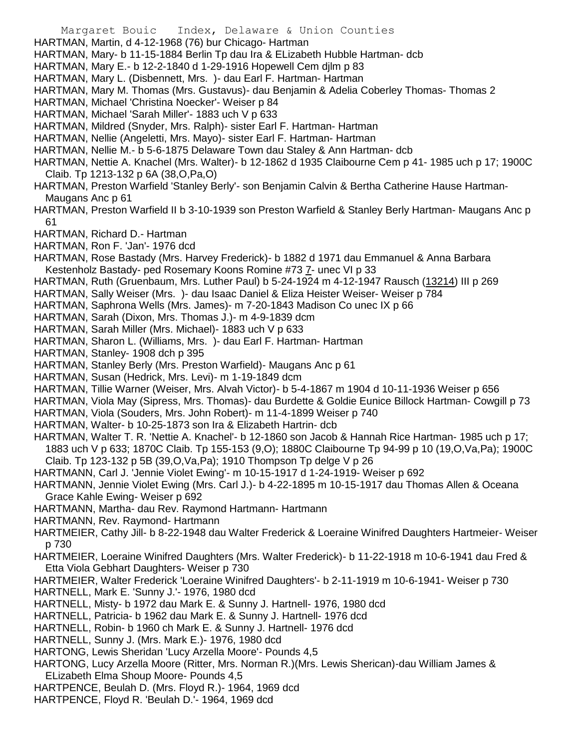- HARTMAN, Martin, d 4-12-1968 (76) bur Chicago- Hartman
- HARTMAN, Mary- b 11-15-1884 Berlin Tp dau Ira & ELizabeth Hubble Hartman- dcb
- HARTMAN, Mary E.- b 12-2-1840 d 1-29-1916 Hopewell Cem djlm p 83
- HARTMAN, Mary L. (Disbennett, Mrs. )- dau Earl F. Hartman- Hartman
- HARTMAN, Mary M. Thomas (Mrs. Gustavus)- dau Benjamin & Adelia Coberley Thomas- Thomas 2
- HARTMAN, Michael 'Christina Noecker'- Weiser p 84
- HARTMAN, Michael 'Sarah Miller'- 1883 uch V p 633
- HARTMAN, Mildred (Snyder, Mrs. Ralph)- sister Earl F. Hartman- Hartman
- HARTMAN, Nellie (Angeletti, Mrs. Mayo)- sister Earl F. Hartman- Hartman
- HARTMAN, Nellie M.- b 5-6-1875 Delaware Town dau Staley & Ann Hartman- dcb
- HARTMAN, Nettie A. Knachel (Mrs. Walter)- b 12-1862 d 1935 Claibourne Cem p 41- 1985 uch p 17; 1900C Claib. Tp 1213-132 p 6A (38,O,Pa,O)
- HARTMAN, Preston Warfield 'Stanley Berly'- son Benjamin Calvin & Bertha Catherine Hause Hartman-Maugans Anc p 61
- HARTMAN, Preston Warfield II b 3-10-1939 son Preston Warfield & Stanley Berly Hartman- Maugans Anc p 61
- HARTMAN, Richard D.- Hartman
- HARTMAN, Ron F. 'Jan'- 1976 dcd
- HARTMAN, Rose Bastady (Mrs. Harvey Frederick)- b 1882 d 1971 dau Emmanuel & Anna Barbara Kestenholz Bastady- ped Rosemary Koons Romine #73 7- unec VI p 33
- HARTMAN, Ruth (Gruenbaum, Mrs. Luther Paul) b 5-24-1924 m 4-12-1947 Rausch (13214) III p 269
- HARTMAN, Sally Weiser (Mrs. )- dau Isaac Daniel & Eliza Heister Weiser- Weiser p 784
- HARTMAN, Saphrona Wells (Mrs. James)- m 7-20-1843 Madison Co unec IX p 66
- HARTMAN, Sarah (Dixon, Mrs. Thomas J.)- m 4-9-1839 dcm
- HARTMAN, Sarah Miller (Mrs. Michael)- 1883 uch V p 633
- HARTMAN, Sharon L. (Williams, Mrs. )- dau Earl F. Hartman- Hartman
- HARTMAN, Stanley- 1908 dch p 395
- HARTMAN, Stanley Berly (Mrs. Preston Warfield)- Maugans Anc p 61
- HARTMAN, Susan (Hedrick, Mrs. Levi)- m 1-19-1849 dcm
- HARTMAN, Tillie Warner (Weiser, Mrs. Alvah Victor)- b 5-4-1867 m 1904 d 10-11-1936 Weiser p 656
- HARTMAN, Viola May (Sipress, Mrs. Thomas)- dau Burdette & Goldie Eunice Billock Hartman- Cowgill p 73
- HARTMAN, Viola (Souders, Mrs. John Robert)- m 11-4-1899 Weiser p 740
- HARTMAN, Walter- b 10-25-1873 son Ira & Elizabeth Hartrin- dcb
- HARTMAN, Walter T. R. 'Nettie A. Knachel'- b 12-1860 son Jacob & Hannah Rice Hartman- 1985 uch p 17; 1883 uch V p 633; 1870C Claib. Tp 155-153 (9,O); 1880C Claibourne Tp 94-99 p 10 (19,O,Va,Pa); 1900C Claib. Tp 123-132 p 5B (39,O,Va,Pa); 1910 Thompson Tp delge V p 26
- HARTMANN, Carl J. 'Jennie Violet Ewing'- m 10-15-1917 d 1-24-1919- Weiser p 692
- HARTMANN, Jennie Violet Ewing (Mrs. Carl J.)- b 4-22-1895 m 10-15-1917 dau Thomas Allen & Oceana Grace Kahle Ewing- Weiser p 692
- HARTMANN, Martha- dau Rev. Raymond Hartmann- Hartmann
- HARTMANN, Rev. Raymond- Hartmann
- HARTMEIER, Cathy Jill- b 8-22-1948 dau Walter Frederick & Loeraine Winifred Daughters Hartmeier- Weiser p 730
- HARTMEIER, Loeraine Winifred Daughters (Mrs. Walter Frederick)- b 11-22-1918 m 10-6-1941 dau Fred & Etta Viola Gebhart Daughters- Weiser p 730
- HARTMEIER, Walter Frederick 'Loeraine Winifred Daughters'- b 2-11-1919 m 10-6-1941- Weiser p 730 HARTNELL, Mark E. 'Sunny J.'- 1976, 1980 dcd
- HARTNELL, Misty- b 1972 dau Mark E. & Sunny J. Hartnell- 1976, 1980 dcd
- HARTNELL, Patricia- b 1962 dau Mark E. & Sunny J. Hartnell- 1976 dcd
- HARTNELL, Robin- b 1960 ch Mark E. & Sunny J. Hartnell- 1976 dcd
- HARTNELL, Sunny J. (Mrs. Mark E.)- 1976, 1980 dcd
- HARTONG, Lewis Sheridan 'Lucy Arzella Moore'- Pounds 4,5
- HARTONG, Lucy Arzella Moore (Ritter, Mrs. Norman R.)(Mrs. Lewis Sherican)-dau William James & ELizabeth Elma Shoup Moore- Pounds 4,5
- HARTPENCE, Beulah D. (Mrs. Floyd R.)- 1964, 1969 dcd
- HARTPENCE, Floyd R. 'Beulah D.'- 1964, 1969 dcd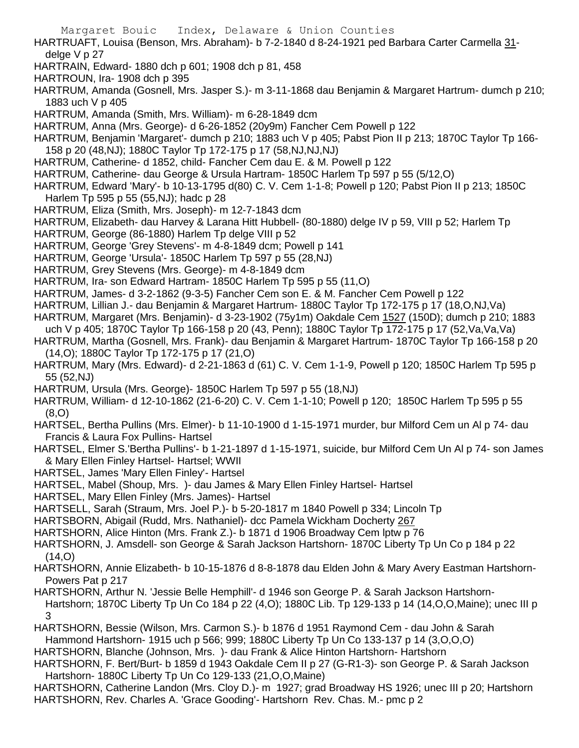HARTRUAFT, Louisa (Benson, Mrs. Abraham)- b 7-2-1840 d 8-24-1921 ped Barbara Carter Carmella 31 delge V p 27

- HARTRAIN, Edward- 1880 dch p 601; 1908 dch p 81, 458
- HARTROUN, Ira- 1908 dch p 395
- HARTRUM, Amanda (Gosnell, Mrs. Jasper S.)- m 3-11-1868 dau Benjamin & Margaret Hartrum- dumch p 210; 1883 uch V p 405
- HARTRUM, Amanda (Smith, Mrs. William)- m 6-28-1849 dcm
- HARTRUM, Anna (Mrs. George)- d 6-26-1852 (20y9m) Fancher Cem Powell p 122
- HARTRUM, Benjamin 'Margaret'- dumch p 210; 1883 uch V p 405; Pabst Pion II p 213; 1870C Taylor Tp 166- 158 p 20 (48,NJ); 1880C Taylor Tp 172-175 p 17 (58,NJ,NJ,NJ)
- HARTRUM, Catherine- d 1852, child- Fancher Cem dau E. & M. Powell p 122
- HARTRUM, Catherine- dau George & Ursula Hartram- 1850C Harlem Tp 597 p 55 (5/12,O)
- HARTRUM, Edward 'Mary'- b 10-13-1795 d(80) C. V. Cem 1-1-8; Powell p 120; Pabst Pion II p 213; 1850C Harlem Tp 595 p 55 (55,NJ); hadc p 28
- HARTRUM, Eliza (Smith, Mrs. Joseph)- m 12-7-1843 dcm
- HARTRUM, Elizabeth- dau Harvey & Larana Hitt Hubbell- (80-1880) delge IV p 59, VIII p 52; Harlem Tp
- HARTRUM, George (86-1880) Harlem Tp delge VIII p 52
- HARTRUM, George 'Grey Stevens'- m 4-8-1849 dcm; Powell p 141
- HARTRUM, George 'Ursula'- 1850C Harlem Tp 597 p 55 (28,NJ)
- HARTRUM, Grey Stevens (Mrs. George)- m 4-8-1849 dcm
- HARTRUM, Ira- son Edward Hartram- 1850C Harlem Tp 595 p 55 (11,O)
- HARTRUM, James- d 3-2-1862 (9-3-5) Fancher Cem son E. & M. Fancher Cem Powell p 122
- HARTRUM, Lillian J.- dau Benjamin & Margaret Hartrum- 1880C Taylor Tp 172-175 p 17 (18,O,NJ,Va)
- HARTRUM, Margaret (Mrs. Benjamin)- d 3-23-1902 (75y1m) Oakdale Cem 1527 (150D); dumch p 210; 1883 uch V p 405; 1870C Taylor Tp 166-158 p 20 (43, Penn); 1880C Taylor Tp 172-175 p 17 (52,Va,Va,Va)
- HARTRUM, Martha (Gosnell, Mrs. Frank)- dau Benjamin & Margaret Hartrum- 1870C Taylor Tp 166-158 p 20 (14,O); 1880C Taylor Tp 172-175 p 17 (21,O)
- HARTRUM, Mary (Mrs. Edward)- d 2-21-1863 d (61) C. V. Cem 1-1-9, Powell p 120; 1850C Harlem Tp 595 p 55 (52,NJ)
- HARTRUM, Ursula (Mrs. George)- 1850C Harlem Tp 597 p 55 (18,NJ)
- HARTRUM, William- d 12-10-1862 (21-6-20) C. V. Cem 1-1-10; Powell p 120; 1850C Harlem Tp 595 p 55 (8,O)
- HARTSEL, Bertha Pullins (Mrs. Elmer)- b 11-10-1900 d 1-15-1971 murder, bur Milford Cem un Al p 74- dau Francis & Laura Fox Pullins- Hartsel
- HARTSEL, Elmer S.'Bertha Pullins'- b 1-21-1897 d 1-15-1971, suicide, bur Milford Cem Un Al p 74- son James & Mary Ellen Finley Hartsel- Hartsel; WWII
- HARTSEL, James 'Mary Ellen Finley'- Hartsel
- HARTSEL, Mabel (Shoup, Mrs. )- dau James & Mary Ellen Finley Hartsel- Hartsel
- HARTSEL, Mary Ellen Finley (Mrs. James)- Hartsel
- HARTSELL, Sarah (Straum, Mrs. Joel P.)- b 5-20-1817 m 1840 Powell p 334; Lincoln Tp
- HARTSBORN, Abigail (Rudd, Mrs. Nathaniel)- dcc Pamela Wickham Docherty 267
- HARTSHORN, Alice Hinton (Mrs. Frank Z.)- b 1871 d 1906 Broadway Cem lptw p 76
- HARTSHORN, J. Amsdell- son George & Sarah Jackson Hartshorn- 1870C Liberty Tp Un Co p 184 p 22  $(14, 0)$
- HARTSHORN, Annie Elizabeth- b 10-15-1876 d 8-8-1878 dau Elden John & Mary Avery Eastman Hartshorn-Powers Pat p 217
- HARTSHORN, Arthur N. 'Jessie Belle Hemphill'- d 1946 son George P. & Sarah Jackson Hartshorn-Hartshorn; 1870C Liberty Tp Un Co 184 p 22 (4,O); 1880C Lib. Tp 129-133 p 14 (14,O,O,Maine); unec III p 3
- HARTSHORN, Bessie (Wilson, Mrs. Carmon S.)- b 1876 d 1951 Raymond Cem dau John & Sarah Hammond Hartshorn- 1915 uch p 566; 999; 1880C Liberty Tp Un Co 133-137 p 14 (3,O,O,O)
- HARTSHORN, Blanche (Johnson, Mrs. )- dau Frank & Alice Hinton Hartshorn- Hartshorn
- HARTSHORN, F. Bert/Burt- b 1859 d 1943 Oakdale Cem II p 27 (G-R1-3)- son George P. & Sarah Jackson Hartshorn- 1880C Liberty Tp Un Co 129-133 (21,O,O,Maine)
- HARTSHORN, Catherine Landon (Mrs. Cloy D.)- m 1927; grad Broadway HS 1926; unec III p 20; Hartshorn HARTSHORN, Rev. Charles A. 'Grace Gooding'- Hartshorn Rev. Chas. M.- pmc p 2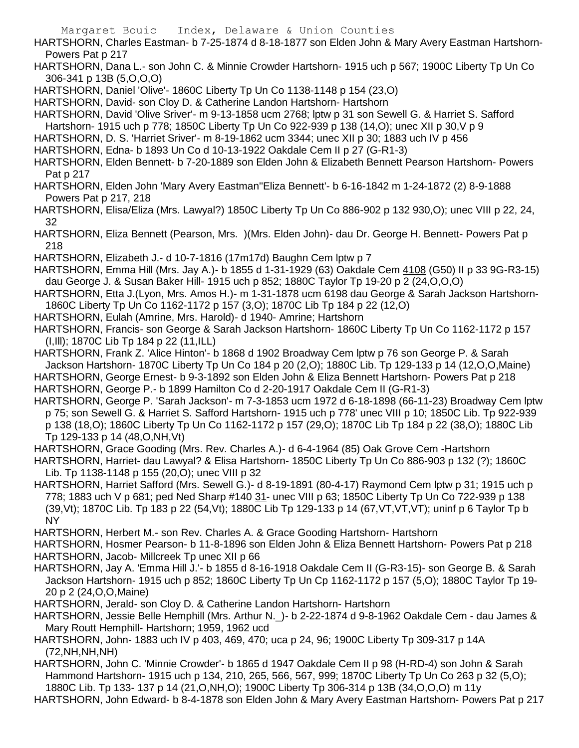HARTSHORN, Charles Eastman- b 7-25-1874 d 8-18-1877 son Elden John & Mary Avery Eastman Hartshorn-Powers Pat p 217

- HARTSHORN, Dana L.- son John C. & Minnie Crowder Hartshorn- 1915 uch p 567; 1900C Liberty Tp Un Co 306-341 p 13B (5,O,O,O)
- HARTSHORN, Daniel 'Olive'- 1860C Liberty Tp Un Co 1138-1148 p 154 (23,O)
- HARTSHORN, David- son Cloy D. & Catherine Landon Hartshorn- Hartshorn
- HARTSHORN, David 'Olive Sriver'- m 9-13-1858 ucm 2768; lptw p 31 son Sewell G. & Harriet S. Safford
- Hartshorn- 1915 uch p 778; 1850C Liberty Tp Un Co 922-939 p 138 (14,O); unec XII p 30,V p 9
- HARTSHORN, D. S. 'Harriet Sriver'- m 8-19-1862 ucm 3344; unec XII p 30; 1883 uch IV p 456
- HARTSHORN, Edna- b 1893 Un Co d 10-13-1922 Oakdale Cem II p 27 (G-R1-3)
- HARTSHORN, Elden Bennett- b 7-20-1889 son Elden John & Elizabeth Bennett Pearson Hartshorn- Powers Pat p 217
- HARTSHORN, Elden John 'Mary Avery Eastman''Eliza Bennett'- b 6-16-1842 m 1-24-1872 (2) 8-9-1888 Powers Pat p 217, 218
- HARTSHORN, Elisa/Eliza (Mrs. Lawyal?) 1850C Liberty Tp Un Co 886-902 p 132 930,O); unec VIII p 22, 24, 32
- HARTSHORN, Eliza Bennett (Pearson, Mrs. )(Mrs. Elden John)- dau Dr. George H. Bennett- Powers Pat p 218
- HARTSHORN, Elizabeth J.- d 10-7-1816 (17m17d) Baughn Cem lptw p 7
- HARTSHORN, Emma Hill (Mrs. Jay A.)- b 1855 d 1-31-1929 (63) Oakdale Cem 4108 (G50) II p 33 9G-R3-15) dau George J. & Susan Baker Hill- 1915 uch p 852; 1880C Taylor Tp 19-20 p 2 (24,O,O,O)
- HARTSHORN, Etta J.(Lyon, Mrs. Amos H.)- m 1-31-1878 ucm 6198 dau George & Sarah Jackson Hartshorn-1860C Liberty Tp Un Co 1162-1172 p 157 (3,O); 1870C Lib Tp 184 p 22 (12,O)
- HARTSHORN, Eulah (Amrine, Mrs. Harold)- d 1940- Amrine; Hartshorn
- HARTSHORN, Francis- son George & Sarah Jackson Hartshorn- 1860C Liberty Tp Un Co 1162-1172 p 157 (I,Ill); 1870C Lib Tp 184 p 22 (11,ILL)
- HARTSHORN, Frank Z. 'Alice Hinton'- b 1868 d 1902 Broadway Cem lptw p 76 son George P. & Sarah Jackson Hartshorn- 1870C Liberty Tp Un Co 184 p 20 (2,O); 1880C Lib. Tp 129-133 p 14 (12,O,O,Maine)
- HARTSHORN, George Ernest- b 9-3-1892 son Elden John & Eliza Bennett Hartshorn- Powers Pat p 218 HARTSHORN, George P.- b 1899 Hamilton Co d 2-20-1917 Oakdale Cem II (G-R1-3)
- HARTSHORN, George P. 'Sarah Jackson'- m 7-3-1853 ucm 1972 d 6-18-1898 (66-11-23) Broadway Cem lptw p 75; son Sewell G. & Harriet S. Safford Hartshorn- 1915 uch p 778' unec VIII p 10; 1850C Lib. Tp 922-939 p 138 (18,O); 1860C Liberty Tp Un Co 1162-1172 p 157 (29,O); 1870C Lib Tp 184 p 22 (38,O); 1880C Lib Tp 129-133 p 14 (48,O,NH,Vt)
- HARTSHORN, Grace Gooding (Mrs. Rev. Charles A.)- d 6-4-1964 (85) Oak Grove Cem -Hartshorn
- HARTSHORN, Harriet- dau Lawyal? & Elisa Hartshorn- 1850C Liberty Tp Un Co 886-903 p 132 (?); 1860C Lib. Tp 1138-1148 p 155 (20,O); unec VIII p 32
- HARTSHORN, Harriet Safford (Mrs. Sewell G.)- d 8-19-1891 (80-4-17) Raymond Cem lptw p 31; 1915 uch p 778; 1883 uch V p 681; ped Ned Sharp #140 31- unec VIII p 63; 1850C Liberty Tp Un Co 722-939 p 138 (39,Vt); 1870C Lib. Tp 183 p 22 (54,Vt); 1880C Lib Tp 129-133 p 14 (67,VT,VT,VT); uninf p 6 Taylor Tp b NY
- HARTSHORN, Herbert M.- son Rev. Charles A. & Grace Gooding Hartshorn- Hartshorn
- HARTSHORN, Hosmer Pearson- b 11-8-1896 son Elden John & Eliza Bennett Hartshorn- Powers Pat p 218 HARTSHORN, Jacob- Millcreek Tp unec XII p 66
- HARTSHORN, Jay A. 'Emma Hill J.'- b 1855 d 8-16-1918 Oakdale Cem II (G-R3-15)- son George B. & Sarah Jackson Hartshorn- 1915 uch p 852; 1860C Liberty Tp Un Cp 1162-1172 p 157 (5,O); 1880C Taylor Tp 19- 20 p 2 (24,O,O,Maine)
- HARTSHORN, Jerald- son Cloy D. & Catherine Landon Hartshorn- Hartshorn
- HARTSHORN, Jessie Belle Hemphill (Mrs. Arthur N.\_)- b 2-22-1874 d 9-8-1962 Oakdale Cem dau James & Mary Routt Hemphill- Hartshorn; 1959, 1962 ucd
- HARTSHORN, John- 1883 uch IV p 403, 469, 470; uca p 24, 96; 1900C Liberty Tp 309-317 p 14A (72,NH,NH,NH)
- HARTSHORN, John C. 'Minnie Crowder'- b 1865 d 1947 Oakdale Cem II p 98 (H-RD-4) son John & Sarah Hammond Hartshorn- 1915 uch p 134, 210, 265, 566, 567, 999; 1870C Liberty Tp Un Co 263 p 32 (5,O); 1880C Lib. Tp 133- 137 p 14 (21,O,NH,O); 1900C Liberty Tp 306-314 p 13B (34,O,O,O) m 11y HARTSHORN, John Edward- b 8-4-1878 son Elden John & Mary Avery Eastman Hartshorn- Powers Pat p 217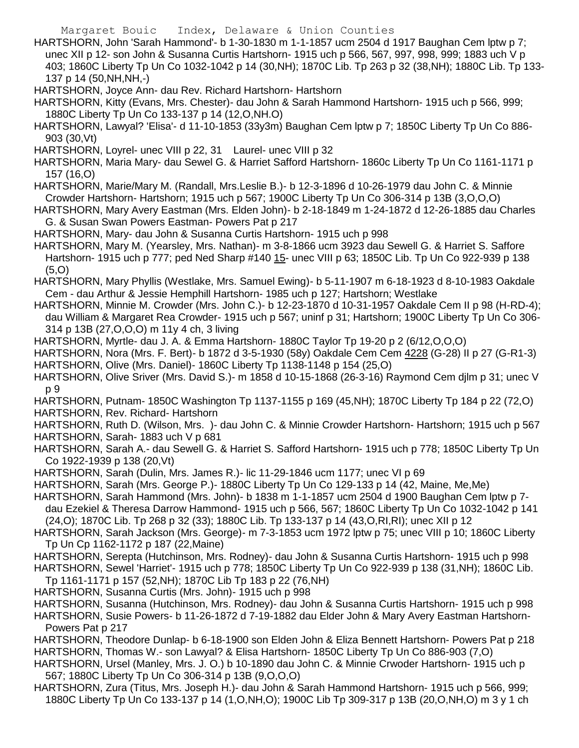- HARTSHORN, John 'Sarah Hammond'- b 1-30-1830 m 1-1-1857 ucm 2504 d 1917 Baughan Cem lptw p 7; unec XII p 12- son John & Susanna Curtis Hartshorn- 1915 uch p 566, 567, 997, 998, 999; 1883 uch V p 403; 1860C Liberty Tp Un Co 1032-1042 p 14 (30,NH); 1870C Lib. Tp 263 p 32 (38,NH); 1880C Lib. Tp 133- 137 p 14 (50,NH,NH,-)
- HARTSHORN, Joyce Ann- dau Rev. Richard Hartshorn- Hartshorn
- HARTSHORN, Kitty (Evans, Mrs. Chester)- dau John & Sarah Hammond Hartshorn- 1915 uch p 566, 999; 1880C Liberty Tp Un Co 133-137 p 14 (12,O,NH.O)
- HARTSHORN, Lawyal? 'Elisa'- d 11-10-1853 (33y3m) Baughan Cem lptw p 7; 1850C Liberty Tp Un Co 886- 903 (30,Vt)
- HARTSHORN, Loyrel- unec VIII p 22, 31 Laurel- unec VIII p 32
- HARTSHORN, Maria Mary- dau Sewel G. & Harriet Safford Hartshorn- 1860c Liberty Tp Un Co 1161-1171 p 157 (16,O)
- HARTSHORN, Marie/Mary M. (Randall, Mrs.Leslie B.)- b 12-3-1896 d 10-26-1979 dau John C. & Minnie Crowder Hartshorn- Hartshorn; 1915 uch p 567; 1900C Liberty Tp Un Co 306-314 p 13B (3,O,O,O)
- HARTSHORN, Mary Avery Eastman (Mrs. Elden John)- b 2-18-1849 m 1-24-1872 d 12-26-1885 dau Charles G. & Susan Swan Powers Eastman- Powers Pat p 217
- HARTSHORN, Mary- dau John & Susanna Curtis Hartshorn- 1915 uch p 998
- HARTSHORN, Mary M. (Yearsley, Mrs. Nathan)- m 3-8-1866 ucm 3923 dau Sewell G. & Harriet S. Saffore Hartshorn- 1915 uch p 777; ped Ned Sharp #140 15- unec VIII p 63; 1850C Lib. Tp Un Co 922-939 p 138 (5,O)
- HARTSHORN, Mary Phyllis (Westlake, Mrs. Samuel Ewing)- b 5-11-1907 m 6-18-1923 d 8-10-1983 Oakdale Cem - dau Arthur & Jessie Hemphill Hartshorn- 1985 uch p 127; Hartshorn; Westlake
- HARTSHORN, Minnie M. Crowder (Mrs. John C.)- b 12-23-1870 d 10-31-1957 Oakdale Cem II p 98 (H-RD-4); dau William & Margaret Rea Crowder- 1915 uch p 567; uninf p 31; Hartshorn; 1900C Liberty Tp Un Co 306- 314 p 13B (27,O,O,O) m 11y 4 ch, 3 living
- HARTSHORN, Myrtle- dau J. A. & Emma Hartshorn- 1880C Taylor Tp 19-20 p 2 (6/12,O,O,O)
- HARTSHORN, Nora (Mrs. F. Bert)- b 1872 d 3-5-1930 (58y) Oakdale Cem Cem 4228 (G-28) II p 27 (G-R1-3) HARTSHORN, Olive (Mrs. Daniel)- 1860C Liberty Tp 1138-1148 p 154 (25,O)
- HARTSHORN, Olive Sriver (Mrs. David S.)- m 1858 d 10-15-1868 (26-3-16) Raymond Cem djlm p 31; unec V p 9
- HARTSHORN, Putnam- 1850C Washington Tp 1137-1155 p 169 (45,NH); 1870C Liberty Tp 184 p 22 (72,O) HARTSHORN, Rev. Richard- Hartshorn
- HARTSHORN, Ruth D. (Wilson, Mrs. )- dau John C. & Minnie Crowder Hartshorn- Hartshorn; 1915 uch p 567 HARTSHORN, Sarah- 1883 uch V p 681
- HARTSHORN, Sarah A.- dau Sewell G. & Harriet S. Safford Hartshorn- 1915 uch p 778; 1850C Liberty Tp Un Co 1922-1939 p 138 (20,Vt)
- HARTSHORN, Sarah (Dulin, Mrs. James R.)- lic 11-29-1846 ucm 1177; unec VI p 69
- HARTSHORN, Sarah (Mrs. George P.)- 1880C Liberty Tp Un Co 129-133 p 14 (42, Maine, Me,Me)
- HARTSHORN, Sarah Hammond (Mrs. John)- b 1838 m 1-1-1857 ucm 2504 d 1900 Baughan Cem lptw p 7-
- dau Ezekiel & Theresa Darrow Hammond- 1915 uch p 566, 567; 1860C Liberty Tp Un Co 1032-1042 p 141 (24,O); 1870C Lib. Tp 268 p 32 (33); 1880C Lib. Tp 133-137 p 14 (43,O,RI,RI); unec XII p 12
- HARTSHORN, Sarah Jackson (Mrs. George)- m 7-3-1853 ucm 1972 lptw p 75; unec VIII p 10; 1860C Liberty Tp Un Cp 1162-1172 p 187 (22,Maine)
- HARTSHORN, Serepta (Hutchinson, Mrs. Rodney)- dau John & Susanna Curtis Hartshorn- 1915 uch p 998
- HARTSHORN, Sewel 'Harriet'- 1915 uch p 778; 1850C Liberty Tp Un Co 922-939 p 138 (31,NH); 1860C Lib. Tp 1161-1171 p 157 (52,NH); 1870C Lib Tp 183 p 22 (76,NH)
- HARTSHORN, Susanna Curtis (Mrs. John)- 1915 uch p 998
- HARTSHORN, Susanna (Hutchinson, Mrs. Rodney)- dau John & Susanna Curtis Hartshorn- 1915 uch p 998
- HARTSHORN, Susie Powers- b 11-26-1872 d 7-19-1882 dau Elder John & Mary Avery Eastman Hartshorn-Powers Pat p 217
- HARTSHORN, Theodore Dunlap- b 6-18-1900 son Elden John & Eliza Bennett Hartshorn- Powers Pat p 218 HARTSHORN, Thomas W.- son Lawyal? & Elisa Hartshorn- 1850C Liberty Tp Un Co 886-903 (7,O)
- HARTSHORN, Ursel (Manley, Mrs. J. O.) b 10-1890 dau John C. & Minnie Crwoder Hartshorn- 1915 uch p 567; 1880C Liberty Tp Un Co 306-314 p 13B (9,O,O,O)
- HARTSHORN, Zura (Titus, Mrs. Joseph H.)- dau John & Sarah Hammond Hartshorn- 1915 uch p 566, 999; 1880C Liberty Tp Un Co 133-137 p 14 (1,O,NH,O); 1900C Lib Tp 309-317 p 13B (20,O,NH,O) m 3 y 1 ch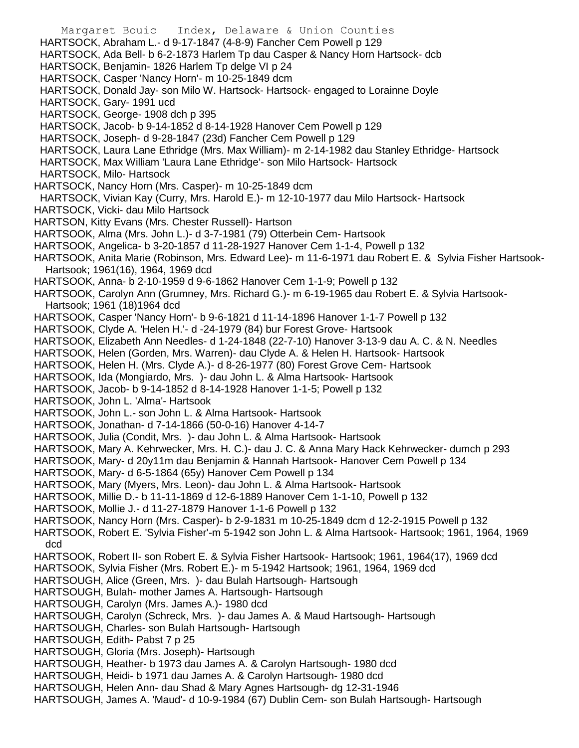Margaret Bouic Index, Delaware & Union Counties HARTSOCK, Abraham L.- d 9-17-1847 (4-8-9) Fancher Cem Powell p 129 HARTSOCK, Ada Bell- b 6-2-1873 Harlem Tp dau Casper & Nancy Horn Hartsock- dcb HARTSOCK, Benjamin- 1826 Harlem Tp delge VI p 24 HARTSOCK, Casper 'Nancy Horn'- m 10-25-1849 dcm HARTSOCK, Donald Jay- son Milo W. Hartsock- Hartsock- engaged to Lorainne Doyle HARTSOCK, Gary- 1991 ucd HARTSOCK, George- 1908 dch p 395 HARTSOCK, Jacob- b 9-14-1852 d 8-14-1928 Hanover Cem Powell p 129 HARTSOCK, Joseph- d 9-28-1847 (23d) Fancher Cem Powell p 129 HARTSOCK, Laura Lane Ethridge (Mrs. Max William)- m 2-14-1982 dau Stanley Ethridge- Hartsock HARTSOCK, Max William 'Laura Lane Ethridge'- son Milo Hartsock- Hartsock HARTSOCK, Milo- Hartsock HARTSOCK, Nancy Horn (Mrs. Casper)- m 10-25-1849 dcm HARTSOCK, Vivian Kay (Curry, Mrs. Harold E.)- m 12-10-1977 dau Milo Hartsock- Hartsock HARTSOCK, Vicki- dau Milo Hartsock HARTSON, Kitty Evans (Mrs. Chester Russell)- Hartson HARTSOOK, Alma (Mrs. John L.)- d 3-7-1981 (79) Otterbein Cem- Hartsook HARTSOOK, Angelica- b 3-20-1857 d 11-28-1927 Hanover Cem 1-1-4, Powell p 132 HARTSOOK, Anita Marie (Robinson, Mrs. Edward Lee)- m 11-6-1971 dau Robert E. & Sylvia Fisher Hartsook-Hartsook; 1961(16), 1964, 1969 dcd HARTSOOK, Anna- b 2-10-1959 d 9-6-1862 Hanover Cem 1-1-9; Powell p 132 HARTSOOK, Carolyn Ann (Grumney, Mrs. Richard G.)- m 6-19-1965 dau Robert E. & Sylvia Hartsook-Hartsook; 1961 (18)1964 dcd HARTSOOK, Casper 'Nancy Horn'- b 9-6-1821 d 11-14-1896 Hanover 1-1-7 Powell p 132 HARTSOOK, Clyde A. 'Helen H.'- d -24-1979 (84) bur Forest Grove- Hartsook HARTSOOK, Elizabeth Ann Needles- d 1-24-1848 (22-7-10) Hanover 3-13-9 dau A. C. & N. Needles HARTSOOK, Helen (Gorden, Mrs. Warren)- dau Clyde A. & Helen H. Hartsook- Hartsook HARTSOOK, Helen H. (Mrs. Clyde A.)- d 8-26-1977 (80) Forest Grove Cem- Hartsook HARTSOOK, Ida (Mongiardo, Mrs. )- dau John L. & Alma Hartsook- Hartsook HARTSOOK, Jacob- b 9-14-1852 d 8-14-1928 Hanover 1-1-5; Powell p 132 HARTSOOK, John L. 'Alma'- Hartsook HARTSOOK, John L.- son John L. & Alma Hartsook- Hartsook HARTSOOK, Jonathan- d 7-14-1866 (50-0-16) Hanover 4-14-7 HARTSOOK, Julia (Condit, Mrs. )- dau John L. & Alma Hartsook- Hartsook HARTSOOK, Mary A. Kehrwecker, Mrs. H. C.)- dau J. C. & Anna Mary Hack Kehrwecker- dumch p 293 HARTSOOK, Mary- d 20y11m dau Benjamin & Hannah Hartsook- Hanover Cem Powell p 134 HARTSOOK, Mary- d 6-5-1864 (65y) Hanover Cem Powell p 134 HARTSOOK, Mary (Myers, Mrs. Leon)- dau John L. & Alma Hartsook- Hartsook HARTSOOK, Millie D.- b 11-11-1869 d 12-6-1889 Hanover Cem 1-1-10, Powell p 132 HARTSOOK, Mollie J.- d 11-27-1879 Hanover 1-1-6 Powell p 132 HARTSOOK, Nancy Horn (Mrs. Casper)- b 2-9-1831 m 10-25-1849 dcm d 12-2-1915 Powell p 132 HARTSOOK, Robert E. 'Sylvia Fisher'-m 5-1942 son John L. & Alma Hartsook- Hartsook; 1961, 1964, 1969 dcd HARTSOOK, Robert II- son Robert E. & Sylvia Fisher Hartsook- Hartsook; 1961, 1964(17), 1969 dcd HARTSOOK, Sylvia Fisher (Mrs. Robert E.)- m 5-1942 Hartsook; 1961, 1964, 1969 dcd HARTSOUGH, Alice (Green, Mrs. )- dau Bulah Hartsough- Hartsough HARTSOUGH, Bulah- mother James A. Hartsough- Hartsough HARTSOUGH, Carolyn (Mrs. James A.)- 1980 dcd HARTSOUGH, Carolyn (Schreck, Mrs. )- dau James A. & Maud Hartsough- Hartsough HARTSOUGH, Charles- son Bulah Hartsough- Hartsough HARTSOUGH, Edith- Pabst 7 p 25 HARTSOUGH, Gloria (Mrs. Joseph)- Hartsough HARTSOUGH, Heather- b 1973 dau James A. & Carolyn Hartsough- 1980 dcd HARTSOUGH, Heidi- b 1971 dau James A. & Carolyn Hartsough- 1980 dcd HARTSOUGH, Helen Ann- dau Shad & Mary Agnes Hartsough- dg 12-31-1946 HARTSOUGH, James A. 'Maud'- d 10-9-1984 (67) Dublin Cem- son Bulah Hartsough- Hartsough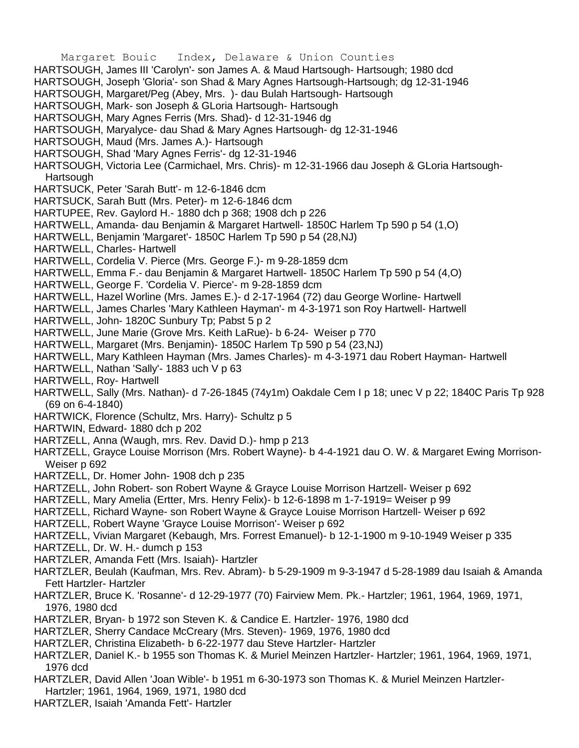- Margaret Bouic Index, Delaware & Union Counties
- HARTSOUGH, James III 'Carolyn'- son James A. & Maud Hartsough- Hartsough; 1980 dcd
- HARTSOUGH, Joseph 'Gloria'- son Shad & Mary Agnes Hartsough-Hartsough; dg 12-31-1946
- HARTSOUGH, Margaret/Peg (Abey, Mrs. )- dau Bulah Hartsough- Hartsough
- HARTSOUGH, Mark- son Joseph & GLoria Hartsough- Hartsough
- HARTSOUGH, Mary Agnes Ferris (Mrs. Shad)- d 12-31-1946 dg
- HARTSOUGH, Maryalyce- dau Shad & Mary Agnes Hartsough- dg 12-31-1946
- HARTSOUGH, Maud (Mrs. James A.)- Hartsough
- HARTSOUGH, Shad 'Mary Agnes Ferris'- dg 12-31-1946
- HARTSOUGH, Victoria Lee (Carmichael, Mrs. Chris)- m 12-31-1966 dau Joseph & GLoria Hartsough-**Hartsough**
- HARTSUCK, Peter 'Sarah Butt'- m 12-6-1846 dcm
- HARTSUCK, Sarah Butt (Mrs. Peter)- m 12-6-1846 dcm
- HARTUPEE, Rev. Gaylord H.- 1880 dch p 368; 1908 dch p 226
- HARTWELL, Amanda- dau Benjamin & Margaret Hartwell- 1850C Harlem Tp 590 p 54 (1,O)
- HARTWELL, Benjamin 'Margaret'- 1850C Harlem Tp 590 p 54 (28,NJ)
- HARTWELL, Charles- Hartwell
- HARTWELL, Cordelia V. Pierce (Mrs. George F.)- m 9-28-1859 dcm
- HARTWELL, Emma F.- dau Benjamin & Margaret Hartwell- 1850C Harlem Tp 590 p 54 (4,O)
- HARTWELL, George F. 'Cordelia V. Pierce'- m 9-28-1859 dcm
- HARTWELL, Hazel Worline (Mrs. James E.)- d 2-17-1964 (72) dau George Worline- Hartwell
- HARTWELL, James Charles 'Mary Kathleen Hayman'- m 4-3-1971 son Roy Hartwell- Hartwell
- HARTWELL, John- 1820C Sunbury Tp; Pabst 5 p 2
- HARTWELL, June Marie (Grove Mrs. Keith LaRue)- b 6-24- Weiser p 770
- HARTWELL, Margaret (Mrs. Benjamin)- 1850C Harlem Tp 590 p 54 (23,NJ)
- HARTWELL, Mary Kathleen Hayman (Mrs. James Charles)- m 4-3-1971 dau Robert Hayman- Hartwell
- HARTWELL, Nathan 'Sally'- 1883 uch V p 63
- HARTWELL, Roy- Hartwell
- HARTWELL, Sally (Mrs. Nathan)- d 7-26-1845 (74y1m) Oakdale Cem I p 18; unec V p 22; 1840C Paris Tp 928 (69 on 6-4-1840)
- HARTWICK, Florence (Schultz, Mrs. Harry)- Schultz p 5
- HARTWIN, Edward- 1880 dch p 202
- HARTZELL, Anna (Waugh, mrs. Rev. David D.)- hmp p 213
- HARTZELL, Grayce Louise Morrison (Mrs. Robert Wayne)- b 4-4-1921 dau O. W. & Margaret Ewing Morrison-Weiser p 692
- HARTZELL, Dr. Homer John- 1908 dch p 235
- HARTZELL, John Robert- son Robert Wayne & Grayce Louise Morrison Hartzell- Weiser p 692
- HARTZELL, Mary Amelia (Ertter, Mrs. Henry Felix)- b 12-6-1898 m 1-7-1919= Weiser p 99
- HARTZELL, Richard Wayne- son Robert Wayne & Grayce Louise Morrison Hartzell- Weiser p 692
- HARTZELL, Robert Wayne 'Grayce Louise Morrison'- Weiser p 692
- HARTZELL, Vivian Margaret (Kebaugh, Mrs. Forrest Emanuel)- b 12-1-1900 m 9-10-1949 Weiser p 335
- HARTZELL, Dr. W. H.- dumch p 153
- HARTZLER, Amanda Fett (Mrs. Isaiah)- Hartzler
- HARTZLER, Beulah (Kaufman, Mrs. Rev. Abram)- b 5-29-1909 m 9-3-1947 d 5-28-1989 dau Isaiah & Amanda Fett Hartzler- Hartzler
- HARTZLER, Bruce K. 'Rosanne'- d 12-29-1977 (70) Fairview Mem. Pk.- Hartzler; 1961, 1964, 1969, 1971, 1976, 1980 dcd
- HARTZLER, Bryan- b 1972 son Steven K. & Candice E. Hartzler- 1976, 1980 dcd
- HARTZLER, Sherry Candace McCreary (Mrs. Steven)- 1969, 1976, 1980 dcd
- HARTZLER, Christina Elizabeth- b 6-22-1977 dau Steve Hartzler- Hartzler
- HARTZLER, Daniel K.- b 1955 son Thomas K. & Muriel Meinzen Hartzler- Hartzler; 1961, 1964, 1969, 1971, 1976 dcd
- HARTZLER, David Allen 'Joan Wible'- b 1951 m 6-30-1973 son Thomas K. & Muriel Meinzen Hartzler-
- Hartzler; 1961, 1964, 1969, 1971, 1980 dcd
- HARTZLER, Isaiah 'Amanda Fett'- Hartzler